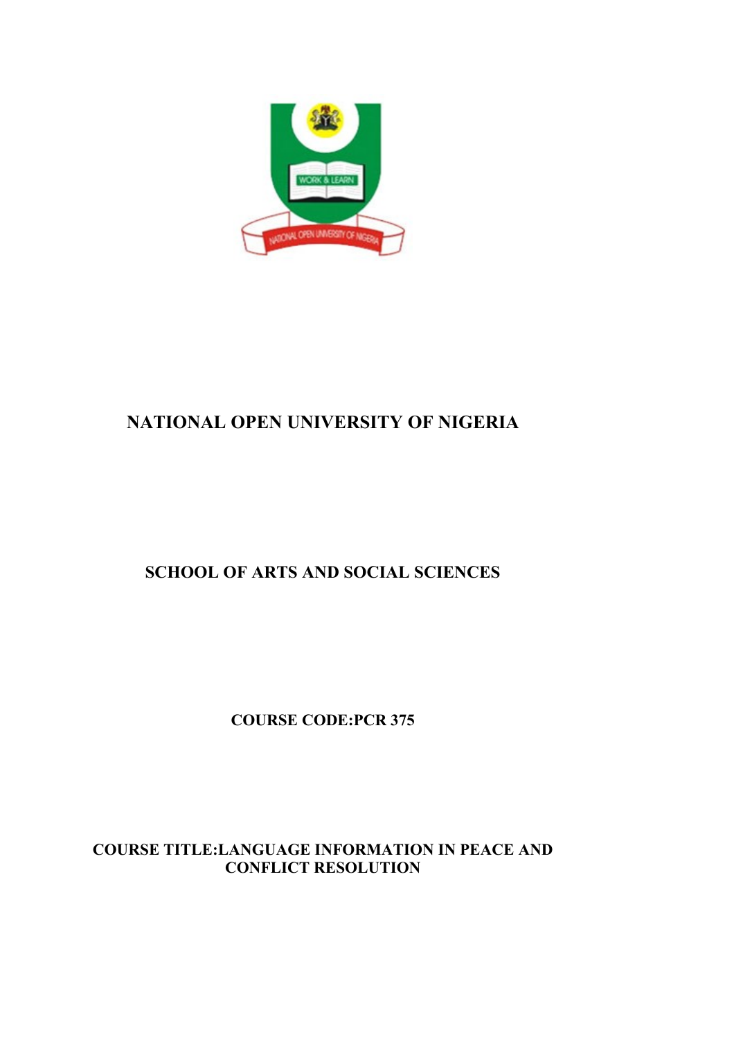

# **NATIONAL OPEN UNIVERSITY OF NIGERIA**

# **SCHOOL OF ARTS AND SOCIAL SCIENCES**

**COURSE CODE:PCR 375**

# **COURSE TITLE:LANGUAGE INFORMATION IN PEACE AND CONFLICT RESOLUTION**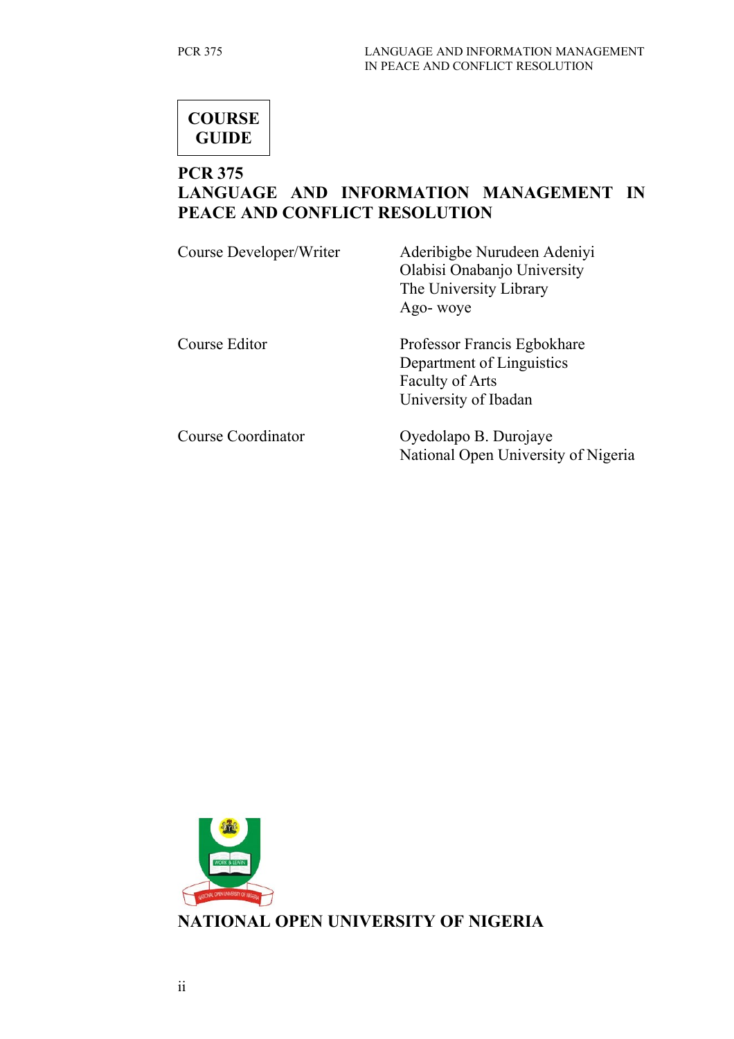

# **PCR 375**

# **LANGUAGE AND INFORMATION MANAGEMENT IN PEACE AND CONFLICT RESOLUTION**

| Course Developer/Writer   | Aderibigbe Nurudeen Adeniyi<br>Olabisi Onabanjo University<br>The University Library<br>Ago- woye          |
|---------------------------|------------------------------------------------------------------------------------------------------------|
| Course Editor             | Professor Francis Egbokhare<br>Department of Linguistics<br><b>Faculty of Arts</b><br>University of Ibadan |
| <b>Course Coordinator</b> | Oyedolapo B. Durojaye<br>National Open University of Nigeria                                               |

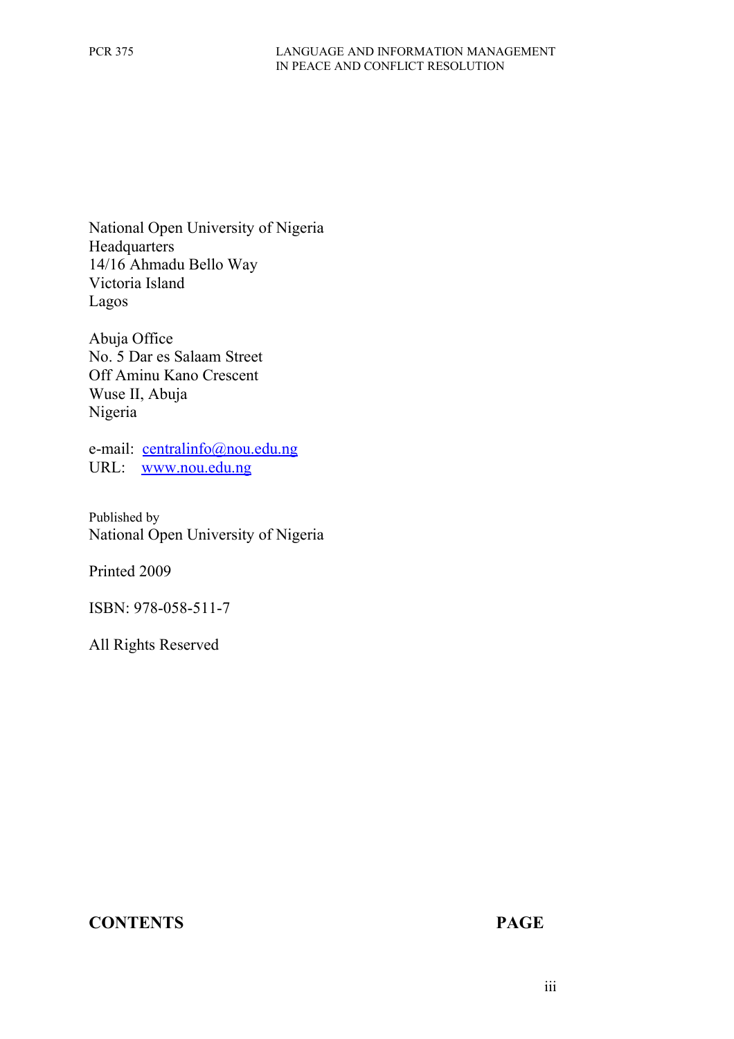National Open University of Nigeria Headquarters 14/16 Ahmadu Bello Way Victoria Island Lagos

Abuja Office No. 5 Dar es Salaam Street Off Aminu Kano Crescent Wuse II, Abuja Nigeria

e-mail: [centralinfo@nou.edu.ng](mailto:centralinfo@nou.edu.ng) URL: [www.nou.edu.ng](http://www.nou.edu.ng/)

Published by National Open University of Nigeria

Printed 2009

ISBN: 978-058-511-7

All Rights Reserved

### **CONTENTS PAGE**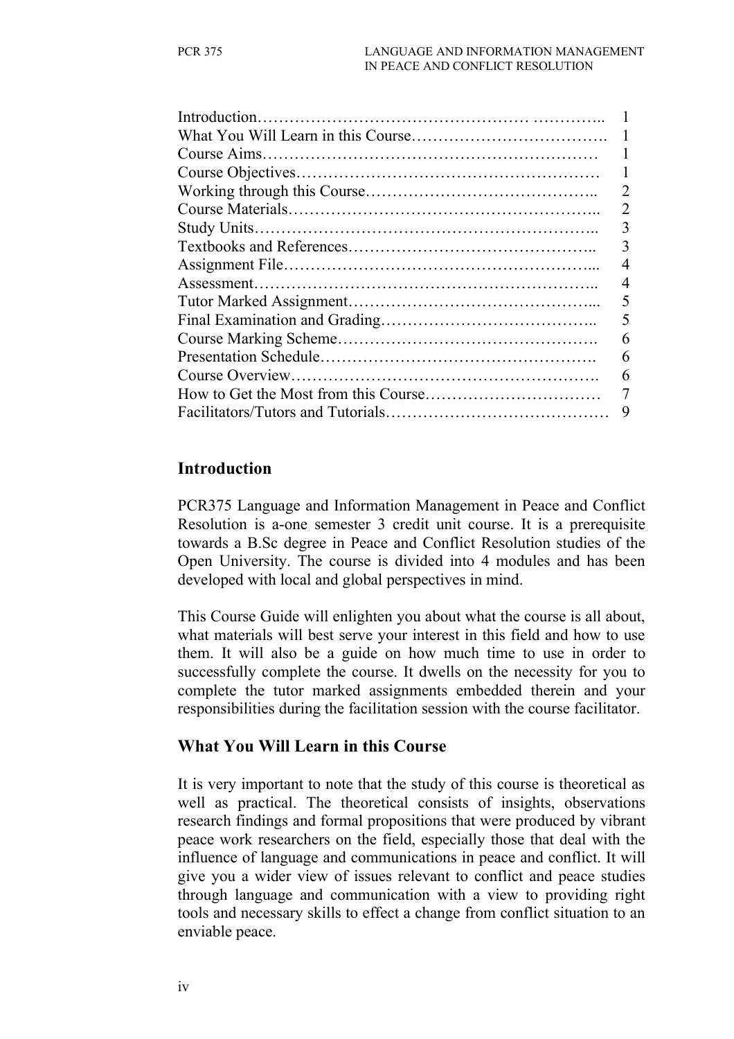| 2 |
|---|
| 3 |
| 3 |
|   |
|   |
| 5 |
| 5 |
| 6 |
| 6 |
| 6 |
|   |
| 9 |
|   |

#### **Introduction**

PCR375 Language and Information Management in Peace and Conflict Resolution is a-one semester 3 credit unit course. It is a prerequisite towards a B.Sc degree in Peace and Conflict Resolution studies of the Open University. The course is divided into 4 modules and has been developed with local and global perspectives in mind.

This Course Guide will enlighten you about what the course is all about, what materials will best serve your interest in this field and how to use them. It will also be a guide on how much time to use in order to successfully complete the course. It dwells on the necessity for you to complete the tutor marked assignments embedded therein and your responsibilities during the facilitation session with the course facilitator.

### **What You Will Learn in this Course**

It is very important to note that the study of this course is theoretical as well as practical. The theoretical consists of insights, observations research findings and formal propositions that were produced by vibrant peace work researchers on the field, especially those that deal with the influence of language and communications in peace and conflict. It will give you a wider view of issues relevant to conflict and peace studies through language and communication with a view to providing right tools and necessary skills to effect a change from conflict situation to an enviable peace.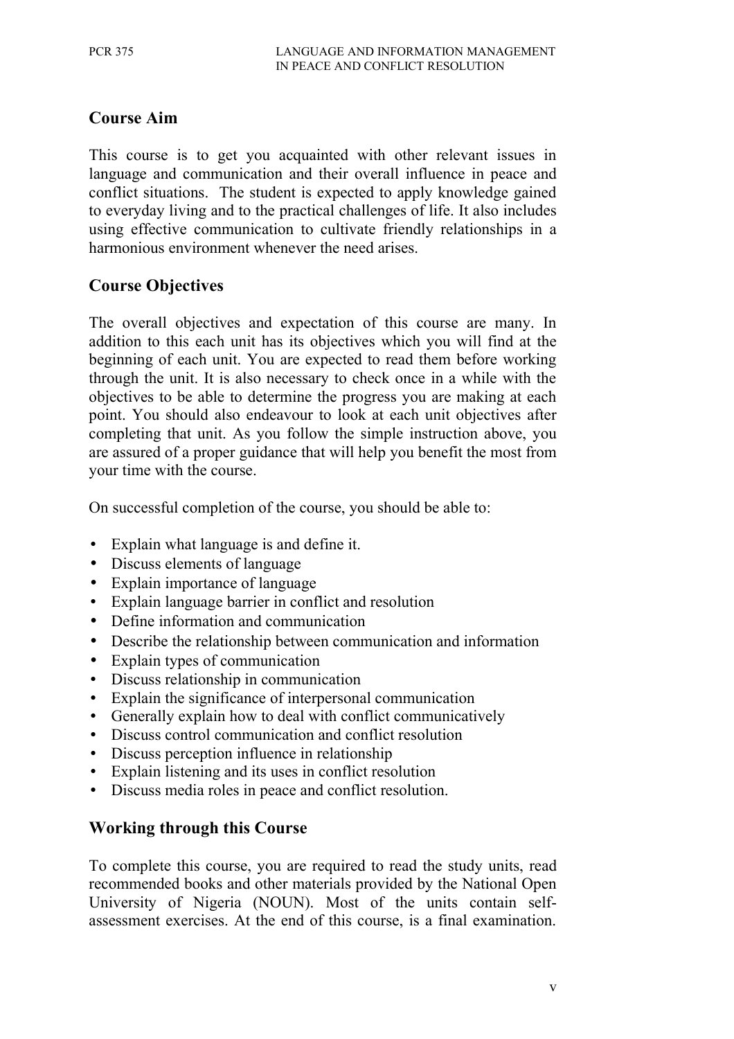# **Course Aim**

This course is to get you acquainted with other relevant issues in language and communication and their overall influence in peace and conflict situations. The student is expected to apply knowledge gained to everyday living and to the practical challenges of life. It also includes using effective communication to cultivate friendly relationships in a harmonious environment whenever the need arises.

### **Course Objectives**

The overall objectives and expectation of this course are many. In addition to this each unit has its objectives which you will find at the beginning of each unit. You are expected to read them before working through the unit. It is also necessary to check once in a while with the objectives to be able to determine the progress you are making at each point. You should also endeavour to look at each unit objectives after completing that unit. As you follow the simple instruction above, you are assured of a proper guidance that will help you benefit the most from your time with the course.

On successful completion of the course, you should be able to:

- Explain what language is and define it.
- Discuss elements of language
- Explain importance of language
- Explain language barrier in conflict and resolution
- Define information and communication
- Describe the relationship between communication and information
- Explain types of communication
- Discuss relationship in communication
- Explain the significance of interpersonal communication
- Generally explain how to deal with conflict communicatively
- Discuss control communication and conflict resolution
- Discuss perception influence in relationship
- Explain listening and its uses in conflict resolution
- Discuss media roles in peace and conflict resolution.

### **Working through this Course**

To complete this course, you are required to read the study units, read recommended books and other materials provided by the National Open University of Nigeria (NOUN). Most of the units contain selfassessment exercises. At the end of this course, is a final examination.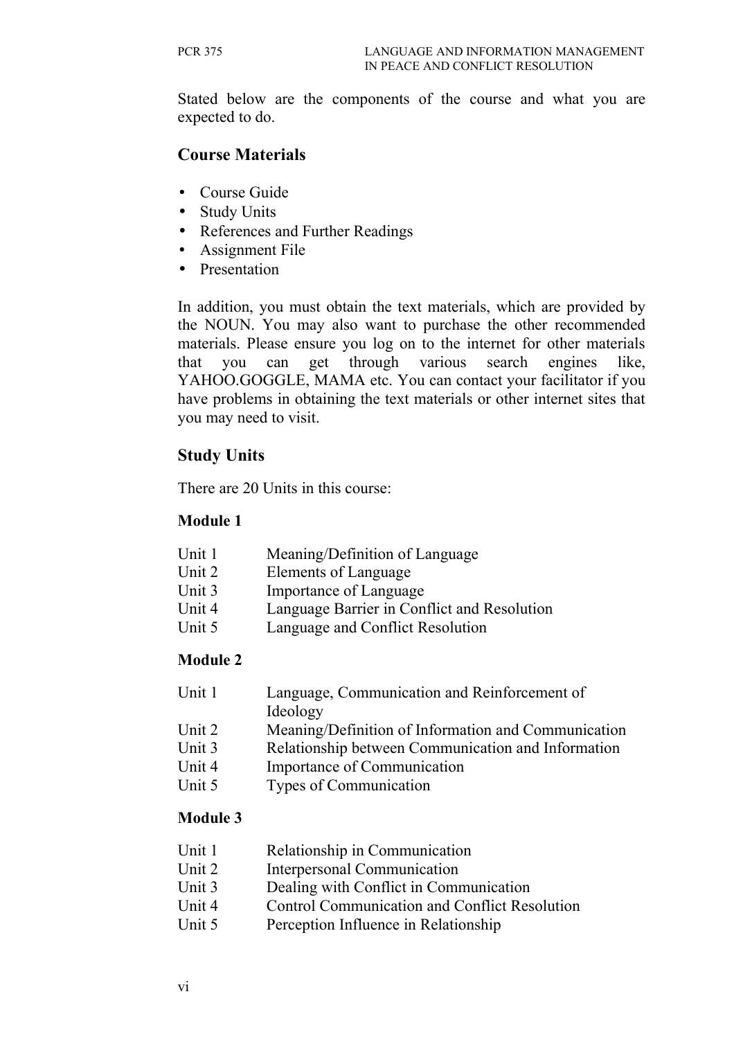Stated below are the components of the course and what you are expected to do.

# **Course Materials**

- Course Guide
- Study Units
- References and Further Readings
- Assignment File
- Presentation

In addition, you must obtain the text materials, which are provided by the NOUN. You may also want to purchase the other recommended materials. Please ensure you log on to the internet for other materials that you can get through various search engines like, YAHOO.GOGGLE, MAMA etc. You can contact your facilitator if you have problems in obtaining the text materials or other internet sites that you may need to visit.

# **Study Units**

There are 20 Units in this course:

#### **Module 1**

- Unit 1 Meaning/Definition of Language
- Unit 2 Elements of Language
- Unit 3 Importance of Language
- Unit 4 Language Barrier in Conflict and Resolution
- Unit 5 Language and Conflict Resolution

### **Module 2**

| Unit 1 | Language, Communication and Reinforcement of        |
|--------|-----------------------------------------------------|
|        | Ideology                                            |
| Unit 2 | Meaning/Definition of Information and Communication |

- Unit 3 Relationship between Communication and Information
- Unit 4 Importance of Communication
- Unit 5 Types of Communication

### **Module 3**

- Unit 1 Relationship in Communication
- Unit 2 Interpersonal Communication
- Unit 3 Dealing with Conflict in Communication
- Unit 4 Control Communication and Conflict Resolution
- Unit 5 Perception Influence in Relationship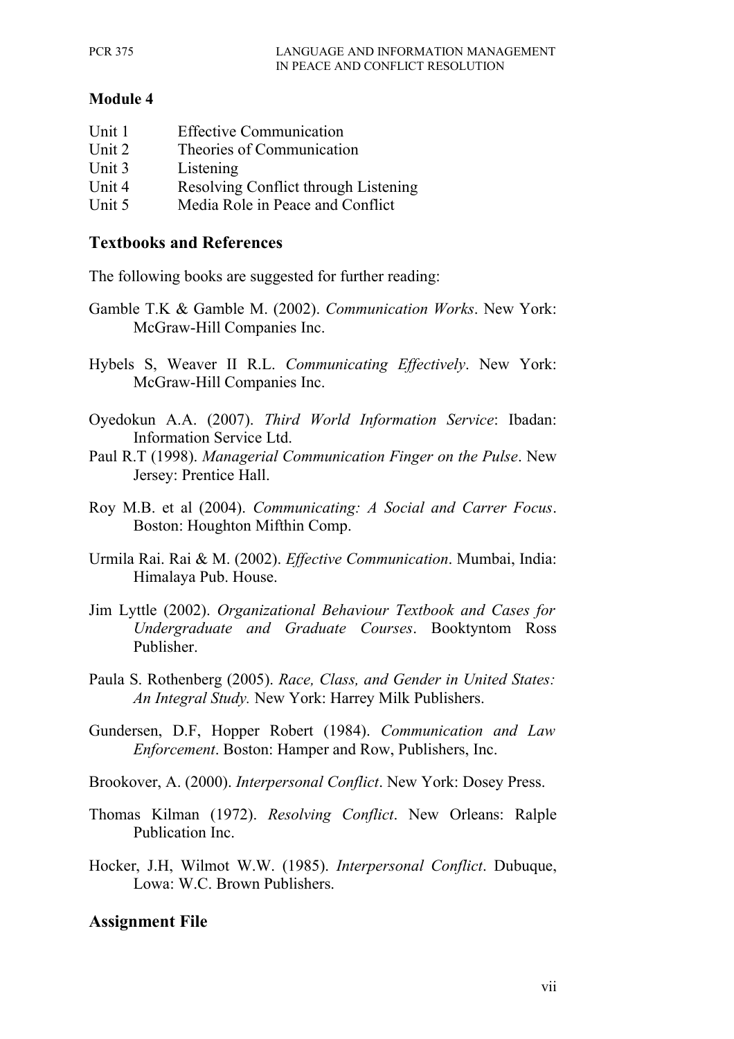#### **Module 4**

| Unit 1 | <b>Effective Communication</b>       |
|--------|--------------------------------------|
| Unit 2 | Theories of Communication            |
| Unit 3 | Listening                            |
| Unit 4 | Resolving Conflict through Listening |
| Unit 5 | Media Role in Peace and Conflict     |

#### **Textbooks and References**

The following books are suggested for further reading:

- Gamble T.K & Gamble M. (2002). *Communication Works*. New York: McGraw-Hill Companies Inc.
- Hybels S, Weaver II R.L. *Communicating Effectively*. New York: McGraw-Hill Companies Inc.
- Oyedokun A.A. (2007). *Third World Information Service*: Ibadan: Information Service Ltd.
- Paul R.T (1998). *Managerial Communication Finger on the Pulse*. New Jersey: Prentice Hall.
- Roy M.B. et al (2004). *Communicating: A Social and Carrer Focus*. Boston: Houghton Mifthin Comp.
- Urmila Rai. Rai & M. (2002). *Effective Communication*. Mumbai, India: Himalaya Pub. House.
- Jim Lyttle (2002). *Organizational Behaviour Textbook and Cases for Undergraduate and Graduate Courses*. Booktyntom Ross Publisher.
- Paula S. Rothenberg (2005). *Race, Class, and Gender in United States: An Integral Study.* New York: Harrey Milk Publishers.
- Gundersen, D.F, Hopper Robert (1984). *Communication and Law Enforcement*. Boston: Hamper and Row, Publishers, Inc.
- Brookover, A. (2000). *Interpersonal Conflict*. New York: Dosey Press.
- Thomas Kilman (1972). *Resolving Conflict*. New Orleans: Ralple Publication Inc.
- Hocker, J.H, Wilmot W.W. (1985). *Interpersonal Conflict*. Dubuque, Lowa: W.C. Brown Publishers.

### **Assignment File**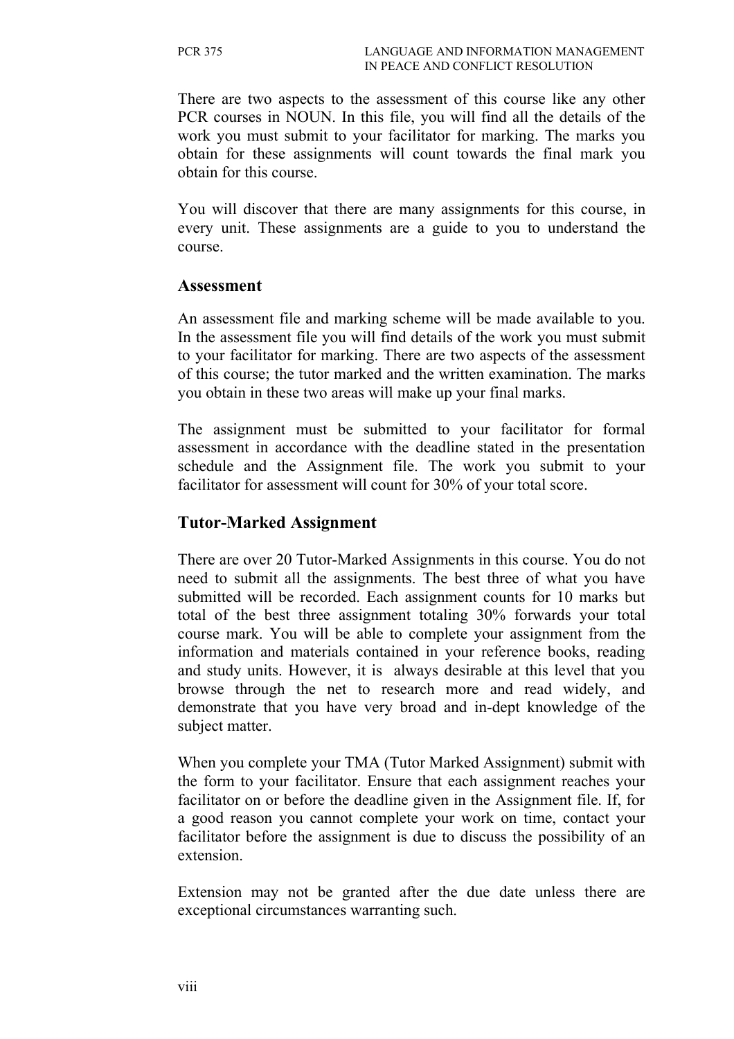There are two aspects to the assessment of this course like any other PCR courses in NOUN. In this file, you will find all the details of the work you must submit to your facilitator for marking. The marks you obtain for these assignments will count towards the final mark you obtain for this course.

You will discover that there are many assignments for this course, in every unit. These assignments are a guide to you to understand the course.

#### **Assessment**

An assessment file and marking scheme will be made available to you. In the assessment file you will find details of the work you must submit to your facilitator for marking. There are two aspects of the assessment of this course; the tutor marked and the written examination. The marks you obtain in these two areas will make up your final marks.

The assignment must be submitted to your facilitator for formal assessment in accordance with the deadline stated in the presentation schedule and the Assignment file. The work you submit to your facilitator for assessment will count for 30% of your total score.

#### **Tutor-Marked Assignment**

There are over 20 Tutor-Marked Assignments in this course. You do not need to submit all the assignments. The best three of what you have submitted will be recorded. Each assignment counts for 10 marks but total of the best three assignment totaling 30% forwards your total course mark. You will be able to complete your assignment from the information and materials contained in your reference books, reading and study units. However, it is always desirable at this level that you browse through the net to research more and read widely, and demonstrate that you have very broad and in-dept knowledge of the subject matter.

When you complete your TMA (Tutor Marked Assignment) submit with the form to your facilitator. Ensure that each assignment reaches your facilitator on or before the deadline given in the Assignment file. If, for a good reason you cannot complete your work on time, contact your facilitator before the assignment is due to discuss the possibility of an extension.

Extension may not be granted after the due date unless there are exceptional circumstances warranting such.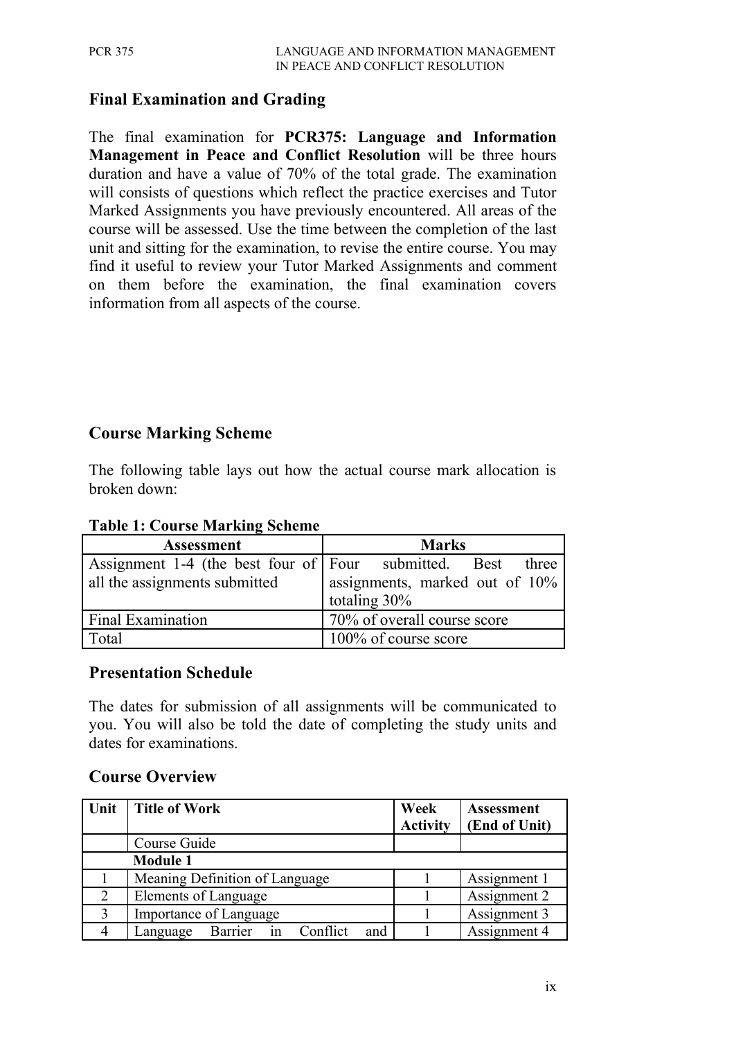# **Final Examination and Grading**

The final examination for **PCR375: Language and Information Management in Peace and Conflict Resolution** will be three hours duration and have a value of 70% of the total grade. The examination will consists of questions which reflect the practice exercises and Tutor Marked Assignments you have previously encountered. All areas of the course will be assessed. Use the time between the completion of the last unit and sitting for the examination, to revise the entire course. You may find it useful to review your Tutor Marked Assignments and comment on them before the examination, the final examination covers information from all aspects of the course.

#### **Course Marking Scheme**

The following table lays out how the actual course mark allocation is broken down:

| <b>Assessment</b>                                | <b>Marks</b>                                                |  |  |
|--------------------------------------------------|-------------------------------------------------------------|--|--|
|                                                  | Assignment 1-4 (the best four of Four submitted. Best three |  |  |
| all the assignments submitted                    | assignments, marked out of 10%                              |  |  |
|                                                  | totaling $30\%$                                             |  |  |
| 70% of overall course score<br>Final Examination |                                                             |  |  |
| Total                                            | 100% of course score                                        |  |  |

#### **Table 1: Course Marking Scheme**

#### **Presentation Schedule**

The dates for submission of all assignments will be communicated to you. You will also be told the date of completing the study units and dates for examinations.

#### **Course Overview**

| Unit           | <b>Title of Work</b>                      | Week<br><b>Activity</b> | <b>Assessment</b><br>(End of Unit) |
|----------------|-------------------------------------------|-------------------------|------------------------------------|
|                | Course Guide                              |                         |                                    |
|                | <b>Module 1</b>                           |                         |                                    |
|                | Meaning Definition of Language            |                         | Assignment 1                       |
| $\overline{2}$ | Elements of Language                      |                         | Assignment 2                       |
| 3              | Importance of Language                    |                         | Assignment 3                       |
|                | in Conflict<br>Barrier<br>Language<br>and |                         | Assignment 4                       |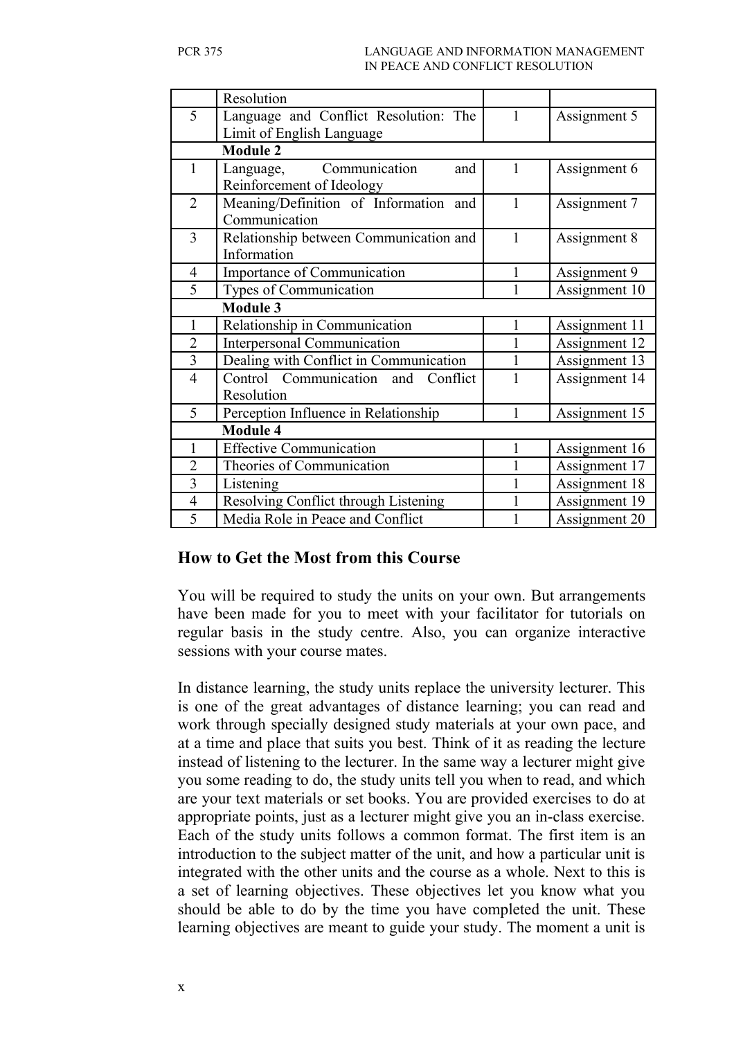|                | Resolution                             |   |               |
|----------------|----------------------------------------|---|---------------|
| 5              | Language and Conflict Resolution: The  |   | Assignment 5  |
|                | Limit of English Language              |   |               |
|                | <b>Module 2</b>                        |   |               |
| 1              | Communication<br>and<br>Language,      | 1 | Assignment 6  |
|                | Reinforcement of Ideology              |   |               |
| $\overline{2}$ | Meaning/Definition of Information and  | 1 | Assignment 7  |
|                | Communication                          |   |               |
| 3              | Relationship between Communication and |   | Assignment 8  |
|                | Information                            |   |               |
| $\overline{4}$ | Importance of Communication            | 1 | Assignment 9  |
| 5              | Types of Communication                 |   | Assignment 10 |
|                | <b>Module 3</b>                        |   |               |
| 1              | Relationship in Communication          | 1 | Assignment 11 |
| $\overline{2}$ | <b>Interpersonal Communication</b>     |   | Assignment 12 |
| $\overline{3}$ | Dealing with Conflict in Communication |   | Assignment 13 |
| $\overline{4}$ | Control Communication and Conflict     |   | Assignment 14 |
|                | Resolution                             |   |               |
| 5              | Perception Influence in Relationship   |   | Assignment 15 |
|                | <b>Module 4</b>                        |   |               |
| 1              | <b>Effective Communication</b>         | 1 | Assignment 16 |
| $\overline{2}$ | Theories of Communication              |   | Assignment 17 |
| $\overline{3}$ | Listening                              |   | Assignment 18 |
| $\overline{4}$ | Resolving Conflict through Listening   |   | Assignment 19 |
| $\overline{5}$ | Media Role in Peace and Conflict       |   | Assignment 20 |

#### **How to Get the Most from this Course**

You will be required to study the units on your own. But arrangements have been made for you to meet with your facilitator for tutorials on regular basis in the study centre. Also, you can organize interactive sessions with your course mates.

In distance learning, the study units replace the university lecturer. This is one of the great advantages of distance learning; you can read and work through specially designed study materials at your own pace, and at a time and place that suits you best. Think of it as reading the lecture instead of listening to the lecturer. In the same way a lecturer might give you some reading to do, the study units tell you when to read, and which are your text materials or set books. You are provided exercises to do at appropriate points, just as a lecturer might give you an in-class exercise. Each of the study units follows a common format. The first item is an introduction to the subject matter of the unit, and how a particular unit is integrated with the other units and the course as a whole. Next to this is a set of learning objectives. These objectives let you know what you should be able to do by the time you have completed the unit. These learning objectives are meant to guide your study. The moment a unit is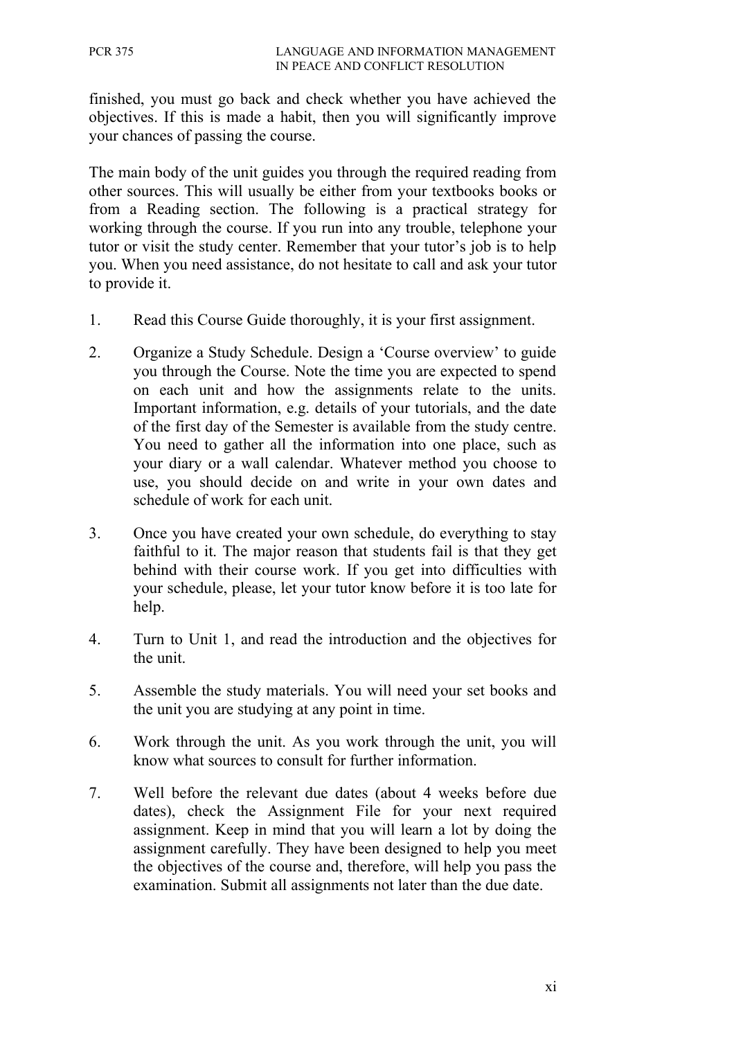finished, you must go back and check whether you have achieved the objectives. If this is made a habit, then you will significantly improve your chances of passing the course.

The main body of the unit guides you through the required reading from other sources. This will usually be either from your textbooks books or from a Reading section. The following is a practical strategy for working through the course. If you run into any trouble, telephone your tutor or visit the study center. Remember that your tutor's job is to help you. When you need assistance, do not hesitate to call and ask your tutor to provide it.

- 1. Read this Course Guide thoroughly, it is your first assignment.
- 2. Organize a Study Schedule. Design a 'Course overview' to guide you through the Course. Note the time you are expected to spend on each unit and how the assignments relate to the units. Important information, e.g. details of your tutorials, and the date of the first day of the Semester is available from the study centre. You need to gather all the information into one place, such as your diary or a wall calendar. Whatever method you choose to use, you should decide on and write in your own dates and schedule of work for each unit.
- 3. Once you have created your own schedule, do everything to stay faithful to it. The major reason that students fail is that they get behind with their course work. If you get into difficulties with your schedule, please, let your tutor know before it is too late for help.
- 4. Turn to Unit 1, and read the introduction and the objectives for the unit.
- 5. Assemble the study materials. You will need your set books and the unit you are studying at any point in time.
- 6. Work through the unit. As you work through the unit, you will know what sources to consult for further information.
- 7. Well before the relevant due dates (about 4 weeks before due dates), check the Assignment File for your next required assignment. Keep in mind that you will learn a lot by doing the assignment carefully. They have been designed to help you meet the objectives of the course and, therefore, will help you pass the examination. Submit all assignments not later than the due date.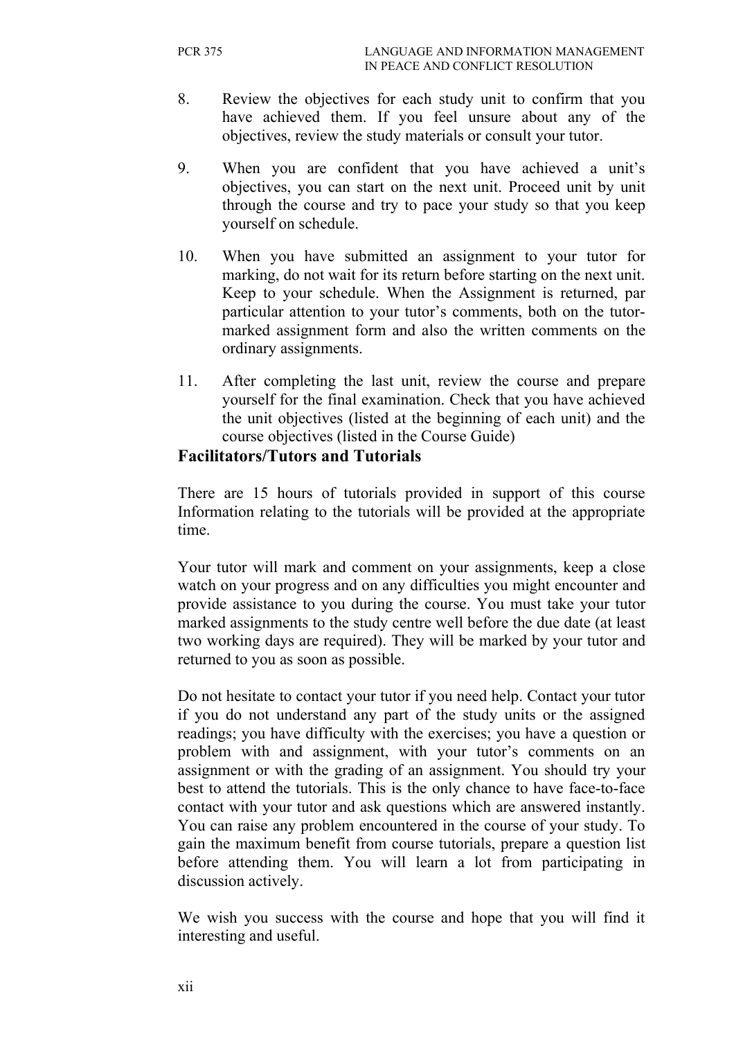- 8. Review the objectives for each study unit to confirm that you have achieved them. If you feel unsure about any of the objectives, review the study materials or consult your tutor.
- 9. When you are confident that you have achieved a unit's objectives, you can start on the next unit. Proceed unit by unit through the course and try to pace your study so that you keep yourself on schedule.
- 10. When you have submitted an assignment to your tutor for marking, do not wait for its return before starting on the next unit. Keep to your schedule. When the Assignment is returned, par particular attention to your tutor's comments, both on the tutormarked assignment form and also the written comments on the ordinary assignments.
- 11. After completing the last unit, review the course and prepare yourself for the final examination. Check that you have achieved the unit objectives (listed at the beginning of each unit) and the course objectives (listed in the Course Guide)

#### **Facilitators/Tutors and Tutorials**

There are 15 hours of tutorials provided in support of this course Information relating to the tutorials will be provided at the appropriate time.

Your tutor will mark and comment on your assignments, keep a close watch on your progress and on any difficulties you might encounter and provide assistance to you during the course. You must take your tutor marked assignments to the study centre well before the due date (at least two working days are required). They will be marked by your tutor and returned to you as soon as possible.

Do not hesitate to contact your tutor if you need help. Contact your tutor if you do not understand any part of the study units or the assigned readings; you have difficulty with the exercises; you have a question or problem with and assignment, with your tutor's comments on an assignment or with the grading of an assignment. You should try your best to attend the tutorials. This is the only chance to have face-to-face contact with your tutor and ask questions which are answered instantly. You can raise any problem encountered in the course of your study. To gain the maximum benefit from course tutorials, prepare a question list before attending them. You will learn a lot from participating in discussion actively.

We wish you success with the course and hope that you will find it interesting and useful.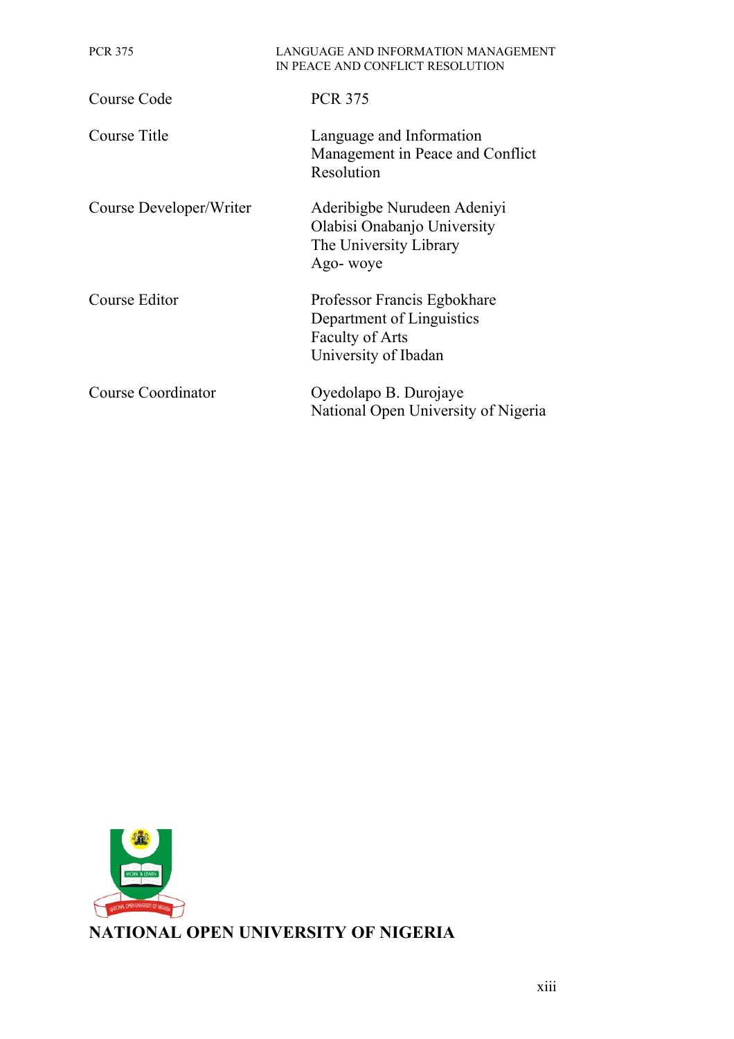| <b>PCR 375</b>          | LANGUAGE AND INFORMATION MANAGEMENT<br>IN PEACE AND CONFLICT RESOLUTION                                    |  |
|-------------------------|------------------------------------------------------------------------------------------------------------|--|
| Course Code             | <b>PCR 375</b>                                                                                             |  |
| Course Title            | Language and Information<br>Management in Peace and Conflict<br>Resolution                                 |  |
| Course Developer/Writer | Aderibigbe Nurudeen Adeniyi<br>Olabisi Onabanjo University<br>The University Library<br>Ago- woye          |  |
| Course Editor           | Professor Francis Egbokhare<br>Department of Linguistics<br><b>Faculty of Arts</b><br>University of Ibadan |  |
| Course Coordinator      | Oyedolapo B. Durojaye<br>National Open University of Nigeria                                               |  |

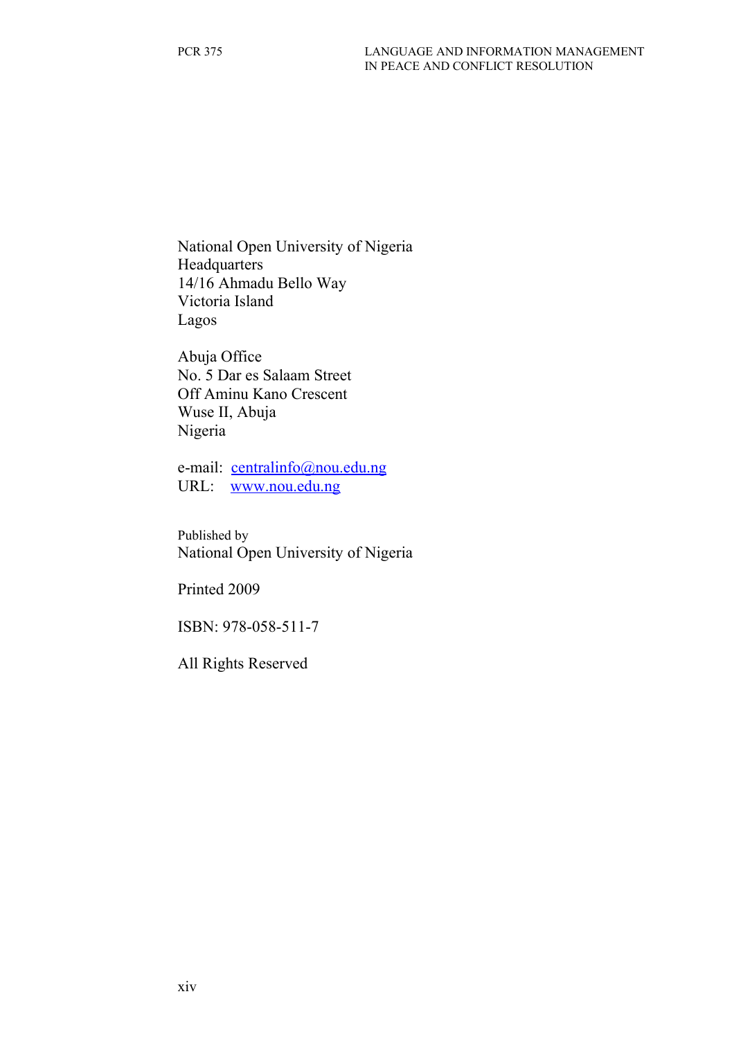National Open University of Nigeria Headquarters 14/16 Ahmadu Bello Way Victoria Island Lagos

Abuja Office No. 5 Dar es Salaam Street Off Aminu Kano Crescent Wuse II, Abuja Nigeria

e-mail: [centralinfo@nou.edu.ng](mailto:centralinfo@nou.edu.ng) URL: [www.nou.edu.ng](http://www.nou.edu.ng/)

Published by National Open University of Nigeria

Printed 2009

ISBN: 978-058-511-7

All Rights Reserved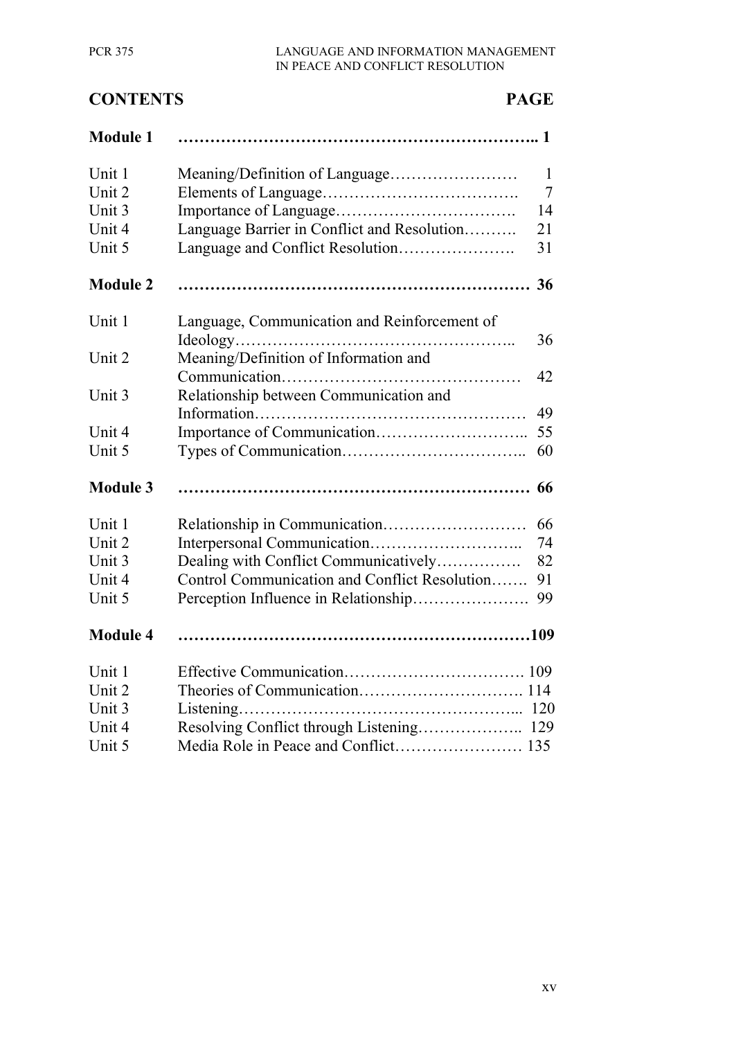#### PCR 375 LANGUAGE AND INFORMATION MANAGEMENT IN PEACE AND CONFLICT RESOLUTION

# **CONTENTS PAGE Module 1 ………………………………………………………….. 1** Unit 1 Meaning/Definition of Language…………………… 1 Unit 2 Elements of Language………………………………. 7 Unit 3 Importance of Language……………………………. 14 Unit 4 Language Barrier in Conflict and Resolution………. 21 Unit 5 Language and Conflict Resolution…………………. 31 **Module 2 ………………………………………………………… 36** Unit 1 Language, Communication and Reinforcement of Ideology…………………………………………….. 36 Unit 2 Meaning/Definition of Information and Communication……………………………………… 42 Unit 3 Relationship between Communication and Information…………………………………………… 49 Unit 4 Importance of Communication……………………….. 55 Unit 5 Types of Communication…………………………….. 60 **Module 3 ………………………………………………………… 66** Unit 1 Relationship in Communication……………………… 66 Unit 2 Interpersonal Communication……………………….. 74 Unit 3 Dealing with Conflict Communicatively……………. 82 Unit 4 Control Communication and Conflict Resolution……. 91 Unit 5 Perception Influence in Relationship…………………. 99 **Module 4 …………………………………………………………109** Unit 1 Effective Communication……………………………. 109 Unit 2 Theories of Communication…………………………. 114 Unit 3 Listening……………………………………………... 120 Unit 4 Resolving Conflict through Listening……………….. 129 Unit 5 Media Role in Peace and Conflict…………………… 135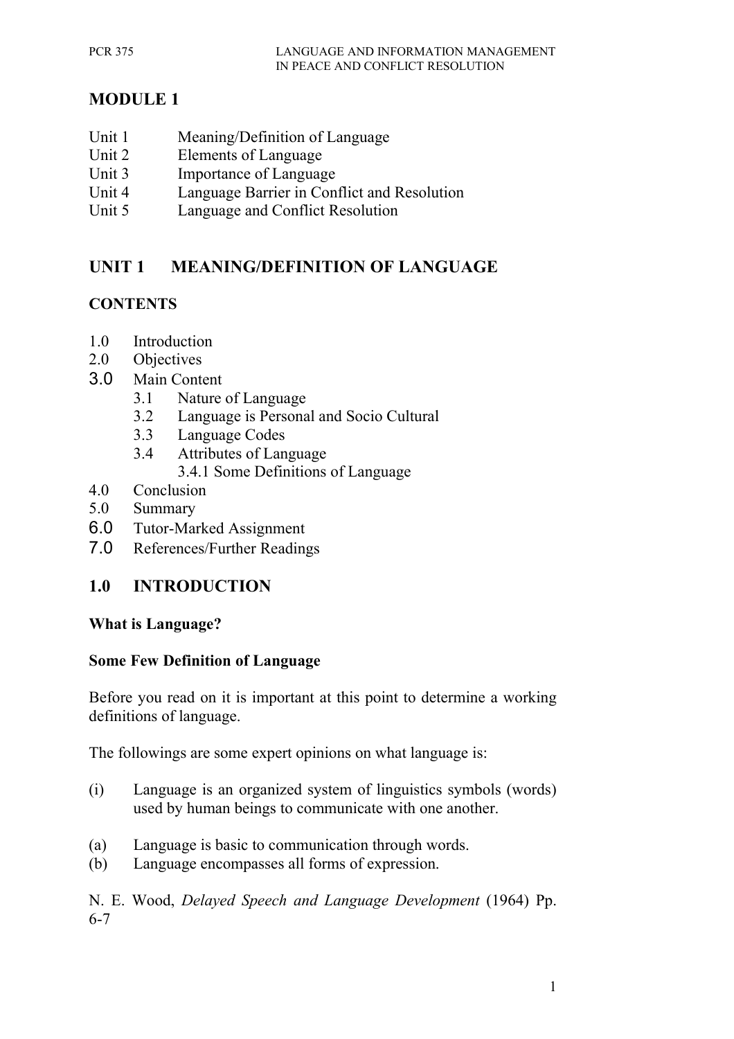# **MODULE 1**

- Unit 1 Meaning/Definition of Language
- Unit 2 Elements of Language
- Unit 3 Importance of Language
- Unit 4 Language Barrier in Conflict and Resolution
- Unit 5 Language and Conflict Resolution

# **UNIT 1 MEANING/DEFINITION OF LANGUAGE**

### **CONTENTS**

- 1.0 Introduction
- 2.0 Objectives
- 3.0 Main Content
	- 3.1 Nature of Language
	- 3.2 Language is Personal and Socio Cultural
	- 3.3 Language Codes
	- 3.4 Attributes of Language
		- 3.4.1 Some Definitions of Language
- 4.0 Conclusion
- 5.0 Summary
- 6.0 Tutor-Marked Assignment
- 7.0 References/Further Readings

# **1.0 INTRODUCTION**

#### **What is Language?**

#### **Some Few Definition of Language**

Before you read on it is important at this point to determine a working definitions of language.

The followings are some expert opinions on what language is:

- (i) Language is an organized system of linguistics symbols (words) used by human beings to communicate with one another.
- (a) Language is basic to communication through words.
- (b) Language encompasses all forms of expression.

N. E. Wood, *Delayed Speech and Language Development* (1964) Pp. 6-7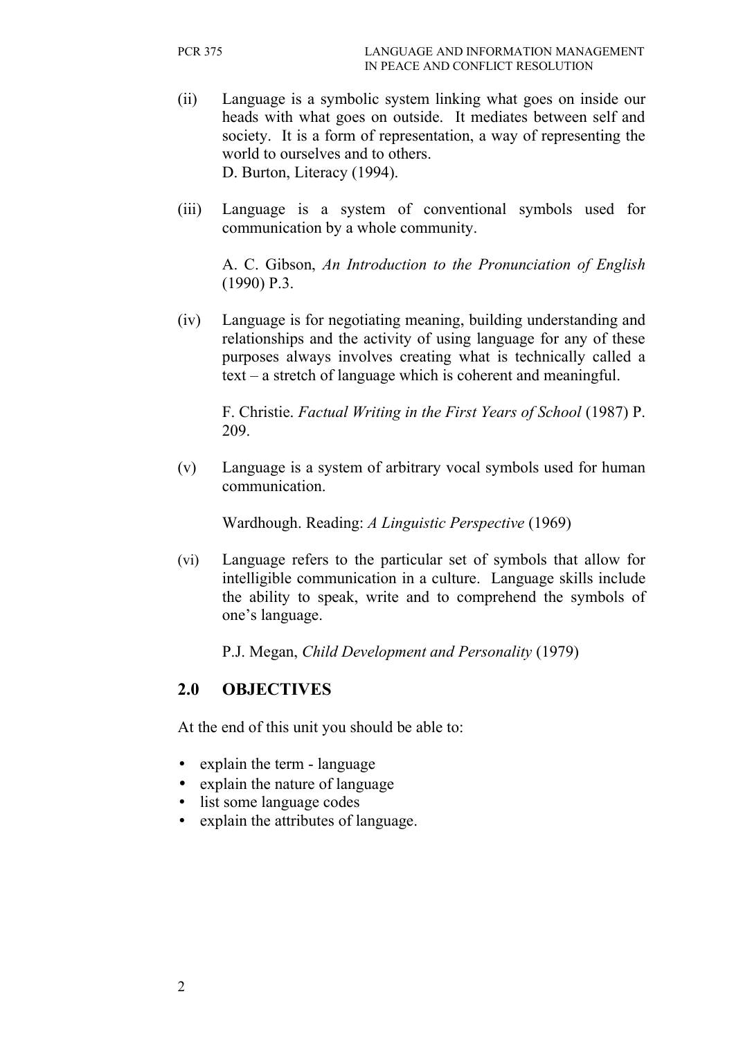- (ii) Language is a symbolic system linking what goes on inside our heads with what goes on outside. It mediates between self and society. It is a form of representation, a way of representing the world to ourselves and to others. D. Burton, Literacy (1994).
- (iii) Language is a system of conventional symbols used for communication by a whole community.

A. C. Gibson, *An Introduction to the Pronunciation of English* (1990) P.3.

(iv) Language is for negotiating meaning, building understanding and relationships and the activity of using language for any of these purposes always involves creating what is technically called a text – a stretch of language which is coherent and meaningful.

F. Christie. *Factual Writing in the First Years of School* (1987) P. 209.

(v) Language is a system of arbitrary vocal symbols used for human communication.

Wardhough. Reading: *A Linguistic Perspective* (1969)

(vi) Language refers to the particular set of symbols that allow for intelligible communication in a culture. Language skills include the ability to speak, write and to comprehend the symbols of one's language.

P.J. Megan, *Child Development and Personality* (1979)

# **2.0 OBJECTIVES**

At the end of this unit you should be able to:

- explain the term language
- explain the nature of language
- list some language codes
- explain the attributes of language.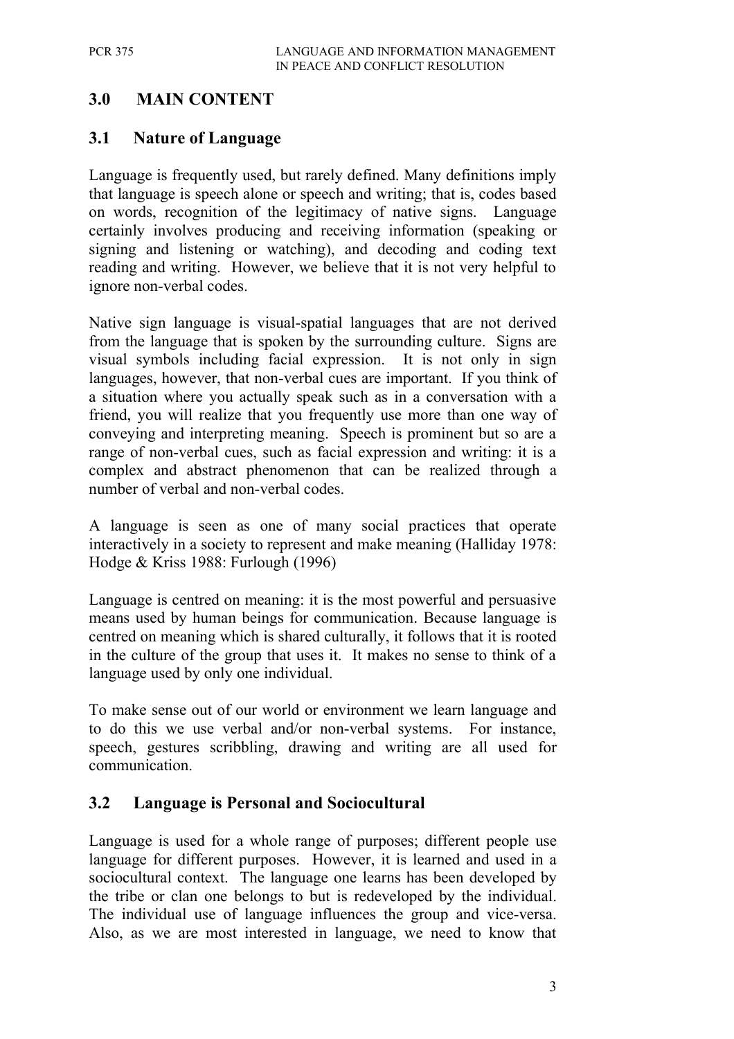# **3.0 MAIN CONTENT**

#### **3.1 Nature of Language**

Language is frequently used, but rarely defined. Many definitions imply that language is speech alone or speech and writing; that is, codes based on words, recognition of the legitimacy of native signs. Language certainly involves producing and receiving information (speaking or signing and listening or watching), and decoding and coding text reading and writing. However, we believe that it is not very helpful to ignore non-verbal codes.

Native sign language is visual-spatial languages that are not derived from the language that is spoken by the surrounding culture. Signs are visual symbols including facial expression. It is not only in sign languages, however, that non-verbal cues are important. If you think of a situation where you actually speak such as in a conversation with a friend, you will realize that you frequently use more than one way of conveying and interpreting meaning. Speech is prominent but so are a range of non-verbal cues, such as facial expression and writing: it is a complex and abstract phenomenon that can be realized through a number of verbal and non-verbal codes.

A language is seen as one of many social practices that operate interactively in a society to represent and make meaning (Halliday 1978: Hodge & Kriss 1988: Furlough (1996)

Language is centred on meaning: it is the most powerful and persuasive means used by human beings for communication. Because language is centred on meaning which is shared culturally, it follows that it is rooted in the culture of the group that uses it. It makes no sense to think of a language used by only one individual.

To make sense out of our world or environment we learn language and to do this we use verbal and/or non-verbal systems. For instance, speech, gestures scribbling, drawing and writing are all used for communication.

#### **3.2 Language is Personal and Sociocultural**

Language is used for a whole range of purposes; different people use language for different purposes. However, it is learned and used in a sociocultural context. The language one learns has been developed by the tribe or clan one belongs to but is redeveloped by the individual. The individual use of language influences the group and vice-versa. Also, as we are most interested in language, we need to know that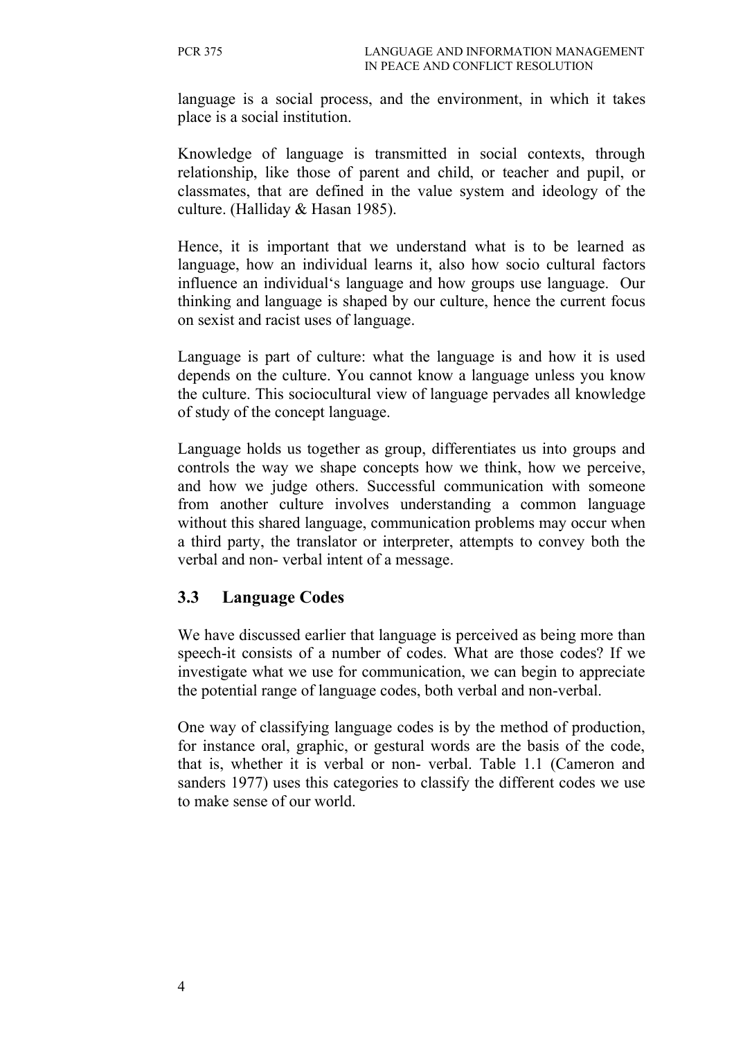language is a social process, and the environment, in which it takes place is a social institution.

Knowledge of language is transmitted in social contexts, through relationship, like those of parent and child, or teacher and pupil, or classmates, that are defined in the value system and ideology of the culture. (Halliday & Hasan 1985).

Hence, it is important that we understand what is to be learned as language, how an individual learns it, also how socio cultural factors influence an individual's language and how groups use language. Our thinking and language is shaped by our culture, hence the current focus on sexist and racist uses of language.

Language is part of culture: what the language is and how it is used depends on the culture. You cannot know a language unless you know the culture. This sociocultural view of language pervades all knowledge of study of the concept language.

Language holds us together as group, differentiates us into groups and controls the way we shape concepts how we think, how we perceive, and how we judge others. Successful communication with someone from another culture involves understanding a common language without this shared language, communication problems may occur when a third party, the translator or interpreter, attempts to convey both the verbal and non- verbal intent of a message.

### **3.3 Language Codes**

We have discussed earlier that language is perceived as being more than speech-it consists of a number of codes. What are those codes? If we investigate what we use for communication, we can begin to appreciate the potential range of language codes, both verbal and non-verbal.

One way of classifying language codes is by the method of production, for instance oral, graphic, or gestural words are the basis of the code, that is, whether it is verbal or non- verbal. Table 1.1 (Cameron and sanders 1977) uses this categories to classify the different codes we use to make sense of our world.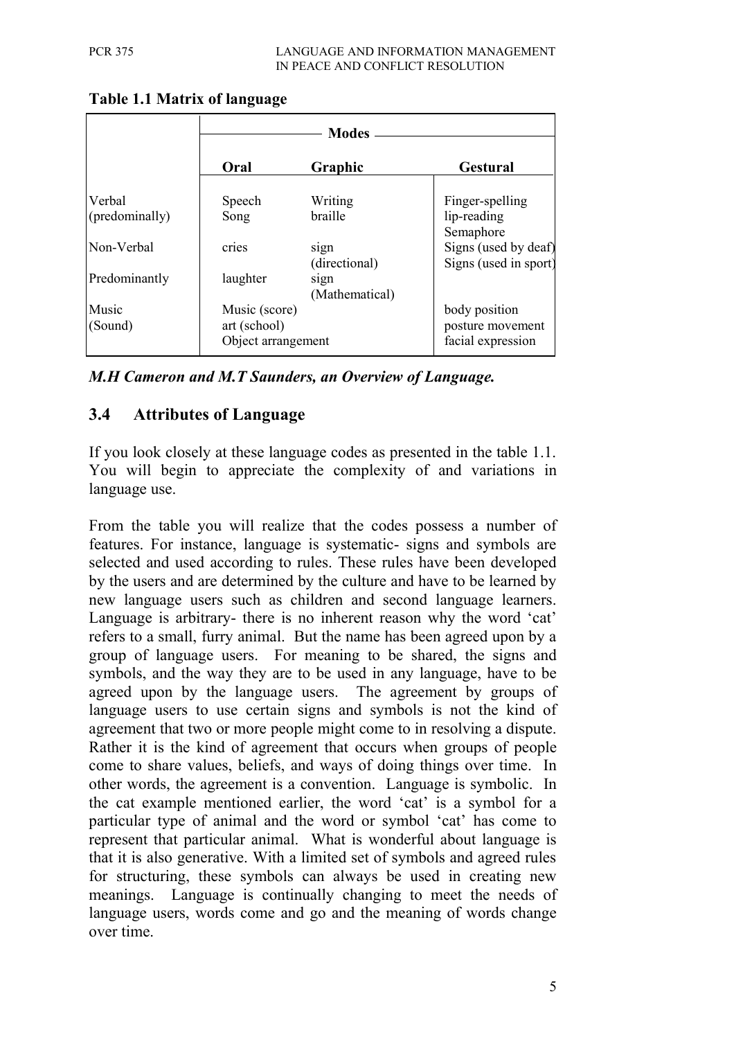|                          | <b>Modes</b>                                        |                        |                                                        |
|--------------------------|-----------------------------------------------------|------------------------|--------------------------------------------------------|
|                          | Oral                                                | Graphic                | <b>Gestural</b>                                        |
| Verbal<br>(predominally) | Speech<br>Song                                      | Writing<br>braille     | Finger-spelling<br>lip-reading<br>Semaphore            |
| Non-Verbal               | cries                                               | sign<br>(directional)  | Signs (used by deaf)<br>Signs (used in sport)          |
| Predominantly            | laughter                                            | sign<br>(Mathematical) |                                                        |
| Music<br>(Sound)         | Music (score)<br>art (school)<br>Object arrangement |                        | body position<br>posture movement<br>facial expression |

**Table 1.1 Matrix of language**

*M.H Cameron and M.T Saunders, an Overview of Language.*

# **3.4 Attributes of Language**

If you look closely at these language codes as presented in the table 1.1. You will begin to appreciate the complexity of and variations in language use.

From the table you will realize that the codes possess a number of features. For instance, language is systematic- signs and symbols are selected and used according to rules. These rules have been developed by the users and are determined by the culture and have to be learned by new language users such as children and second language learners. Language is arbitrary- there is no inherent reason why the word 'cat' refers to a small, furry animal. But the name has been agreed upon by a group of language users. For meaning to be shared, the signs and symbols, and the way they are to be used in any language, have to be agreed upon by the language users. The agreement by groups of language users to use certain signs and symbols is not the kind of agreement that two or more people might come to in resolving a dispute. Rather it is the kind of agreement that occurs when groups of people come to share values, beliefs, and ways of doing things over time. In other words, the agreement is a convention. Language is symbolic. In the cat example mentioned earlier, the word 'cat' is a symbol for a particular type of animal and the word or symbol 'cat' has come to represent that particular animal. What is wonderful about language is that it is also generative. With a limited set of symbols and agreed rules for structuring, these symbols can always be used in creating new meanings. Language is continually changing to meet the needs of language users, words come and go and the meaning of words change over time.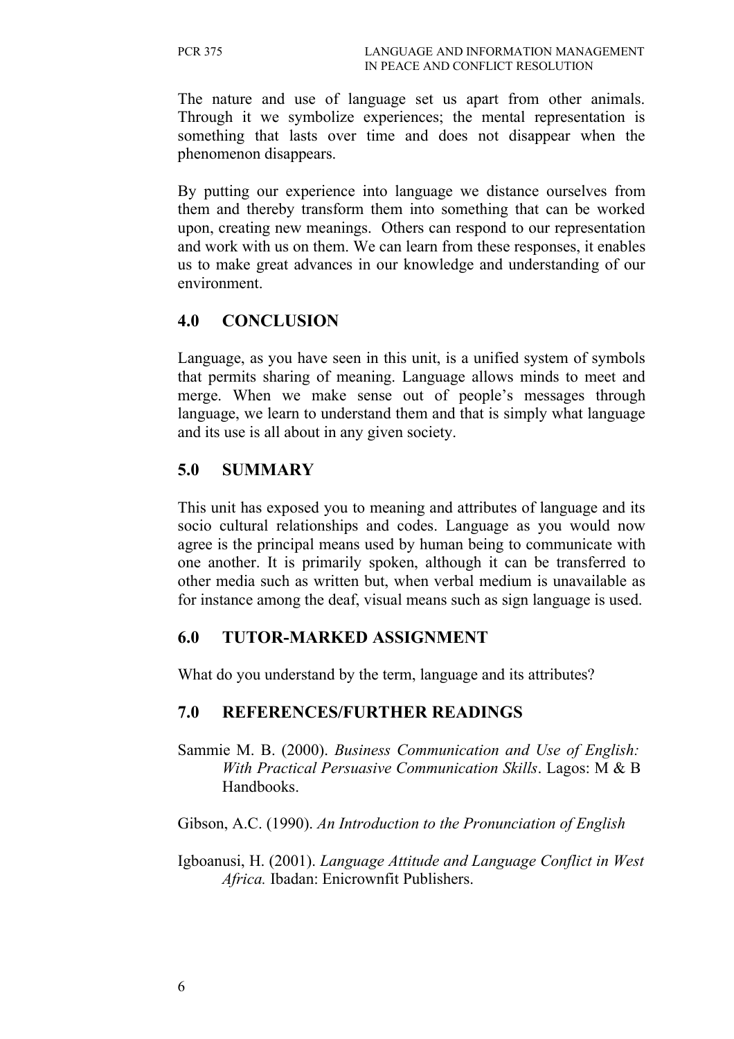The nature and use of language set us apart from other animals. Through it we symbolize experiences; the mental representation is something that lasts over time and does not disappear when the phenomenon disappears.

By putting our experience into language we distance ourselves from them and thereby transform them into something that can be worked upon, creating new meanings. Others can respond to our representation and work with us on them. We can learn from these responses, it enables us to make great advances in our knowledge and understanding of our environment.

# **4.0 CONCLUSION**

Language, as you have seen in this unit, is a unified system of symbols that permits sharing of meaning. Language allows minds to meet and merge. When we make sense out of people's messages through language, we learn to understand them and that is simply what language and its use is all about in any given society.

# **5.0 SUMMARY**

This unit has exposed you to meaning and attributes of language and its socio cultural relationships and codes. Language as you would now agree is the principal means used by human being to communicate with one another. It is primarily spoken, although it can be transferred to other media such as written but, when verbal medium is unavailable as for instance among the deaf, visual means such as sign language is used.

### **6.0 TUTOR-MARKED ASSIGNMENT**

What do you understand by the term, language and its attributes?

### **7.0 REFERENCES/FURTHER READINGS**

Sammie M. B. (2000). *Business Communication and Use of English: With Practical Persuasive Communication Skills*. Lagos: M & B Handbooks.

Gibson, A.C. (1990). *An Introduction to the Pronunciation of English*

Igboanusi, H. (2001). *Language Attitude and Language Conflict in West Africa.* Ibadan: Enicrownfit Publishers.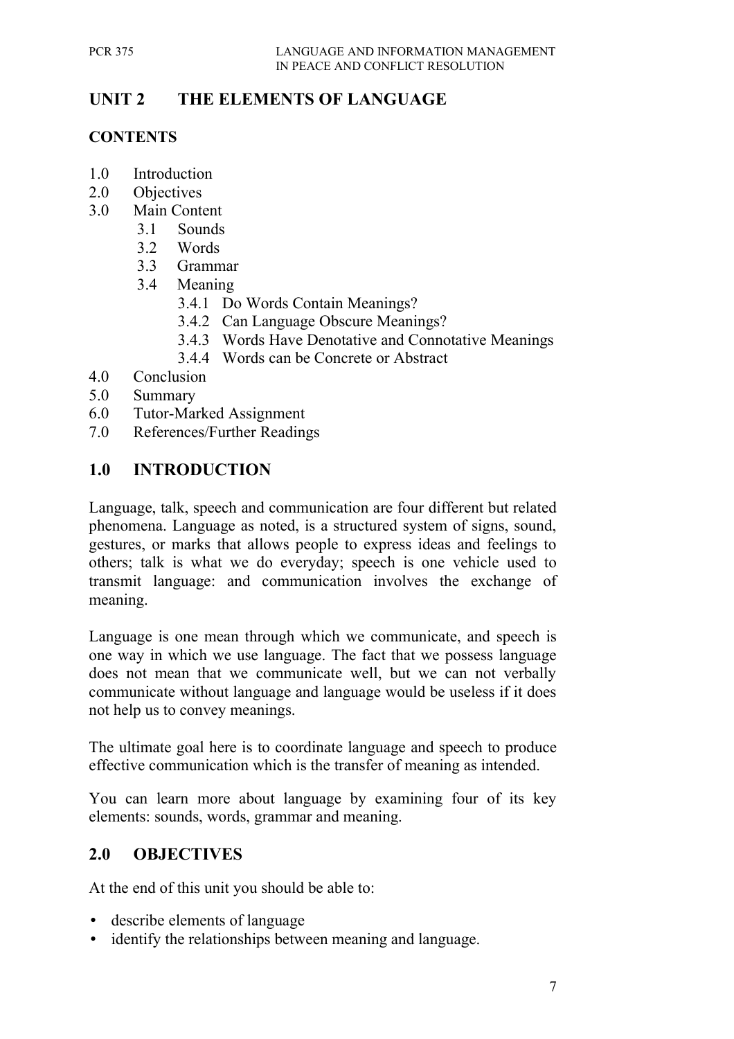# **UNIT 2 THE ELEMENTS OF LANGUAGE**

#### **CONTENTS**

- 1.0 Introduction
- 2.0 Objectives
- 3.0 Main Content
	- 3.1 Sounds
	- 3.2 Words
	- 3.3 Grammar
	- 3.4 Meaning
		- 3.4.1 Do Words Contain Meanings?
		- 3.4.2 Can Language Obscure Meanings?
		- 3.4.3 Words Have Denotative and Connotative Meanings
		- 3.4.4 Words can be Concrete or Abstract
- 4.0 Conclusion
- 5.0 Summary
- 6.0 Tutor-Marked Assignment
- 7.0 References/Further Readings

# **1.0 INTRODUCTION**

Language, talk, speech and communication are four different but related phenomena. Language as noted, is a structured system of signs, sound, gestures, or marks that allows people to express ideas and feelings to others; talk is what we do everyday; speech is one vehicle used to transmit language: and communication involves the exchange of meaning.

Language is one mean through which we communicate, and speech is one way in which we use language. The fact that we possess language does not mean that we communicate well, but we can not verbally communicate without language and language would be useless if it does not help us to convey meanings.

The ultimate goal here is to coordinate language and speech to produce effective communication which is the transfer of meaning as intended.

You can learn more about language by examining four of its key elements: sounds, words, grammar and meaning.

### **2.0 OBJECTIVES**

At the end of this unit you should be able to:

- describe elements of language
- identify the relationships between meaning and language.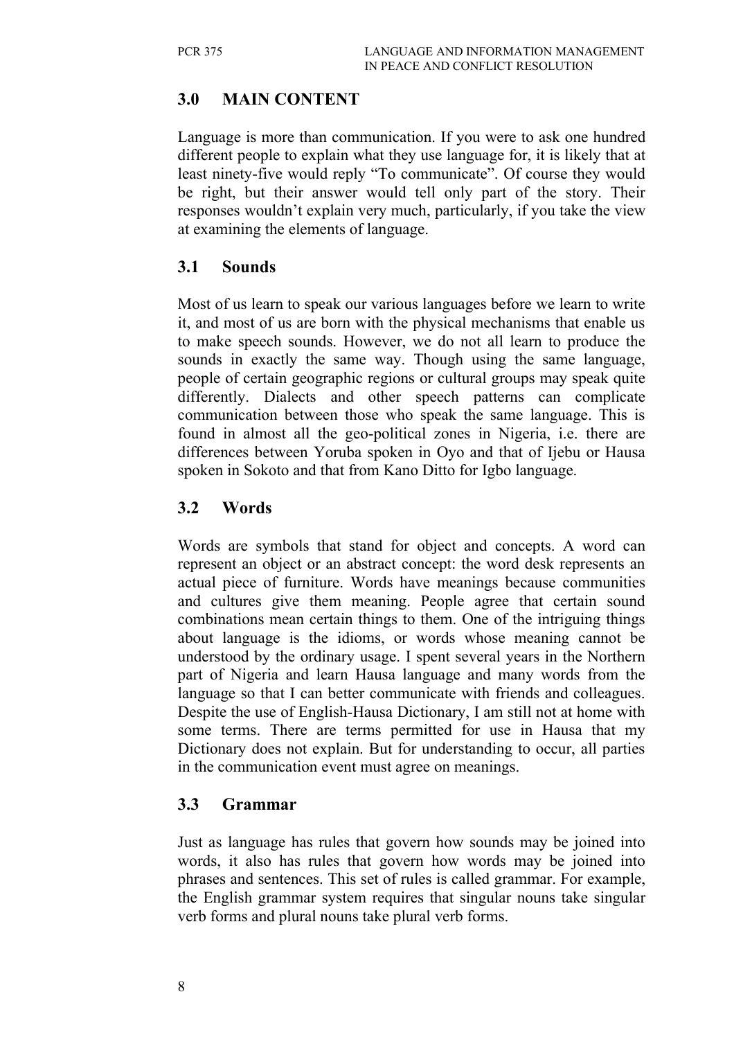# **3.0 MAIN CONTENT**

Language is more than communication. If you were to ask one hundred different people to explain what they use language for, it is likely that at least ninety-five would reply "To communicate". Of course they would be right, but their answer would tell only part of the story. Their responses wouldn't explain very much, particularly, if you take the view at examining the elements of language.

### **3.1 Sounds**

Most of us learn to speak our various languages before we learn to write it, and most of us are born with the physical mechanisms that enable us to make speech sounds. However, we do not all learn to produce the sounds in exactly the same way. Though using the same language, people of certain geographic regions or cultural groups may speak quite differently. Dialects and other speech patterns can complicate communication between those who speak the same language. This is found in almost all the geo-political zones in Nigeria, i.e. there are differences between Yoruba spoken in Oyo and that of Ijebu or Hausa spoken in Sokoto and that from Kano Ditto for Igbo language.

### **3.2 Words**

Words are symbols that stand for object and concepts. A word can represent an object or an abstract concept: the word desk represents an actual piece of furniture. Words have meanings because communities and cultures give them meaning. People agree that certain sound combinations mean certain things to them. One of the intriguing things about language is the idioms, or words whose meaning cannot be understood by the ordinary usage. I spent several years in the Northern part of Nigeria and learn Hausa language and many words from the language so that I can better communicate with friends and colleagues. Despite the use of English-Hausa Dictionary, I am still not at home with some terms. There are terms permitted for use in Hausa that my Dictionary does not explain. But for understanding to occur, all parties in the communication event must agree on meanings.

### **3.3 Grammar**

Just as language has rules that govern how sounds may be joined into words, it also has rules that govern how words may be joined into phrases and sentences. This set of rules is called grammar. For example, the English grammar system requires that singular nouns take singular verb forms and plural nouns take plural verb forms.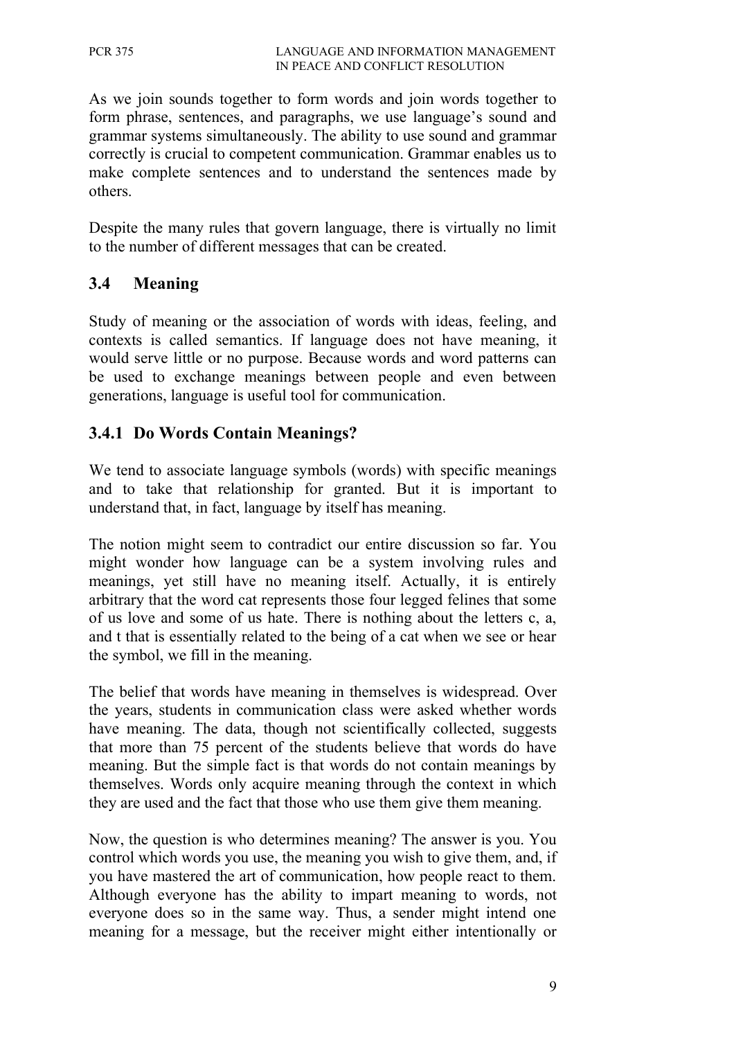As we join sounds together to form words and join words together to form phrase, sentences, and paragraphs, we use language's sound and grammar systems simultaneously. The ability to use sound and grammar correctly is crucial to competent communication. Grammar enables us to make complete sentences and to understand the sentences made by others.

Despite the many rules that govern language, there is virtually no limit to the number of different messages that can be created.

# **3.4 Meaning**

Study of meaning or the association of words with ideas, feeling, and contexts is called semantics. If language does not have meaning, it would serve little or no purpose. Because words and word patterns can be used to exchange meanings between people and even between generations, language is useful tool for communication.

# **3.4.1 Do Words Contain Meanings?**

We tend to associate language symbols (words) with specific meanings and to take that relationship for granted. But it is important to understand that, in fact, language by itself has meaning.

The notion might seem to contradict our entire discussion so far. You might wonder how language can be a system involving rules and meanings, yet still have no meaning itself. Actually, it is entirely arbitrary that the word cat represents those four legged felines that some of us love and some of us hate. There is nothing about the letters c, a, and t that is essentially related to the being of a cat when we see or hear the symbol, we fill in the meaning.

The belief that words have meaning in themselves is widespread. Over the years, students in communication class were asked whether words have meaning. The data, though not scientifically collected, suggests that more than 75 percent of the students believe that words do have meaning. But the simple fact is that words do not contain meanings by themselves. Words only acquire meaning through the context in which they are used and the fact that those who use them give them meaning.

Now, the question is who determines meaning? The answer is you. You control which words you use, the meaning you wish to give them, and, if you have mastered the art of communication, how people react to them. Although everyone has the ability to impart meaning to words, not everyone does so in the same way. Thus, a sender might intend one meaning for a message, but the receiver might either intentionally or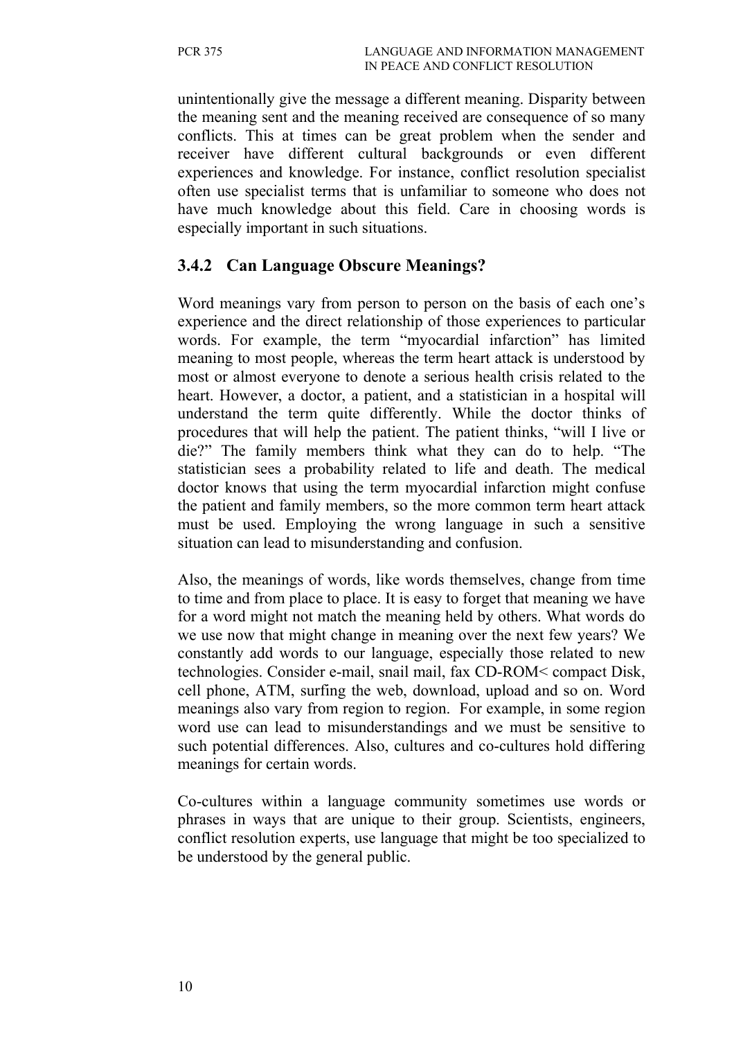unintentionally give the message a different meaning. Disparity between the meaning sent and the meaning received are consequence of so many conflicts. This at times can be great problem when the sender and receiver have different cultural backgrounds or even different experiences and knowledge. For instance, conflict resolution specialist often use specialist terms that is unfamiliar to someone who does not have much knowledge about this field. Care in choosing words is especially important in such situations.

### **3.4.2 Can Language Obscure Meanings?**

Word meanings vary from person to person on the basis of each one's experience and the direct relationship of those experiences to particular words. For example, the term "myocardial infarction" has limited meaning to most people, whereas the term heart attack is understood by most or almost everyone to denote a serious health crisis related to the heart. However, a doctor, a patient, and a statistician in a hospital will understand the term quite differently. While the doctor thinks of procedures that will help the patient. The patient thinks, "will I live or die?" The family members think what they can do to help. "The statistician sees a probability related to life and death. The medical doctor knows that using the term myocardial infarction might confuse the patient and family members, so the more common term heart attack must be used. Employing the wrong language in such a sensitive situation can lead to misunderstanding and confusion.

Also, the meanings of words, like words themselves, change from time to time and from place to place. It is easy to forget that meaning we have for a word might not match the meaning held by others. What words do we use now that might change in meaning over the next few years? We constantly add words to our language, especially those related to new technologies. Consider e-mail, snail mail, fax CD-ROM< compact Disk, cell phone, ATM, surfing the web, download, upload and so on. Word meanings also vary from region to region. For example, in some region word use can lead to misunderstandings and we must be sensitive to such potential differences. Also, cultures and co-cultures hold differing meanings for certain words.

Co-cultures within a language community sometimes use words or phrases in ways that are unique to their group. Scientists, engineers, conflict resolution experts, use language that might be too specialized to be understood by the general public.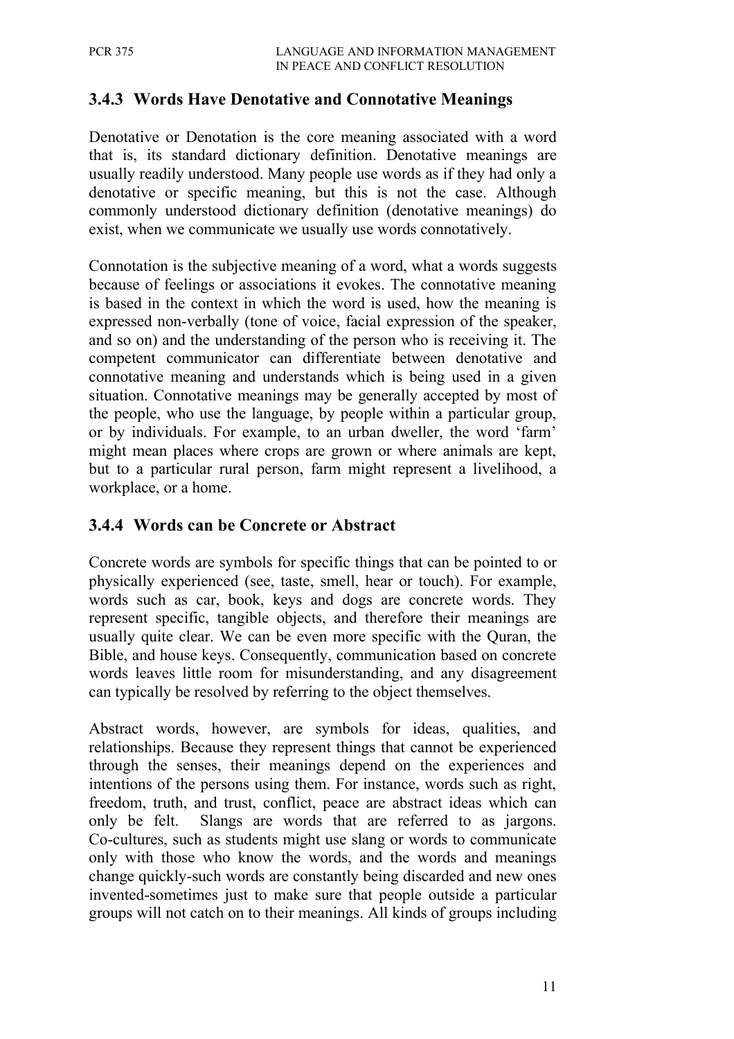### **3.4.3 Words Have Denotative and Connotative Meanings**

Denotative or Denotation is the core meaning associated with a word that is, its standard dictionary definition. Denotative meanings are usually readily understood. Many people use words as if they had only a denotative or specific meaning, but this is not the case. Although commonly understood dictionary definition (denotative meanings) do exist, when we communicate we usually use words connotatively.

Connotation is the subjective meaning of a word, what a words suggests because of feelings or associations it evokes. The connotative meaning is based in the context in which the word is used, how the meaning is expressed non-verbally (tone of voice, facial expression of the speaker, and so on) and the understanding of the person who is receiving it. The competent communicator can differentiate between denotative and connotative meaning and understands which is being used in a given situation. Connotative meanings may be generally accepted by most of the people, who use the language, by people within a particular group, or by individuals. For example, to an urban dweller, the word 'farm' might mean places where crops are grown or where animals are kept, but to a particular rural person, farm might represent a livelihood, a workplace, or a home.

#### **3.4.4 Words can be Concrete or Abstract**

Concrete words are symbols for specific things that can be pointed to or physically experienced (see, taste, smell, hear or touch). For example, words such as car, book, keys and dogs are concrete words. They represent specific, tangible objects, and therefore their meanings are usually quite clear. We can be even more specific with the Quran, the Bible, and house keys. Consequently, communication based on concrete words leaves little room for misunderstanding, and any disagreement can typically be resolved by referring to the object themselves.

Abstract words, however, are symbols for ideas, qualities, and relationships. Because they represent things that cannot be experienced through the senses, their meanings depend on the experiences and intentions of the persons using them. For instance, words such as right, freedom, truth, and trust, conflict, peace are abstract ideas which can only be felt. Slangs are words that are referred to as jargons. Co-cultures, such as students might use slang or words to communicate only with those who know the words, and the words and meanings change quickly-such words are constantly being discarded and new ones invented-sometimes just to make sure that people outside a particular groups will not catch on to their meanings. All kinds of groups including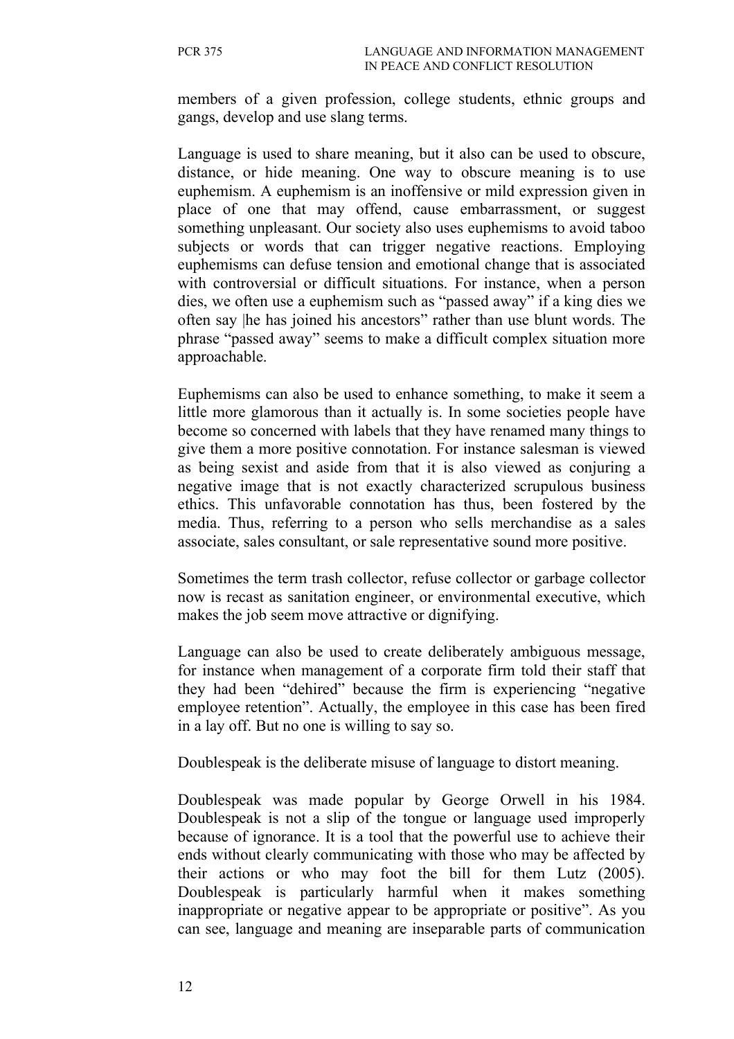members of a given profession, college students, ethnic groups and gangs, develop and use slang terms.

Language is used to share meaning, but it also can be used to obscure, distance, or hide meaning. One way to obscure meaning is to use euphemism. A euphemism is an inoffensive or mild expression given in place of one that may offend, cause embarrassment, or suggest something unpleasant. Our society also uses euphemisms to avoid taboo subjects or words that can trigger negative reactions. Employing euphemisms can defuse tension and emotional change that is associated with controversial or difficult situations. For instance, when a person dies, we often use a euphemism such as "passed away" if a king dies we often say |he has joined his ancestors" rather than use blunt words. The phrase "passed away" seems to make a difficult complex situation more approachable.

Euphemisms can also be used to enhance something, to make it seem a little more glamorous than it actually is. In some societies people have become so concerned with labels that they have renamed many things to give them a more positive connotation. For instance salesman is viewed as being sexist and aside from that it is also viewed as conjuring a negative image that is not exactly characterized scrupulous business ethics. This unfavorable connotation has thus, been fostered by the media. Thus, referring to a person who sells merchandise as a sales associate, sales consultant, or sale representative sound more positive.

Sometimes the term trash collector, refuse collector or garbage collector now is recast as sanitation engineer, or environmental executive, which makes the job seem move attractive or dignifying.

Language can also be used to create deliberately ambiguous message, for instance when management of a corporate firm told their staff that they had been "dehired" because the firm is experiencing "negative employee retention". Actually, the employee in this case has been fired in a lay off. But no one is willing to say so.

Doublespeak is the deliberate misuse of language to distort meaning.

Doublespeak was made popular by George Orwell in his 1984. Doublespeak is not a slip of the tongue or language used improperly because of ignorance. It is a tool that the powerful use to achieve their ends without clearly communicating with those who may be affected by their actions or who may foot the bill for them Lutz (2005). Doublespeak is particularly harmful when it makes something inappropriate or negative appear to be appropriate or positive". As you can see, language and meaning are inseparable parts of communication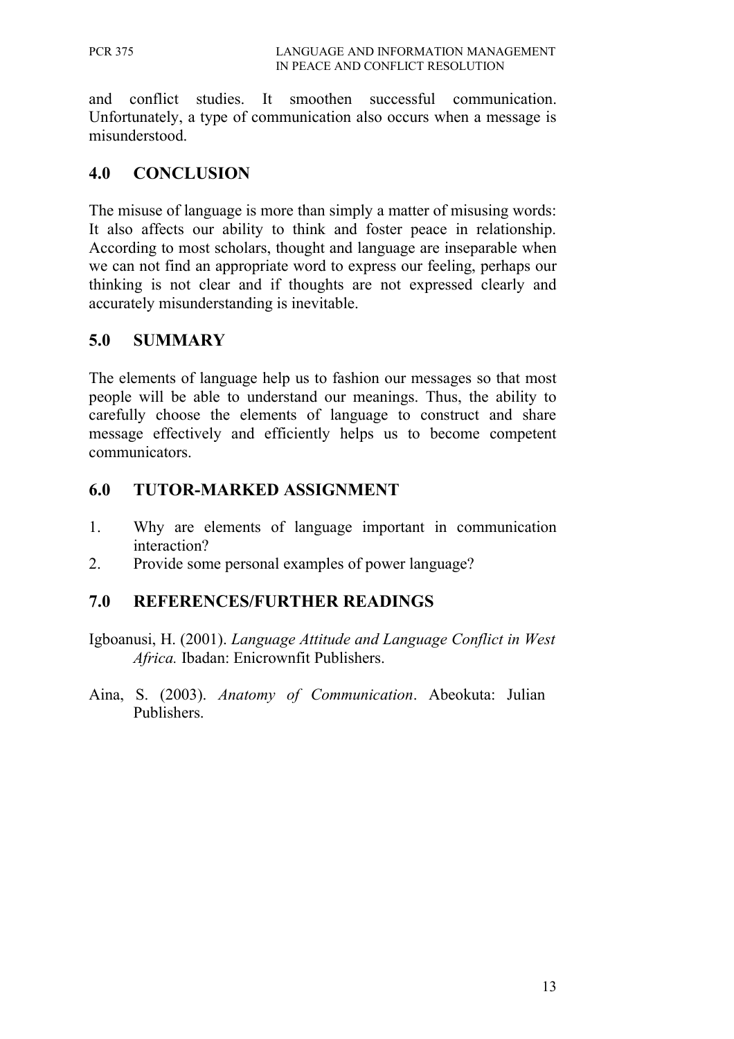and conflict studies. It smoothen successful communication. Unfortunately, a type of communication also occurs when a message is misunderstood.

### **4.0 CONCLUSION**

The misuse of language is more than simply a matter of misusing words: It also affects our ability to think and foster peace in relationship. According to most scholars, thought and language are inseparable when we can not find an appropriate word to express our feeling, perhaps our thinking is not clear and if thoughts are not expressed clearly and accurately misunderstanding is inevitable.

# **5.0 SUMMARY**

The elements of language help us to fashion our messages so that most people will be able to understand our meanings. Thus, the ability to carefully choose the elements of language to construct and share message effectively and efficiently helps us to become competent communicators.

# **6.0 TUTOR-MARKED ASSIGNMENT**

- 1. Why are elements of language important in communication interaction?
- 2. Provide some personal examples of power language?

### **7.0 REFERENCES/FURTHER READINGS**

Igboanusi, H. (2001). *Language Attitude and Language Conflict in West Africa.* Ibadan: Enicrownfit Publishers.

Aina, S. (2003). *Anatomy of Communication*. Abeokuta: Julian Publishers.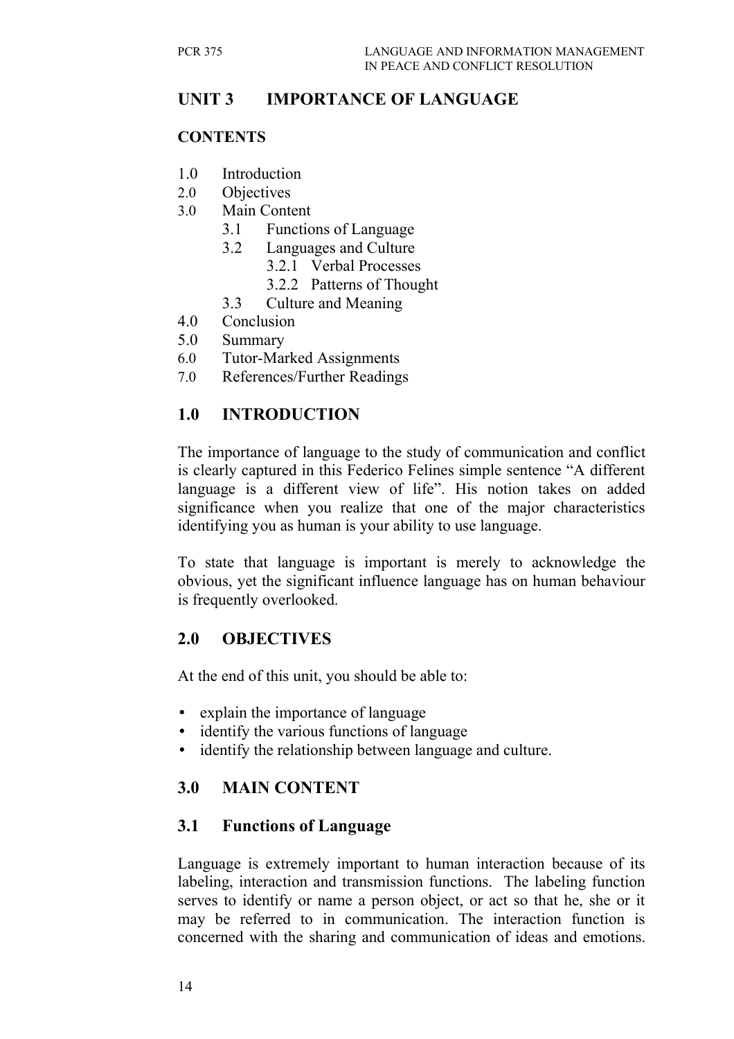# **UNIT 3 IMPORTANCE OF LANGUAGE**

#### **CONTENTS**

- 1.0 Introduction
- 2.0 Objectives
- 3.0 Main Content
	- 3.1 Functions of Language
	- 3.2 Languages and Culture
		- 3.2.1 Verbal Processes
		- 3.2.2 Patterns of Thought
	- 3.3 Culture and Meaning
- 4.0 Conclusion
- 5.0 Summary
- 6.0 Tutor-Marked Assignments
- 7.0 References/Further Readings

# **1.0 INTRODUCTION**

The importance of language to the study of communication and conflict is clearly captured in this Federico Felines simple sentence "A different language is a different view of life". His notion takes on added significance when you realize that one of the major characteristics identifying you as human is your ability to use language.

To state that language is important is merely to acknowledge the obvious, yet the significant influence language has on human behaviour is frequently overlooked.

### **2.0 OBJECTIVES**

At the end of this unit, you should be able to:

- explain the importance of language
- identify the various functions of language
- identify the relationship between language and culture.

# **3.0 MAIN CONTENT**

### **3.1 Functions of Language**

Language is extremely important to human interaction because of its labeling, interaction and transmission functions. The labeling function serves to identify or name a person object, or act so that he, she or it may be referred to in communication. The interaction function is concerned with the sharing and communication of ideas and emotions.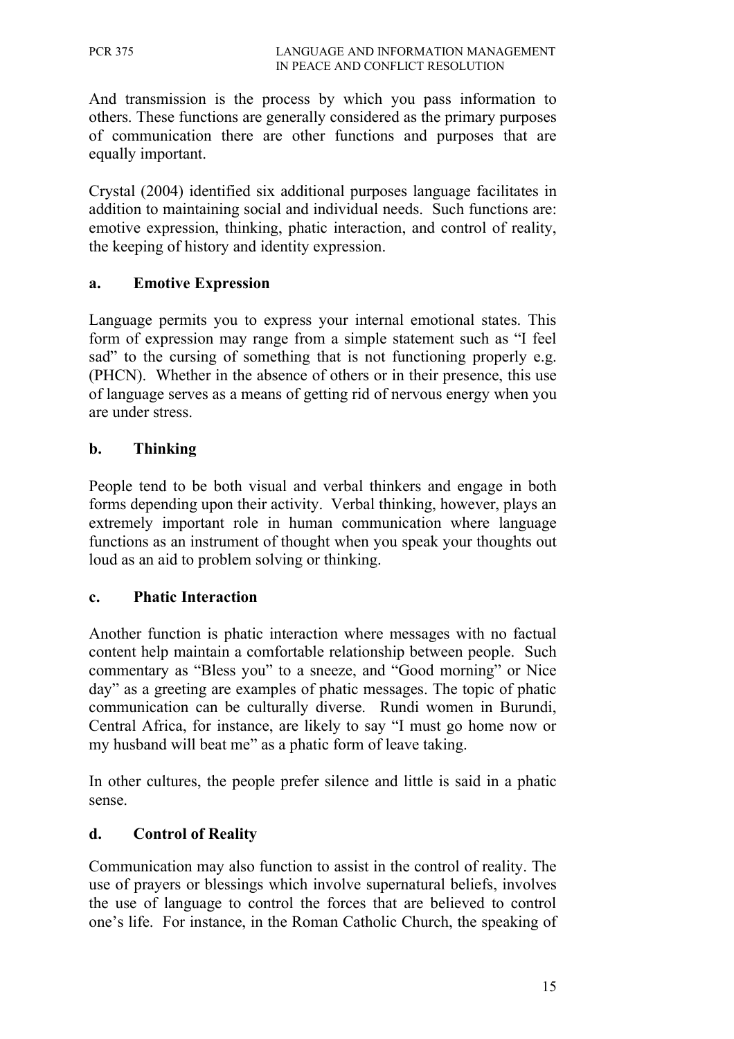And transmission is the process by which you pass information to others. These functions are generally considered as the primary purposes of communication there are other functions and purposes that are equally important.

Crystal (2004) identified six additional purposes language facilitates in addition to maintaining social and individual needs. Such functions are: emotive expression, thinking, phatic interaction, and control of reality, the keeping of history and identity expression.

#### **a. Emotive Expression**

Language permits you to express your internal emotional states. This form of expression may range from a simple statement such as "I feel sad" to the cursing of something that is not functioning properly e.g. (PHCN). Whether in the absence of others or in their presence, this use of language serves as a means of getting rid of nervous energy when you are under stress.

#### **b. Thinking**

People tend to be both visual and verbal thinkers and engage in both forms depending upon their activity. Verbal thinking, however, plays an extremely important role in human communication where language functions as an instrument of thought when you speak your thoughts out loud as an aid to problem solving or thinking.

#### **c. Phatic Interaction**

Another function is phatic interaction where messages with no factual content help maintain a comfortable relationship between people. Such commentary as "Bless you" to a sneeze, and "Good morning" or Nice day" as a greeting are examples of phatic messages. The topic of phatic communication can be culturally diverse. Rundi women in Burundi, Central Africa, for instance, are likely to say "I must go home now or my husband will beat me" as a phatic form of leave taking.

In other cultures, the people prefer silence and little is said in a phatic sense.

#### **d. Control of Reality**

Communication may also function to assist in the control of reality. The use of prayers or blessings which involve supernatural beliefs, involves the use of language to control the forces that are believed to control one's life. For instance, in the Roman Catholic Church, the speaking of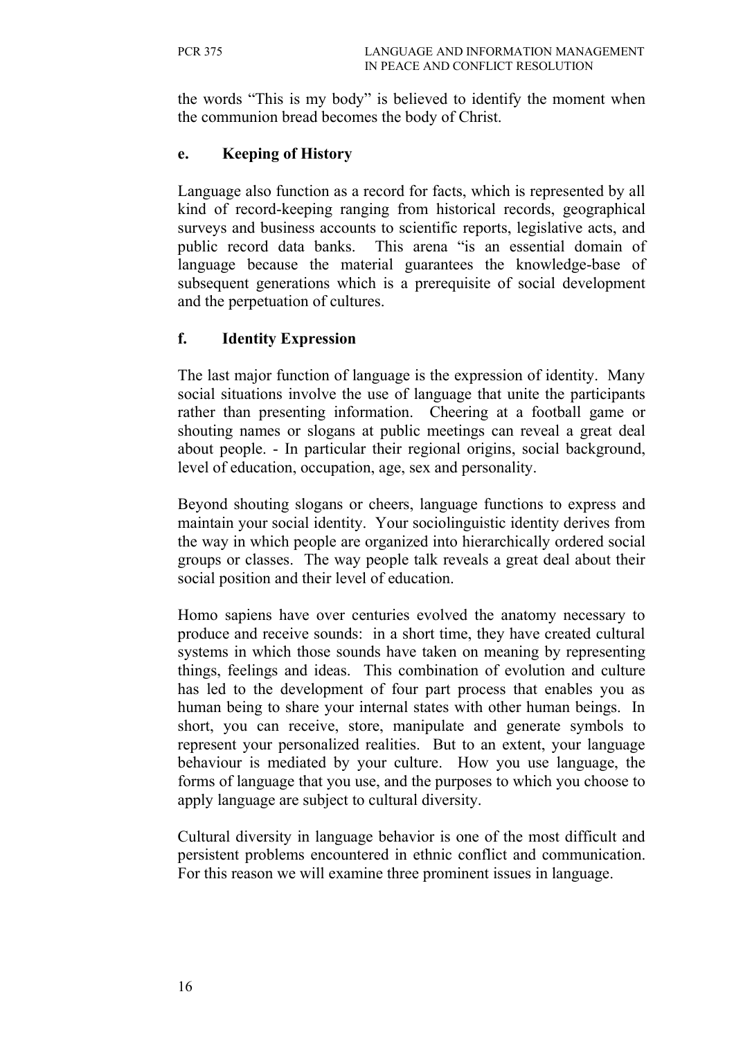the words "This is my body" is believed to identify the moment when the communion bread becomes the body of Christ.

#### **e. Keeping of History**

Language also function as a record for facts, which is represented by all kind of record-keeping ranging from historical records, geographical surveys and business accounts to scientific reports, legislative acts, and public record data banks. This arena "is an essential domain of language because the material guarantees the knowledge-base of subsequent generations which is a prerequisite of social development and the perpetuation of cultures.

#### **f. Identity Expression**

The last major function of language is the expression of identity. Many social situations involve the use of language that unite the participants rather than presenting information. Cheering at a football game or shouting names or slogans at public meetings can reveal a great deal about people. - In particular their regional origins, social background, level of education, occupation, age, sex and personality.

Beyond shouting slogans or cheers, language functions to express and maintain your social identity. Your sociolinguistic identity derives from the way in which people are organized into hierarchically ordered social groups or classes. The way people talk reveals a great deal about their social position and their level of education.

Homo sapiens have over centuries evolved the anatomy necessary to produce and receive sounds: in a short time, they have created cultural systems in which those sounds have taken on meaning by representing things, feelings and ideas. This combination of evolution and culture has led to the development of four part process that enables you as human being to share your internal states with other human beings. In short, you can receive, store, manipulate and generate symbols to represent your personalized realities. But to an extent, your language behaviour is mediated by your culture. How you use language, the forms of language that you use, and the purposes to which you choose to apply language are subject to cultural diversity.

Cultural diversity in language behavior is one of the most difficult and persistent problems encountered in ethnic conflict and communication. For this reason we will examine three prominent issues in language.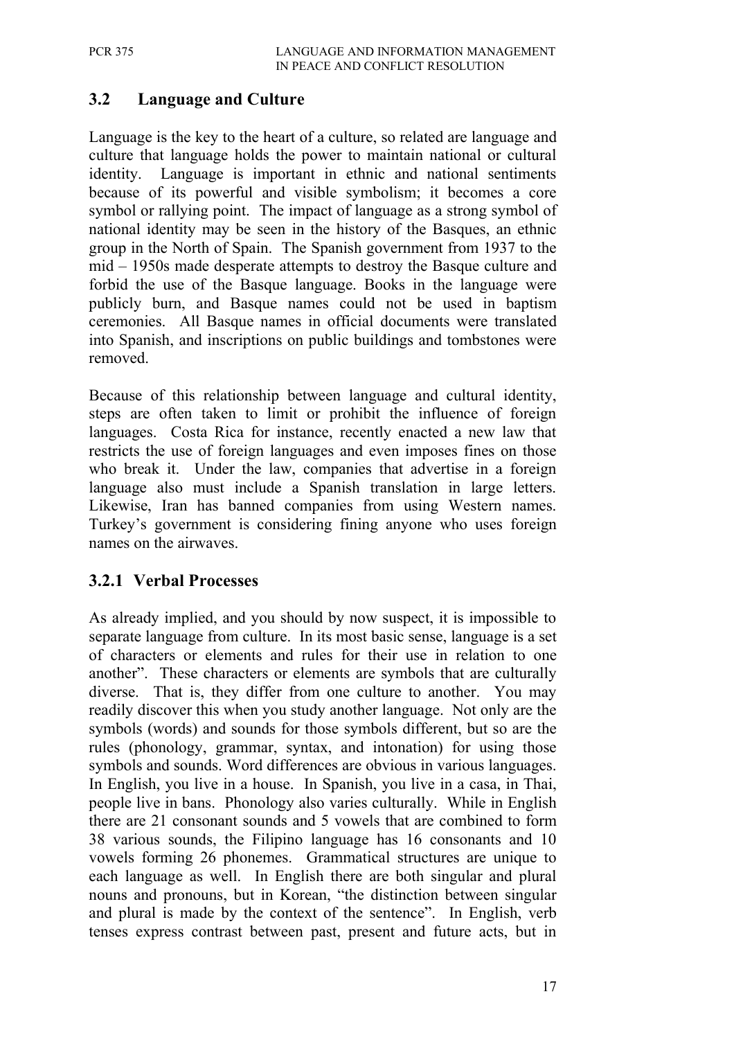# **3.2 Language and Culture**

Language is the key to the heart of a culture, so related are language and culture that language holds the power to maintain national or cultural identity. Language is important in ethnic and national sentiments because of its powerful and visible symbolism; it becomes a core symbol or rallying point. The impact of language as a strong symbol of national identity may be seen in the history of the Basques, an ethnic group in the North of Spain. The Spanish government from 1937 to the mid – 1950s made desperate attempts to destroy the Basque culture and forbid the use of the Basque language. Books in the language were publicly burn, and Basque names could not be used in baptism ceremonies. All Basque names in official documents were translated into Spanish, and inscriptions on public buildings and tombstones were removed.

Because of this relationship between language and cultural identity, steps are often taken to limit or prohibit the influence of foreign languages. Costa Rica for instance, recently enacted a new law that restricts the use of foreign languages and even imposes fines on those who break it. Under the law, companies that advertise in a foreign language also must include a Spanish translation in large letters. Likewise, Iran has banned companies from using Western names. Turkey's government is considering fining anyone who uses foreign names on the airwaves.

### **3.2.1 Verbal Processes**

As already implied, and you should by now suspect, it is impossible to separate language from culture. In its most basic sense, language is a set of characters or elements and rules for their use in relation to one another". These characters or elements are symbols that are culturally diverse. That is, they differ from one culture to another. You may readily discover this when you study another language. Not only are the symbols (words) and sounds for those symbols different, but so are the rules (phonology, grammar, syntax, and intonation) for using those symbols and sounds. Word differences are obvious in various languages. In English, you live in a house. In Spanish, you live in a casa, in Thai, people live in bans. Phonology also varies culturally. While in English there are 21 consonant sounds and 5 vowels that are combined to form 38 various sounds, the Filipino language has 16 consonants and 10 vowels forming 26 phonemes. Grammatical structures are unique to each language as well. In English there are both singular and plural nouns and pronouns, but in Korean, "the distinction between singular and plural is made by the context of the sentence". In English, verb tenses express contrast between past, present and future acts, but in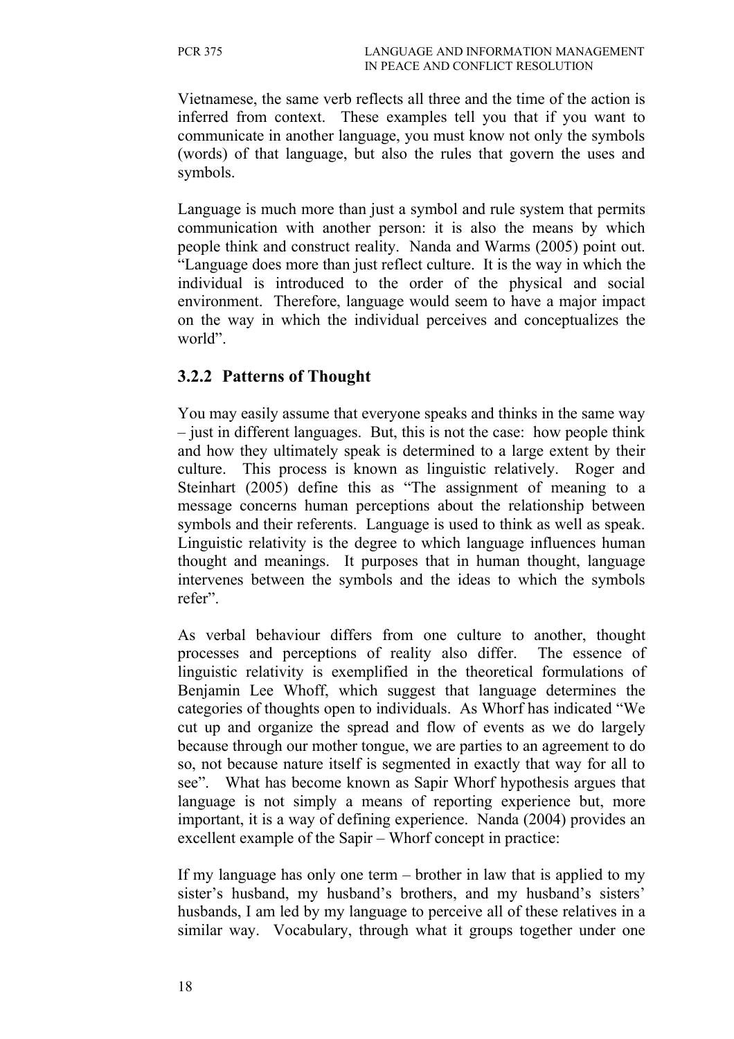Vietnamese, the same verb reflects all three and the time of the action is inferred from context. These examples tell you that if you want to communicate in another language, you must know not only the symbols (words) of that language, but also the rules that govern the uses and symbols.

Language is much more than just a symbol and rule system that permits communication with another person: it is also the means by which people think and construct reality. Nanda and Warms (2005) point out. "Language does more than just reflect culture. It is the way in which the individual is introduced to the order of the physical and social environment. Therefore, language would seem to have a major impact on the way in which the individual perceives and conceptualizes the world".

### **3.2.2 Patterns of Thought**

You may easily assume that everyone speaks and thinks in the same way – just in different languages. But, this is not the case: how people think and how they ultimately speak is determined to a large extent by their culture. This process is known as linguistic relatively. Roger and Steinhart (2005) define this as "The assignment of meaning to a message concerns human perceptions about the relationship between symbols and their referents. Language is used to think as well as speak. Linguistic relativity is the degree to which language influences human thought and meanings. It purposes that in human thought, language intervenes between the symbols and the ideas to which the symbols refer".

As verbal behaviour differs from one culture to another, thought processes and perceptions of reality also differ. The essence of linguistic relativity is exemplified in the theoretical formulations of Benjamin Lee Whoff, which suggest that language determines the categories of thoughts open to individuals. As Whorf has indicated "We cut up and organize the spread and flow of events as we do largely because through our mother tongue, we are parties to an agreement to do so, not because nature itself is segmented in exactly that way for all to see". What has become known as Sapir Whorf hypothesis argues that language is not simply a means of reporting experience but, more important, it is a way of defining experience. Nanda (2004) provides an excellent example of the Sapir – Whorf concept in practice:

If my language has only one term – brother in law that is applied to my sister's husband, my husband's brothers, and my husband's sisters' husbands, I am led by my language to perceive all of these relatives in a similar way. Vocabulary, through what it groups together under one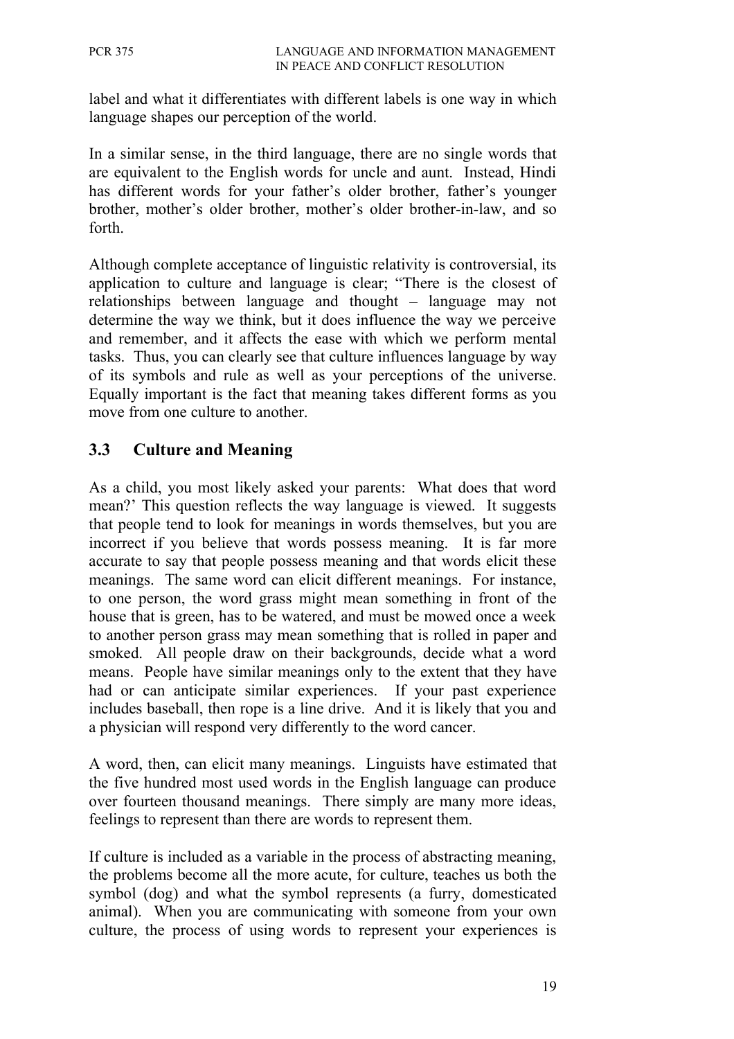label and what it differentiates with different labels is one way in which language shapes our perception of the world.

In a similar sense, in the third language, there are no single words that are equivalent to the English words for uncle and aunt. Instead, Hindi has different words for your father's older brother, father's younger brother, mother's older brother, mother's older brother-in-law, and so forth.

Although complete acceptance of linguistic relativity is controversial, its application to culture and language is clear; "There is the closest of relationships between language and thought – language may not determine the way we think, but it does influence the way we perceive and remember, and it affects the ease with which we perform mental tasks. Thus, you can clearly see that culture influences language by way of its symbols and rule as well as your perceptions of the universe. Equally important is the fact that meaning takes different forms as you move from one culture to another.

### **3.3 Culture and Meaning**

As a child, you most likely asked your parents: What does that word mean?' This question reflects the way language is viewed. It suggests that people tend to look for meanings in words themselves, but you are incorrect if you believe that words possess meaning. It is far more accurate to say that people possess meaning and that words elicit these meanings. The same word can elicit different meanings. For instance, to one person, the word grass might mean something in front of the house that is green, has to be watered, and must be mowed once a week to another person grass may mean something that is rolled in paper and smoked. All people draw on their backgrounds, decide what a word means. People have similar meanings only to the extent that they have had or can anticipate similar experiences. If your past experience includes baseball, then rope is a line drive. And it is likely that you and a physician will respond very differently to the word cancer.

A word, then, can elicit many meanings. Linguists have estimated that the five hundred most used words in the English language can produce over fourteen thousand meanings. There simply are many more ideas, feelings to represent than there are words to represent them.

If culture is included as a variable in the process of abstracting meaning, the problems become all the more acute, for culture, teaches us both the symbol (dog) and what the symbol represents (a furry, domesticated animal). When you are communicating with someone from your own culture, the process of using words to represent your experiences is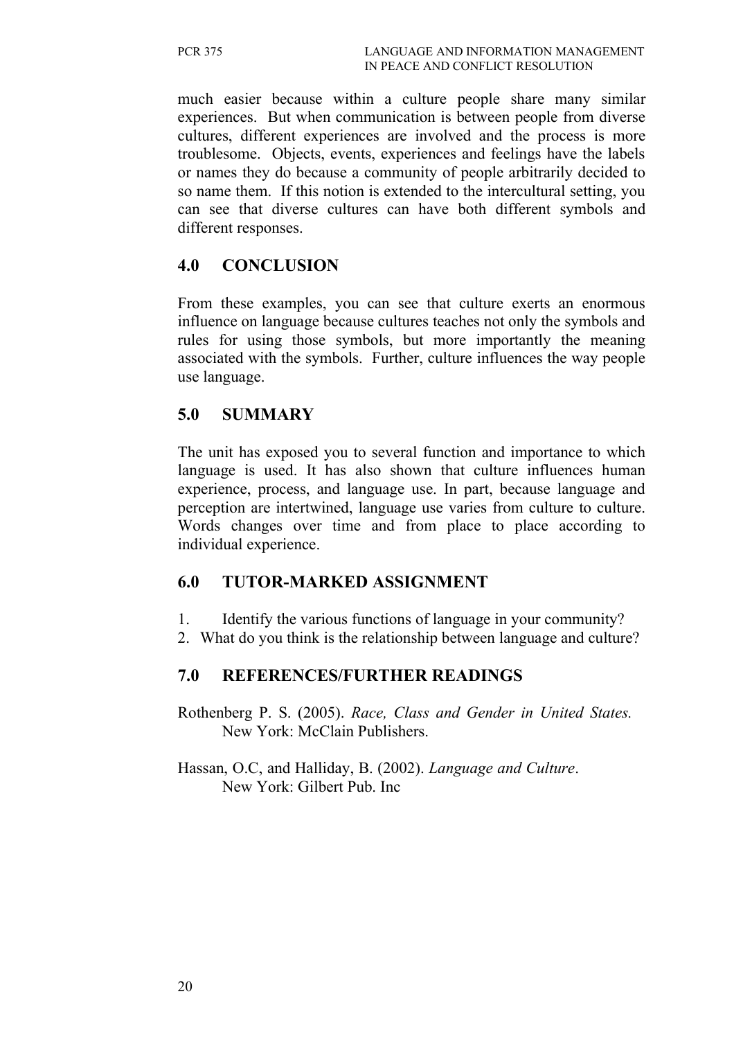much easier because within a culture people share many similar experiences. But when communication is between people from diverse cultures, different experiences are involved and the process is more troublesome. Objects, events, experiences and feelings have the labels or names they do because a community of people arbitrarily decided to so name them. If this notion is extended to the intercultural setting, you can see that diverse cultures can have both different symbols and different responses.

### **4.0 CONCLUSION**

From these examples, you can see that culture exerts an enormous influence on language because cultures teaches not only the symbols and rules for using those symbols, but more importantly the meaning associated with the symbols. Further, culture influences the way people use language.

#### **5.0 SUMMARY**

The unit has exposed you to several function and importance to which language is used. It has also shown that culture influences human experience, process, and language use. In part, because language and perception are intertwined, language use varies from culture to culture. Words changes over time and from place to place according to individual experience.

### **6.0 TUTOR-MARKED ASSIGNMENT**

- 1. Identify the various functions of language in your community?
- 2. What do you think is the relationship between language and culture?

### **7.0 REFERENCES/FURTHER READINGS**

Rothenberg P. S. (2005). *Race, Class and Gender in United States.* New York: McClain Publishers.

Hassan, O.C, and Halliday, B. (2002). *Language and Culture*. New York: Gilbert Pub. Inc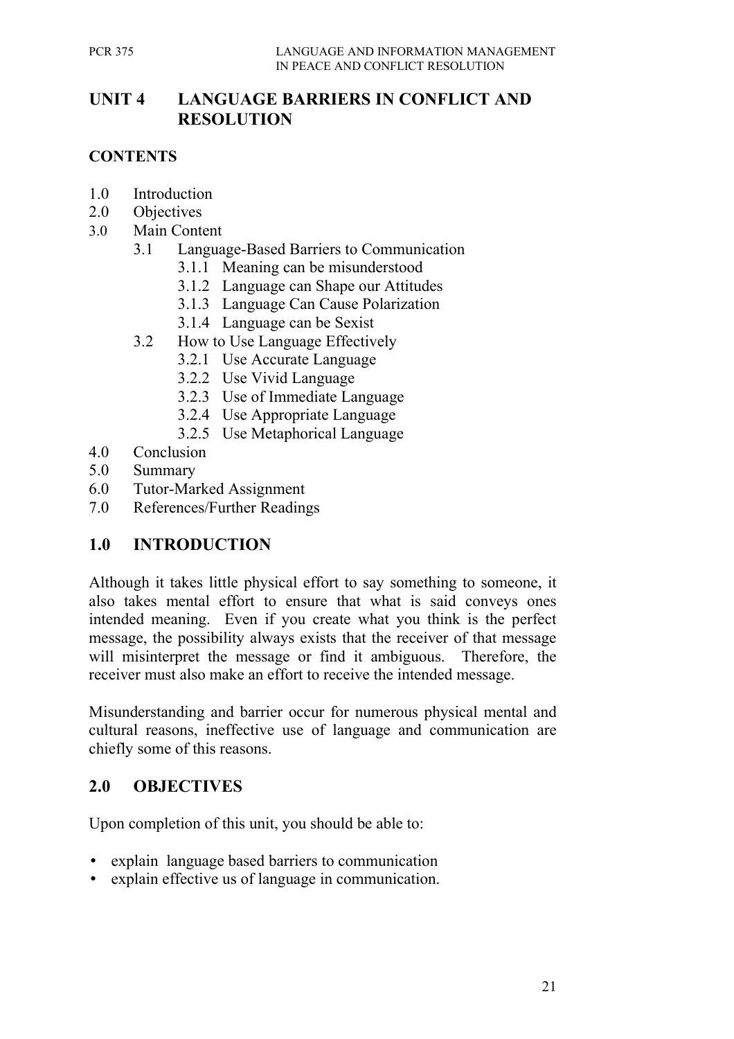## **UNIT 4 LANGUAGE BARRIERS IN CONFLICT AND RESOLUTION**

### **CONTENTS**

- 1.0 Introduction
- 2.0 Objectives
- 3.0 Main Content
	- 3.1 Language-Based Barriers to Communication
		- 3.1.1 Meaning can be misunderstood
		- 3.1.2 Language can Shape our Attitudes
		- 3.1.3 Language Can Cause Polarization
		- 3.1.4 Language can be Sexist
	- 3.2 How to Use Language Effectively
		- 3.2.1 Use Accurate Language
		- 3.2.2 Use Vivid Language
		- 3.2.3 Use of Immediate Language
		- 3.2.4 Use Appropriate Language
		- 3.2.5 Use Metaphorical Language
- 4.0 Conclusion
- 5.0 Summary
- 6.0 Tutor-Marked Assignment
- 7.0 References/Further Readings

## **1.0 INTRODUCTION**

Although it takes little physical effort to say something to someone, it also takes mental effort to ensure that what is said conveys ones intended meaning. Even if you create what you think is the perfect message, the possibility always exists that the receiver of that message will misinterpret the message or find it ambiguous. Therefore, the receiver must also make an effort to receive the intended message.

Misunderstanding and barrier occur for numerous physical mental and cultural reasons, ineffective use of language and communication are chiefly some of this reasons.

## **2.0 OBJECTIVES**

Upon completion of this unit, you should be able to:

- explain language based barriers to communication
- explain effective us of language in communication.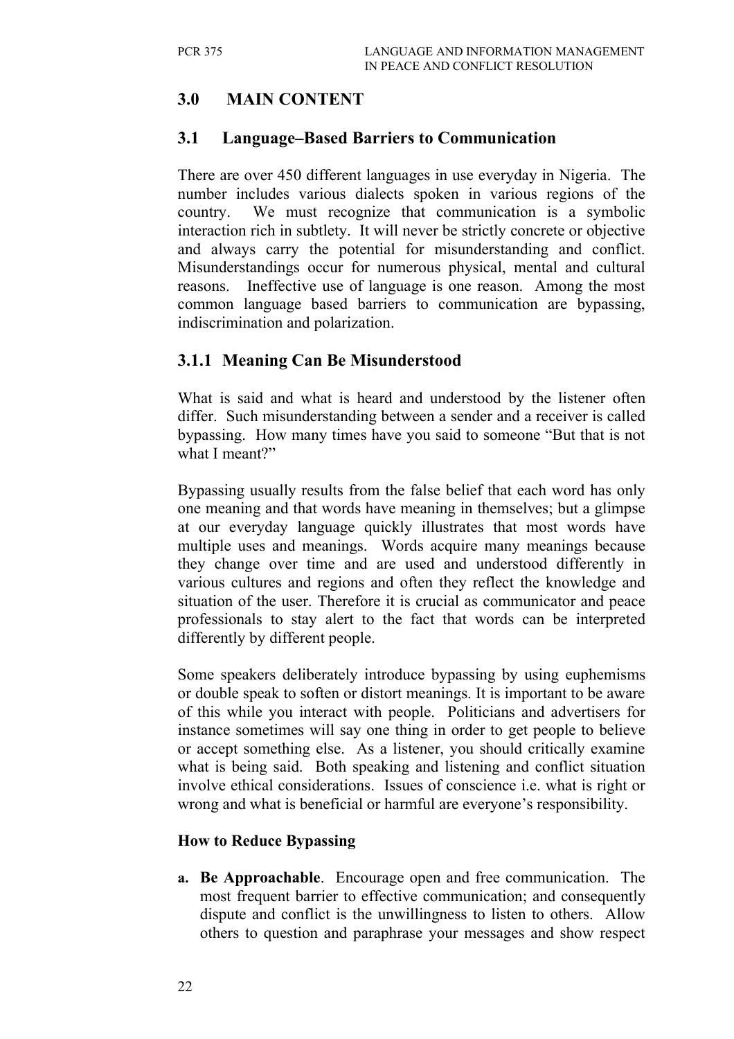# **3.0 MAIN CONTENT**

### **3.1 Language–Based Barriers to Communication**

There are over 450 different languages in use everyday in Nigeria. The number includes various dialects spoken in various regions of the country. We must recognize that communication is a symbolic interaction rich in subtlety. It will never be strictly concrete or objective and always carry the potential for misunderstanding and conflict. Misunderstandings occur for numerous physical, mental and cultural reasons. Ineffective use of language is one reason. Among the most common language based barriers to communication are bypassing, indiscrimination and polarization.

## **3.1.1 Meaning Can Be Misunderstood**

What is said and what is heard and understood by the listener often differ. Such misunderstanding between a sender and a receiver is called bypassing. How many times have you said to someone "But that is not what I meant?"

Bypassing usually results from the false belief that each word has only one meaning and that words have meaning in themselves; but a glimpse at our everyday language quickly illustrates that most words have multiple uses and meanings. Words acquire many meanings because they change over time and are used and understood differently in various cultures and regions and often they reflect the knowledge and situation of the user. Therefore it is crucial as communicator and peace professionals to stay alert to the fact that words can be interpreted differently by different people.

Some speakers deliberately introduce bypassing by using euphemisms or double speak to soften or distort meanings. It is important to be aware of this while you interact with people. Politicians and advertisers for instance sometimes will say one thing in order to get people to believe or accept something else. As a listener, you should critically examine what is being said. Both speaking and listening and conflict situation involve ethical considerations. Issues of conscience i.e. what is right or wrong and what is beneficial or harmful are everyone's responsibility.

#### **How to Reduce Bypassing**

**a. Be Approachable**. Encourage open and free communication. The most frequent barrier to effective communication; and consequently dispute and conflict is the unwillingness to listen to others. Allow others to question and paraphrase your messages and show respect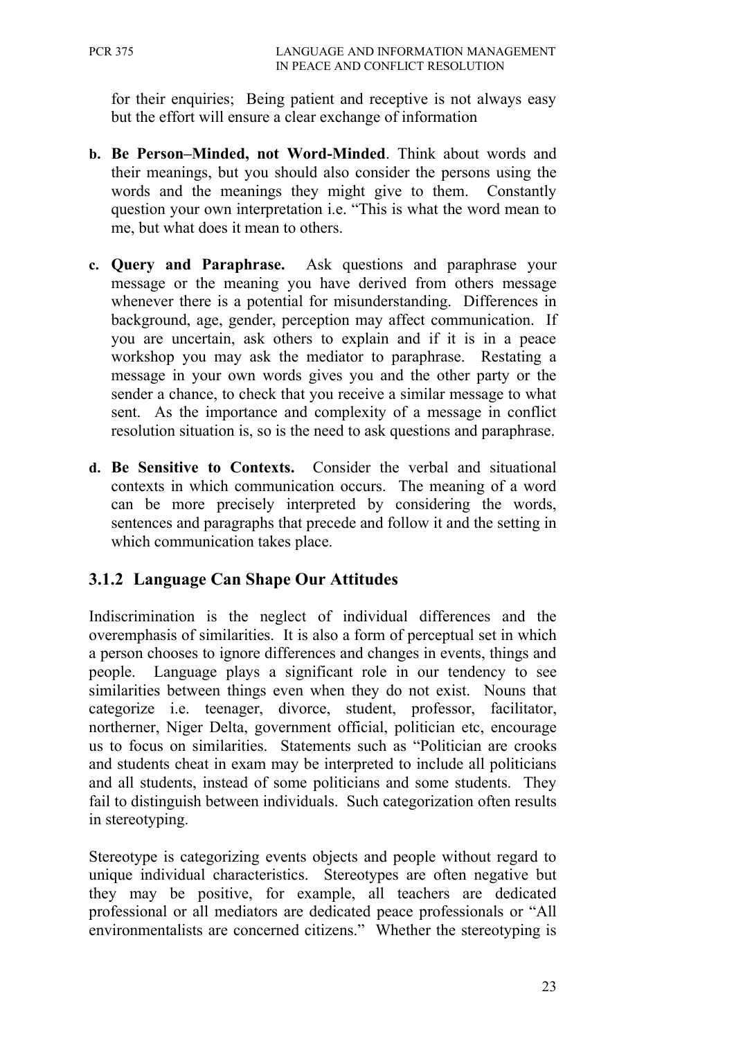for their enquiries; Being patient and receptive is not always easy but the effort will ensure a clear exchange of information

- **b. Be Person–Minded, not Word-Minded**. Think about words and their meanings, but you should also consider the persons using the words and the meanings they might give to them. Constantly question your own interpretation i.e. "This is what the word mean to me, but what does it mean to others.
- **c. Query and Paraphrase.** Ask questions and paraphrase your message or the meaning you have derived from others message whenever there is a potential for misunderstanding. Differences in background, age, gender, perception may affect communication. If you are uncertain, ask others to explain and if it is in a peace workshop you may ask the mediator to paraphrase. Restating a message in your own words gives you and the other party or the sender a chance, to check that you receive a similar message to what sent. As the importance and complexity of a message in conflict resolution situation is, so is the need to ask questions and paraphrase.
- **d. Be Sensitive to Contexts.** Consider the verbal and situational contexts in which communication occurs. The meaning of a word can be more precisely interpreted by considering the words, sentences and paragraphs that precede and follow it and the setting in which communication takes place.

## **3.1.2 Language Can Shape Our Attitudes**

Indiscrimination is the neglect of individual differences and the overemphasis of similarities. It is also a form of perceptual set in which a person chooses to ignore differences and changes in events, things and people. Language plays a significant role in our tendency to see similarities between things even when they do not exist. Nouns that categorize i.e. teenager, divorce, student, professor, facilitator, northerner, Niger Delta, government official, politician etc, encourage us to focus on similarities. Statements such as "Politician are crooks and students cheat in exam may be interpreted to include all politicians and all students, instead of some politicians and some students. They fail to distinguish between individuals. Such categorization often results in stereotyping.

Stereotype is categorizing events objects and people without regard to unique individual characteristics. Stereotypes are often negative but they may be positive, for example, all teachers are dedicated professional or all mediators are dedicated peace professionals or "All environmentalists are concerned citizens." Whether the stereotyping is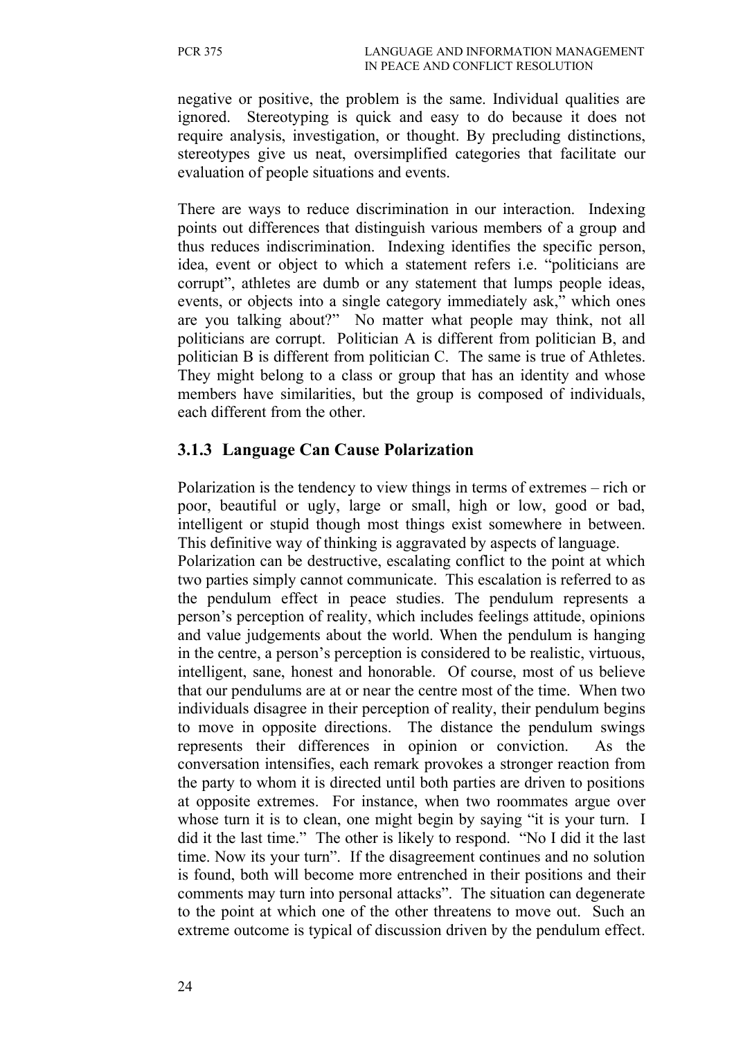negative or positive, the problem is the same. Individual qualities are ignored. Stereotyping is quick and easy to do because it does not require analysis, investigation, or thought. By precluding distinctions, stereotypes give us neat, oversimplified categories that facilitate our evaluation of people situations and events.

There are ways to reduce discrimination in our interaction. Indexing points out differences that distinguish various members of a group and thus reduces indiscrimination. Indexing identifies the specific person, idea, event or object to which a statement refers i.e. "politicians are corrupt", athletes are dumb or any statement that lumps people ideas, events, or objects into a single category immediately ask," which ones are you talking about?" No matter what people may think, not all politicians are corrupt. Politician A is different from politician B, and politician B is different from politician C. The same is true of Athletes. They might belong to a class or group that has an identity and whose members have similarities, but the group is composed of individuals, each different from the other.

### **3.1.3 Language Can Cause Polarization**

Polarization is the tendency to view things in terms of extremes – rich or poor, beautiful or ugly, large or small, high or low, good or bad, intelligent or stupid though most things exist somewhere in between. This definitive way of thinking is aggravated by aspects of language.

Polarization can be destructive, escalating conflict to the point at which two parties simply cannot communicate. This escalation is referred to as the pendulum effect in peace studies. The pendulum represents a person's perception of reality, which includes feelings attitude, opinions and value judgements about the world. When the pendulum is hanging in the centre, a person's perception is considered to be realistic, virtuous, intelligent, sane, honest and honorable. Of course, most of us believe that our pendulums are at or near the centre most of the time. When two individuals disagree in their perception of reality, their pendulum begins to move in opposite directions. The distance the pendulum swings represents their differences in opinion or conviction. As the conversation intensifies, each remark provokes a stronger reaction from the party to whom it is directed until both parties are driven to positions at opposite extremes. For instance, when two roommates argue over whose turn it is to clean, one might begin by saying "it is your turn. I did it the last time." The other is likely to respond. "No I did it the last time. Now its your turn". If the disagreement continues and no solution is found, both will become more entrenched in their positions and their comments may turn into personal attacks". The situation can degenerate to the point at which one of the other threatens to move out. Such an extreme outcome is typical of discussion driven by the pendulum effect.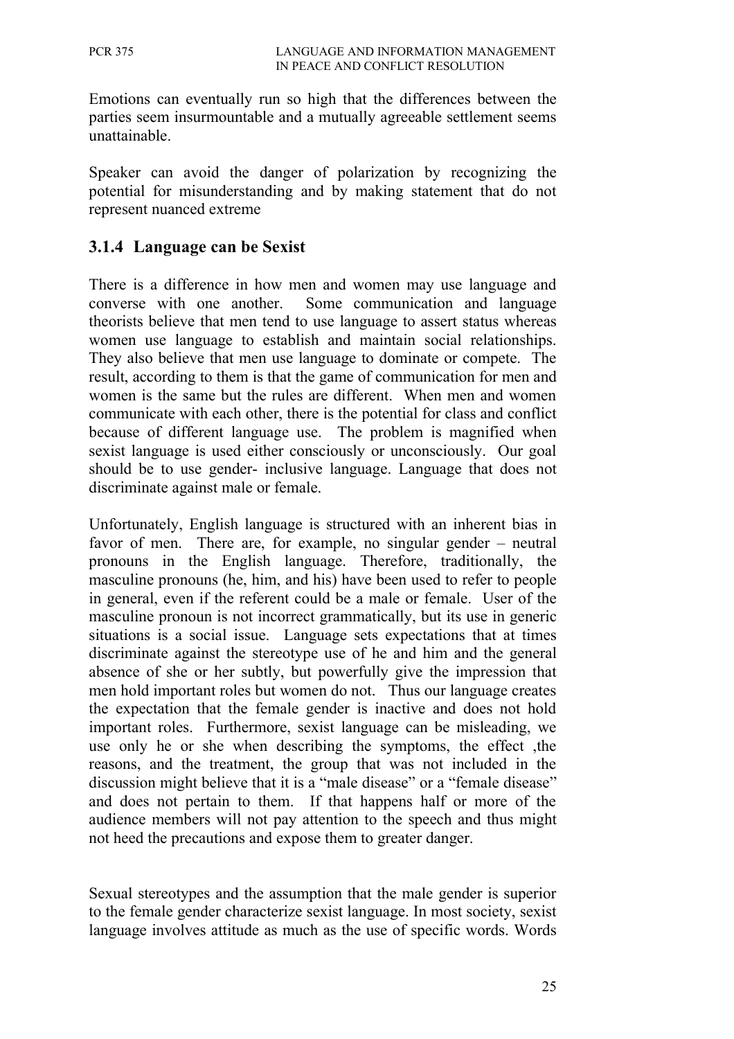Emotions can eventually run so high that the differences between the parties seem insurmountable and a mutually agreeable settlement seems unattainable.

Speaker can avoid the danger of polarization by recognizing the potential for misunderstanding and by making statement that do not represent nuanced extreme

## **3.1.4 Language can be Sexist**

There is a difference in how men and women may use language and converse with one another. Some communication and language theorists believe that men tend to use language to assert status whereas women use language to establish and maintain social relationships. They also believe that men use language to dominate or compete. The result, according to them is that the game of communication for men and women is the same but the rules are different. When men and women communicate with each other, there is the potential for class and conflict because of different language use. The problem is magnified when sexist language is used either consciously or unconsciously. Our goal should be to use gender- inclusive language. Language that does not discriminate against male or female.

Unfortunately, English language is structured with an inherent bias in favor of men. There are, for example, no singular gender – neutral pronouns in the English language. Therefore, traditionally, the masculine pronouns (he, him, and his) have been used to refer to people in general, even if the referent could be a male or female. User of the masculine pronoun is not incorrect grammatically, but its use in generic situations is a social issue. Language sets expectations that at times discriminate against the stereotype use of he and him and the general absence of she or her subtly, but powerfully give the impression that men hold important roles but women do not. Thus our language creates the expectation that the female gender is inactive and does not hold important roles. Furthermore, sexist language can be misleading, we use only he or she when describing the symptoms, the effect ,the reasons, and the treatment, the group that was not included in the discussion might believe that it is a "male disease" or a "female disease" and does not pertain to them. If that happens half or more of the audience members will not pay attention to the speech and thus might not heed the precautions and expose them to greater danger.

Sexual stereotypes and the assumption that the male gender is superior to the female gender characterize sexist language. In most society, sexist language involves attitude as much as the use of specific words. Words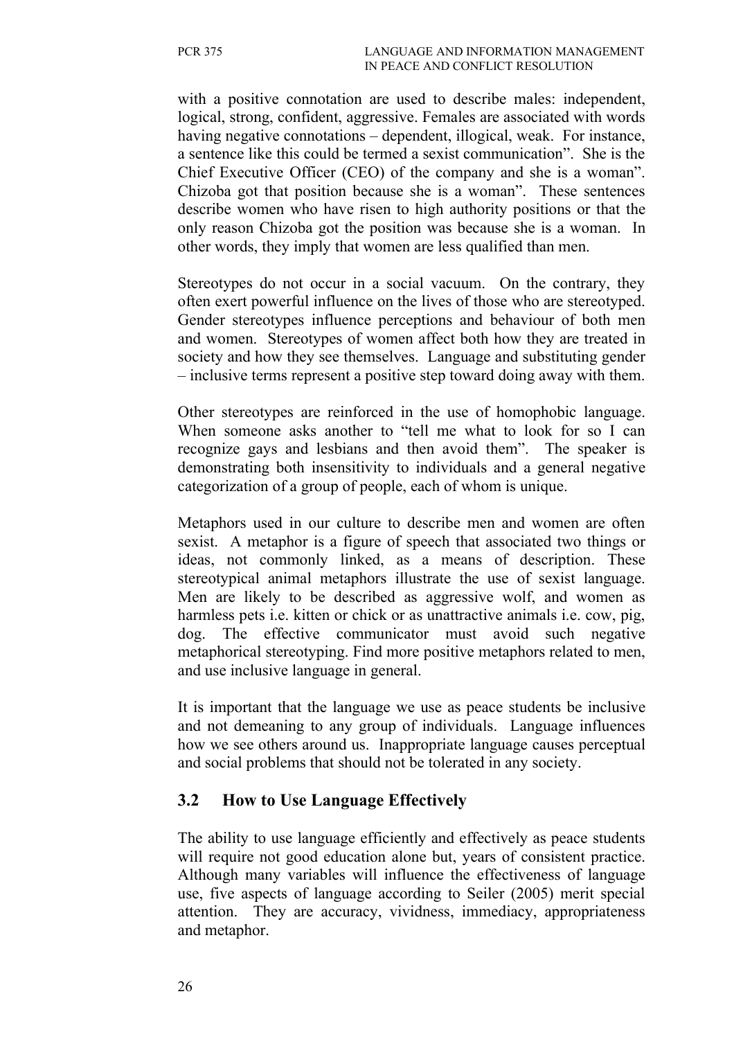with a positive connotation are used to describe males: independent, logical, strong, confident, aggressive. Females are associated with words having negative connotations – dependent, illogical, weak. For instance, a sentence like this could be termed a sexist communication". She is the Chief Executive Officer (CEO) of the company and she is a woman". Chizoba got that position because she is a woman". These sentences describe women who have risen to high authority positions or that the only reason Chizoba got the position was because she is a woman. In other words, they imply that women are less qualified than men.

Stereotypes do not occur in a social vacuum. On the contrary, they often exert powerful influence on the lives of those who are stereotyped. Gender stereotypes influence perceptions and behaviour of both men and women. Stereotypes of women affect both how they are treated in society and how they see themselves. Language and substituting gender – inclusive terms represent a positive step toward doing away with them.

Other stereotypes are reinforced in the use of homophobic language. When someone asks another to "tell me what to look for so I can recognize gays and lesbians and then avoid them". The speaker is demonstrating both insensitivity to individuals and a general negative categorization of a group of people, each of whom is unique.

Metaphors used in our culture to describe men and women are often sexist. A metaphor is a figure of speech that associated two things or ideas, not commonly linked, as a means of description. These stereotypical animal metaphors illustrate the use of sexist language. Men are likely to be described as aggressive wolf, and women as harmless pets i.e. kitten or chick or as unattractive animals i.e. cow, pig, dog. The effective communicator must avoid such negative metaphorical stereotyping. Find more positive metaphors related to men, and use inclusive language in general.

It is important that the language we use as peace students be inclusive and not demeaning to any group of individuals. Language influences how we see others around us. Inappropriate language causes perceptual and social problems that should not be tolerated in any society.

### **3.2 How to Use Language Effectively**

The ability to use language efficiently and effectively as peace students will require not good education alone but, years of consistent practice. Although many variables will influence the effectiveness of language use, five aspects of language according to Seiler (2005) merit special attention. They are accuracy, vividness, immediacy, appropriateness and metaphor.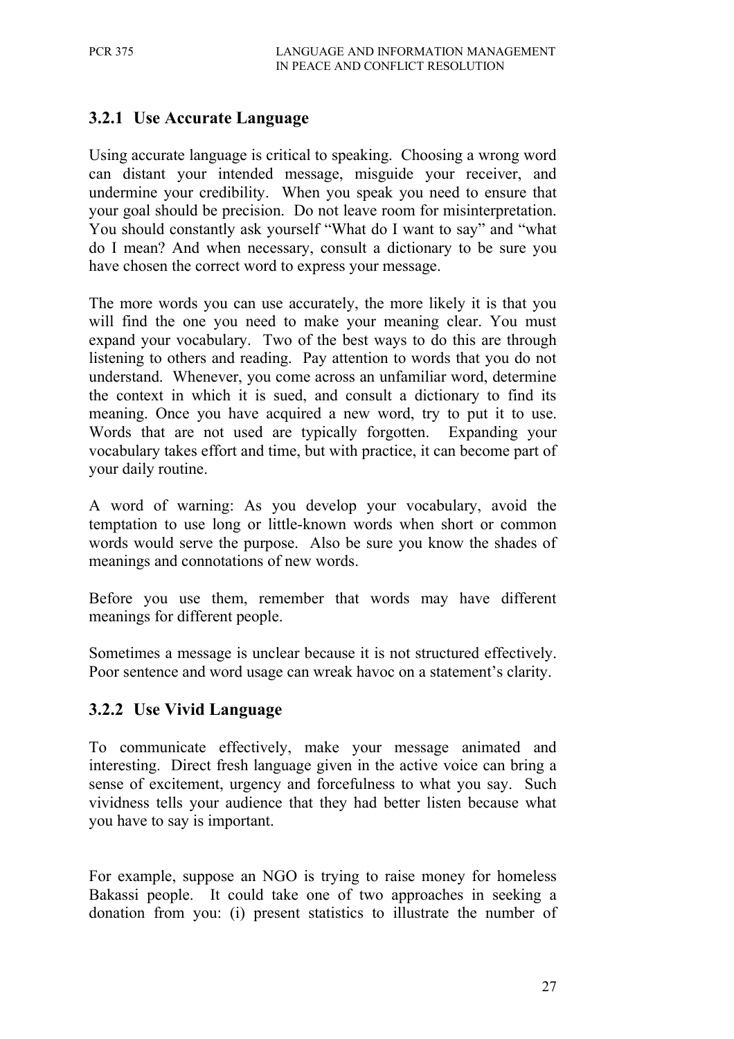## **3.2.1 Use Accurate Language**

Using accurate language is critical to speaking. Choosing a wrong word can distant your intended message, misguide your receiver, and undermine your credibility. When you speak you need to ensure that your goal should be precision. Do not leave room for misinterpretation. You should constantly ask yourself "What do I want to say" and "what do I mean? And when necessary, consult a dictionary to be sure you have chosen the correct word to express your message.

The more words you can use accurately, the more likely it is that you will find the one you need to make your meaning clear. You must expand your vocabulary. Two of the best ways to do this are through listening to others and reading. Pay attention to words that you do not understand. Whenever, you come across an unfamiliar word, determine the context in which it is sued, and consult a dictionary to find its meaning. Once you have acquired a new word, try to put it to use. Words that are not used are typically forgotten. Expanding your vocabulary takes effort and time, but with practice, it can become part of your daily routine.

A word of warning: As you develop your vocabulary, avoid the temptation to use long or little-known words when short or common words would serve the purpose. Also be sure you know the shades of meanings and connotations of new words.

Before you use them, remember that words may have different meanings for different people.

Sometimes a message is unclear because it is not structured effectively. Poor sentence and word usage can wreak havoc on a statement's clarity.

### **3.2.2 Use Vivid Language**

To communicate effectively, make your message animated and interesting. Direct fresh language given in the active voice can bring a sense of excitement, urgency and forcefulness to what you say. Such vividness tells your audience that they had better listen because what you have to say is important.

For example, suppose an NGO is trying to raise money for homeless Bakassi people. It could take one of two approaches in seeking a donation from you: (i) present statistics to illustrate the number of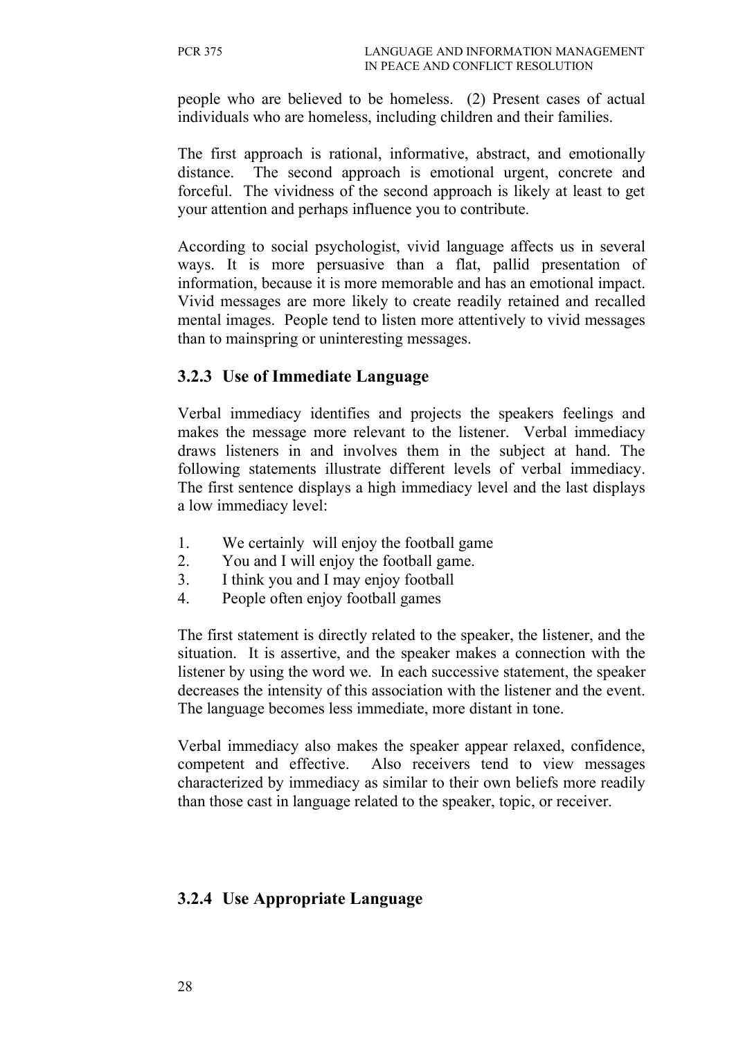people who are believed to be homeless. (2) Present cases of actual individuals who are homeless, including children and their families.

The first approach is rational, informative, abstract, and emotionally distance. The second approach is emotional urgent, concrete and forceful. The vividness of the second approach is likely at least to get your attention and perhaps influence you to contribute.

According to social psychologist, vivid language affects us in several ways. It is more persuasive than a flat, pallid presentation of information, because it is more memorable and has an emotional impact. Vivid messages are more likely to create readily retained and recalled mental images. People tend to listen more attentively to vivid messages than to mainspring or uninteresting messages.

## **3.2.3 Use of Immediate Language**

Verbal immediacy identifies and projects the speakers feelings and makes the message more relevant to the listener. Verbal immediacy draws listeners in and involves them in the subject at hand. The following statements illustrate different levels of verbal immediacy. The first sentence displays a high immediacy level and the last displays a low immediacy level:

- 1. We certainly will enjoy the football game
- 2. You and I will enjoy the football game.
- 3. I think you and I may enjoy football
- 4. People often enjoy football games

The first statement is directly related to the speaker, the listener, and the situation. It is assertive, and the speaker makes a connection with the listener by using the word we. In each successive statement, the speaker decreases the intensity of this association with the listener and the event. The language becomes less immediate, more distant in tone.

Verbal immediacy also makes the speaker appear relaxed, confidence, competent and effective. Also receivers tend to view messages characterized by immediacy as similar to their own beliefs more readily than those cast in language related to the speaker, topic, or receiver.

## **3.2.4 Use Appropriate Language**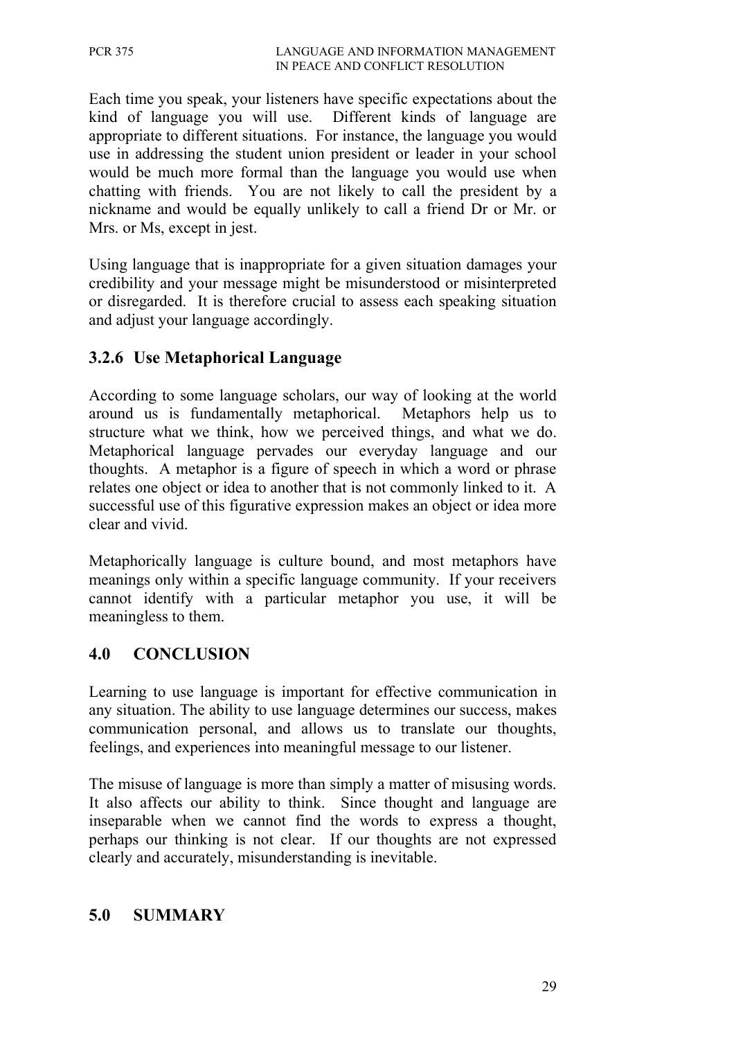Each time you speak, your listeners have specific expectations about the kind of language you will use. Different kinds of language are appropriate to different situations. For instance, the language you would use in addressing the student union president or leader in your school would be much more formal than the language you would use when chatting with friends. You are not likely to call the president by a nickname and would be equally unlikely to call a friend Dr or Mr. or Mrs. or Ms, except in jest.

Using language that is inappropriate for a given situation damages your credibility and your message might be misunderstood or misinterpreted or disregarded. It is therefore crucial to assess each speaking situation and adjust your language accordingly.

## **3.2.6 Use Metaphorical Language**

According to some language scholars, our way of looking at the world around us is fundamentally metaphorical. Metaphors help us to structure what we think, how we perceived things, and what we do. Metaphorical language pervades our everyday language and our thoughts. A metaphor is a figure of speech in which a word or phrase relates one object or idea to another that is not commonly linked to it. A successful use of this figurative expression makes an object or idea more clear and vivid.

Metaphorically language is culture bound, and most metaphors have meanings only within a specific language community. If your receivers cannot identify with a particular metaphor you use, it will be meaningless to them.

### **4.0 CONCLUSION**

Learning to use language is important for effective communication in any situation. The ability to use language determines our success, makes communication personal, and allows us to translate our thoughts, feelings, and experiences into meaningful message to our listener.

The misuse of language is more than simply a matter of misusing words. It also affects our ability to think. Since thought and language are inseparable when we cannot find the words to express a thought, perhaps our thinking is not clear. If our thoughts are not expressed clearly and accurately, misunderstanding is inevitable.

## **5.0 SUMMARY**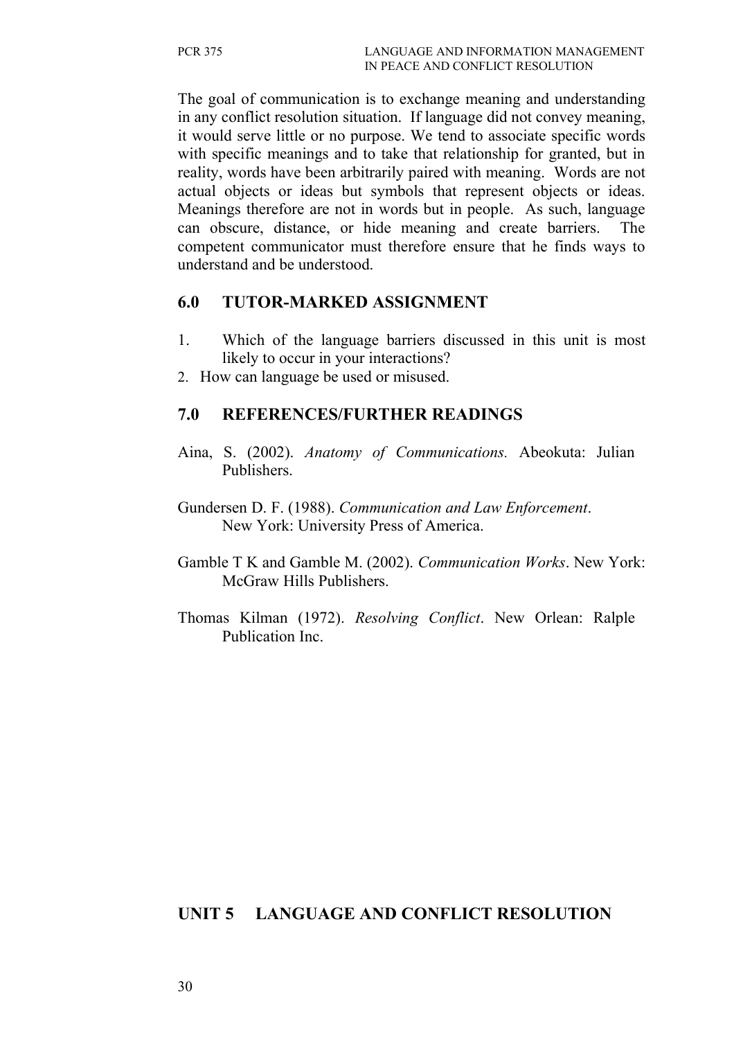The goal of communication is to exchange meaning and understanding in any conflict resolution situation. If language did not convey meaning, it would serve little or no purpose. We tend to associate specific words with specific meanings and to take that relationship for granted, but in reality, words have been arbitrarily paired with meaning. Words are not actual objects or ideas but symbols that represent objects or ideas. Meanings therefore are not in words but in people. As such, language can obscure, distance, or hide meaning and create barriers. The competent communicator must therefore ensure that he finds ways to understand and be understood.

#### **6.0 TUTOR-MARKED ASSIGNMENT**

- 1. Which of the language barriers discussed in this unit is most likely to occur in your interactions?
- 2. How can language be used or misused.

### **7.0 REFERENCES/FURTHER READINGS**

- Aina, S. (2002). *Anatomy of Communications.* Abeokuta: Julian Publishers.
- Gundersen D. F. (1988). *Communication and Law Enforcement*. New York: University Press of America.
- Gamble T K and Gamble M. (2002). *Communication Works*. New York: McGraw Hills Publishers.
- Thomas Kilman (1972). *Resolving Conflict*. New Orlean: Ralple Publication Inc.

## **UNIT 5 LANGUAGE AND CONFLICT RESOLUTION**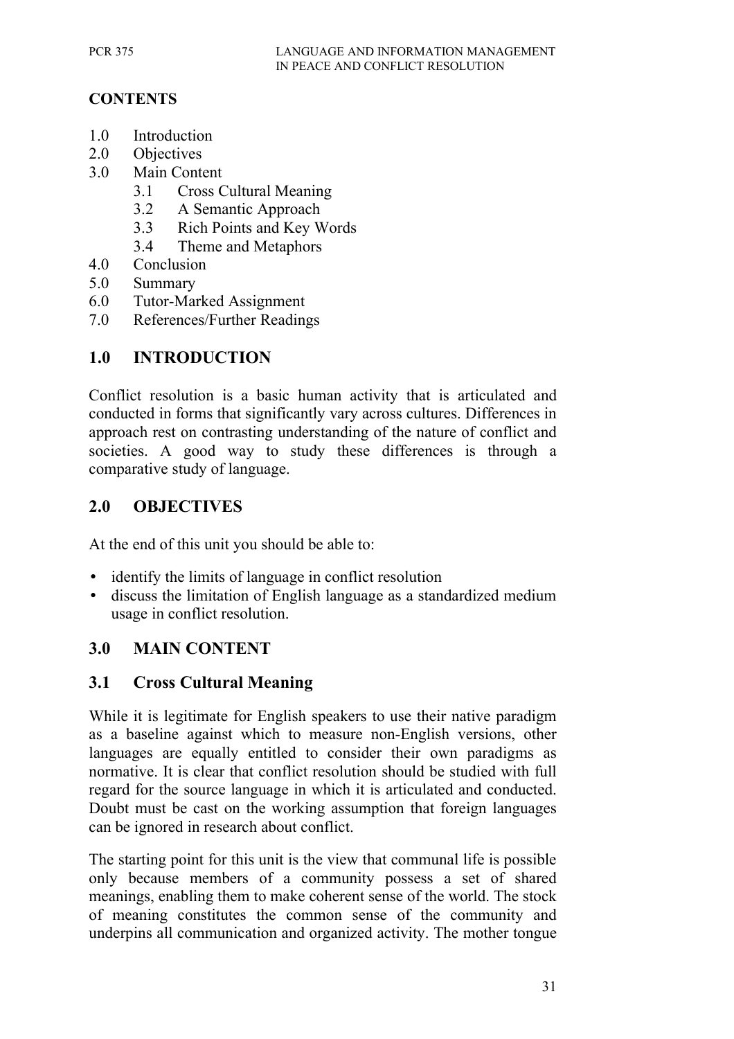## **CONTENTS**

- 1.0 Introduction
- 2.0 Objectives
- 3.0 Main Content
	- 3.1 Cross Cultural Meaning
	- 3.2 A Semantic Approach
	- 3.3 Rich Points and Key Words
	- 3.4 Theme and Metaphors
- 4.0 Conclusion
- 5.0 Summary
- 6.0 Tutor-Marked Assignment
- 7.0 References/Further Readings

## **1.0 INTRODUCTION**

Conflict resolution is a basic human activity that is articulated and conducted in forms that significantly vary across cultures. Differences in approach rest on contrasting understanding of the nature of conflict and societies. A good way to study these differences is through a comparative study of language.

### **2.0 OBJECTIVES**

At the end of this unit you should be able to:

- identify the limits of language in conflict resolution
- discuss the limitation of English language as a standardized medium usage in conflict resolution.

### **3.0 MAIN CONTENT**

### **3.1 Cross Cultural Meaning**

While it is legitimate for English speakers to use their native paradigm as a baseline against which to measure non-English versions, other languages are equally entitled to consider their own paradigms as normative. It is clear that conflict resolution should be studied with full regard for the source language in which it is articulated and conducted. Doubt must be cast on the working assumption that foreign languages can be ignored in research about conflict.

The starting point for this unit is the view that communal life is possible only because members of a community possess a set of shared meanings, enabling them to make coherent sense of the world. The stock of meaning constitutes the common sense of the community and underpins all communication and organized activity. The mother tongue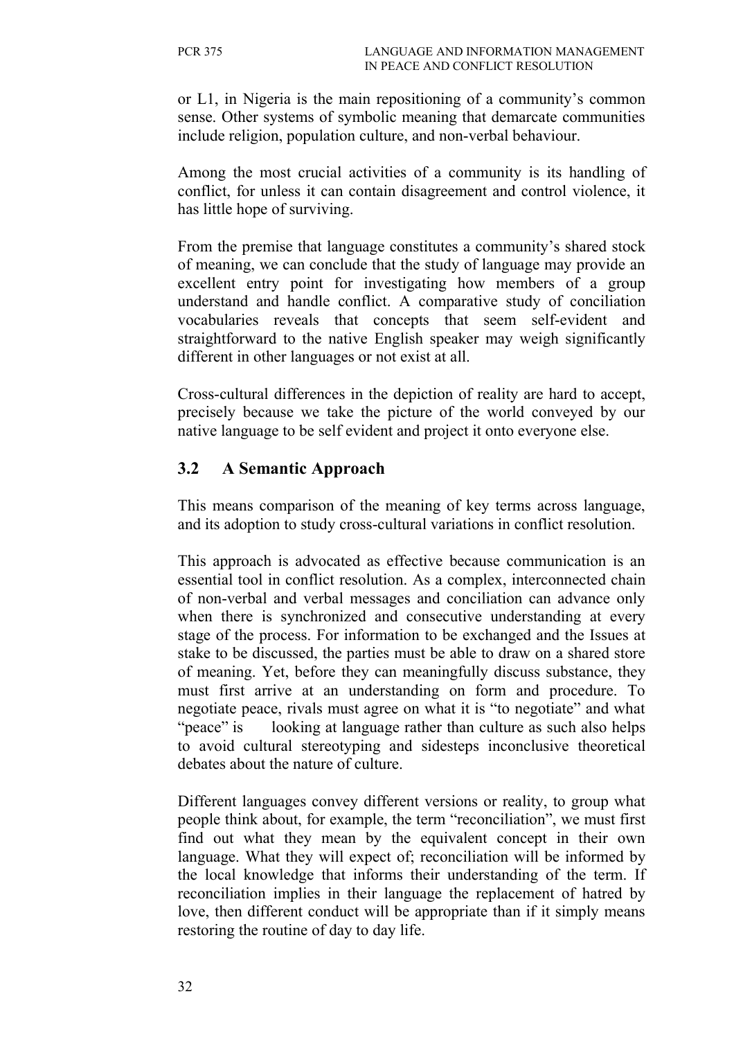or L1, in Nigeria is the main repositioning of a community's common sense. Other systems of symbolic meaning that demarcate communities include religion, population culture, and non-verbal behaviour.

Among the most crucial activities of a community is its handling of conflict, for unless it can contain disagreement and control violence, it has little hope of surviving.

From the premise that language constitutes a community's shared stock of meaning, we can conclude that the study of language may provide an excellent entry point for investigating how members of a group understand and handle conflict. A comparative study of conciliation vocabularies reveals that concepts that seem self-evident and straightforward to the native English speaker may weigh significantly different in other languages or not exist at all.

Cross-cultural differences in the depiction of reality are hard to accept, precisely because we take the picture of the world conveyed by our native language to be self evident and project it onto everyone else.

## **3.2 A Semantic Approach**

This means comparison of the meaning of key terms across language, and its adoption to study cross-cultural variations in conflict resolution.

This approach is advocated as effective because communication is an essential tool in conflict resolution. As a complex, interconnected chain of non-verbal and verbal messages and conciliation can advance only when there is synchronized and consecutive understanding at every stage of the process. For information to be exchanged and the Issues at stake to be discussed, the parties must be able to draw on a shared store of meaning. Yet, before they can meaningfully discuss substance, they must first arrive at an understanding on form and procedure. To negotiate peace, rivals must agree on what it is "to negotiate" and what "peace" is looking at language rather than culture as such also helps to avoid cultural stereotyping and sidesteps inconclusive theoretical debates about the nature of culture.

Different languages convey different versions or reality, to group what people think about, for example, the term "reconciliation", we must first find out what they mean by the equivalent concept in their own language. What they will expect of; reconciliation will be informed by the local knowledge that informs their understanding of the term. If reconciliation implies in their language the replacement of hatred by love, then different conduct will be appropriate than if it simply means restoring the routine of day to day life.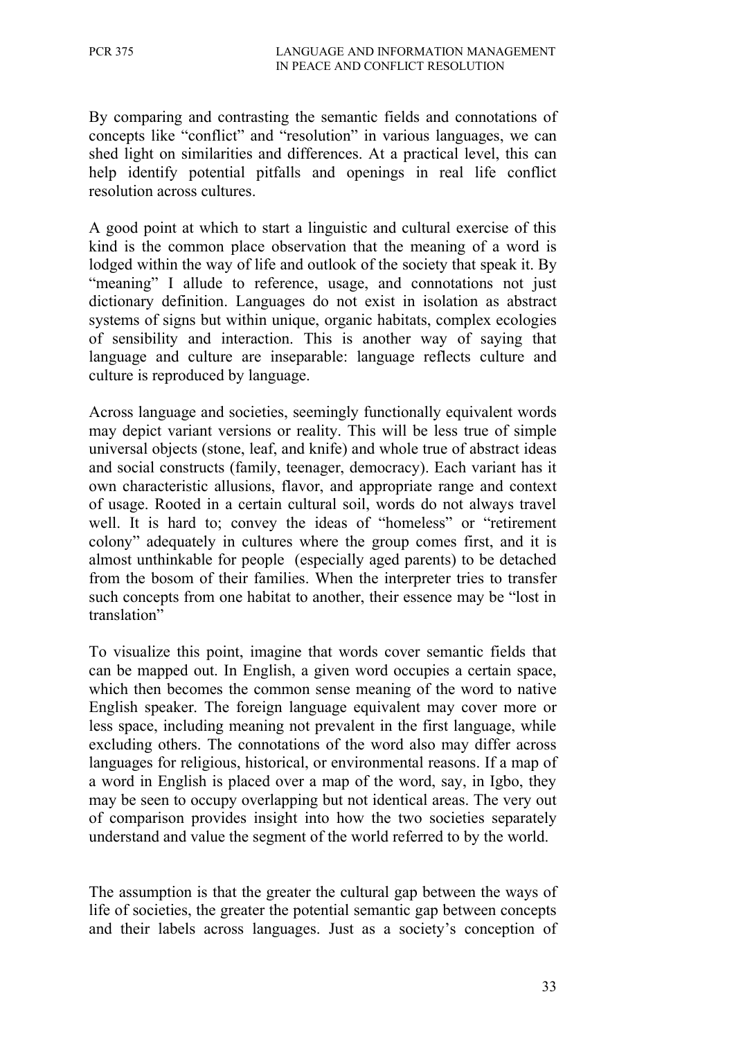By comparing and contrasting the semantic fields and connotations of concepts like "conflict" and "resolution" in various languages, we can shed light on similarities and differences. At a practical level, this can help identify potential pitfalls and openings in real life conflict resolution across cultures.

A good point at which to start a linguistic and cultural exercise of this kind is the common place observation that the meaning of a word is lodged within the way of life and outlook of the society that speak it. By "meaning" I allude to reference, usage, and connotations not just dictionary definition. Languages do not exist in isolation as abstract systems of signs but within unique, organic habitats, complex ecologies of sensibility and interaction. This is another way of saying that language and culture are inseparable: language reflects culture and culture is reproduced by language.

Across language and societies, seemingly functionally equivalent words may depict variant versions or reality. This will be less true of simple universal objects (stone, leaf, and knife) and whole true of abstract ideas and social constructs (family, teenager, democracy). Each variant has it own characteristic allusions, flavor, and appropriate range and context of usage. Rooted in a certain cultural soil, words do not always travel well. It is hard to; convey the ideas of "homeless" or "retirement colony" adequately in cultures where the group comes first, and it is almost unthinkable for people (especially aged parents) to be detached from the bosom of their families. When the interpreter tries to transfer such concepts from one habitat to another, their essence may be "lost in translation"

To visualize this point, imagine that words cover semantic fields that can be mapped out. In English, a given word occupies a certain space, which then becomes the common sense meaning of the word to native English speaker. The foreign language equivalent may cover more or less space, including meaning not prevalent in the first language, while excluding others. The connotations of the word also may differ across languages for religious, historical, or environmental reasons. If a map of a word in English is placed over a map of the word, say, in Igbo, they may be seen to occupy overlapping but not identical areas. The very out of comparison provides insight into how the two societies separately understand and value the segment of the world referred to by the world.

The assumption is that the greater the cultural gap between the ways of life of societies, the greater the potential semantic gap between concepts and their labels across languages. Just as a society's conception of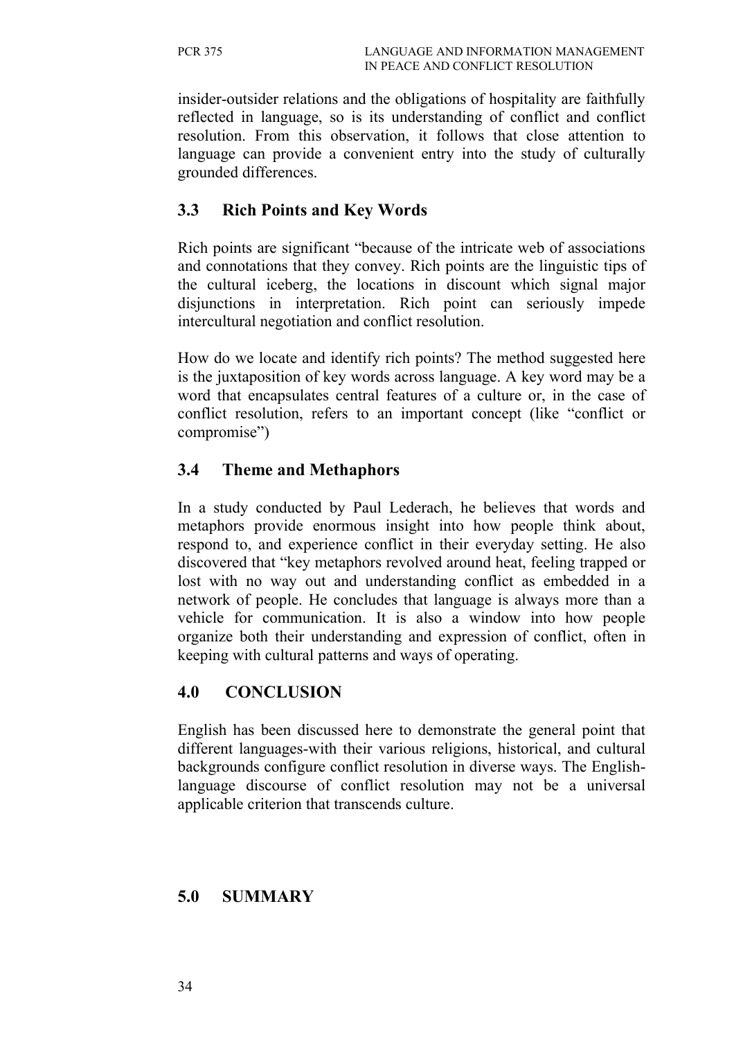insider-outsider relations and the obligations of hospitality are faithfully reflected in language, so is its understanding of conflict and conflict resolution. From this observation, it follows that close attention to language can provide a convenient entry into the study of culturally grounded differences.

## **3.3 Rich Points and Key Words**

Rich points are significant "because of the intricate web of associations and connotations that they convey. Rich points are the linguistic tips of the cultural iceberg, the locations in discount which signal major disjunctions in interpretation. Rich point can seriously impede intercultural negotiation and conflict resolution.

How do we locate and identify rich points? The method suggested here is the juxtaposition of key words across language. A key word may be a word that encapsulates central features of a culture or, in the case of conflict resolution, refers to an important concept (like "conflict or compromise")

## **3.4 Theme and Methaphors**

In a study conducted by Paul Lederach, he believes that words and metaphors provide enormous insight into how people think about, respond to, and experience conflict in their everyday setting. He also discovered that "key metaphors revolved around heat, feeling trapped or lost with no way out and understanding conflict as embedded in a network of people. He concludes that language is always more than a vehicle for communication. It is also a window into how people organize both their understanding and expression of conflict, often in keeping with cultural patterns and ways of operating.

## **4.0 CONCLUSION**

English has been discussed here to demonstrate the general point that different languages-with their various religions, historical, and cultural backgrounds configure conflict resolution in diverse ways. The Englishlanguage discourse of conflict resolution may not be a universal applicable criterion that transcends culture.

### **5.0 SUMMARY**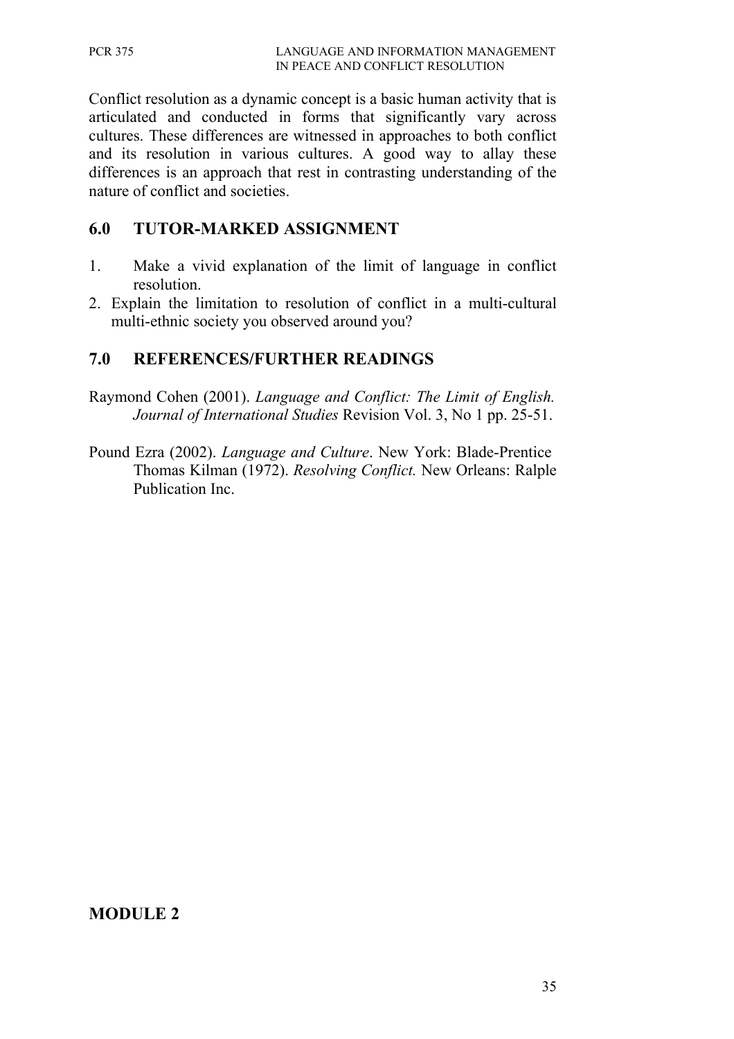Conflict resolution as a dynamic concept is a basic human activity that is articulated and conducted in forms that significantly vary across cultures. These differences are witnessed in approaches to both conflict and its resolution in various cultures. A good way to allay these differences is an approach that rest in contrasting understanding of the nature of conflict and societies.

## **6.0 TUTOR-MARKED ASSIGNMENT**

- 1. Make a vivid explanation of the limit of language in conflict resolution.
- 2. Explain the limitation to resolution of conflict in a multi-cultural multi-ethnic society you observed around you?

## **7.0 REFERENCES/FURTHER READINGS**

- Raymond Cohen (2001). *Language and Conflict: The Limit of English. Journal of International Studies* Revision Vol. 3, No 1 pp. 25-51.
- Pound Ezra (2002). *Language and Culture*. New York: Blade-Prentice Thomas Kilman (1972). *Resolving Conflict.* New Orleans: Ralple Publication Inc.

### **MODULE 2**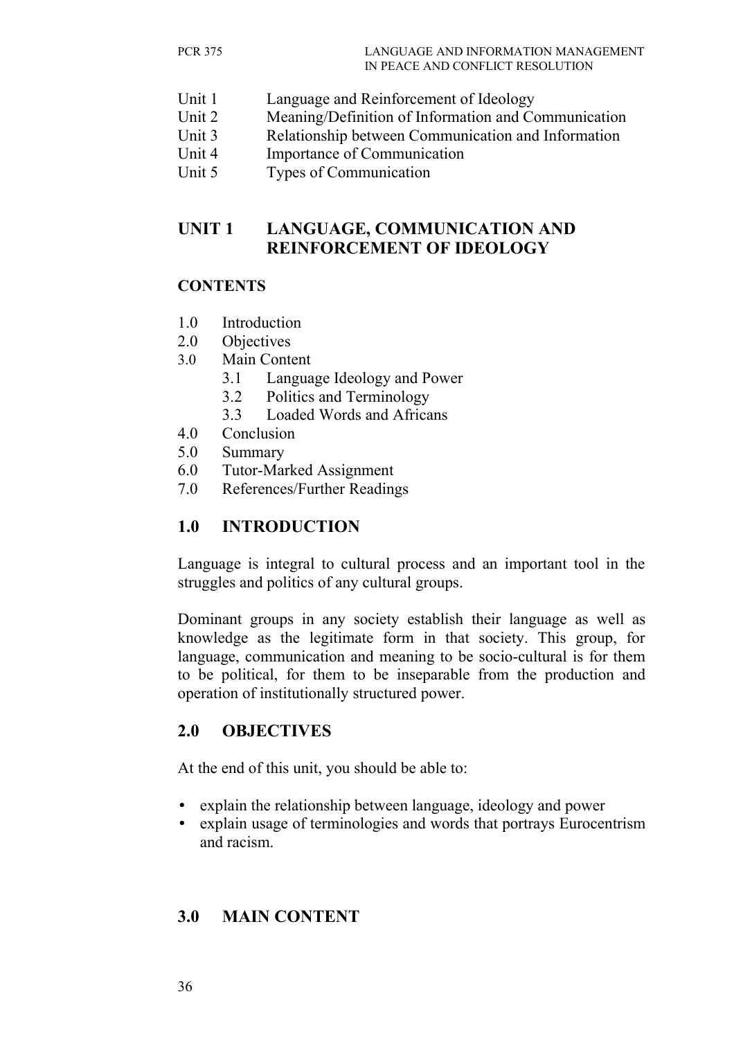- Unit 1 Language and Reinforcement of Ideology
- Unit 2 Meaning/Definition of Information and Communication
- Unit 3 Relationship between Communication and Information
- Unit 4 Importance of Communication
- Unit 5 Types of Communication

## **UNIT 1 LANGUAGE, COMMUNICATION AND REINFORCEMENT OF IDEOLOGY**

### **CONTENTS**

- 1.0 Introduction
- 2.0 Objectives
- 3.0 Main Content
	- 3.1 Language Ideology and Power
	- 3.2 Politics and Terminology
	- 3.3 Loaded Words and Africans
- 4.0 Conclusion
- 5.0 Summary
- 6.0 Tutor-Marked Assignment
- 7.0 References/Further Readings

## **1.0 INTRODUCTION**

Language is integral to cultural process and an important tool in the struggles and politics of any cultural groups.

Dominant groups in any society establish their language as well as knowledge as the legitimate form in that society. This group, for language, communication and meaning to be socio-cultural is for them to be political, for them to be inseparable from the production and operation of institutionally structured power.

### **2.0 OBJECTIVES**

At the end of this unit, you should be able to:

- explain the relationship between language, ideology and power
- explain usage of terminologies and words that portrays Eurocentrism and racism.

### **3.0 MAIN CONTENT**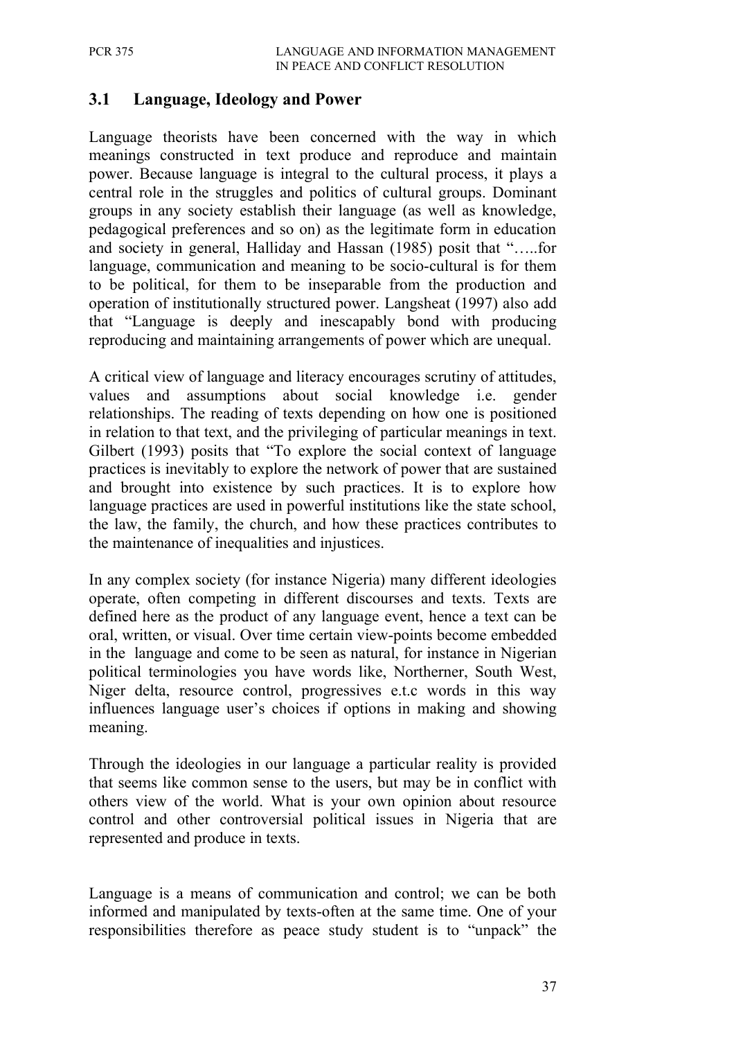### **3.1 Language, Ideology and Power**

Language theorists have been concerned with the way in which meanings constructed in text produce and reproduce and maintain power. Because language is integral to the cultural process, it plays a central role in the struggles and politics of cultural groups. Dominant groups in any society establish their language (as well as knowledge, pedagogical preferences and so on) as the legitimate form in education and society in general, Halliday and Hassan (1985) posit that "…..for language, communication and meaning to be socio-cultural is for them to be political, for them to be inseparable from the production and operation of institutionally structured power. Langsheat (1997) also add that "Language is deeply and inescapably bond with producing reproducing and maintaining arrangements of power which are unequal.

A critical view of language and literacy encourages scrutiny of attitudes, values and assumptions about social knowledge i.e. gender relationships. The reading of texts depending on how one is positioned in relation to that text, and the privileging of particular meanings in text. Gilbert (1993) posits that "To explore the social context of language practices is inevitably to explore the network of power that are sustained and brought into existence by such practices. It is to explore how language practices are used in powerful institutions like the state school, the law, the family, the church, and how these practices contributes to the maintenance of inequalities and injustices.

In any complex society (for instance Nigeria) many different ideologies operate, often competing in different discourses and texts. Texts are defined here as the product of any language event, hence a text can be oral, written, or visual. Over time certain view-points become embedded in the language and come to be seen as natural, for instance in Nigerian political terminologies you have words like, Northerner, South West, Niger delta, resource control, progressives e.t.c words in this way influences language user's choices if options in making and showing meaning.

Through the ideologies in our language a particular reality is provided that seems like common sense to the users, but may be in conflict with others view of the world. What is your own opinion about resource control and other controversial political issues in Nigeria that are represented and produce in texts.

Language is a means of communication and control; we can be both informed and manipulated by texts-often at the same time. One of your responsibilities therefore as peace study student is to "unpack" the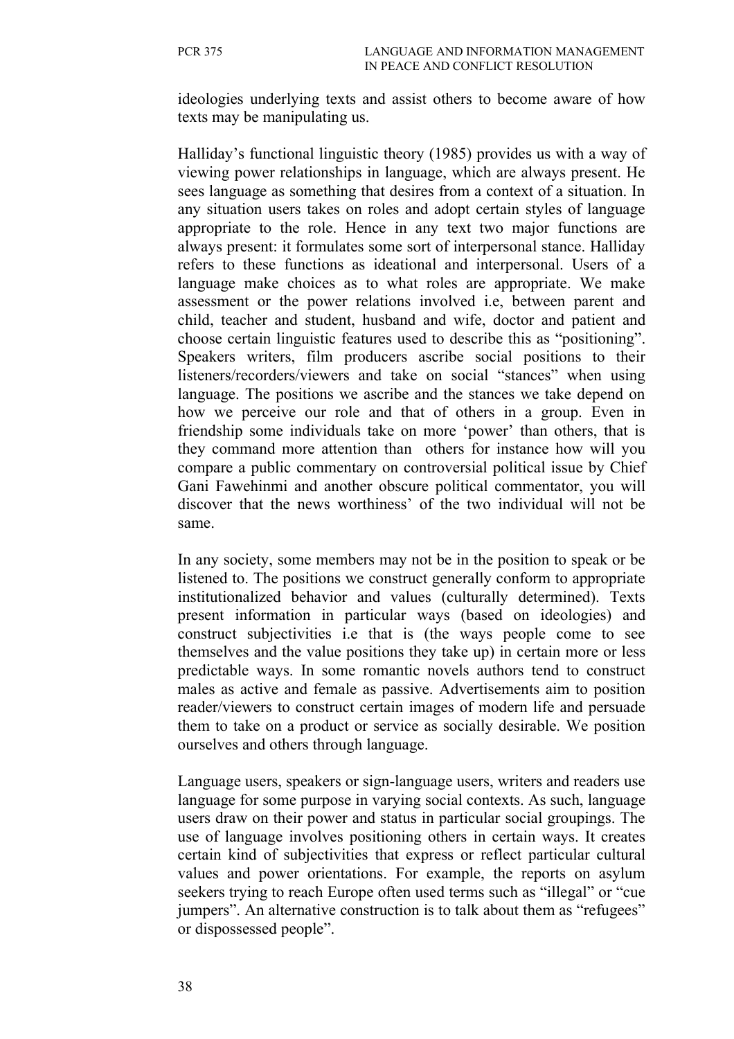ideologies underlying texts and assist others to become aware of how texts may be manipulating us.

Halliday's functional linguistic theory (1985) provides us with a way of viewing power relationships in language, which are always present. He sees language as something that desires from a context of a situation. In any situation users takes on roles and adopt certain styles of language appropriate to the role. Hence in any text two major functions are always present: it formulates some sort of interpersonal stance. Halliday refers to these functions as ideational and interpersonal. Users of a language make choices as to what roles are appropriate. We make assessment or the power relations involved i.e, between parent and child, teacher and student, husband and wife, doctor and patient and choose certain linguistic features used to describe this as "positioning". Speakers writers, film producers ascribe social positions to their listeners/recorders/viewers and take on social "stances" when using language. The positions we ascribe and the stances we take depend on how we perceive our role and that of others in a group. Even in friendship some individuals take on more 'power' than others, that is they command more attention than others for instance how will you compare a public commentary on controversial political issue by Chief Gani Fawehinmi and another obscure political commentator, you will discover that the news worthiness' of the two individual will not be same.

In any society, some members may not be in the position to speak or be listened to. The positions we construct generally conform to appropriate institutionalized behavior and values (culturally determined). Texts present information in particular ways (based on ideologies) and construct subjectivities i.e that is (the ways people come to see themselves and the value positions they take up) in certain more or less predictable ways. In some romantic novels authors tend to construct males as active and female as passive. Advertisements aim to position reader/viewers to construct certain images of modern life and persuade them to take on a product or service as socially desirable. We position ourselves and others through language.

Language users, speakers or sign-language users, writers and readers use language for some purpose in varying social contexts. As such, language users draw on their power and status in particular social groupings. The use of language involves positioning others in certain ways. It creates certain kind of subjectivities that express or reflect particular cultural values and power orientations. For example, the reports on asylum seekers trying to reach Europe often used terms such as "illegal" or "cue jumpers". An alternative construction is to talk about them as "refugees" or dispossessed people".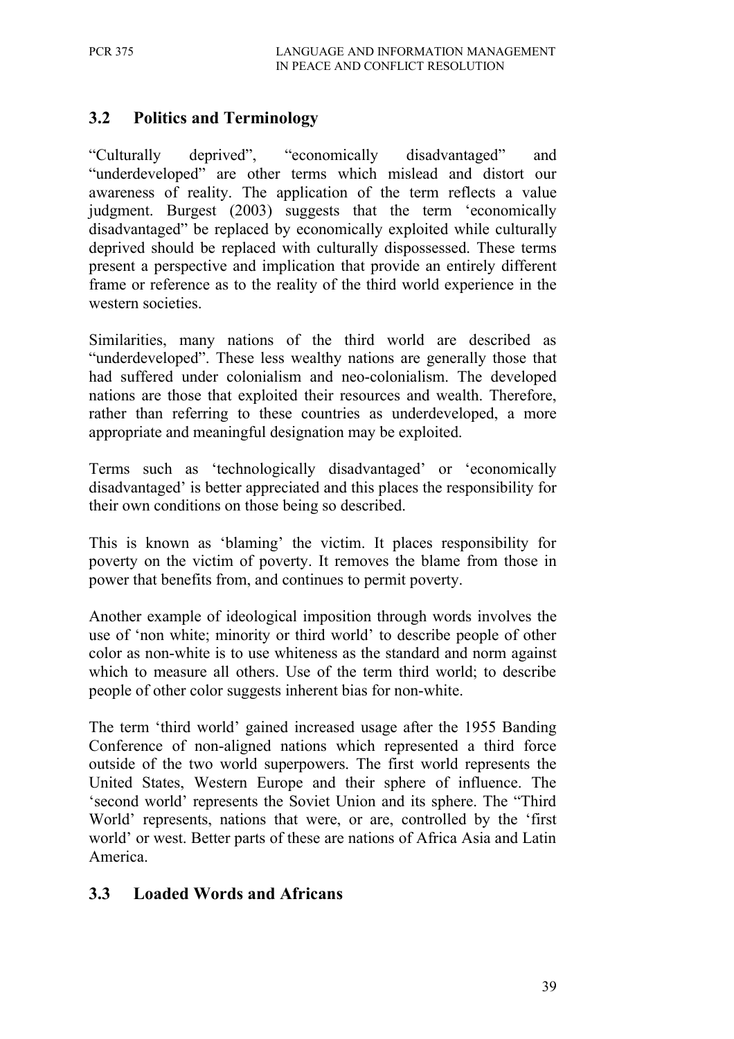## **3.2 Politics and Terminology**

"Culturally deprived", "economically disadvantaged" and "underdeveloped" are other terms which mislead and distort our awareness of reality. The application of the term reflects a value judgment. Burgest (2003) suggests that the term 'economically disadvantaged" be replaced by economically exploited while culturally deprived should be replaced with culturally dispossessed. These terms present a perspective and implication that provide an entirely different frame or reference as to the reality of the third world experience in the western societies.

Similarities, many nations of the third world are described as "underdeveloped". These less wealthy nations are generally those that had suffered under colonialism and neo-colonialism. The developed nations are those that exploited their resources and wealth. Therefore, rather than referring to these countries as underdeveloped, a more appropriate and meaningful designation may be exploited.

Terms such as 'technologically disadvantaged' or 'economically disadvantaged' is better appreciated and this places the responsibility for their own conditions on those being so described.

This is known as 'blaming' the victim. It places responsibility for poverty on the victim of poverty. It removes the blame from those in power that benefits from, and continues to permit poverty.

Another example of ideological imposition through words involves the use of 'non white; minority or third world' to describe people of other color as non-white is to use whiteness as the standard and norm against which to measure all others. Use of the term third world; to describe people of other color suggests inherent bias for non-white.

The term 'third world' gained increased usage after the 1955 Banding Conference of non-aligned nations which represented a third force outside of the two world superpowers. The first world represents the United States, Western Europe and their sphere of influence. The 'second world' represents the Soviet Union and its sphere. The "Third World' represents, nations that were, or are, controlled by the 'first world' or west. Better parts of these are nations of Africa Asia and Latin America.

### **3.3 Loaded Words and Africans**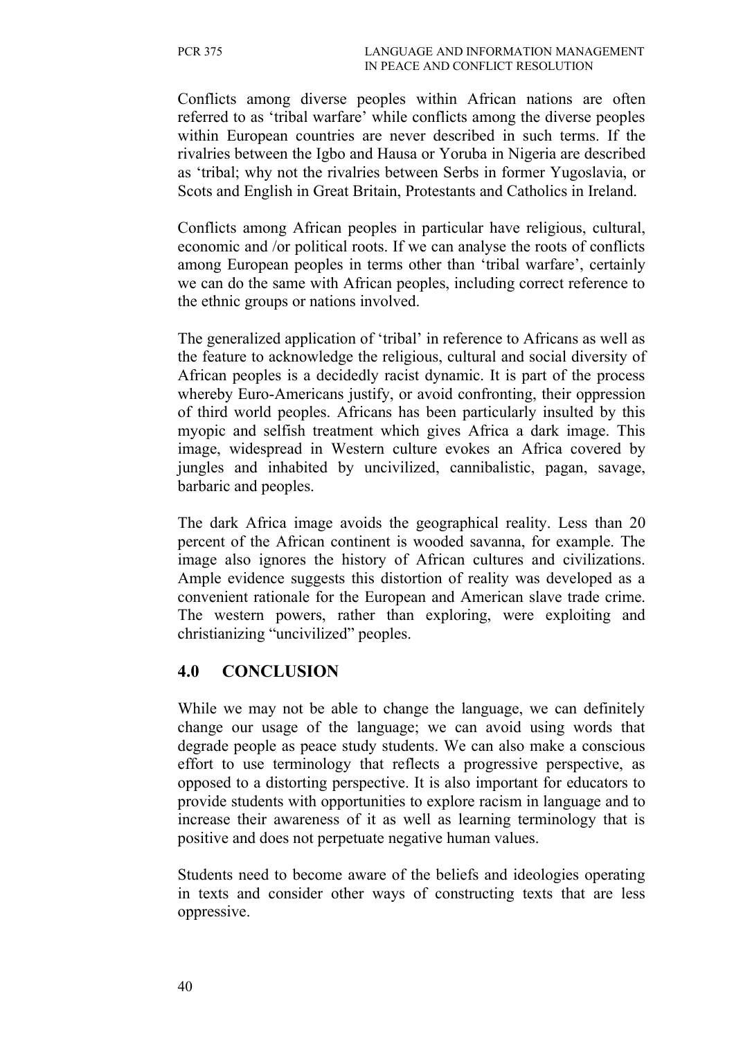Conflicts among diverse peoples within African nations are often referred to as 'tribal warfare' while conflicts among the diverse peoples within European countries are never described in such terms. If the rivalries between the Igbo and Hausa or Yoruba in Nigeria are described as 'tribal; why not the rivalries between Serbs in former Yugoslavia, or Scots and English in Great Britain, Protestants and Catholics in Ireland.

Conflicts among African peoples in particular have religious, cultural, economic and /or political roots. If we can analyse the roots of conflicts among European peoples in terms other than 'tribal warfare', certainly we can do the same with African peoples, including correct reference to the ethnic groups or nations involved.

The generalized application of 'tribal' in reference to Africans as well as the feature to acknowledge the religious, cultural and social diversity of African peoples is a decidedly racist dynamic. It is part of the process whereby Euro-Americans justify, or avoid confronting, their oppression of third world peoples. Africans has been particularly insulted by this myopic and selfish treatment which gives Africa a dark image. This image, widespread in Western culture evokes an Africa covered by jungles and inhabited by uncivilized, cannibalistic, pagan, savage, barbaric and peoples.

The dark Africa image avoids the geographical reality. Less than 20 percent of the African continent is wooded savanna, for example. The image also ignores the history of African cultures and civilizations. Ample evidence suggests this distortion of reality was developed as a convenient rationale for the European and American slave trade crime. The western powers, rather than exploring, were exploiting and christianizing "uncivilized" peoples.

#### **4.0 CONCLUSION**

While we may not be able to change the language, we can definitely change our usage of the language; we can avoid using words that degrade people as peace study students. We can also make a conscious effort to use terminology that reflects a progressive perspective, as opposed to a distorting perspective. It is also important for educators to provide students with opportunities to explore racism in language and to increase their awareness of it as well as learning terminology that is positive and does not perpetuate negative human values.

Students need to become aware of the beliefs and ideologies operating in texts and consider other ways of constructing texts that are less oppressive.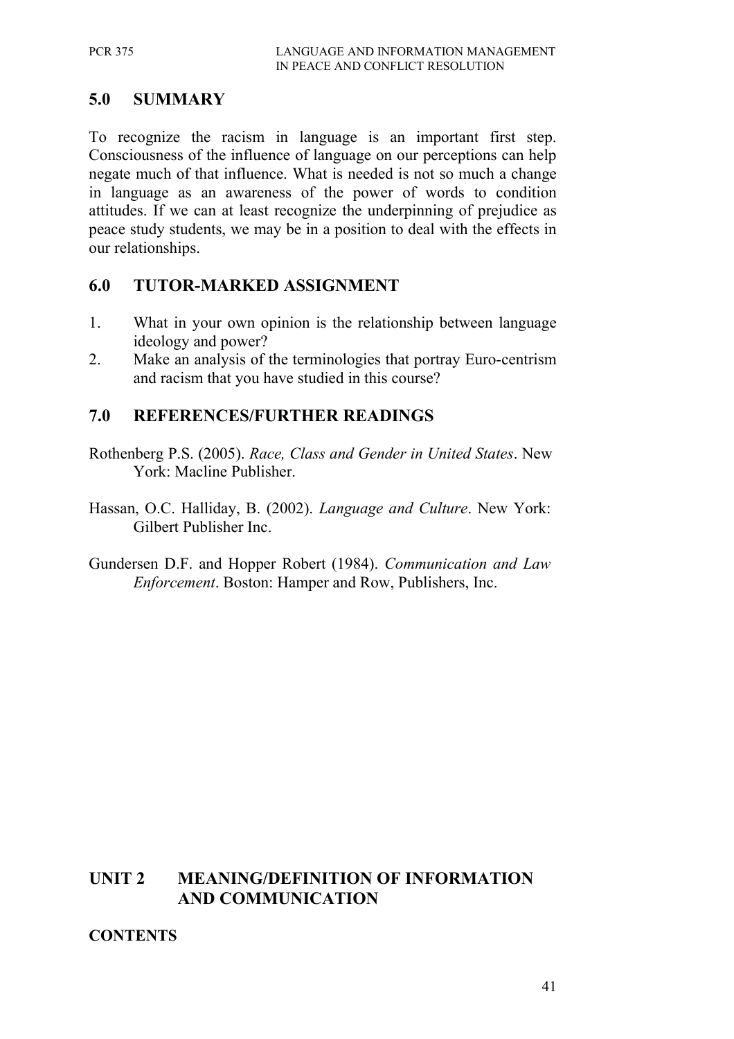## **5.0 SUMMARY**

To recognize the racism in language is an important first step. Consciousness of the influence of language on our perceptions can help negate much of that influence. What is needed is not so much a change in language as an awareness of the power of words to condition attitudes. If we can at least recognize the underpinning of prejudice as peace study students, we may be in a position to deal with the effects in our relationships.

### **6.0 TUTOR-MARKED ASSIGNMENT**

- 1. What in your own opinion is the relationship between language ideology and power?
- 2. Make an analysis of the terminologies that portray Euro-centrism and racism that you have studied in this course?

## **7.0 REFERENCES/FURTHER READINGS**

- Rothenberg P.S. (2005). *Race, Class and Gender in United States*. New York: Macline Publisher.
- Hassan, O.C. Halliday, B. (2002). *Language and Culture*. New York: Gilbert Publisher Inc.
- Gundersen D.F. and Hopper Robert (1984). *Communication and Law Enforcement*. Boston: Hamper and Row, Publishers, Inc.

### **UNIT 2 MEANING/DEFINITION OF INFORMATION AND COMMUNICATION**

#### **CONTENTS**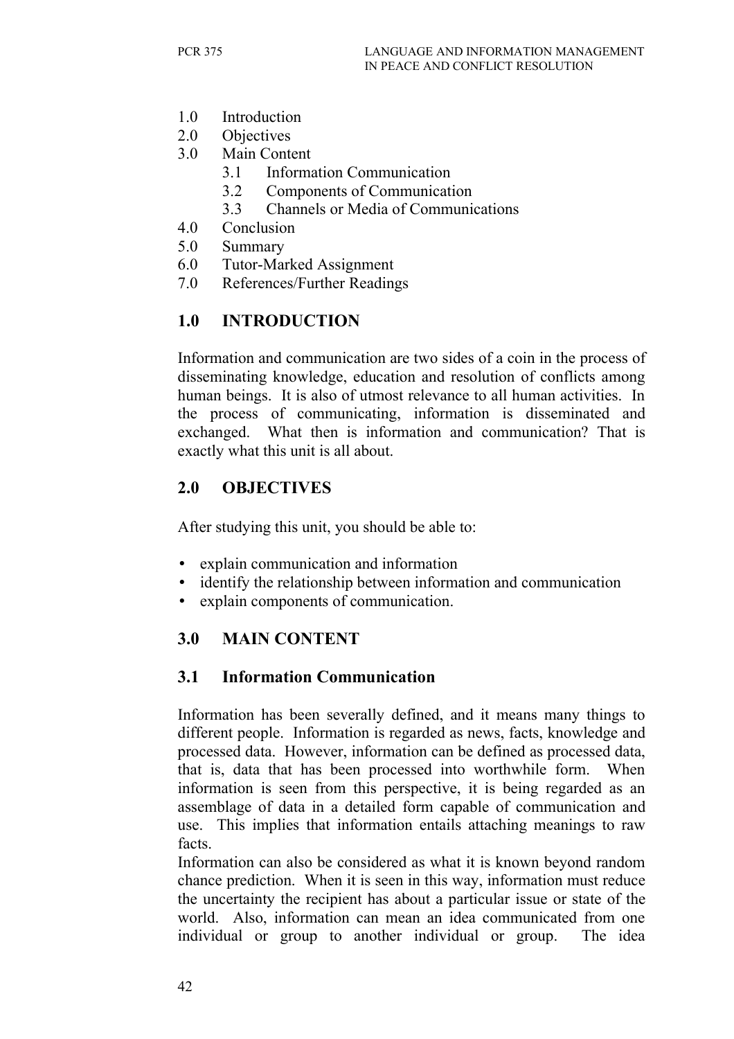- 1.0 Introduction
- 2.0 Objectives
- 3.0 Main Content
	- 3.1 Information Communication
	- 3.2 Components of Communication
	- 3.3 Channels or Media of Communications
- 4.0 Conclusion
- 5.0 Summary
- 6.0 Tutor-Marked Assignment
- 7.0 References/Further Readings

## **1.0 INTRODUCTION**

Information and communication are two sides of a coin in the process of disseminating knowledge, education and resolution of conflicts among human beings. It is also of utmost relevance to all human activities. In the process of communicating, information is disseminated and exchanged. What then is information and communication? That is exactly what this unit is all about.

## **2.0 OBJECTIVES**

After studying this unit, you should be able to:

- explain communication and information
- identify the relationship between information and communication
- explain components of communication.

## **3.0 MAIN CONTENT**

### **3.1 Information Communication**

Information has been severally defined, and it means many things to different people. Information is regarded as news, facts, knowledge and processed data. However, information can be defined as processed data, that is, data that has been processed into worthwhile form. When information is seen from this perspective, it is being regarded as an assemblage of data in a detailed form capable of communication and use. This implies that information entails attaching meanings to raw facts.

Information can also be considered as what it is known beyond random chance prediction. When it is seen in this way, information must reduce the uncertainty the recipient has about a particular issue or state of the world. Also, information can mean an idea communicated from one individual or group to another individual or group. The idea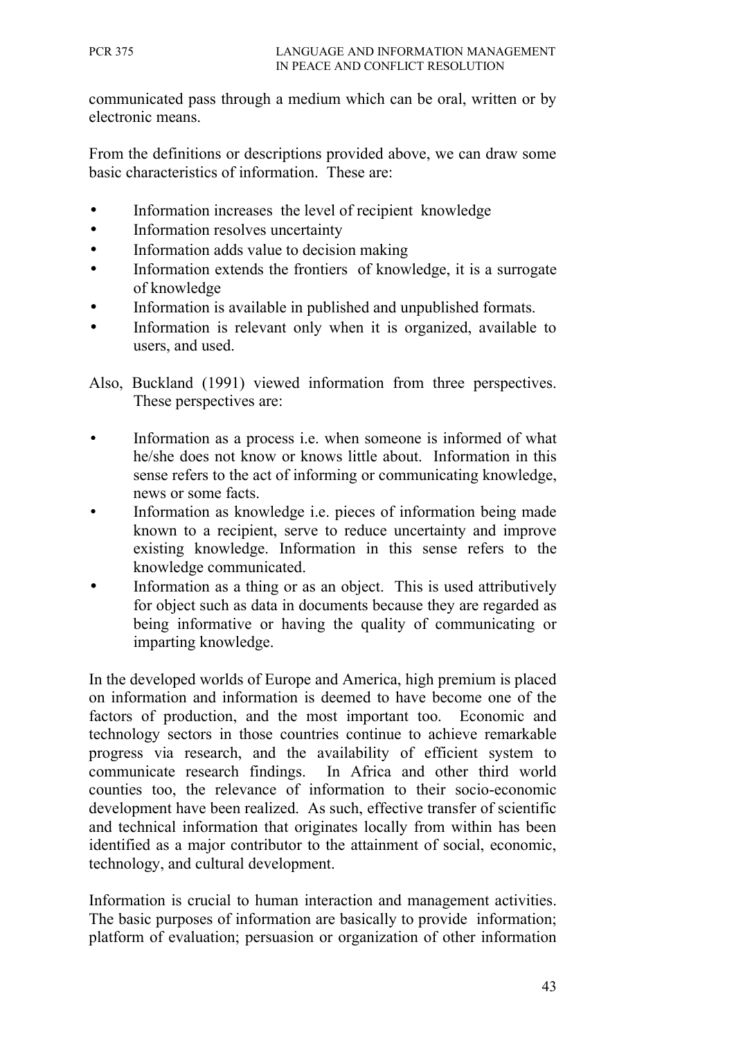communicated pass through a medium which can be oral, written or by electronic means.

From the definitions or descriptions provided above, we can draw some basic characteristics of information. These are:

- Information increases the level of recipient knowledge
- Information resolves uncertainty
- Information adds value to decision making
- Information extends the frontiers of knowledge, it is a surrogate of knowledge
- Information is available in published and unpublished formats.
- Information is relevant only when it is organized, available to users, and used.

Also, Buckland (1991) viewed information from three perspectives. These perspectives are:

- Information as a process i.e. when someone is informed of what he/she does not know or knows little about. Information in this sense refers to the act of informing or communicating knowledge, news or some facts.
- Information as knowledge *i.e.* pieces of information being made known to a recipient, serve to reduce uncertainty and improve existing knowledge. Information in this sense refers to the knowledge communicated.
- Information as a thing or as an object. This is used attributively for object such as data in documents because they are regarded as being informative or having the quality of communicating or imparting knowledge.

In the developed worlds of Europe and America, high premium is placed on information and information is deemed to have become one of the factors of production, and the most important too. Economic and technology sectors in those countries continue to achieve remarkable progress via research, and the availability of efficient system to communicate research findings. In Africa and other third world counties too, the relevance of information to their socio-economic development have been realized. As such, effective transfer of scientific and technical information that originates locally from within has been identified as a major contributor to the attainment of social, economic, technology, and cultural development.

Information is crucial to human interaction and management activities. The basic purposes of information are basically to provide information; platform of evaluation; persuasion or organization of other information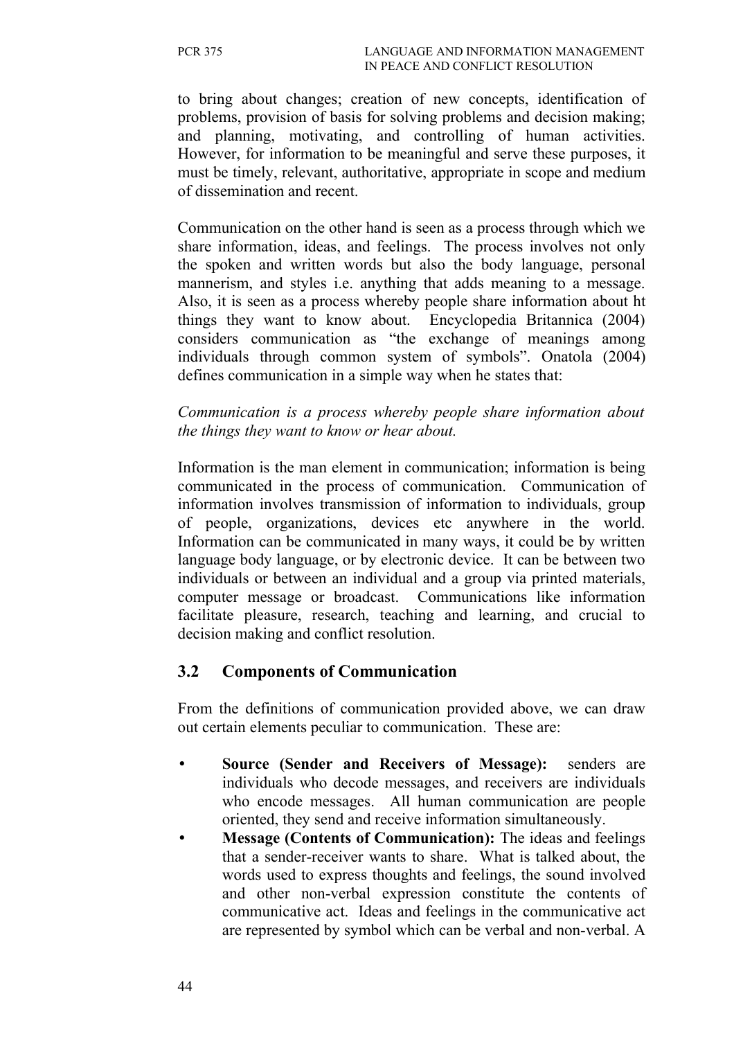to bring about changes; creation of new concepts, identification of problems, provision of basis for solving problems and decision making; and planning, motivating, and controlling of human activities. However, for information to be meaningful and serve these purposes, it must be timely, relevant, authoritative, appropriate in scope and medium of dissemination and recent.

Communication on the other hand is seen as a process through which we share information, ideas, and feelings. The process involves not only the spoken and written words but also the body language, personal mannerism, and styles i.e. anything that adds meaning to a message. Also, it is seen as a process whereby people share information about ht things they want to know about. Encyclopedia Britannica (2004) considers communication as "the exchange of meanings among individuals through common system of symbols". Onatola (2004) defines communication in a simple way when he states that:

*Communication is a process whereby people share information about the things they want to know or hear about.*

Information is the man element in communication; information is being communicated in the process of communication. Communication of information involves transmission of information to individuals, group of people, organizations, devices etc anywhere in the world. Information can be communicated in many ways, it could be by written language body language, or by electronic device. It can be between two individuals or between an individual and a group via printed materials, computer message or broadcast. Communications like information facilitate pleasure, research, teaching and learning, and crucial to decision making and conflict resolution.

### **3.2 Components of Communication**

From the definitions of communication provided above, we can draw out certain elements peculiar to communication. These are:

- **Source (Sender and Receivers of Message):** senders are individuals who decode messages, and receivers are individuals who encode messages. All human communication are people oriented, they send and receive information simultaneously.
- **Message (Contents of Communication):** The ideas and feelings that a sender-receiver wants to share. What is talked about, the words used to express thoughts and feelings, the sound involved and other non-verbal expression constitute the contents of communicative act. Ideas and feelings in the communicative act are represented by symbol which can be verbal and non-verbal. A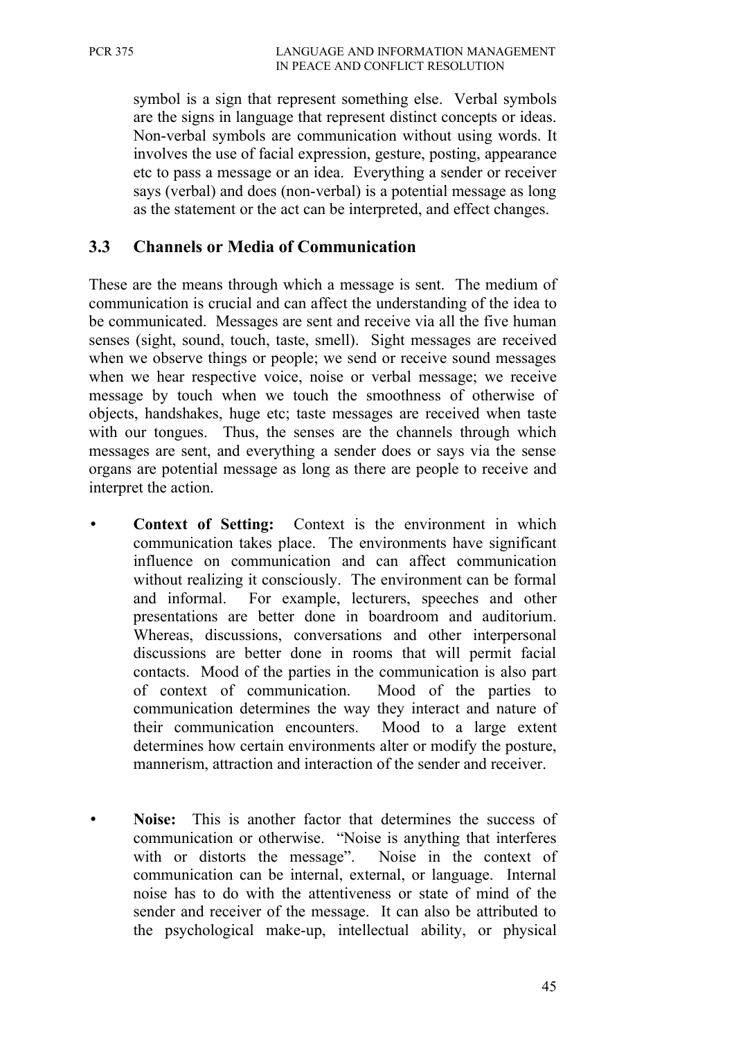symbol is a sign that represent something else. Verbal symbols are the signs in language that represent distinct concepts or ideas. Non-verbal symbols are communication without using words. It involves the use of facial expression, gesture, posting, appearance etc to pass a message or an idea. Everything a sender or receiver says (verbal) and does (non-verbal) is a potential message as long as the statement or the act can be interpreted, and effect changes.

## **3.3 Channels or Media of Communication**

These are the means through which a message is sent. The medium of communication is crucial and can affect the understanding of the idea to be communicated. Messages are sent and receive via all the five human senses (sight, sound, touch, taste, smell). Sight messages are received when we observe things or people; we send or receive sound messages when we hear respective voice, noise or verbal message; we receive message by touch when we touch the smoothness of otherwise of objects, handshakes, huge etc; taste messages are received when taste with our tongues. Thus, the senses are the channels through which messages are sent, and everything a sender does or says via the sense organs are potential message as long as there are people to receive and interpret the action.

- **Context of Setting:** Context is the environment in which communication takes place. The environments have significant influence on communication and can affect communication without realizing it consciously. The environment can be formal and informal. For example, lecturers, speeches and other presentations are better done in boardroom and auditorium. Whereas, discussions, conversations and other interpersonal discussions are better done in rooms that will permit facial contacts. Mood of the parties in the communication is also part of context of communication. Mood of the parties to communication determines the way they interact and nature of their communication encounters. Mood to a large extent determines how certain environments alter or modify the posture, mannerism, attraction and interaction of the sender and receiver.
- **Noise:** This is another factor that determines the success of communication or otherwise. "Noise is anything that interferes with or distorts the message". Noise in the context of communication can be internal, external, or language. Internal noise has to do with the attentiveness or state of mind of the sender and receiver of the message. It can also be attributed to the psychological make-up, intellectual ability, or physical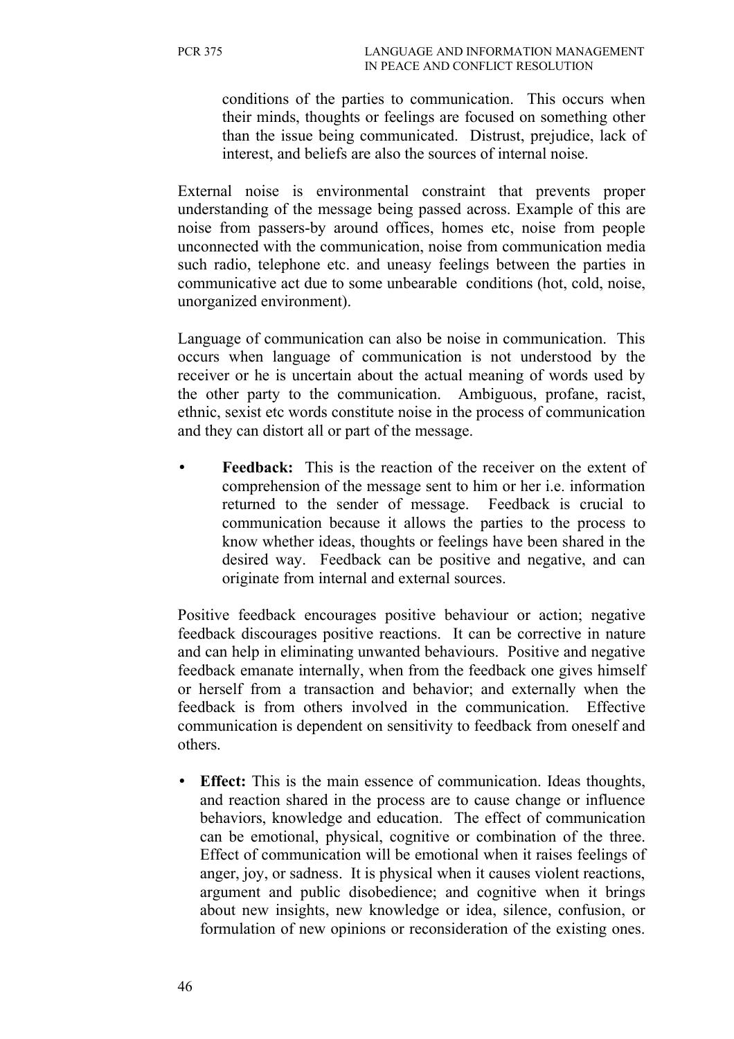conditions of the parties to communication. This occurs when their minds, thoughts or feelings are focused on something other than the issue being communicated. Distrust, prejudice, lack of interest, and beliefs are also the sources of internal noise.

External noise is environmental constraint that prevents proper understanding of the message being passed across. Example of this are noise from passers-by around offices, homes etc, noise from people unconnected with the communication, noise from communication media such radio, telephone etc. and uneasy feelings between the parties in communicative act due to some unbearable conditions (hot, cold, noise, unorganized environment).

Language of communication can also be noise in communication. This occurs when language of communication is not understood by the receiver or he is uncertain about the actual meaning of words used by the other party to the communication. Ambiguous, profane, racist, ethnic, sexist etc words constitute noise in the process of communication and they can distort all or part of the message.

**Feedback:** This is the reaction of the receiver on the extent of comprehension of the message sent to him or her i.e. information returned to the sender of message. Feedback is crucial to communication because it allows the parties to the process to know whether ideas, thoughts or feelings have been shared in the desired way. Feedback can be positive and negative, and can originate from internal and external sources.

Positive feedback encourages positive behaviour or action; negative feedback discourages positive reactions. It can be corrective in nature and can help in eliminating unwanted behaviours. Positive and negative feedback emanate internally, when from the feedback one gives himself or herself from a transaction and behavior; and externally when the feedback is from others involved in the communication. Effective communication is dependent on sensitivity to feedback from oneself and others.

• **Effect:** This is the main essence of communication. Ideas thoughts, and reaction shared in the process are to cause change or influence behaviors, knowledge and education. The effect of communication can be emotional, physical, cognitive or combination of the three. Effect of communication will be emotional when it raises feelings of anger, joy, or sadness. It is physical when it causes violent reactions, argument and public disobedience; and cognitive when it brings about new insights, new knowledge or idea, silence, confusion, or formulation of new opinions or reconsideration of the existing ones.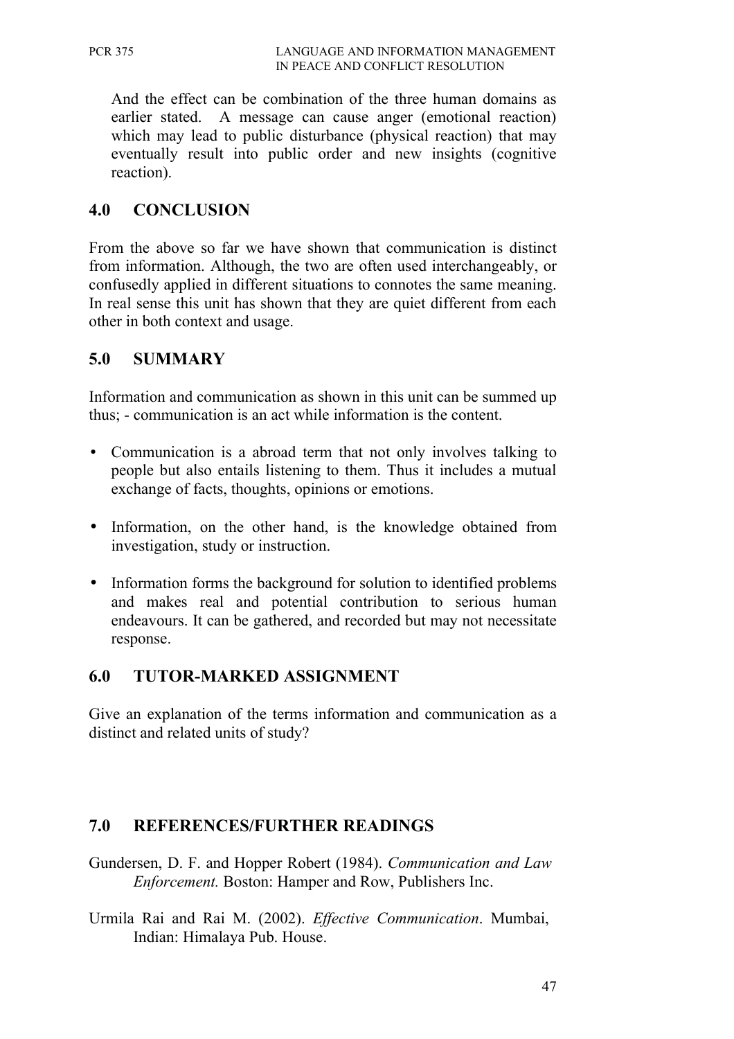And the effect can be combination of the three human domains as earlier stated. A message can cause anger (emotional reaction) which may lead to public disturbance (physical reaction) that may eventually result into public order and new insights (cognitive reaction).

## **4.0 CONCLUSION**

From the above so far we have shown that communication is distinct from information. Although, the two are often used interchangeably, or confusedly applied in different situations to connotes the same meaning. In real sense this unit has shown that they are quiet different from each other in both context and usage.

## **5.0 SUMMARY**

Information and communication as shown in this unit can be summed up thus; - communication is an act while information is the content.

- Communication is a abroad term that not only involves talking to people but also entails listening to them. Thus it includes a mutual exchange of facts, thoughts, opinions or emotions.
- Information, on the other hand, is the knowledge obtained from investigation, study or instruction.
- Information forms the background for solution to identified problems and makes real and potential contribution to serious human endeavours. It can be gathered, and recorded but may not necessitate response.

## **6.0 TUTOR-MARKED ASSIGNMENT**

Give an explanation of the terms information and communication as a distinct and related units of study?

### **7.0 REFERENCES/FURTHER READINGS**

- Gundersen, D. F. and Hopper Robert (1984). *Communication and Law Enforcement.* Boston: Hamper and Row, Publishers Inc.
- Urmila Rai and Rai M. (2002). *Effective Communication*. Mumbai, Indian: Himalaya Pub. House.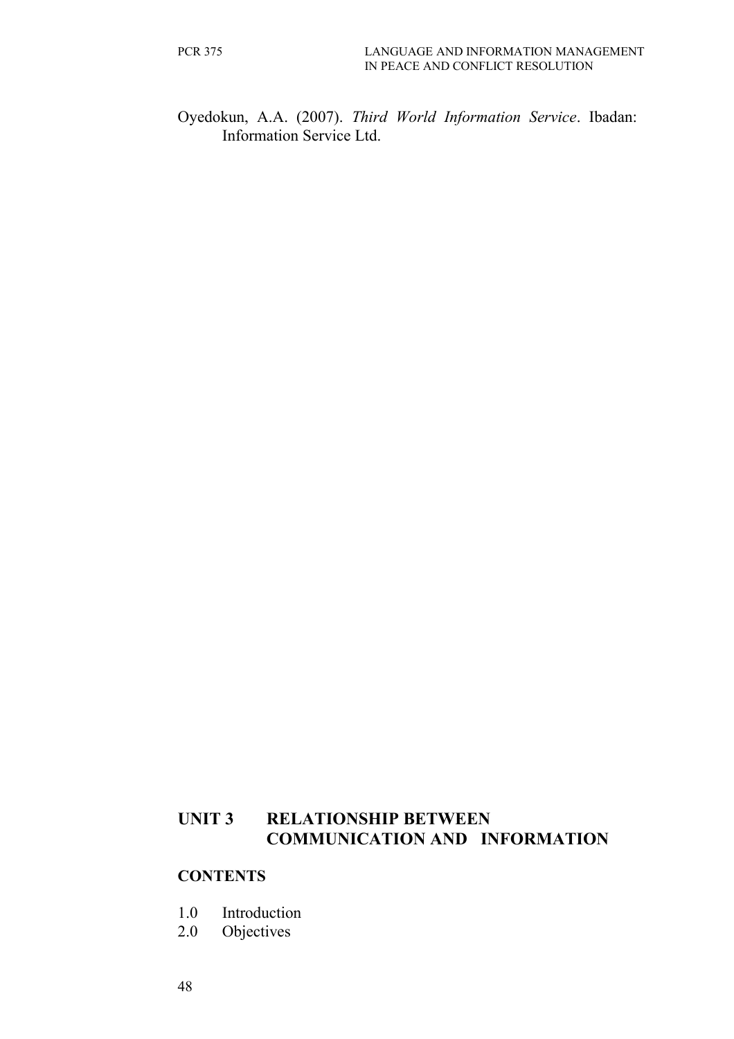Oyedokun, A.A. (2007). *Third World Information Service*. Ibadan: Information Service Ltd.

## **UNIT 3 RELATIONSHIP BETWEEN COMMUNICATION AND INFORMATION**

#### **CONTENTS**

- 1.0 Introduction
- 2.0 Objectives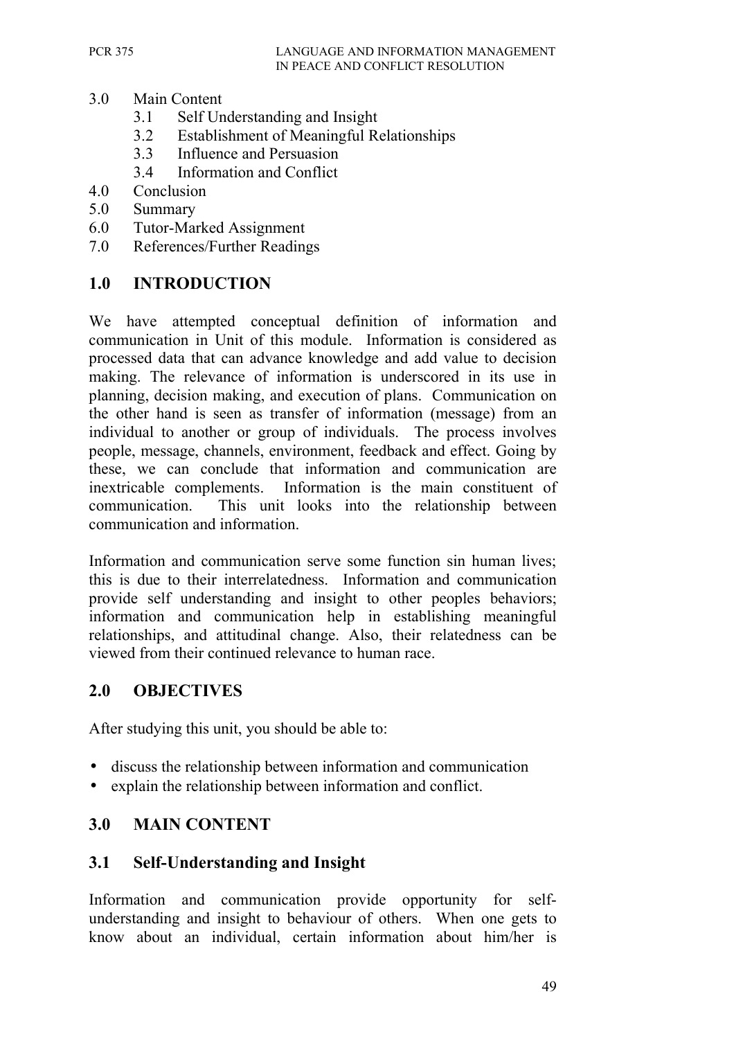- 3.0 Main Content
	- 3.1 Self Understanding and Insight
	- 3.2 Establishment of Meaningful Relationships
	- 3.3 Influence and Persuasion
	- 3.4 Information and Conflict
- 4.0 Conclusion
- 5.0 Summary
- 6.0 Tutor-Marked Assignment
- 7.0 References/Further Readings

## **1.0 INTRODUCTION**

We have attempted conceptual definition of information and communication in Unit of this module. Information is considered as processed data that can advance knowledge and add value to decision making. The relevance of information is underscored in its use in planning, decision making, and execution of plans. Communication on the other hand is seen as transfer of information (message) from an individual to another or group of individuals. The process involves people, message, channels, environment, feedback and effect. Going by these, we can conclude that information and communication are inextricable complements. Information is the main constituent of communication. This unit looks into the relationship between communication and information.

Information and communication serve some function sin human lives; this is due to their interrelatedness. Information and communication provide self understanding and insight to other peoples behaviors; information and communication help in establishing meaningful relationships, and attitudinal change. Also, their relatedness can be viewed from their continued relevance to human race.

### **2.0 OBJECTIVES**

After studying this unit, you should be able to:

- discuss the relationship between information and communication
- explain the relationship between information and conflict.

### **3.0 MAIN CONTENT**

### **3.1 Self-Understanding and Insight**

Information and communication provide opportunity for selfunderstanding and insight to behaviour of others. When one gets to know about an individual, certain information about him/her is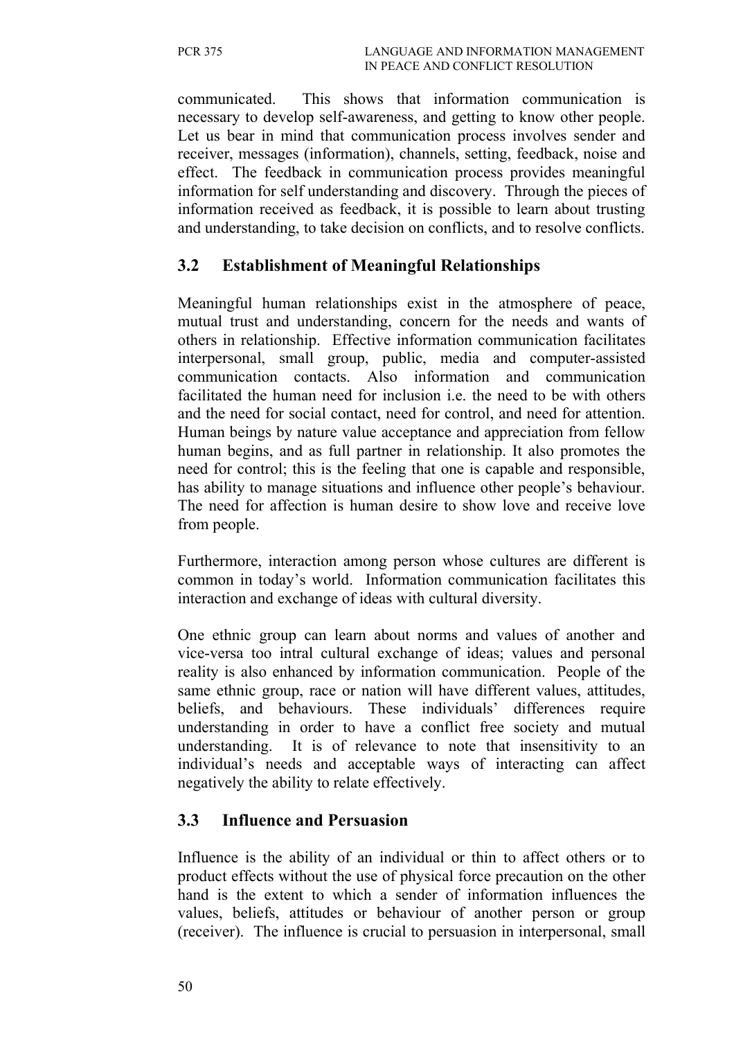communicated. This shows that information communication is necessary to develop self-awareness, and getting to know other people. Let us bear in mind that communication process involves sender and receiver, messages (information), channels, setting, feedback, noise and effect. The feedback in communication process provides meaningful information for self understanding and discovery. Through the pieces of information received as feedback, it is possible to learn about trusting and understanding, to take decision on conflicts, and to resolve conflicts.

### **3.2 Establishment of Meaningful Relationships**

Meaningful human relationships exist in the atmosphere of peace, mutual trust and understanding, concern for the needs and wants of others in relationship. Effective information communication facilitates interpersonal, small group, public, media and computer-assisted communication contacts. Also information and communication facilitated the human need for inclusion i.e. the need to be with others and the need for social contact, need for control, and need for attention. Human beings by nature value acceptance and appreciation from fellow human begins, and as full partner in relationship. It also promotes the need for control; this is the feeling that one is capable and responsible, has ability to manage situations and influence other people's behaviour. The need for affection is human desire to show love and receive love from people.

Furthermore, interaction among person whose cultures are different is common in today's world. Information communication facilitates this interaction and exchange of ideas with cultural diversity.

One ethnic group can learn about norms and values of another and vice-versa too intral cultural exchange of ideas; values and personal reality is also enhanced by information communication. People of the same ethnic group, race or nation will have different values, attitudes, beliefs, and behaviours. These individuals' differences require understanding in order to have a conflict free society and mutual understanding. It is of relevance to note that insensitivity to an individual's needs and acceptable ways of interacting can affect negatively the ability to relate effectively.

### **3.3 Influence and Persuasion**

Influence is the ability of an individual or thin to affect others or to product effects without the use of physical force precaution on the other hand is the extent to which a sender of information influences the values, beliefs, attitudes or behaviour of another person or group (receiver). The influence is crucial to persuasion in interpersonal, small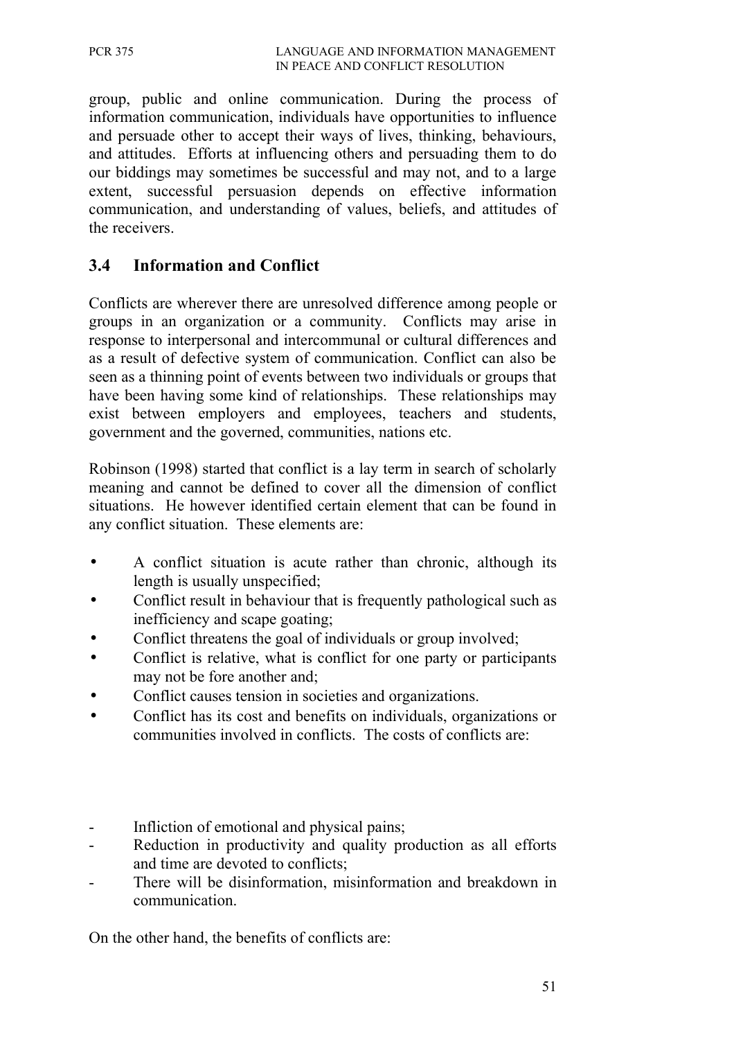group, public and online communication. During the process of information communication, individuals have opportunities to influence and persuade other to accept their ways of lives, thinking, behaviours, and attitudes. Efforts at influencing others and persuading them to do our biddings may sometimes be successful and may not, and to a large extent, successful persuasion depends on effective information communication, and understanding of values, beliefs, and attitudes of the receivers.

## **3.4 Information and Conflict**

Conflicts are wherever there are unresolved difference among people or groups in an organization or a community. Conflicts may arise in response to interpersonal and intercommunal or cultural differences and as a result of defective system of communication. Conflict can also be seen as a thinning point of events between two individuals or groups that have been having some kind of relationships. These relationships may exist between employers and employees, teachers and students, government and the governed, communities, nations etc.

Robinson (1998) started that conflict is a lay term in search of scholarly meaning and cannot be defined to cover all the dimension of conflict situations. He however identified certain element that can be found in any conflict situation. These elements are:

- A conflict situation is acute rather than chronic, although its length is usually unspecified;
- Conflict result in behaviour that is frequently pathological such as inefficiency and scape goating;
- Conflict threatens the goal of individuals or group involved;
- Conflict is relative, what is conflict for one party or participants may not be fore another and;
- Conflict causes tension in societies and organizations.
- Conflict has its cost and benefits on individuals, organizations or communities involved in conflicts. The costs of conflicts are:
- Infliction of emotional and physical pains;
- Reduction in productivity and quality production as all efforts and time are devoted to conflicts;
- There will be disinformation, misinformation and breakdown in communication.

On the other hand, the benefits of conflicts are: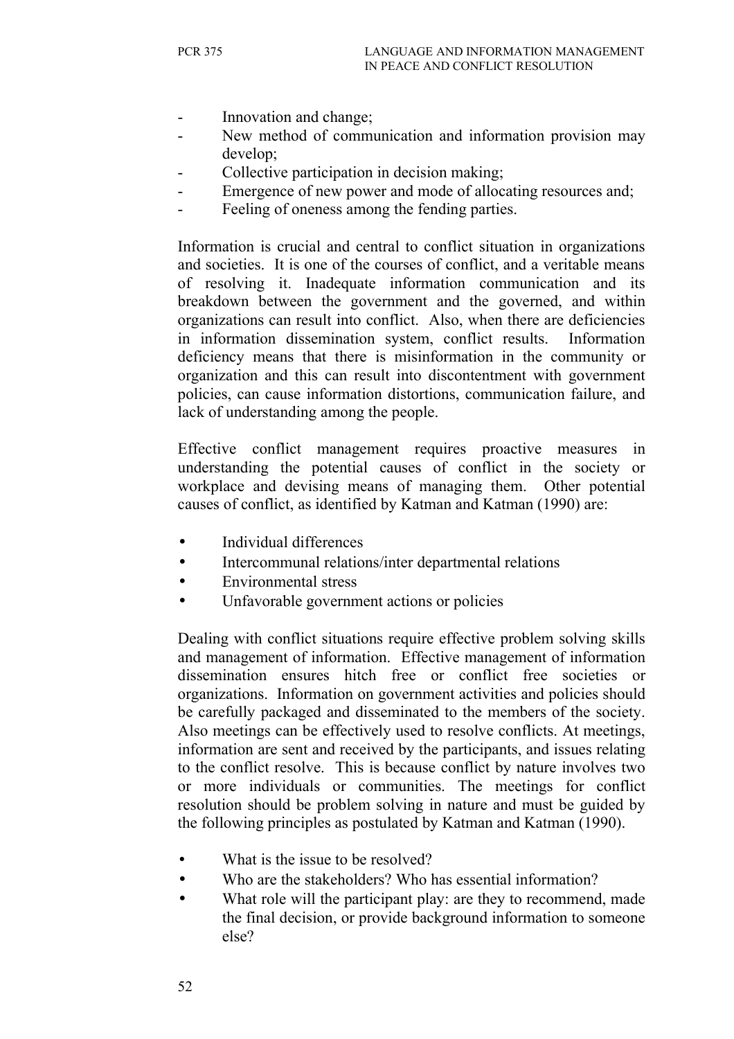- Innovation and change;
- New method of communication and information provision may develop;
- Collective participation in decision making;
- Emergence of new power and mode of allocating resources and;
- Feeling of oneness among the fending parties.

Information is crucial and central to conflict situation in organizations and societies. It is one of the courses of conflict, and a veritable means of resolving it. Inadequate information communication and its breakdown between the government and the governed, and within organizations can result into conflict. Also, when there are deficiencies in information dissemination system, conflict results. Information deficiency means that there is misinformation in the community or organization and this can result into discontentment with government policies, can cause information distortions, communication failure, and lack of understanding among the people.

Effective conflict management requires proactive measures in understanding the potential causes of conflict in the society or workplace and devising means of managing them. Other potential causes of conflict, as identified by Katman and Katman (1990) are:

- Individual differences
- Intercommunal relations/inter departmental relations
- Environmental stress
- Unfavorable government actions or policies

Dealing with conflict situations require effective problem solving skills and management of information. Effective management of information dissemination ensures hitch free or conflict free societies or organizations. Information on government activities and policies should be carefully packaged and disseminated to the members of the society. Also meetings can be effectively used to resolve conflicts. At meetings, information are sent and received by the participants, and issues relating to the conflict resolve. This is because conflict by nature involves two or more individuals or communities. The meetings for conflict resolution should be problem solving in nature and must be guided by the following principles as postulated by Katman and Katman (1990).

- What is the issue to be resolved?
- Who are the stakeholders? Who has essential information?
- What role will the participant play: are they to recommend, made the final decision, or provide background information to someone else?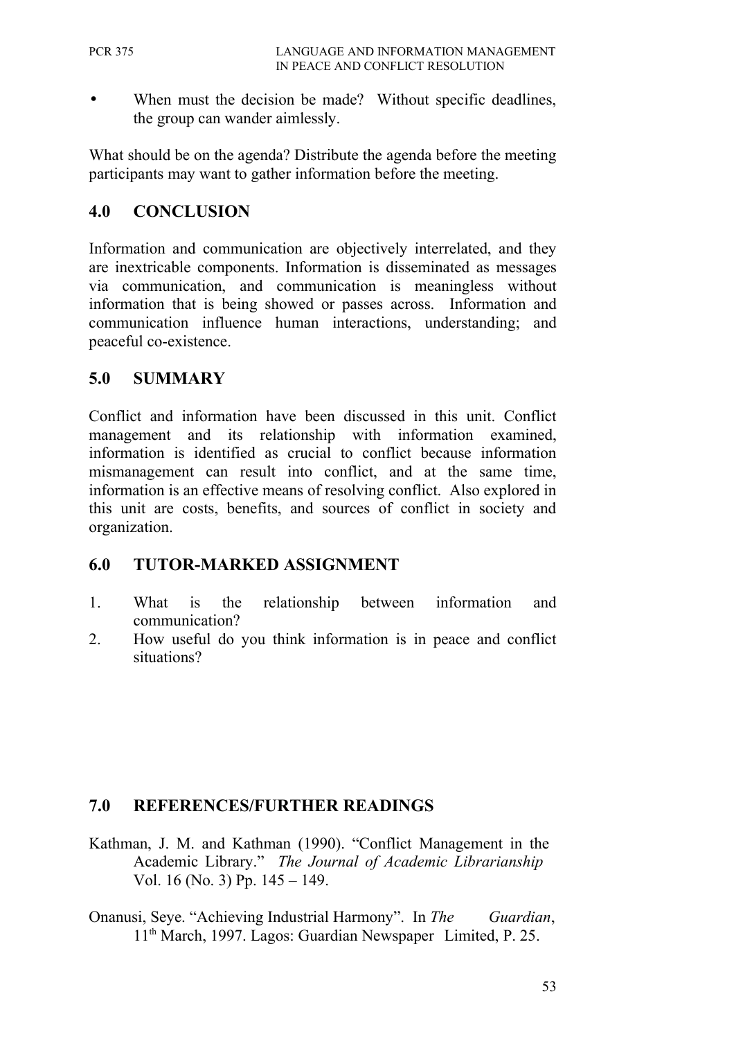When must the decision be made? Without specific deadlines, the group can wander aimlessly.

What should be on the agenda? Distribute the agenda before the meeting participants may want to gather information before the meeting.

## **4.0 CONCLUSION**

Information and communication are objectively interrelated, and they are inextricable components. Information is disseminated as messages via communication, and communication is meaningless without information that is being showed or passes across. Information and communication influence human interactions, understanding; and peaceful co-existence.

### **5.0 SUMMARY**

Conflict and information have been discussed in this unit. Conflict management and its relationship with information examined, information is identified as crucial to conflict because information mismanagement can result into conflict, and at the same time, information is an effective means of resolving conflict. Also explored in this unit are costs, benefits, and sources of conflict in society and organization.

### **6.0 TUTOR-MARKED ASSIGNMENT**

- 1. What is the relationship between information and communication?
- 2. How useful do you think information is in peace and conflict situations?

### **7.0 REFERENCES/FURTHER READINGS**

- Kathman, J. M. and Kathman (1990). "Conflict Management in the Academic Library." *The Journal of Academic Librarianship* Vol. 16 (No. 3) Pp. 145 – 149.
- Onanusi, Seye. "Achieving Industrial Harmony". In *The Guardian*, 11th March, 1997. Lagos: Guardian Newspaper Limited, P. 25.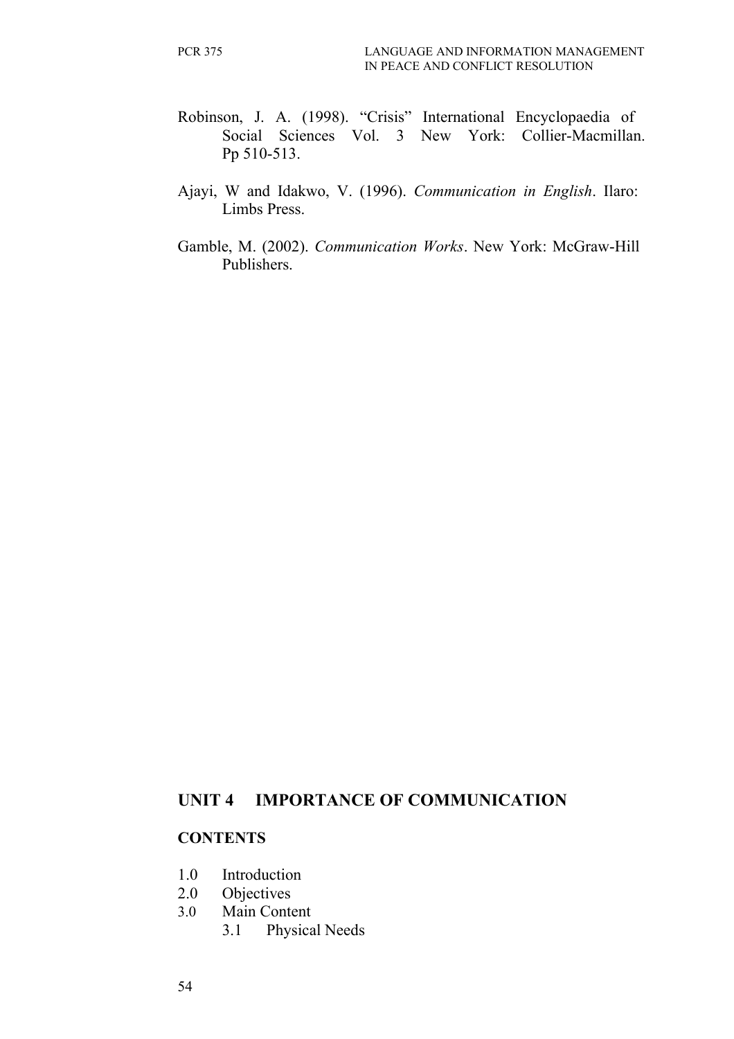- Robinson, J. A. (1998). "Crisis" International Encyclopaedia of Social Sciences Vol. 3 New York: Collier-Macmillan. Pp 510-513.
- Ajayi, W and Idakwo, V. (1996). *Communication in English*. Ilaro: Limbs Press.
- Gamble, M. (2002). *Communication Works*. New York: McGraw-Hill Publishers.

#### **UNIT 4 IMPORTANCE OF COMMUNICATION**

#### **CONTENTS**

- 1.0 Introduction
- 2.0 Objectives
- 3.0 Main Content
	- 3.1 Physical Needs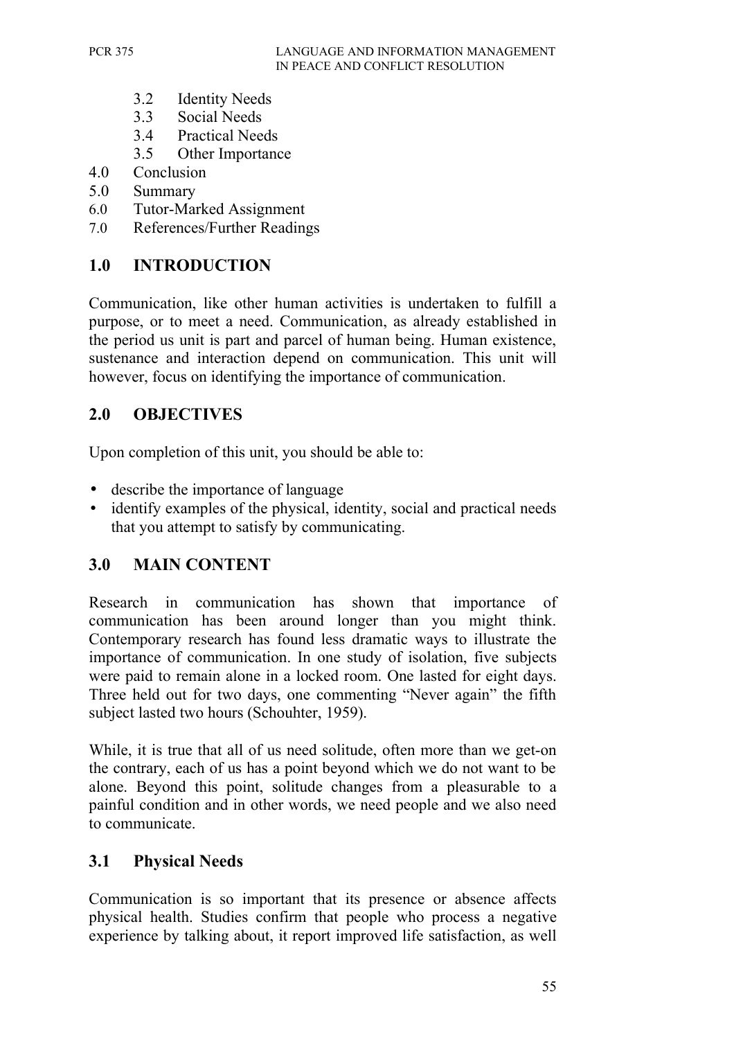- 3.2 Identity Needs
- 3.3 Social Needs
- 3.4 Practical Needs
- 3.5 Other Importance
- 4.0 Conclusion
- 5.0 Summary
- 6.0 Tutor-Marked Assignment
- 7.0 References/Further Readings

## **1.0 INTRODUCTION**

Communication, like other human activities is undertaken to fulfill a purpose, or to meet a need. Communication, as already established in the period us unit is part and parcel of human being. Human existence, sustenance and interaction depend on communication. This unit will however, focus on identifying the importance of communication.

## **2.0 OBJECTIVES**

Upon completion of this unit, you should be able to:

- describe the importance of language
- identify examples of the physical, identity, social and practical needs that you attempt to satisfy by communicating.

## **3.0 MAIN CONTENT**

Research in communication has shown that importance of communication has been around longer than you might think. Contemporary research has found less dramatic ways to illustrate the importance of communication. In one study of isolation, five subjects were paid to remain alone in a locked room. One lasted for eight days. Three held out for two days, one commenting "Never again" the fifth subject lasted two hours (Schouhter, 1959).

While, it is true that all of us need solitude, often more than we get-on the contrary, each of us has a point beyond which we do not want to be alone. Beyond this point, solitude changes from a pleasurable to a painful condition and in other words, we need people and we also need to communicate.

### **3.1 Physical Needs**

Communication is so important that its presence or absence affects physical health. Studies confirm that people who process a negative experience by talking about, it report improved life satisfaction, as well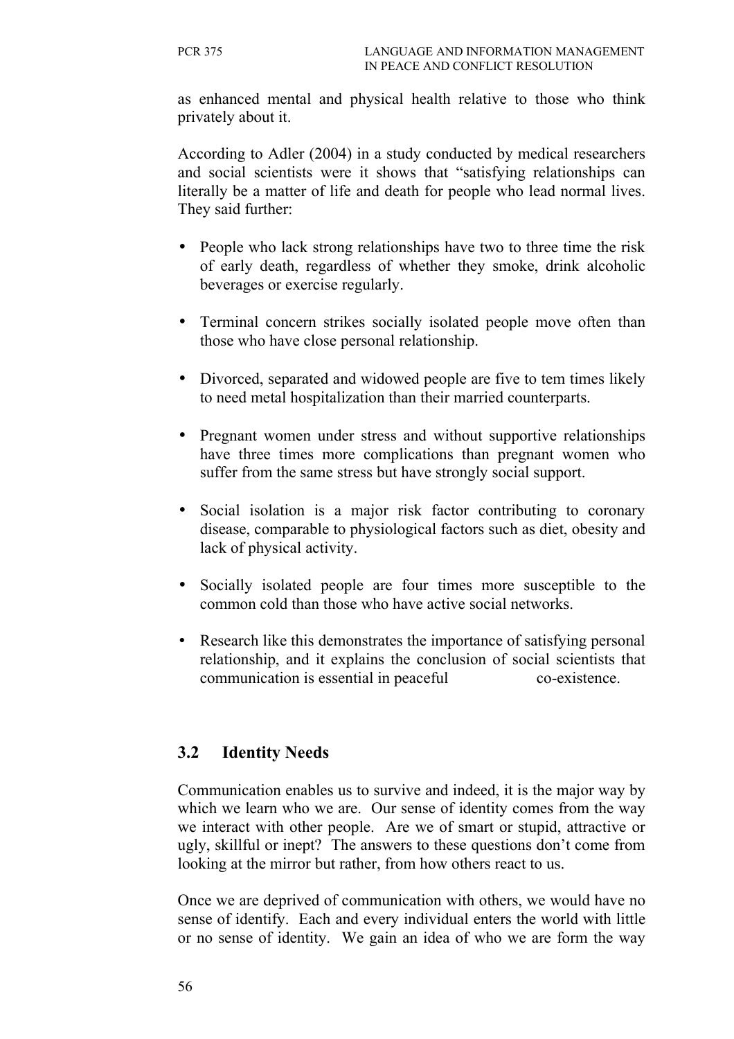as enhanced mental and physical health relative to those who think privately about it.

According to Adler (2004) in a study conducted by medical researchers and social scientists were it shows that "satisfying relationships can literally be a matter of life and death for people who lead normal lives. They said further:

- People who lack strong relationships have two to three time the risk of early death, regardless of whether they smoke, drink alcoholic beverages or exercise regularly.
- Terminal concern strikes socially isolated people move often than those who have close personal relationship.
- Divorced, separated and widowed people are five to tem times likely to need metal hospitalization than their married counterparts.
- Pregnant women under stress and without supportive relationships have three times more complications than pregnant women who suffer from the same stress but have strongly social support.
- Social isolation is a major risk factor contributing to coronary disease, comparable to physiological factors such as diet, obesity and lack of physical activity.
- Socially isolated people are four times more susceptible to the common cold than those who have active social networks.
- Research like this demonstrates the importance of satisfying personal relationship, and it explains the conclusion of social scientists that communication is essential in peaceful co-existence.

## **3.2 Identity Needs**

Communication enables us to survive and indeed, it is the major way by which we learn who we are. Our sense of identity comes from the way we interact with other people. Are we of smart or stupid, attractive or ugly, skillful or inept? The answers to these questions don't come from looking at the mirror but rather, from how others react to us.

Once we are deprived of communication with others, we would have no sense of identify. Each and every individual enters the world with little or no sense of identity. We gain an idea of who we are form the way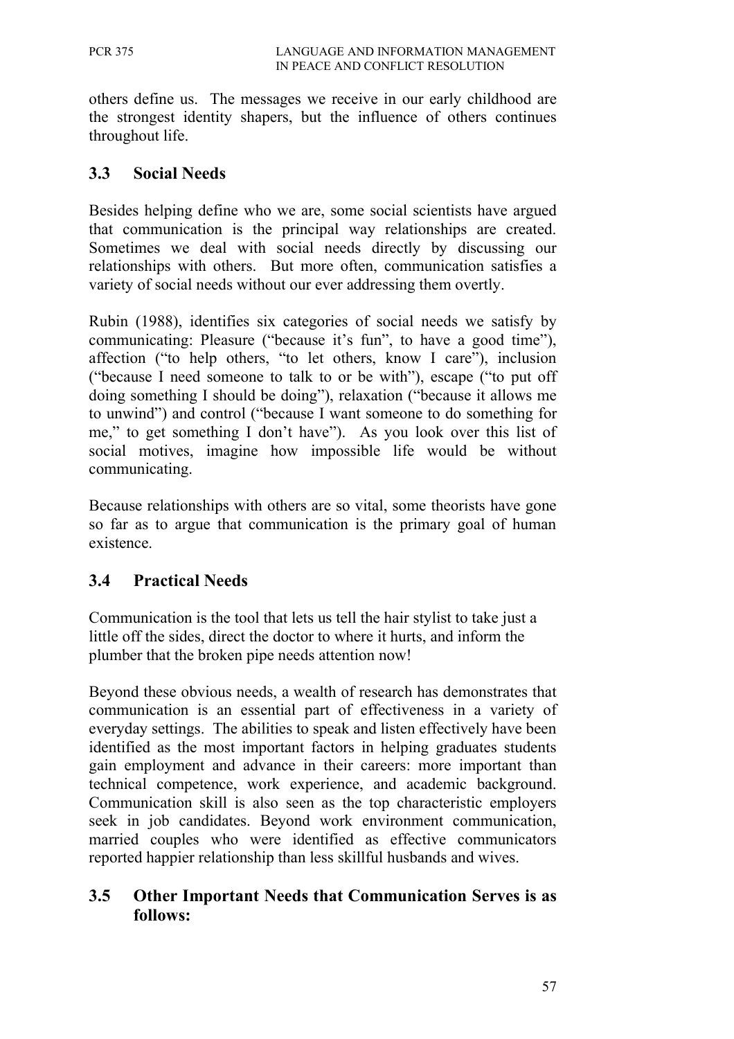others define us. The messages we receive in our early childhood are the strongest identity shapers, but the influence of others continues throughout life.

#### **3.3 Social Needs**

Besides helping define who we are, some social scientists have argued that communication is the principal way relationships are created. Sometimes we deal with social needs directly by discussing our relationships with others. But more often, communication satisfies a variety of social needs without our ever addressing them overtly.

Rubin (1988), identifies six categories of social needs we satisfy by communicating: Pleasure ("because it's fun", to have a good time"), affection ("to help others, "to let others, know I care"), inclusion ("because I need someone to talk to or be with"), escape ("to put off doing something I should be doing"), relaxation ("because it allows me to unwind") and control ("because I want someone to do something for me," to get something I don't have"). As you look over this list of social motives, imagine how impossible life would be without communicating.

Because relationships with others are so vital, some theorists have gone so far as to argue that communication is the primary goal of human existence.

### **3.4 Practical Needs**

Communication is the tool that lets us tell the hair stylist to take just a little off the sides, direct the doctor to where it hurts, and inform the plumber that the broken pipe needs attention now!

Beyond these obvious needs, a wealth of research has demonstrates that communication is an essential part of effectiveness in a variety of everyday settings. The abilities to speak and listen effectively have been identified as the most important factors in helping graduates students gain employment and advance in their careers: more important than technical competence, work experience, and academic background. Communication skill is also seen as the top characteristic employers seek in job candidates. Beyond work environment communication, married couples who were identified as effective communicators reported happier relationship than less skillful husbands and wives.

### **3.5 Other Important Needs that Communication Serves is as follows:**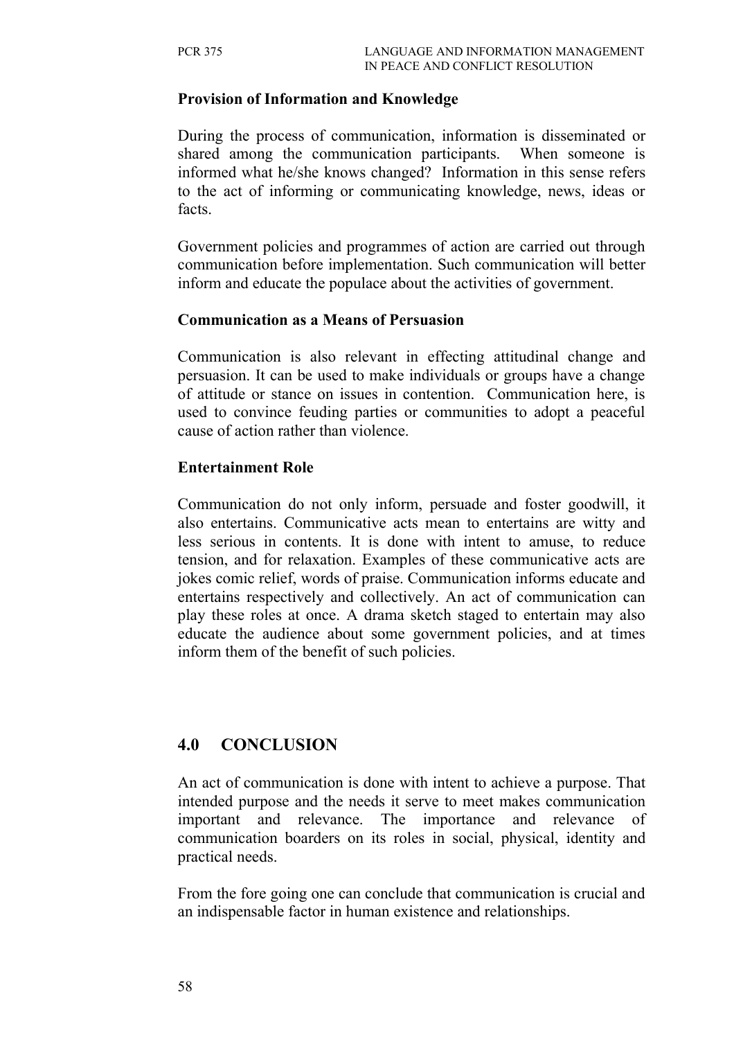#### **Provision of Information and Knowledge**

During the process of communication, information is disseminated or shared among the communication participants. When someone is informed what he/she knows changed? Information in this sense refers to the act of informing or communicating knowledge, news, ideas or facts.

Government policies and programmes of action are carried out through communication before implementation. Such communication will better inform and educate the populace about the activities of government.

#### **Communication as a Means of Persuasion**

Communication is also relevant in effecting attitudinal change and persuasion. It can be used to make individuals or groups have a change of attitude or stance on issues in contention. Communication here, is used to convince feuding parties or communities to adopt a peaceful cause of action rather than violence.

#### **Entertainment Role**

Communication do not only inform, persuade and foster goodwill, it also entertains. Communicative acts mean to entertains are witty and less serious in contents. It is done with intent to amuse, to reduce tension, and for relaxation. Examples of these communicative acts are jokes comic relief, words of praise. Communication informs educate and entertains respectively and collectively. An act of communication can play these roles at once. A drama sketch staged to entertain may also educate the audience about some government policies, and at times inform them of the benefit of such policies.

### **4.0 CONCLUSION**

An act of communication is done with intent to achieve a purpose. That intended purpose and the needs it serve to meet makes communication important and relevance. The importance and relevance of communication boarders on its roles in social, physical, identity and practical needs.

From the fore going one can conclude that communication is crucial and an indispensable factor in human existence and relationships.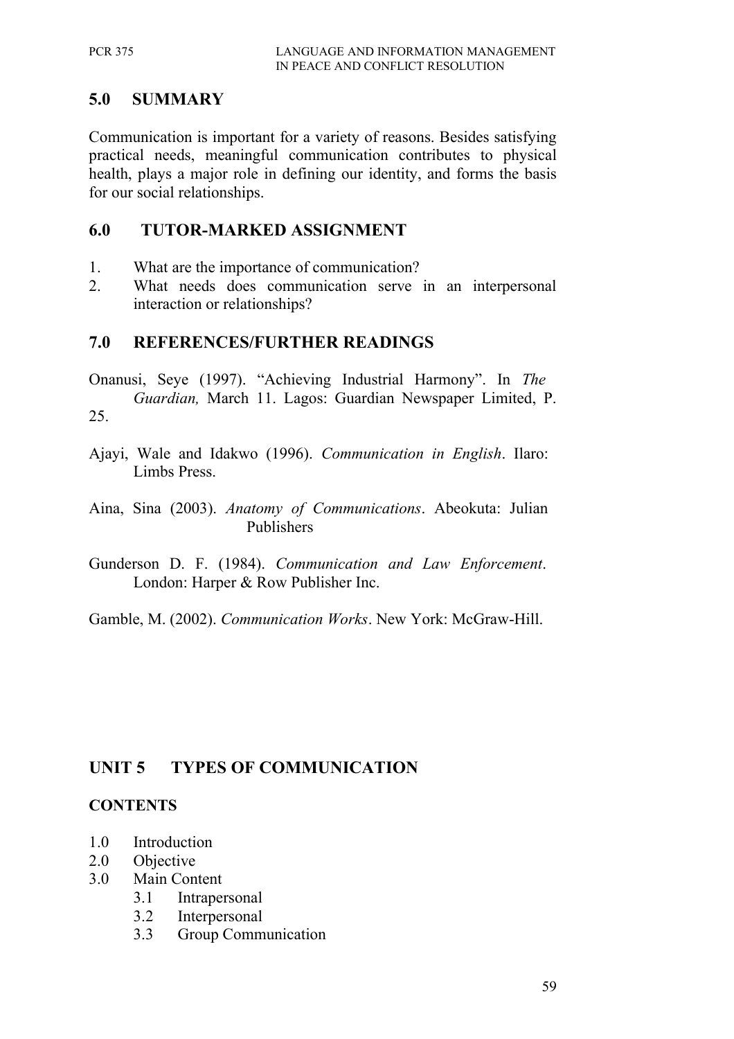## **5.0 SUMMARY**

Communication is important for a variety of reasons. Besides satisfying practical needs, meaningful communication contributes to physical health, plays a major role in defining our identity, and forms the basis for our social relationships.

### **6.0 TUTOR-MARKED ASSIGNMENT**

- 1. What are the importance of communication?
- 2. What needs does communication serve in an interpersonal interaction or relationships?

## **7.0 REFERENCES/FURTHER READINGS**

- Onanusi, Seye (1997). "Achieving Industrial Harmony". In *The Guardian,* March 11. Lagos: Guardian Newspaper Limited, P. 25.
- Ajayi, Wale and Idakwo (1996). *Communication in English*. Ilaro: Limbs Press.
- Aina, Sina (2003). *Anatomy of Communications*. Abeokuta: Julian Publishers
- Gunderson D. F. (1984). *Communication and Law Enforcement*. London: Harper & Row Publisher Inc.
- Gamble, M. (2002). *Communication Works*. New York: McGraw-Hill.

# **UNIT 5 TYPES OF COMMUNICATION**

### **CONTENTS**

- 1.0 Introduction
- 2.0 Objective
- 3.0 Main Content
	- 3.1 Intrapersonal
	- 3.2 Interpersonal
	- 3.3 Group Communication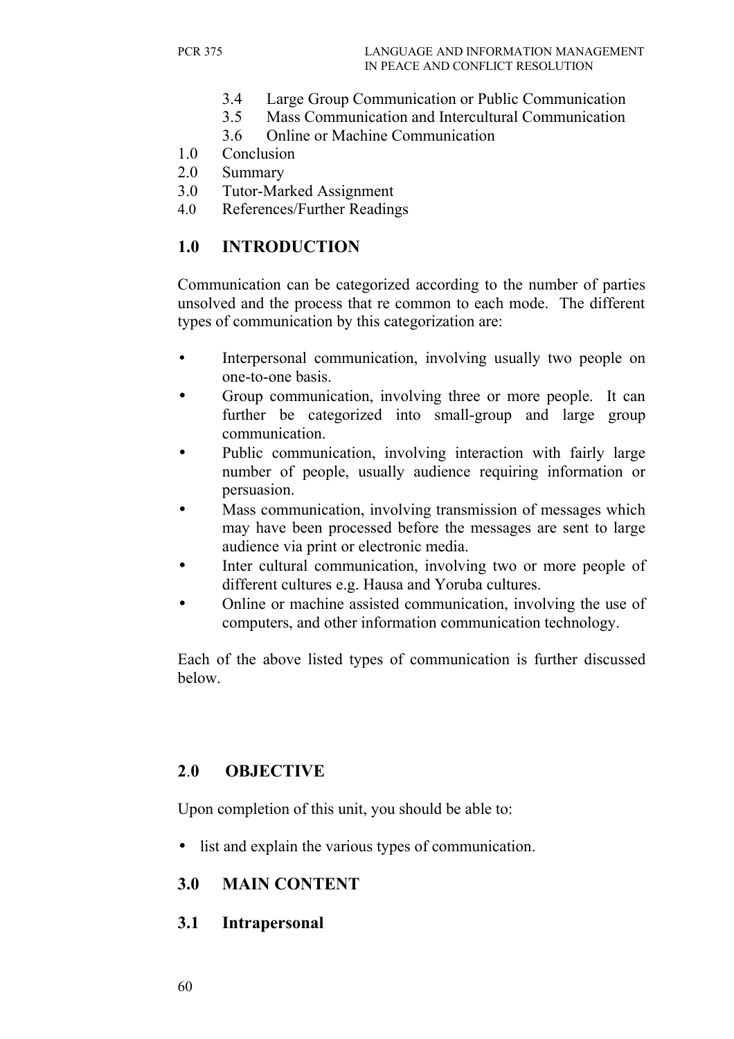- 3.4 Large Group Communication or Public Communication
- 3.5 Mass Communication and Intercultural Communication
- 3.6 Online or Machine Communication
- 1.0 Conclusion
- 2.0 Summary
- 3.0 Tutor-Marked Assignment
- 4.0 References/Further Readings

# **1.0 INTRODUCTION**

Communication can be categorized according to the number of parties unsolved and the process that re common to each mode. The different types of communication by this categorization are:

- Interpersonal communication, involving usually two people on one-to-one basis.
- Group communication, involving three or more people. It can further be categorized into small-group and large group communication.
- Public communication, involving interaction with fairly large number of people, usually audience requiring information or persuasion.
- Mass communication, involving transmission of messages which may have been processed before the messages are sent to large audience via print or electronic media.
- Inter cultural communication, involving two or more people of different cultures e.g. Hausa and Yoruba cultures.
- Online or machine assisted communication, involving the use of computers, and other information communication technology.

Each of the above listed types of communication is further discussed below.

# **2**.**0 OBJECTIVE**

Upon completion of this unit, you should be able to:

• list and explain the various types of communication.

### **3.0 MAIN CONTENT**

### **3.1 Intrapersonal**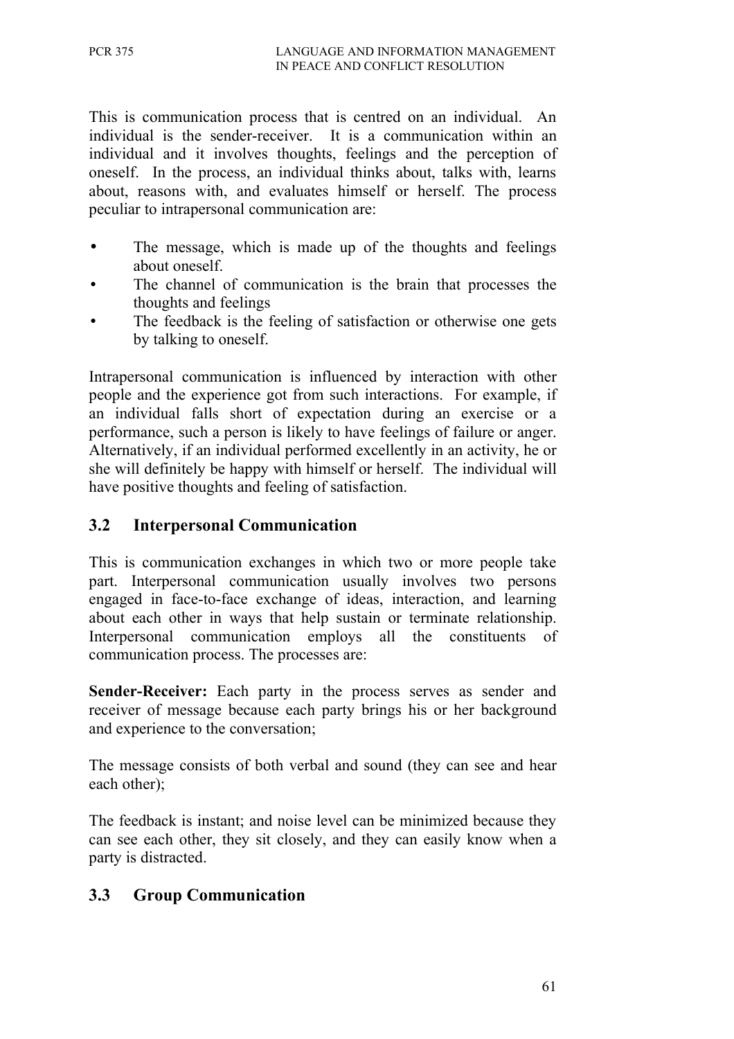This is communication process that is centred on an individual. An individual is the sender-receiver. It is a communication within an individual and it involves thoughts, feelings and the perception of oneself. In the process, an individual thinks about, talks with, learns about, reasons with, and evaluates himself or herself. The process peculiar to intrapersonal communication are:

- The message, which is made up of the thoughts and feelings about oneself.
- The channel of communication is the brain that processes the thoughts and feelings
- The feedback is the feeling of satisfaction or otherwise one gets by talking to oneself.

Intrapersonal communication is influenced by interaction with other people and the experience got from such interactions. For example, if an individual falls short of expectation during an exercise or a performance, such a person is likely to have feelings of failure or anger. Alternatively, if an individual performed excellently in an activity, he or she will definitely be happy with himself or herself. The individual will have positive thoughts and feeling of satisfaction.

# **3.2 Interpersonal Communication**

This is communication exchanges in which two or more people take part. Interpersonal communication usually involves two persons engaged in face-to-face exchange of ideas, interaction, and learning about each other in ways that help sustain or terminate relationship. Interpersonal communication employs all the constituents of communication process. The processes are:

**Sender-Receiver:** Each party in the process serves as sender and receiver of message because each party brings his or her background and experience to the conversation;

The message consists of both verbal and sound (they can see and hear each other);

The feedback is instant; and noise level can be minimized because they can see each other, they sit closely, and they can easily know when a party is distracted.

### **3.3 Group Communication**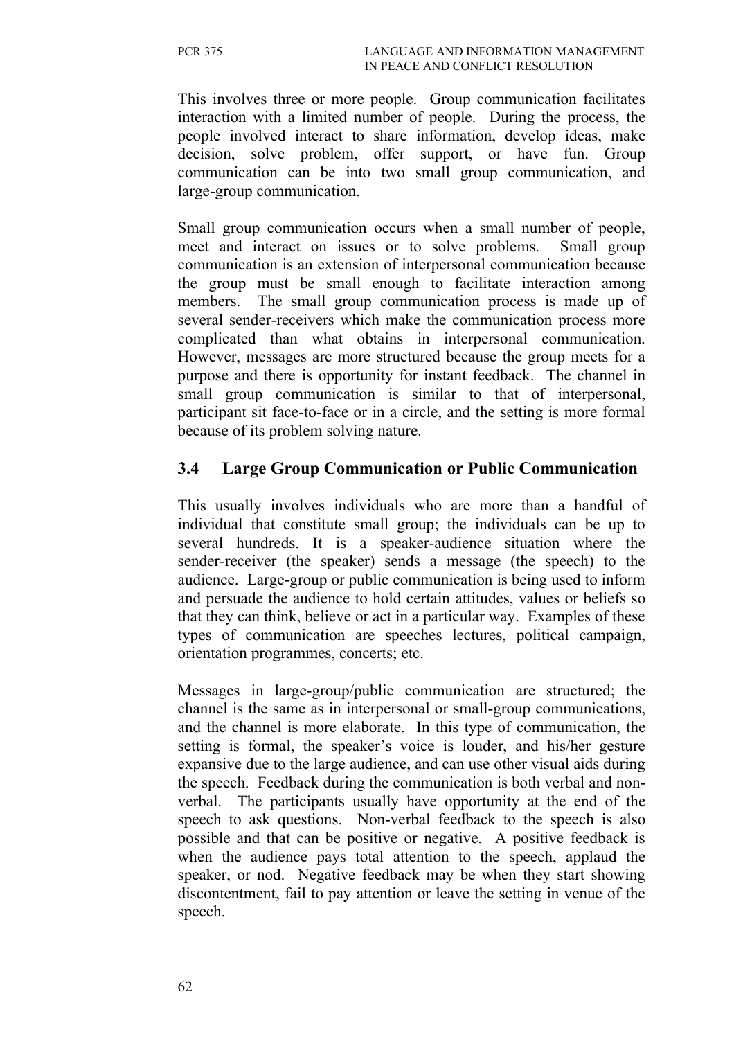This involves three or more people. Group communication facilitates interaction with a limited number of people. During the process, the people involved interact to share information, develop ideas, make decision, solve problem, offer support, or have fun. Group communication can be into two small group communication, and large-group communication.

Small group communication occurs when a small number of people, meet and interact on issues or to solve problems. Small group communication is an extension of interpersonal communication because the group must be small enough to facilitate interaction among members. The small group communication process is made up of several sender-receivers which make the communication process more complicated than what obtains in interpersonal communication. However, messages are more structured because the group meets for a purpose and there is opportunity for instant feedback. The channel in small group communication is similar to that of interpersonal, participant sit face-to-face or in a circle, and the setting is more formal because of its problem solving nature.

### **3.4 Large Group Communication or Public Communication**

This usually involves individuals who are more than a handful of individual that constitute small group; the individuals can be up to several hundreds. It is a speaker-audience situation where the sender-receiver (the speaker) sends a message (the speech) to the audience. Large-group or public communication is being used to inform and persuade the audience to hold certain attitudes, values or beliefs so that they can think, believe or act in a particular way. Examples of these types of communication are speeches lectures, political campaign, orientation programmes, concerts; etc.

Messages in large-group/public communication are structured; the channel is the same as in interpersonal or small-group communications, and the channel is more elaborate. In this type of communication, the setting is formal, the speaker's voice is louder, and his/her gesture expansive due to the large audience, and can use other visual aids during the speech. Feedback during the communication is both verbal and nonverbal. The participants usually have opportunity at the end of the speech to ask questions. Non-verbal feedback to the speech is also possible and that can be positive or negative. A positive feedback is when the audience pays total attention to the speech, applaud the speaker, or nod. Negative feedback may be when they start showing discontentment, fail to pay attention or leave the setting in venue of the speech.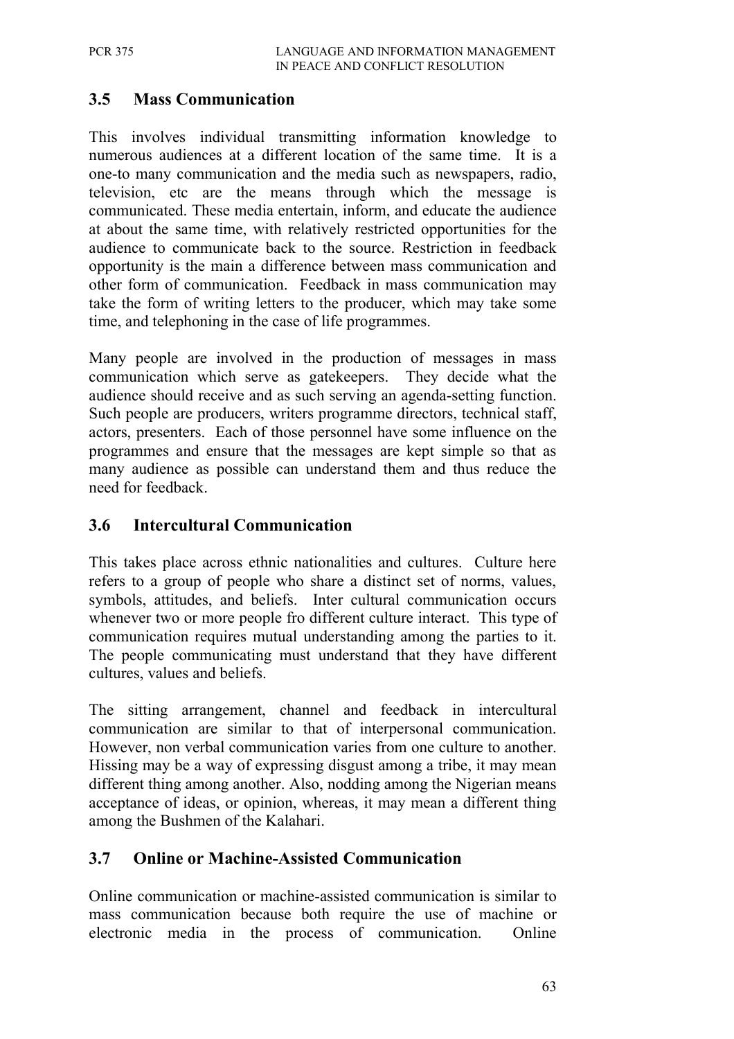## **3.5 Mass Communication**

This involves individual transmitting information knowledge to numerous audiences at a different location of the same time. It is a one-to many communication and the media such as newspapers, radio, television, etc are the means through which the message is communicated. These media entertain, inform, and educate the audience at about the same time, with relatively restricted opportunities for the audience to communicate back to the source. Restriction in feedback opportunity is the main a difference between mass communication and other form of communication. Feedback in mass communication may take the form of writing letters to the producer, which may take some time, and telephoning in the case of life programmes.

Many people are involved in the production of messages in mass communication which serve as gatekeepers. They decide what the audience should receive and as such serving an agenda-setting function. Such people are producers, writers programme directors, technical staff, actors, presenters. Each of those personnel have some influence on the programmes and ensure that the messages are kept simple so that as many audience as possible can understand them and thus reduce the need for feedback.

### **3.6 Intercultural Communication**

This takes place across ethnic nationalities and cultures. Culture here refers to a group of people who share a distinct set of norms, values, symbols, attitudes, and beliefs. Inter cultural communication occurs whenever two or more people fro different culture interact. This type of communication requires mutual understanding among the parties to it. The people communicating must understand that they have different cultures, values and beliefs.

The sitting arrangement, channel and feedback in intercultural communication are similar to that of interpersonal communication. However, non verbal communication varies from one culture to another. Hissing may be a way of expressing disgust among a tribe, it may mean different thing among another. Also, nodding among the Nigerian means acceptance of ideas, or opinion, whereas, it may mean a different thing among the Bushmen of the Kalahari.

### **3.7 Online or Machine-Assisted Communication**

Online communication or machine-assisted communication is similar to mass communication because both require the use of machine or electronic media in the process of communication. Online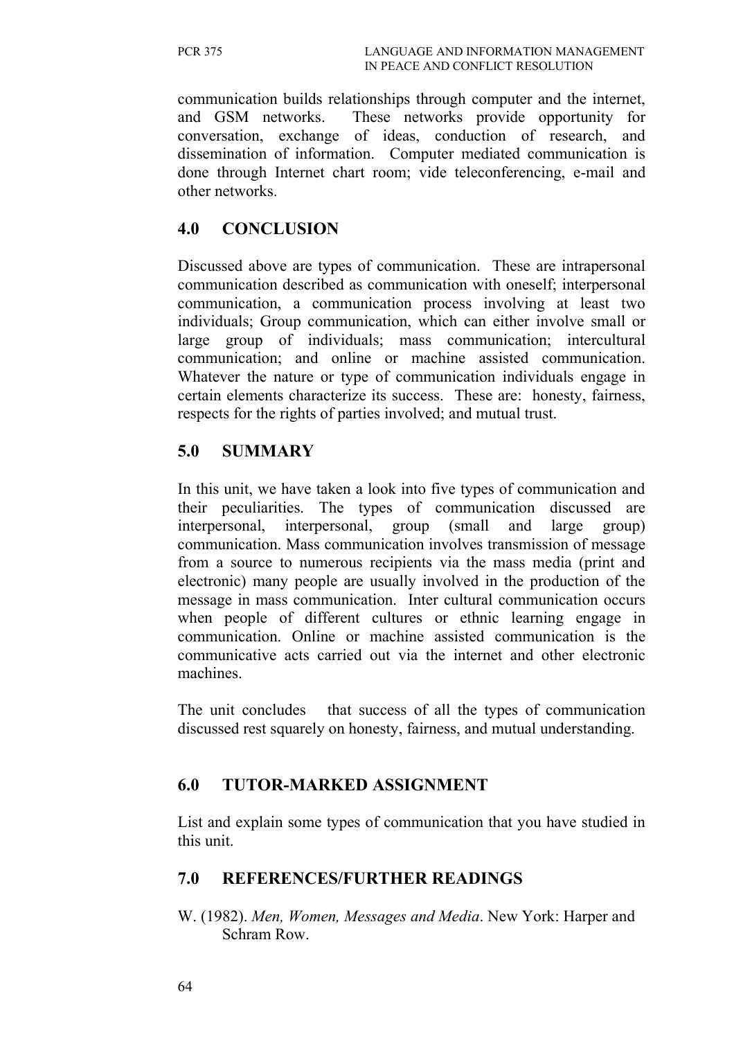communication builds relationships through computer and the internet, and GSM networks. These networks provide opportunity for conversation, exchange of ideas, conduction of research, and dissemination of information. Computer mediated communication is done through Internet chart room; vide teleconferencing, e-mail and other networks.

## **4.0 CONCLUSION**

Discussed above are types of communication. These are intrapersonal communication described as communication with oneself; interpersonal communication, a communication process involving at least two individuals; Group communication, which can either involve small or large group of individuals; mass communication; intercultural communication; and online or machine assisted communication. Whatever the nature or type of communication individuals engage in certain elements characterize its success. These are: honesty, fairness, respects for the rights of parties involved; and mutual trust.

## **5.0 SUMMARY**

In this unit, we have taken a look into five types of communication and their peculiarities. The types of communication discussed are interpersonal, interpersonal, group (small and large group) communication. Mass communication involves transmission of message from a source to numerous recipients via the mass media (print and electronic) many people are usually involved in the production of the message in mass communication. Inter cultural communication occurs when people of different cultures or ethnic learning engage in communication. Online or machine assisted communication is the communicative acts carried out via the internet and other electronic machines.

The unit concludes that success of all the types of communication discussed rest squarely on honesty, fairness, and mutual understanding.

# **6.0 TUTOR-MARKED ASSIGNMENT**

List and explain some types of communication that you have studied in this unit.

### **7.0 REFERENCES/FURTHER READINGS**

W. (1982). *Men, Women, Messages and Media*. New York: Harper and Schram Row.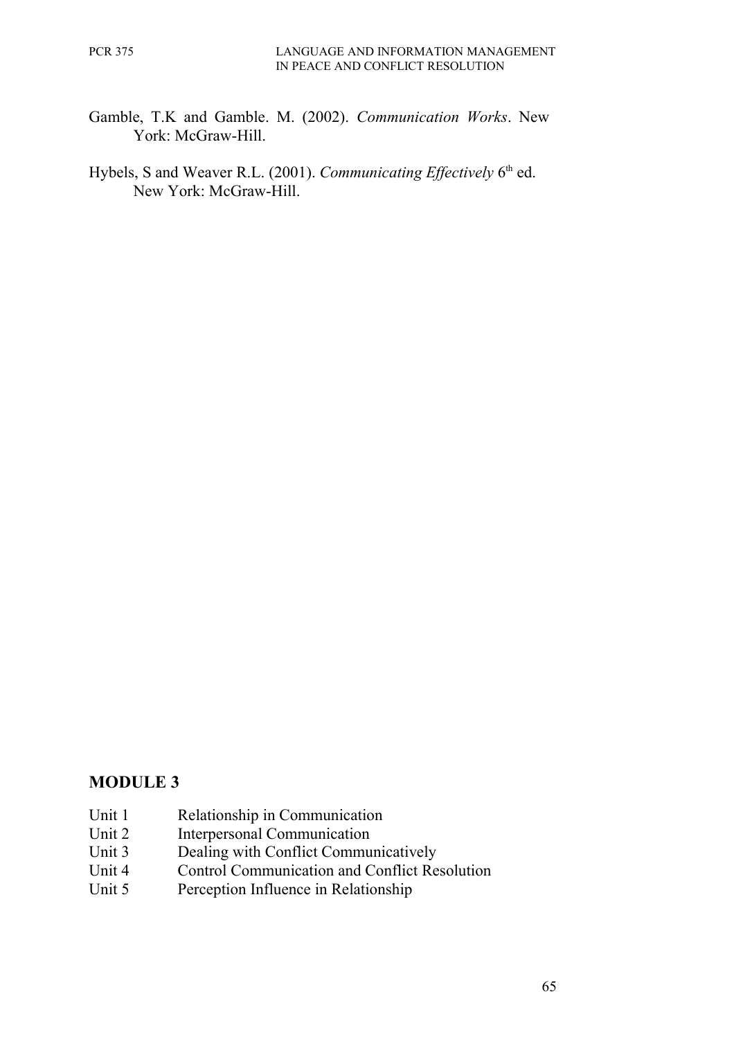- Gamble, T.K and Gamble. M. (2002). *Communication Works*. New York: McGraw-Hill.
- Hybels, S and Weaver R.L. (2001). *Communicating Effectively* 6<sup>th</sup> ed. New York: McGraw-Hill.

### **MODULE 3**

- Unit 1 Relationship in Communication
- Unit 2 Interpersonal Communication
- Unit 3 Dealing with Conflict Communicatively
- Unit 4 Control Communication and Conflict Resolution
- Unit 5 Perception Influence in Relationship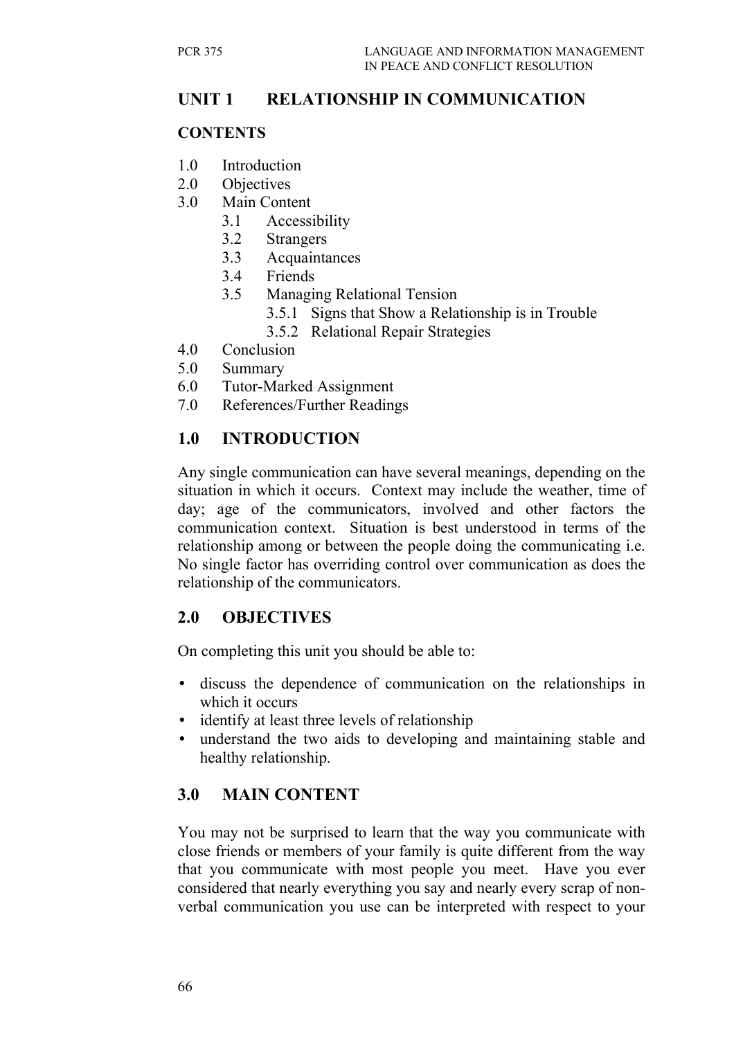# **UNIT 1 RELATIONSHIP IN COMMUNICATION**

#### **CONTENTS**

- 1.0 Introduction
- 2.0 Objectives
- 3.0 Main Content
	- 3.1 Accessibility
	- 3.2 Strangers
	- 3.3 Acquaintances
	- 3.4 Friends
	- 3.5 Managing Relational Tension
		- 3.5.1 Signs that Show a Relationship is in Trouble
		- 3.5.2 Relational Repair Strategies
- 4.0 Conclusion
- 5.0 Summary
- 6.0 Tutor-Marked Assignment
- 7.0 References/Further Readings

## **1.0 INTRODUCTION**

Any single communication can have several meanings, depending on the situation in which it occurs. Context may include the weather, time of day; age of the communicators, involved and other factors the communication context. Situation is best understood in terms of the relationship among or between the people doing the communicating i.e. No single factor has overriding control over communication as does the relationship of the communicators.

### **2.0 OBJECTIVES**

On completing this unit you should be able to:

- discuss the dependence of communication on the relationships in which it occurs
- identify at least three levels of relationship
- understand the two aids to developing and maintaining stable and healthy relationship.

# **3.0 MAIN CONTENT**

You may not be surprised to learn that the way you communicate with close friends or members of your family is quite different from the way that you communicate with most people you meet. Have you ever considered that nearly everything you say and nearly every scrap of nonverbal communication you use can be interpreted with respect to your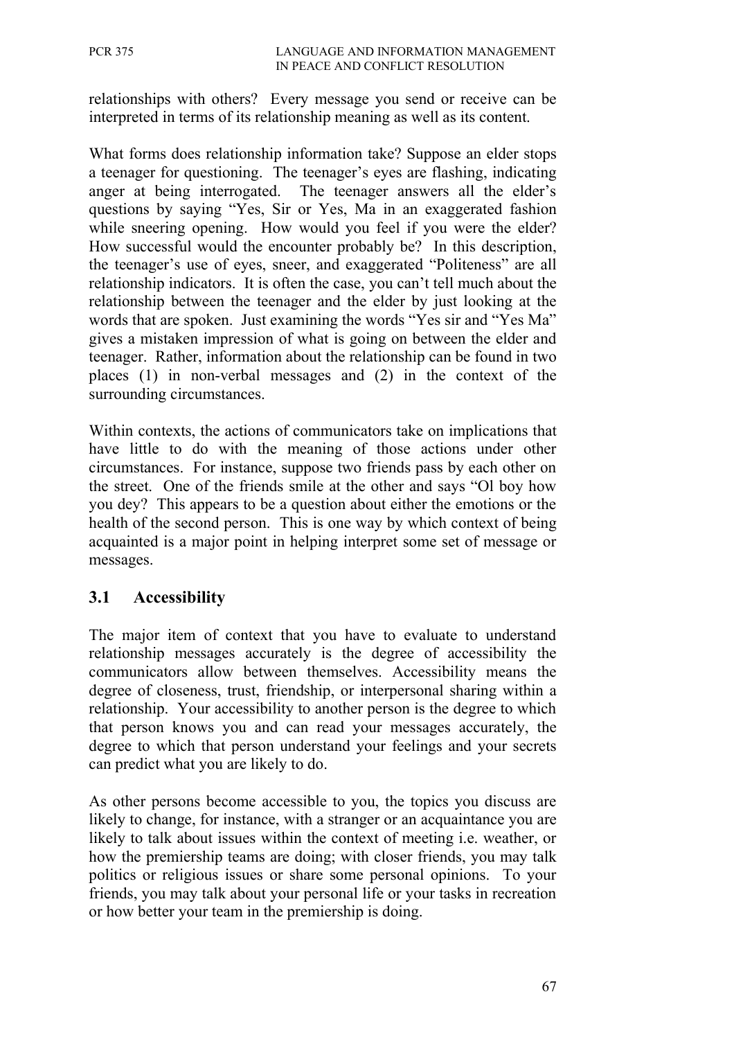relationships with others? Every message you send or receive can be interpreted in terms of its relationship meaning as well as its content.

What forms does relationship information take? Suppose an elder stops a teenager for questioning. The teenager's eyes are flashing, indicating anger at being interrogated. The teenager answers all the elder's questions by saying "Yes, Sir or Yes, Ma in an exaggerated fashion while sneering opening. How would you feel if you were the elder? How successful would the encounter probably be? In this description, the teenager's use of eyes, sneer, and exaggerated "Politeness" are all relationship indicators. It is often the case, you can't tell much about the relationship between the teenager and the elder by just looking at the words that are spoken. Just examining the words "Yes sir and "Yes Ma" gives a mistaken impression of what is going on between the elder and teenager. Rather, information about the relationship can be found in two places (1) in non-verbal messages and (2) in the context of the surrounding circumstances.

Within contexts, the actions of communicators take on implications that have little to do with the meaning of those actions under other circumstances. For instance, suppose two friends pass by each other on the street. One of the friends smile at the other and says "Ol boy how you dey? This appears to be a question about either the emotions or the health of the second person. This is one way by which context of being acquainted is a major point in helping interpret some set of message or messages.

### **3.1 Accessibility**

The major item of context that you have to evaluate to understand relationship messages accurately is the degree of accessibility the communicators allow between themselves. Accessibility means the degree of closeness, trust, friendship, or interpersonal sharing within a relationship. Your accessibility to another person is the degree to which that person knows you and can read your messages accurately, the degree to which that person understand your feelings and your secrets can predict what you are likely to do.

As other persons become accessible to you, the topics you discuss are likely to change, for instance, with a stranger or an acquaintance you are likely to talk about issues within the context of meeting i.e. weather, or how the premiership teams are doing; with closer friends, you may talk politics or religious issues or share some personal opinions. To your friends, you may talk about your personal life or your tasks in recreation or how better your team in the premiership is doing.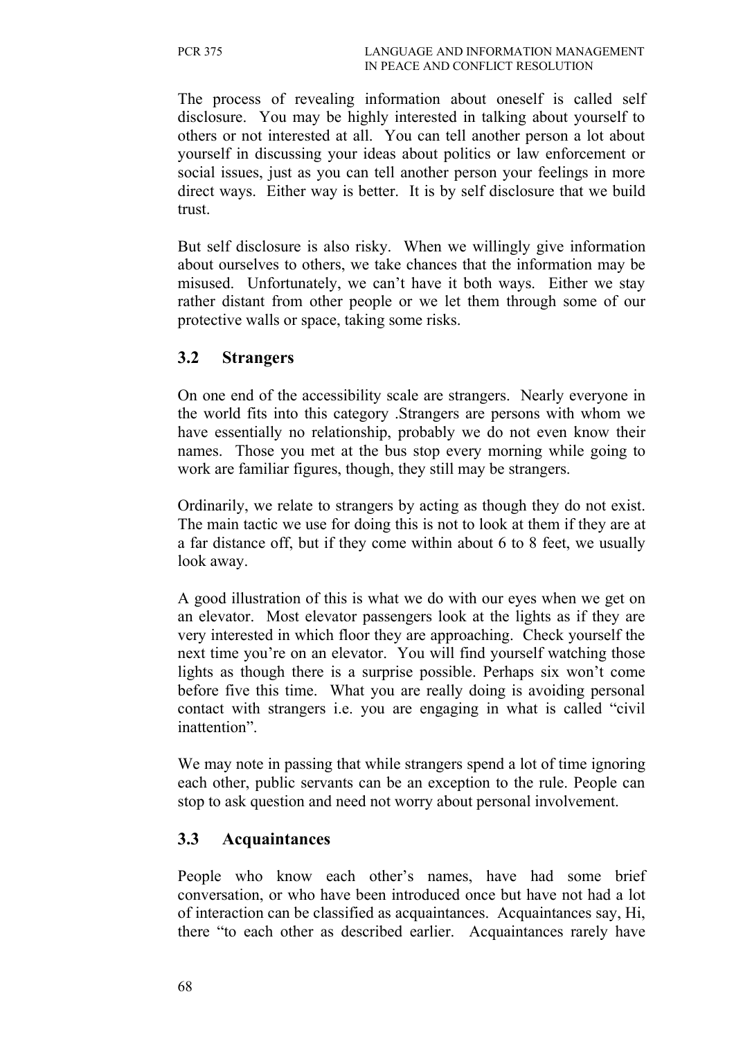The process of revealing information about oneself is called self disclosure. You may be highly interested in talking about yourself to others or not interested at all. You can tell another person a lot about yourself in discussing your ideas about politics or law enforcement or social issues, just as you can tell another person your feelings in more direct ways. Either way is better. It is by self disclosure that we build trust.

But self disclosure is also risky. When we willingly give information about ourselves to others, we take chances that the information may be misused. Unfortunately, we can't have it both ways. Either we stay rather distant from other people or we let them through some of our protective walls or space, taking some risks.

### **3.2 Strangers**

On one end of the accessibility scale are strangers. Nearly everyone in the world fits into this category .Strangers are persons with whom we have essentially no relationship, probably we do not even know their names. Those you met at the bus stop every morning while going to work are familiar figures, though, they still may be strangers.

Ordinarily, we relate to strangers by acting as though they do not exist. The main tactic we use for doing this is not to look at them if they are at a far distance off, but if they come within about 6 to 8 feet, we usually look away.

A good illustration of this is what we do with our eyes when we get on an elevator. Most elevator passengers look at the lights as if they are very interested in which floor they are approaching. Check yourself the next time you're on an elevator. You will find yourself watching those lights as though there is a surprise possible. Perhaps six won't come before five this time. What you are really doing is avoiding personal contact with strangers i.e. you are engaging in what is called "civil inattention".

We may note in passing that while strangers spend a lot of time ignoring each other, public servants can be an exception to the rule. People can stop to ask question and need not worry about personal involvement.

### **3.3 Acquaintances**

People who know each other's names, have had some brief conversation, or who have been introduced once but have not had a lot of interaction can be classified as acquaintances. Acquaintances say, Hi, there "to each other as described earlier. Acquaintances rarely have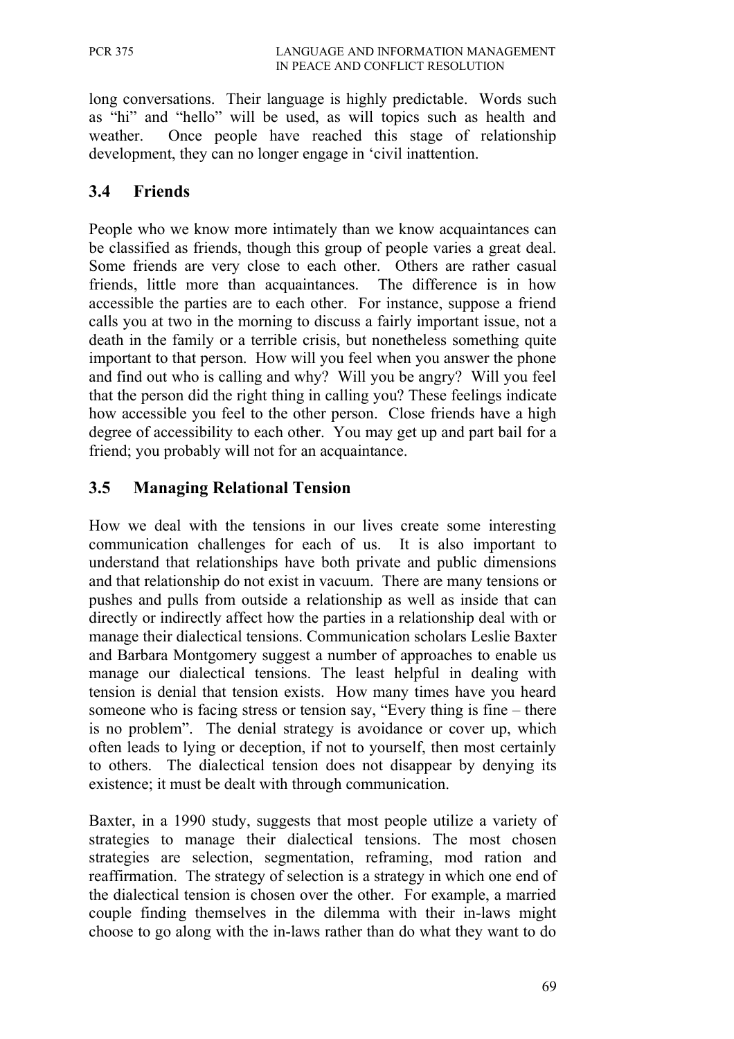long conversations. Their language is highly predictable. Words such as "hi" and "hello" will be used, as will topics such as health and weather. Once people have reached this stage of relationship development, they can no longer engage in 'civil inattention.

## **3.4 Friends**

People who we know more intimately than we know acquaintances can be classified as friends, though this group of people varies a great deal. Some friends are very close to each other. Others are rather casual friends, little more than acquaintances. The difference is in how accessible the parties are to each other. For instance, suppose a friend calls you at two in the morning to discuss a fairly important issue, not a death in the family or a terrible crisis, but nonetheless something quite important to that person. How will you feel when you answer the phone and find out who is calling and why? Will you be angry? Will you feel that the person did the right thing in calling you? These feelings indicate how accessible you feel to the other person. Close friends have a high degree of accessibility to each other. You may get up and part bail for a friend; you probably will not for an acquaintance.

# **3.5 Managing Relational Tension**

How we deal with the tensions in our lives create some interesting communication challenges for each of us. It is also important to understand that relationships have both private and public dimensions and that relationship do not exist in vacuum. There are many tensions or pushes and pulls from outside a relationship as well as inside that can directly or indirectly affect how the parties in a relationship deal with or manage their dialectical tensions. Communication scholars Leslie Baxter and Barbara Montgomery suggest a number of approaches to enable us manage our dialectical tensions. The least helpful in dealing with tension is denial that tension exists. How many times have you heard someone who is facing stress or tension say, "Every thing is fine – there is no problem". The denial strategy is avoidance or cover up, which often leads to lying or deception, if not to yourself, then most certainly to others. The dialectical tension does not disappear by denying its existence; it must be dealt with through communication.

Baxter, in a 1990 study, suggests that most people utilize a variety of strategies to manage their dialectical tensions. The most chosen strategies are selection, segmentation, reframing, mod ration and reaffirmation. The strategy of selection is a strategy in which one end of the dialectical tension is chosen over the other. For example, a married couple finding themselves in the dilemma with their in-laws might choose to go along with the in-laws rather than do what they want to do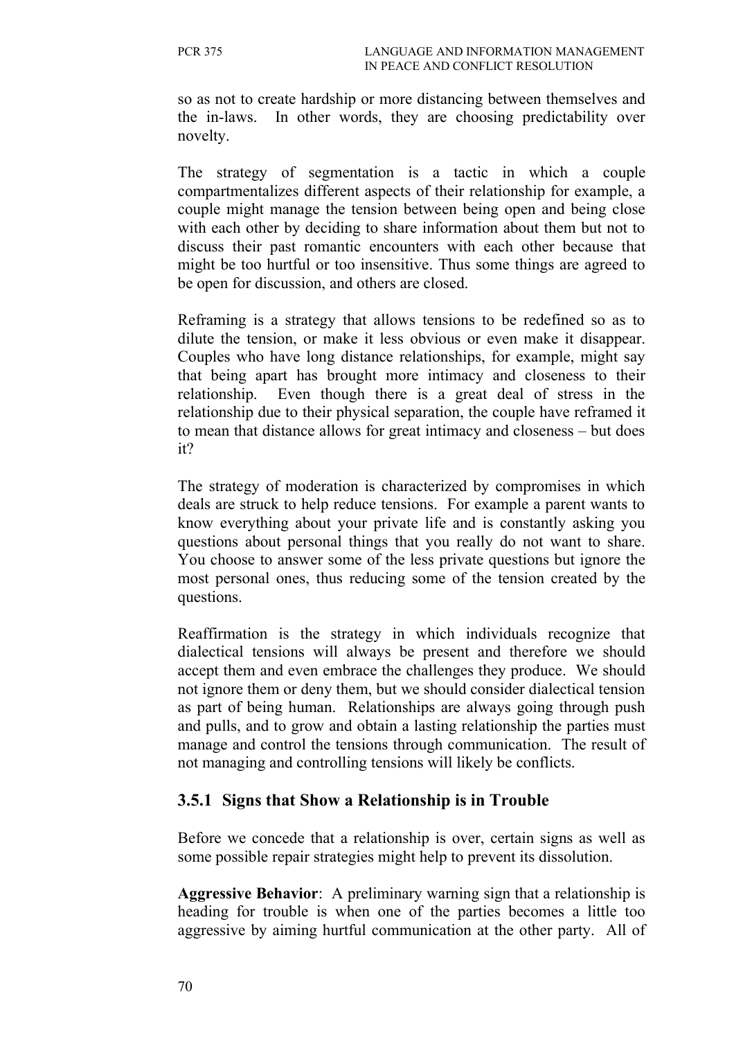so as not to create hardship or more distancing between themselves and the in-laws. In other words, they are choosing predictability over novelty.

The strategy of segmentation is a tactic in which a couple compartmentalizes different aspects of their relationship for example, a couple might manage the tension between being open and being close with each other by deciding to share information about them but not to discuss their past romantic encounters with each other because that might be too hurtful or too insensitive. Thus some things are agreed to be open for discussion, and others are closed.

Reframing is a strategy that allows tensions to be redefined so as to dilute the tension, or make it less obvious or even make it disappear. Couples who have long distance relationships, for example, might say that being apart has brought more intimacy and closeness to their relationship. Even though there is a great deal of stress in the relationship due to their physical separation, the couple have reframed it to mean that distance allows for great intimacy and closeness – but does it?

The strategy of moderation is characterized by compromises in which deals are struck to help reduce tensions. For example a parent wants to know everything about your private life and is constantly asking you questions about personal things that you really do not want to share. You choose to answer some of the less private questions but ignore the most personal ones, thus reducing some of the tension created by the questions.

Reaffirmation is the strategy in which individuals recognize that dialectical tensions will always be present and therefore we should accept them and even embrace the challenges they produce. We should not ignore them or deny them, but we should consider dialectical tension as part of being human. Relationships are always going through push and pulls, and to grow and obtain a lasting relationship the parties must manage and control the tensions through communication. The result of not managing and controlling tensions will likely be conflicts.

### **3.5.1 Signs that Show a Relationship is in Trouble**

Before we concede that a relationship is over, certain signs as well as some possible repair strategies might help to prevent its dissolution.

**Aggressive Behavior**: A preliminary warning sign that a relationship is heading for trouble is when one of the parties becomes a little too aggressive by aiming hurtful communication at the other party. All of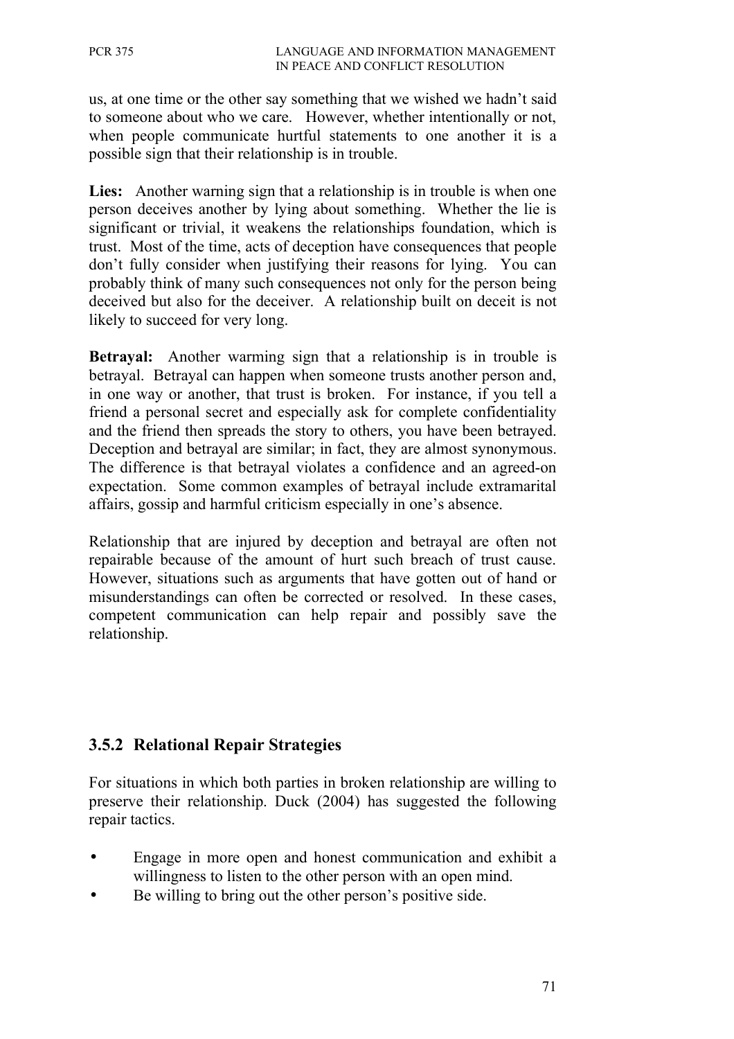us, at one time or the other say something that we wished we hadn't said to someone about who we care. However, whether intentionally or not, when people communicate hurtful statements to one another it is a possible sign that their relationship is in trouble.

Lies: Another warning sign that a relationship is in trouble is when one person deceives another by lying about something. Whether the lie is significant or trivial, it weakens the relationships foundation, which is trust. Most of the time, acts of deception have consequences that people don't fully consider when justifying their reasons for lying. You can probably think of many such consequences not only for the person being deceived but also for the deceiver. A relationship built on deceit is not likely to succeed for very long.

**Betrayal:** Another warming sign that a relationship is in trouble is betrayal. Betrayal can happen when someone trusts another person and, in one way or another, that trust is broken. For instance, if you tell a friend a personal secret and especially ask for complete confidentiality and the friend then spreads the story to others, you have been betrayed. Deception and betrayal are similar; in fact, they are almost synonymous. The difference is that betrayal violates a confidence and an agreed-on expectation. Some common examples of betrayal include extramarital affairs, gossip and harmful criticism especially in one's absence.

Relationship that are injured by deception and betrayal are often not repairable because of the amount of hurt such breach of trust cause. However, situations such as arguments that have gotten out of hand or misunderstandings can often be corrected or resolved. In these cases, competent communication can help repair and possibly save the relationship.

# **3.5.2 Relational Repair Strategies**

For situations in which both parties in broken relationship are willing to preserve their relationship. Duck (2004) has suggested the following repair tactics.

- Engage in more open and honest communication and exhibit a willingness to listen to the other person with an open mind.
- Be willing to bring out the other person's positive side.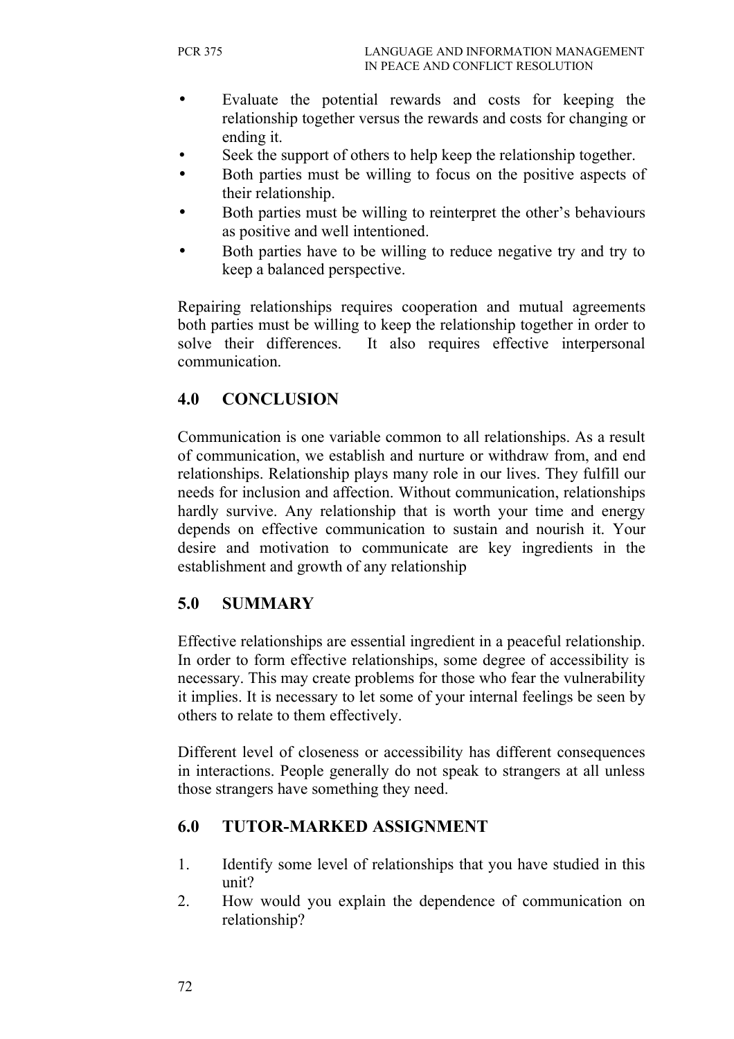- Evaluate the potential rewards and costs for keeping the relationship together versus the rewards and costs for changing or ending it.
- Seek the support of others to help keep the relationship together.
- Both parties must be willing to focus on the positive aspects of their relationship.
- Both parties must be willing to reinterpret the other's behaviours as positive and well intentioned.
- Both parties have to be willing to reduce negative try and try to keep a balanced perspective.

Repairing relationships requires cooperation and mutual agreements both parties must be willing to keep the relationship together in order to solve their differences. It also requires effective interpersonal communication.

## **4.0 CONCLUSION**

Communication is one variable common to all relationships. As a result of communication, we establish and nurture or withdraw from, and end relationships. Relationship plays many role in our lives. They fulfill our needs for inclusion and affection. Without communication, relationships hardly survive. Any relationship that is worth your time and energy depends on effective communication to sustain and nourish it. Your desire and motivation to communicate are key ingredients in the establishment and growth of any relationship

### **5.0 SUMMARY**

Effective relationships are essential ingredient in a peaceful relationship. In order to form effective relationships, some degree of accessibility is necessary. This may create problems for those who fear the vulnerability it implies. It is necessary to let some of your internal feelings be seen by others to relate to them effectively.

Different level of closeness or accessibility has different consequences in interactions. People generally do not speak to strangers at all unless those strangers have something they need.

### **6.0 TUTOR-MARKED ASSIGNMENT**

- 1. Identify some level of relationships that you have studied in this unit?
- 2. How would you explain the dependence of communication on relationship?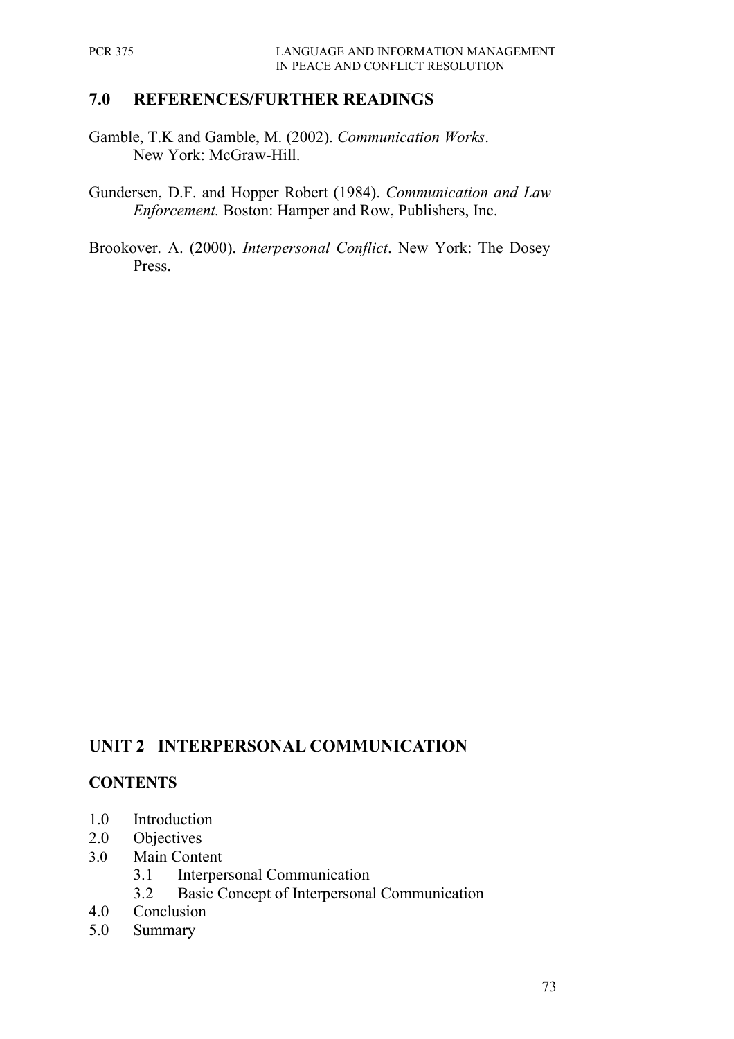#### **7.0 REFERENCES/FURTHER READINGS**

- Gamble, T.K and Gamble, M. (2002). *Communication Works*. New York: McGraw-Hill.
- Gundersen, D.F. and Hopper Robert (1984). *Communication and Law Enforcement.* Boston: Hamper and Row, Publishers, Inc.
- Brookover. A. (2000). *Interpersonal Conflict*. New York: The Dosey Press.

# **UNIT 2 INTERPERSONAL COMMUNICATION**

#### **CONTENTS**

- 1.0 Introduction
- 2.0 Objectives
- 3.0 Main Content
	- 3.1 Interpersonal Communication
	- 3.2 Basic Concept of Interpersonal Communication
- 4.0 Conclusion
- 5.0 Summary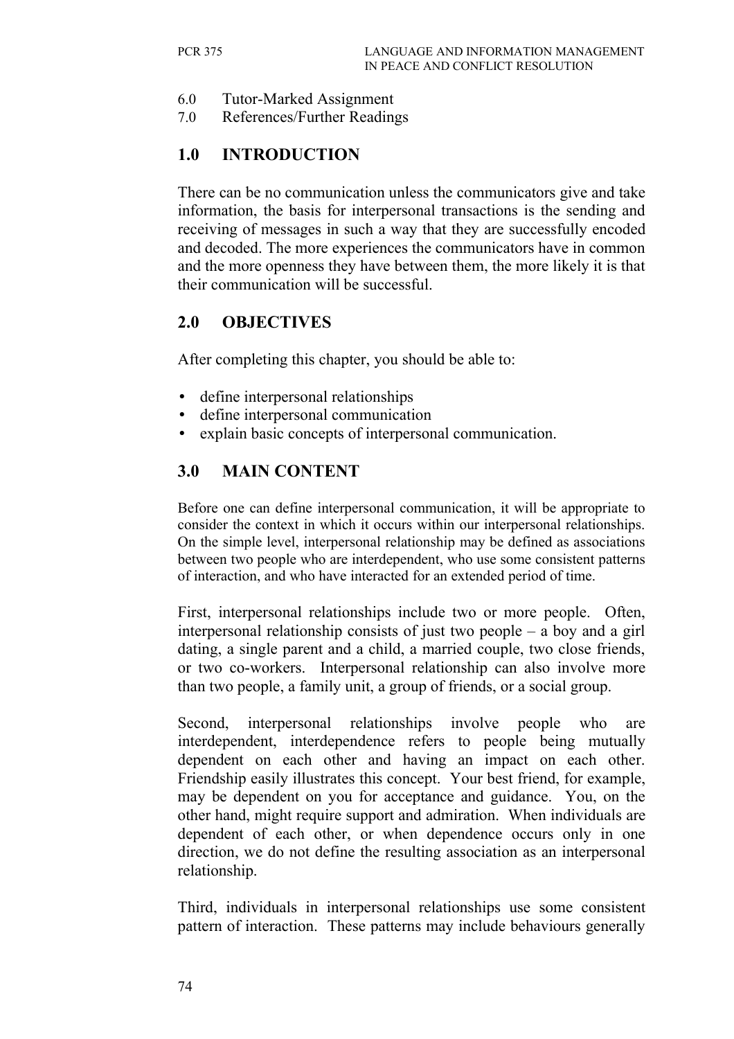- 6.0 Tutor-Marked Assignment
- 7.0 References/Further Readings

## **1.0 INTRODUCTION**

There can be no communication unless the communicators give and take information, the basis for interpersonal transactions is the sending and receiving of messages in such a way that they are successfully encoded and decoded. The more experiences the communicators have in common and the more openness they have between them, the more likely it is that their communication will be successful.

### **2.0 OBJECTIVES**

After completing this chapter, you should be able to:

- define interpersonal relationships
- define interpersonal communication
- explain basic concepts of interpersonal communication.

# **3.0 MAIN CONTENT**

Before one can define interpersonal communication, it will be appropriate to consider the context in which it occurs within our interpersonal relationships. On the simple level, interpersonal relationship may be defined as associations between two people who are interdependent, who use some consistent patterns of interaction, and who have interacted for an extended period of time.

First, interpersonal relationships include two or more people. Often, interpersonal relationship consists of just two people – a boy and a girl dating, a single parent and a child, a married couple, two close friends, or two co-workers. Interpersonal relationship can also involve more than two people, a family unit, a group of friends, or a social group.

Second, interpersonal relationships involve people who are interdependent, interdependence refers to people being mutually dependent on each other and having an impact on each other. Friendship easily illustrates this concept. Your best friend, for example, may be dependent on you for acceptance and guidance. You, on the other hand, might require support and admiration. When individuals are dependent of each other, or when dependence occurs only in one direction, we do not define the resulting association as an interpersonal relationship.

Third, individuals in interpersonal relationships use some consistent pattern of interaction. These patterns may include behaviours generally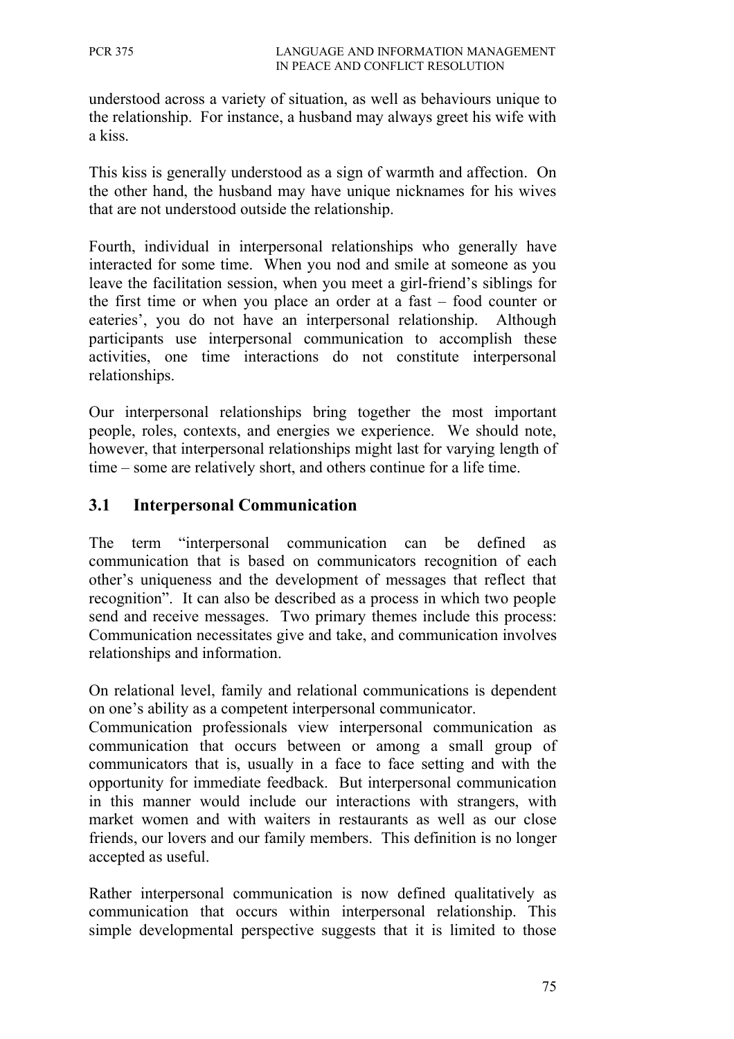understood across a variety of situation, as well as behaviours unique to the relationship. For instance, a husband may always greet his wife with a kiss.

This kiss is generally understood as a sign of warmth and affection. On the other hand, the husband may have unique nicknames for his wives that are not understood outside the relationship.

Fourth, individual in interpersonal relationships who generally have interacted for some time. When you nod and smile at someone as you leave the facilitation session, when you meet a girl-friend's siblings for the first time or when you place an order at a fast – food counter or eateries', you do not have an interpersonal relationship. Although participants use interpersonal communication to accomplish these activities, one time interactions do not constitute interpersonal relationships.

Our interpersonal relationships bring together the most important people, roles, contexts, and energies we experience. We should note, however, that interpersonal relationships might last for varying length of time – some are relatively short, and others continue for a life time.

### **3.1 Interpersonal Communication**

The term "interpersonal communication can be defined as communication that is based on communicators recognition of each other's uniqueness and the development of messages that reflect that recognition". It can also be described as a process in which two people send and receive messages. Two primary themes include this process: Communication necessitates give and take, and communication involves relationships and information.

On relational level, family and relational communications is dependent on one's ability as a competent interpersonal communicator.

Communication professionals view interpersonal communication as communication that occurs between or among a small group of communicators that is, usually in a face to face setting and with the opportunity for immediate feedback. But interpersonal communication in this manner would include our interactions with strangers, with market women and with waiters in restaurants as well as our close friends, our lovers and our family members. This definition is no longer accepted as useful.

Rather interpersonal communication is now defined qualitatively as communication that occurs within interpersonal relationship. This simple developmental perspective suggests that it is limited to those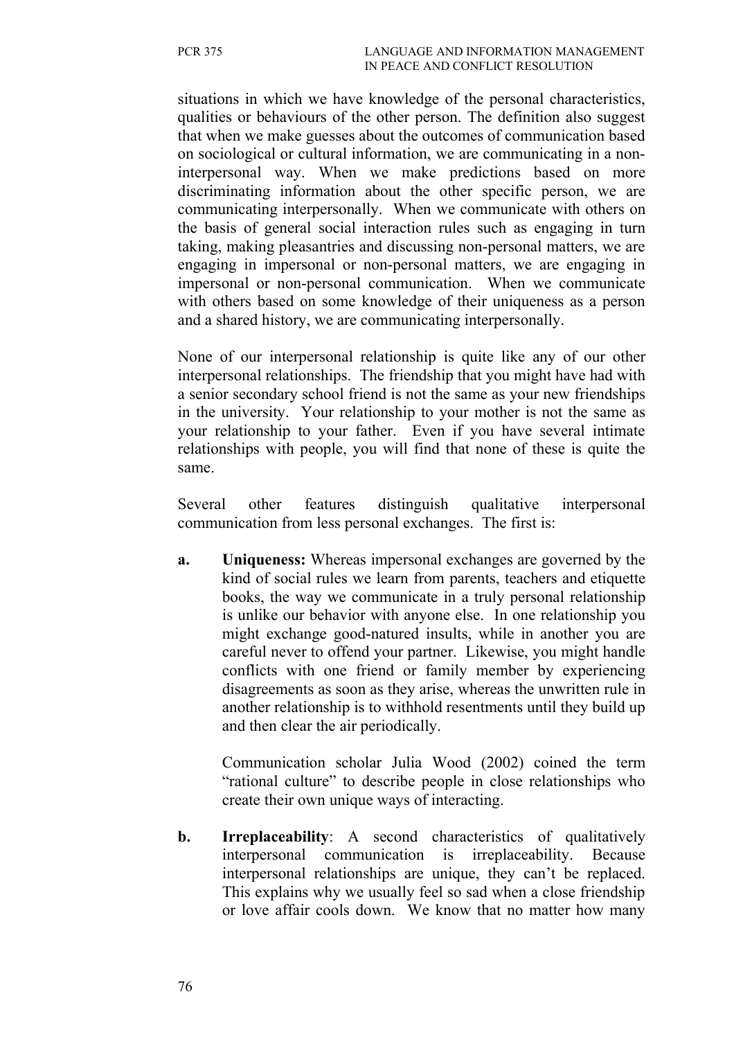situations in which we have knowledge of the personal characteristics, qualities or behaviours of the other person. The definition also suggest that when we make guesses about the outcomes of communication based on sociological or cultural information, we are communicating in a noninterpersonal way. When we make predictions based on more discriminating information about the other specific person, we are communicating interpersonally. When we communicate with others on the basis of general social interaction rules such as engaging in turn taking, making pleasantries and discussing non-personal matters, we are engaging in impersonal or non-personal matters, we are engaging in impersonal or non-personal communication. When we communicate with others based on some knowledge of their uniqueness as a person and a shared history, we are communicating interpersonally.

None of our interpersonal relationship is quite like any of our other interpersonal relationships. The friendship that you might have had with a senior secondary school friend is not the same as your new friendships in the university. Your relationship to your mother is not the same as your relationship to your father. Even if you have several intimate relationships with people, you will find that none of these is quite the same.

Several other features distinguish qualitative interpersonal communication from less personal exchanges. The first is:

**a. Uniqueness:** Whereas impersonal exchanges are governed by the kind of social rules we learn from parents, teachers and etiquette books, the way we communicate in a truly personal relationship is unlike our behavior with anyone else. In one relationship you might exchange good-natured insults, while in another you are careful never to offend your partner. Likewise, you might handle conflicts with one friend or family member by experiencing disagreements as soon as they arise, whereas the unwritten rule in another relationship is to withhold resentments until they build up and then clear the air periodically.

Communication scholar Julia Wood (2002) coined the term "rational culture" to describe people in close relationships who create their own unique ways of interacting.

**b. Irreplaceability**: A second characteristics of qualitatively interpersonal communication is irreplaceability. Because interpersonal relationships are unique, they can't be replaced. This explains why we usually feel so sad when a close friendship or love affair cools down. We know that no matter how many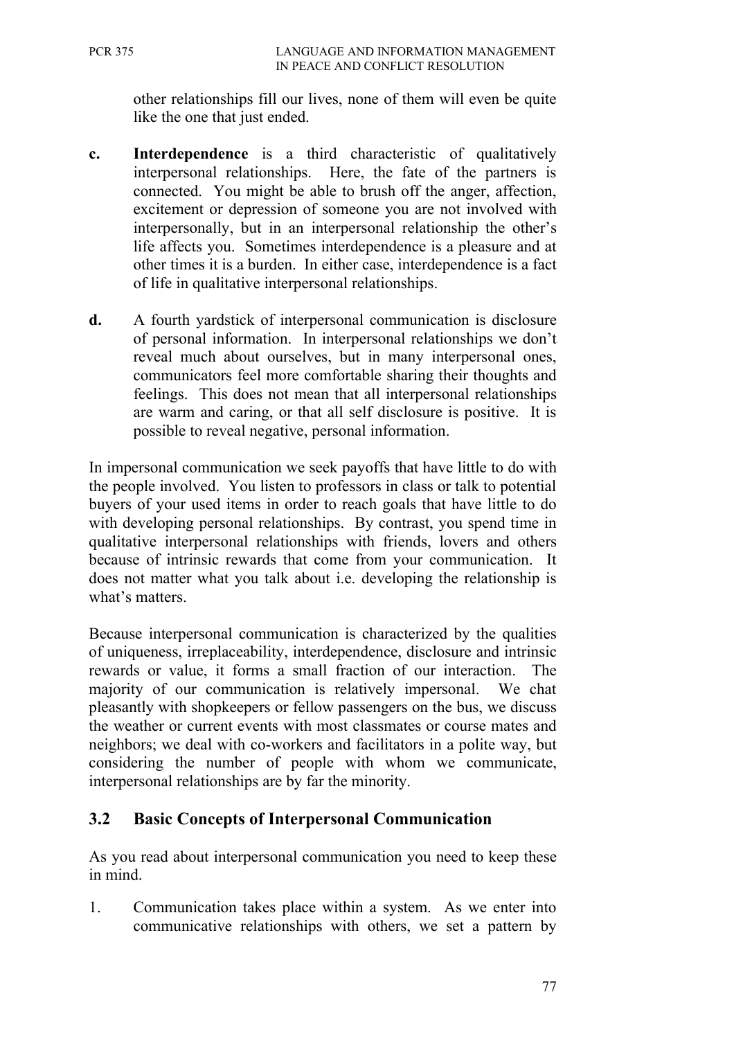other relationships fill our lives, none of them will even be quite like the one that just ended.

- **c. Interdependence** is a third characteristic of qualitatively interpersonal relationships. Here, the fate of the partners is connected. You might be able to brush off the anger, affection, excitement or depression of someone you are not involved with interpersonally, but in an interpersonal relationship the other's life affects you. Sometimes interdependence is a pleasure and at other times it is a burden. In either case, interdependence is a fact of life in qualitative interpersonal relationships.
- **d.** A fourth yardstick of interpersonal communication is disclosure of personal information. In interpersonal relationships we don't reveal much about ourselves, but in many interpersonal ones, communicators feel more comfortable sharing their thoughts and feelings. This does not mean that all interpersonal relationships are warm and caring, or that all self disclosure is positive. It is possible to reveal negative, personal information.

In impersonal communication we seek payoffs that have little to do with the people involved. You listen to professors in class or talk to potential buyers of your used items in order to reach goals that have little to do with developing personal relationships. By contrast, you spend time in qualitative interpersonal relationships with friends, lovers and others because of intrinsic rewards that come from your communication. It does not matter what you talk about i.e. developing the relationship is what's matters.

Because interpersonal communication is characterized by the qualities of uniqueness, irreplaceability, interdependence, disclosure and intrinsic rewards or value, it forms a small fraction of our interaction. The majority of our communication is relatively impersonal. We chat pleasantly with shopkeepers or fellow passengers on the bus, we discuss the weather or current events with most classmates or course mates and neighbors; we deal with co-workers and facilitators in a polite way, but considering the number of people with whom we communicate, interpersonal relationships are by far the minority.

### **3.2 Basic Concepts of Interpersonal Communication**

As you read about interpersonal communication you need to keep these in mind.

1. Communication takes place within a system. As we enter into communicative relationships with others, we set a pattern by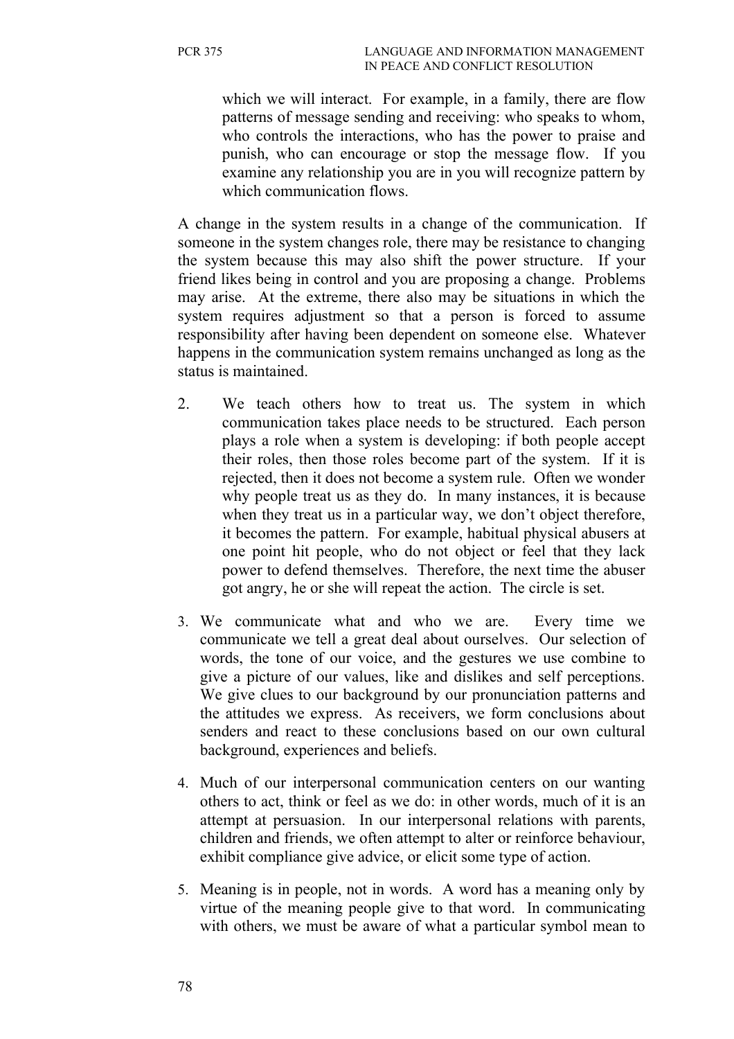which we will interact. For example, in a family, there are flow patterns of message sending and receiving: who speaks to whom, who controls the interactions, who has the power to praise and punish, who can encourage or stop the message flow. If you examine any relationship you are in you will recognize pattern by which communication flows.

A change in the system results in a change of the communication. If someone in the system changes role, there may be resistance to changing the system because this may also shift the power structure. If your friend likes being in control and you are proposing a change. Problems may arise. At the extreme, there also may be situations in which the system requires adjustment so that a person is forced to assume responsibility after having been dependent on someone else. Whatever happens in the communication system remains unchanged as long as the status is maintained.

- 2. We teach others how to treat us. The system in which communication takes place needs to be structured. Each person plays a role when a system is developing: if both people accept their roles, then those roles become part of the system. If it is rejected, then it does not become a system rule. Often we wonder why people treat us as they do. In many instances, it is because when they treat us in a particular way, we don't object therefore, it becomes the pattern. For example, habitual physical abusers at one point hit people, who do not object or feel that they lack power to defend themselves. Therefore, the next time the abuser got angry, he or she will repeat the action. The circle is set.
- 3. We communicate what and who we are. Every time we communicate we tell a great deal about ourselves. Our selection of words, the tone of our voice, and the gestures we use combine to give a picture of our values, like and dislikes and self perceptions. We give clues to our background by our pronunciation patterns and the attitudes we express. As receivers, we form conclusions about senders and react to these conclusions based on our own cultural background, experiences and beliefs.
- 4. Much of our interpersonal communication centers on our wanting others to act, think or feel as we do: in other words, much of it is an attempt at persuasion. In our interpersonal relations with parents, children and friends, we often attempt to alter or reinforce behaviour, exhibit compliance give advice, or elicit some type of action.
- 5. Meaning is in people, not in words. A word has a meaning only by virtue of the meaning people give to that word. In communicating with others, we must be aware of what a particular symbol mean to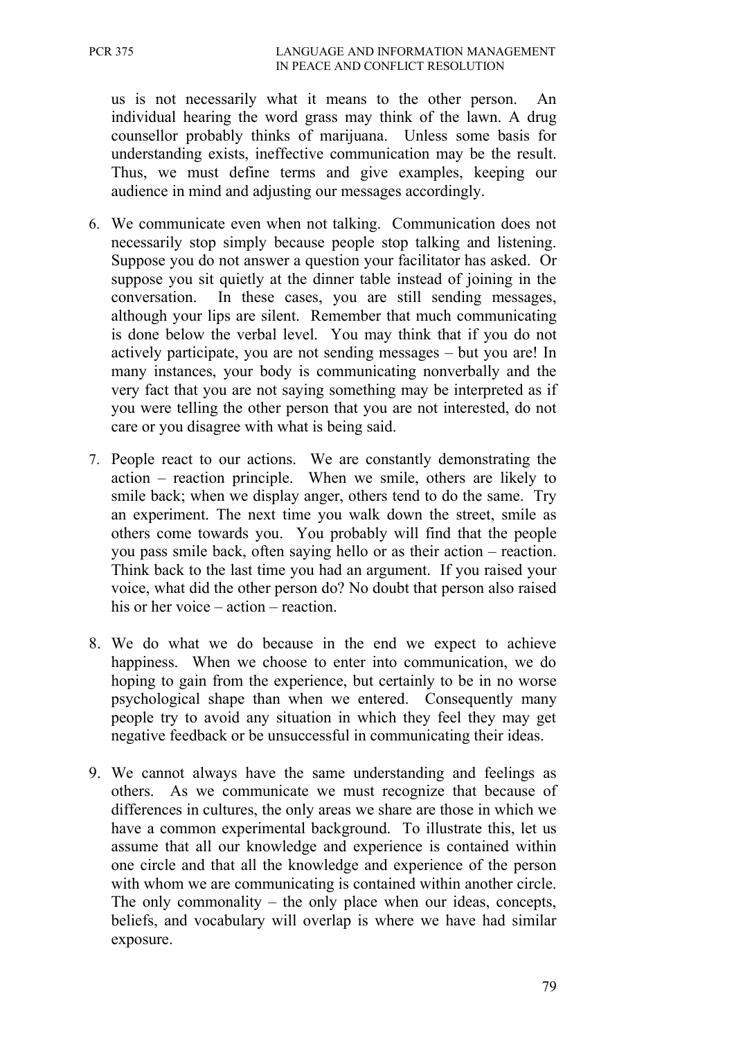us is not necessarily what it means to the other person. An individual hearing the word grass may think of the lawn. A drug counsellor probably thinks of marijuana. Unless some basis for understanding exists, ineffective communication may be the result. Thus, we must define terms and give examples, keeping our audience in mind and adjusting our messages accordingly.

- 6. We communicate even when not talking. Communication does not necessarily stop simply because people stop talking and listening. Suppose you do not answer a question your facilitator has asked. Or suppose you sit quietly at the dinner table instead of joining in the conversation. In these cases, you are still sending messages, although your lips are silent. Remember that much communicating is done below the verbal level. You may think that if you do not actively participate, you are not sending messages – but you are! In many instances, your body is communicating nonverbally and the very fact that you are not saying something may be interpreted as if you were telling the other person that you are not interested, do not care or you disagree with what is being said.
- 7. People react to our actions. We are constantly demonstrating the action – reaction principle. When we smile, others are likely to smile back; when we display anger, others tend to do the same. Try an experiment. The next time you walk down the street, smile as others come towards you. You probably will find that the people you pass smile back, often saying hello or as their action – reaction. Think back to the last time you had an argument. If you raised your voice, what did the other person do? No doubt that person also raised his or her voice – action – reaction.
- 8. We do what we do because in the end we expect to achieve happiness. When we choose to enter into communication, we do hoping to gain from the experience, but certainly to be in no worse psychological shape than when we entered. Consequently many people try to avoid any situation in which they feel they may get negative feedback or be unsuccessful in communicating their ideas.
- 9. We cannot always have the same understanding and feelings as others. As we communicate we must recognize that because of differences in cultures, the only areas we share are those in which we have a common experimental background. To illustrate this, let us assume that all our knowledge and experience is contained within one circle and that all the knowledge and experience of the person with whom we are communicating is contained within another circle. The only commonality  $-$  the only place when our ideas, concepts, beliefs, and vocabulary will overlap is where we have had similar exposure.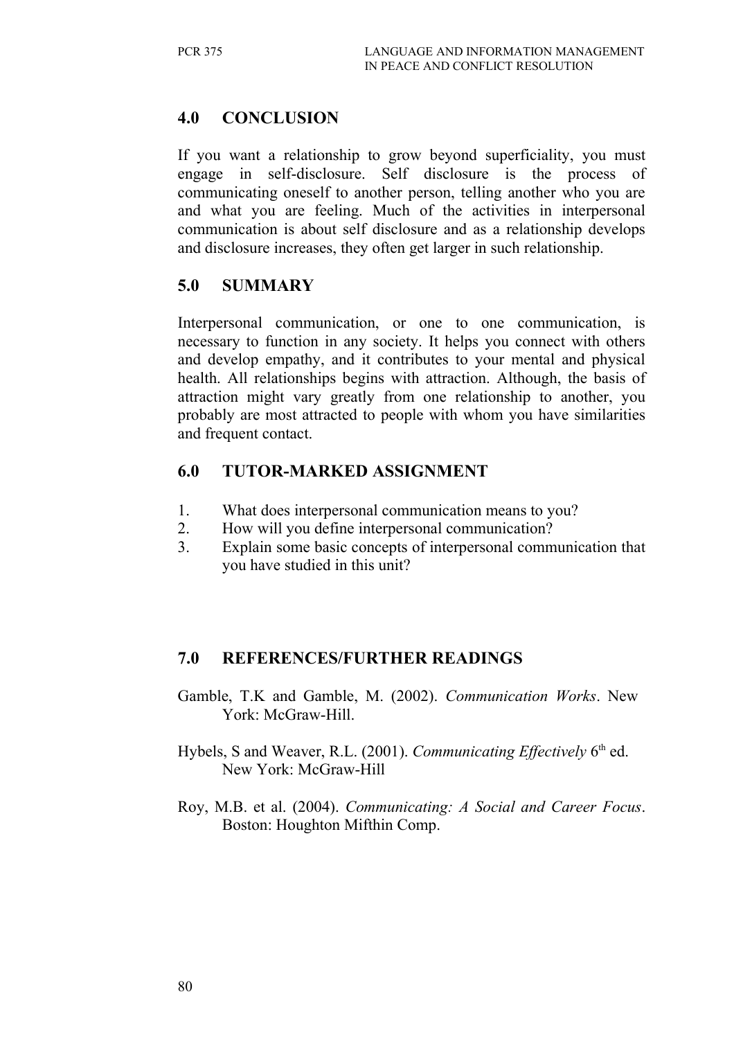## **4.0 CONCLUSION**

If you want a relationship to grow beyond superficiality, you must engage in self-disclosure. Self disclosure is the process of communicating oneself to another person, telling another who you are and what you are feeling. Much of the activities in interpersonal communication is about self disclosure and as a relationship develops and disclosure increases, they often get larger in such relationship.

#### **5.0 SUMMARY**

Interpersonal communication, or one to one communication, is necessary to function in any society. It helps you connect with others and develop empathy, and it contributes to your mental and physical health. All relationships begins with attraction. Although, the basis of attraction might vary greatly from one relationship to another, you probably are most attracted to people with whom you have similarities and frequent contact.

## **6.0 TUTOR-MARKED ASSIGNMENT**

- 1. What does interpersonal communication means to you?
- 2. How will you define interpersonal communication?
- 3. Explain some basic concepts of interpersonal communication that you have studied in this unit?

### **7.0 REFERENCES/FURTHER READINGS**

- Gamble, T.K and Gamble, M. (2002). *Communication Works*. New York: McGraw-Hill.
- Hybels, S and Weaver, R.L. (2001). *Communicating Effectively* 6<sup>th</sup> ed. New York: McGraw-Hill
- Roy, M.B. et al. (2004). *Communicating: A Social and Career Focus*. Boston: Houghton Mifthin Comp.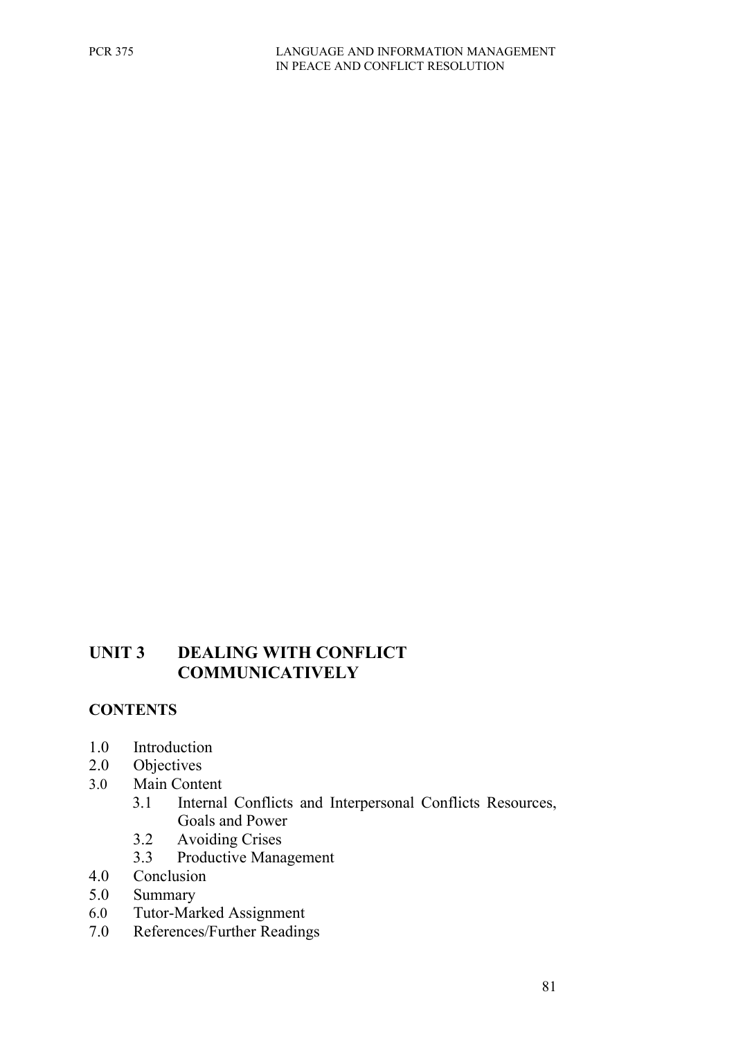### **UNIT 3 DEALING WITH CONFLICT COMMUNICATIVELY**

### **CONTENTS**

- 1.0 Introduction
- 2.0 Objectives
- 3.0 Main Content
	- 3.1 Internal Conflicts and Interpersonal Conflicts Resources, Goals and Power
	- 3.2 Avoiding Crises
	- 3.3 Productive Management
- 4.0 Conclusion
- 5.0 Summary
- 6.0 Tutor-Marked Assignment
- 7.0 References/Further Readings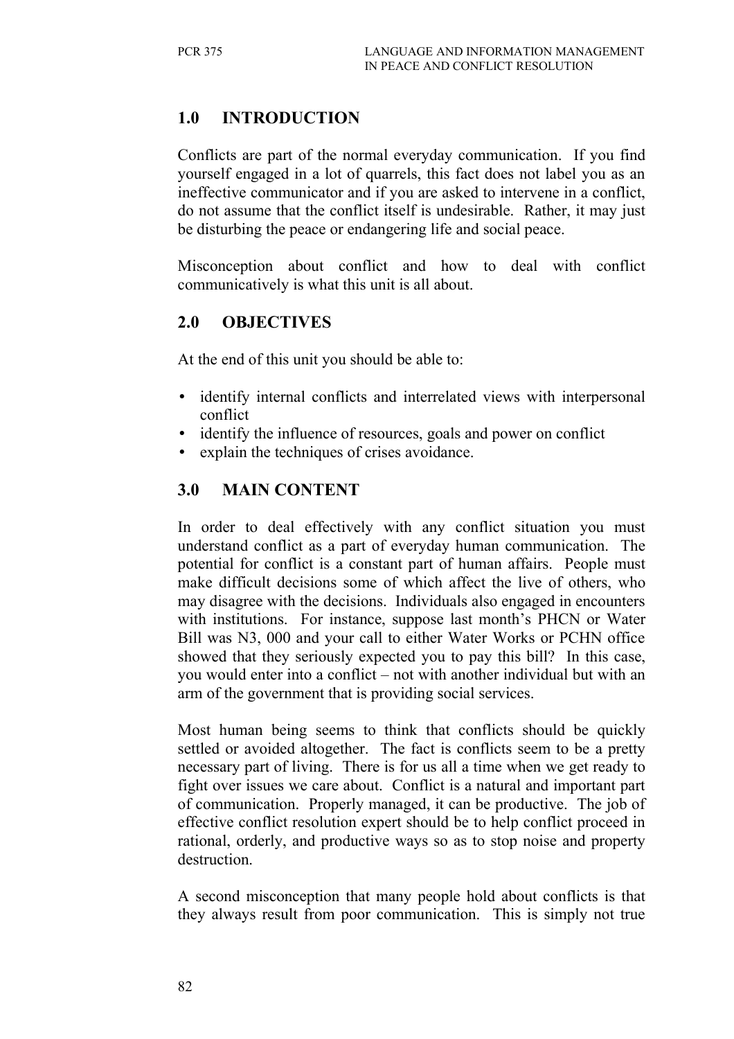# **1.0 INTRODUCTION**

Conflicts are part of the normal everyday communication. If you find yourself engaged in a lot of quarrels, this fact does not label you as an ineffective communicator and if you are asked to intervene in a conflict, do not assume that the conflict itself is undesirable. Rather, it may just be disturbing the peace or endangering life and social peace.

Misconception about conflict and how to deal with conflict communicatively is what this unit is all about.

## **2.0 OBJECTIVES**

At the end of this unit you should be able to:

- identify internal conflicts and interrelated views with interpersonal conflict
- identify the influence of resources, goals and power on conflict
- explain the techniques of crises avoidance.

# **3.0 MAIN CONTENT**

In order to deal effectively with any conflict situation you must understand conflict as a part of everyday human communication. The potential for conflict is a constant part of human affairs. People must make difficult decisions some of which affect the live of others, who may disagree with the decisions. Individuals also engaged in encounters with institutions. For instance, suppose last month's PHCN or Water Bill was N3, 000 and your call to either Water Works or PCHN office showed that they seriously expected you to pay this bill? In this case, you would enter into a conflict – not with another individual but with an arm of the government that is providing social services.

Most human being seems to think that conflicts should be quickly settled or avoided altogether. The fact is conflicts seem to be a pretty necessary part of living. There is for us all a time when we get ready to fight over issues we care about. Conflict is a natural and important part of communication. Properly managed, it can be productive. The job of effective conflict resolution expert should be to help conflict proceed in rational, orderly, and productive ways so as to stop noise and property destruction.

A second misconception that many people hold about conflicts is that they always result from poor communication. This is simply not true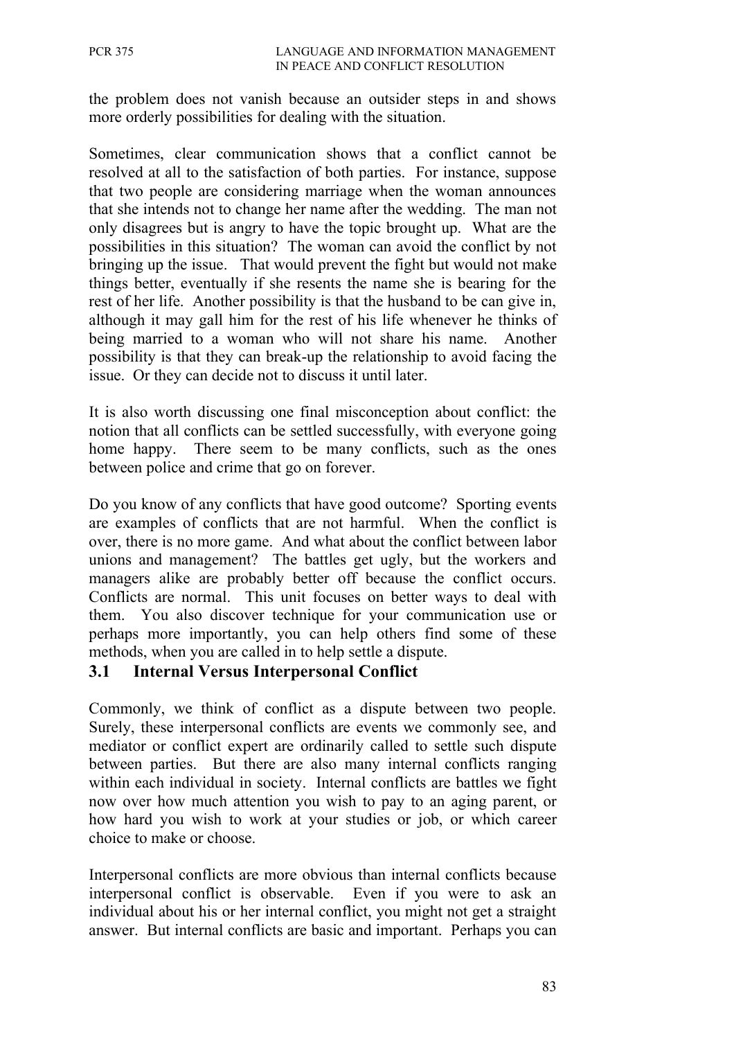the problem does not vanish because an outsider steps in and shows more orderly possibilities for dealing with the situation.

Sometimes, clear communication shows that a conflict cannot be resolved at all to the satisfaction of both parties. For instance, suppose that two people are considering marriage when the woman announces that she intends not to change her name after the wedding. The man not only disagrees but is angry to have the topic brought up. What are the possibilities in this situation? The woman can avoid the conflict by not bringing up the issue. That would prevent the fight but would not make things better, eventually if she resents the name she is bearing for the rest of her life. Another possibility is that the husband to be can give in, although it may gall him for the rest of his life whenever he thinks of being married to a woman who will not share his name. Another possibility is that they can break-up the relationship to avoid facing the issue. Or they can decide not to discuss it until later.

It is also worth discussing one final misconception about conflict: the notion that all conflicts can be settled successfully, with everyone going home happy. There seem to be many conflicts, such as the ones between police and crime that go on forever.

Do you know of any conflicts that have good outcome? Sporting events are examples of conflicts that are not harmful. When the conflict is over, there is no more game. And what about the conflict between labor unions and management? The battles get ugly, but the workers and managers alike are probably better off because the conflict occurs. Conflicts are normal. This unit focuses on better ways to deal with them. You also discover technique for your communication use or perhaps more importantly, you can help others find some of these methods, when you are called in to help settle a dispute.

### **3.1 Internal Versus Interpersonal Conflict**

Commonly, we think of conflict as a dispute between two people. Surely, these interpersonal conflicts are events we commonly see, and mediator or conflict expert are ordinarily called to settle such dispute between parties. But there are also many internal conflicts ranging within each individual in society. Internal conflicts are battles we fight now over how much attention you wish to pay to an aging parent, or how hard you wish to work at your studies or job, or which career choice to make or choose.

Interpersonal conflicts are more obvious than internal conflicts because interpersonal conflict is observable. Even if you were to ask an individual about his or her internal conflict, you might not get a straight answer. But internal conflicts are basic and important. Perhaps you can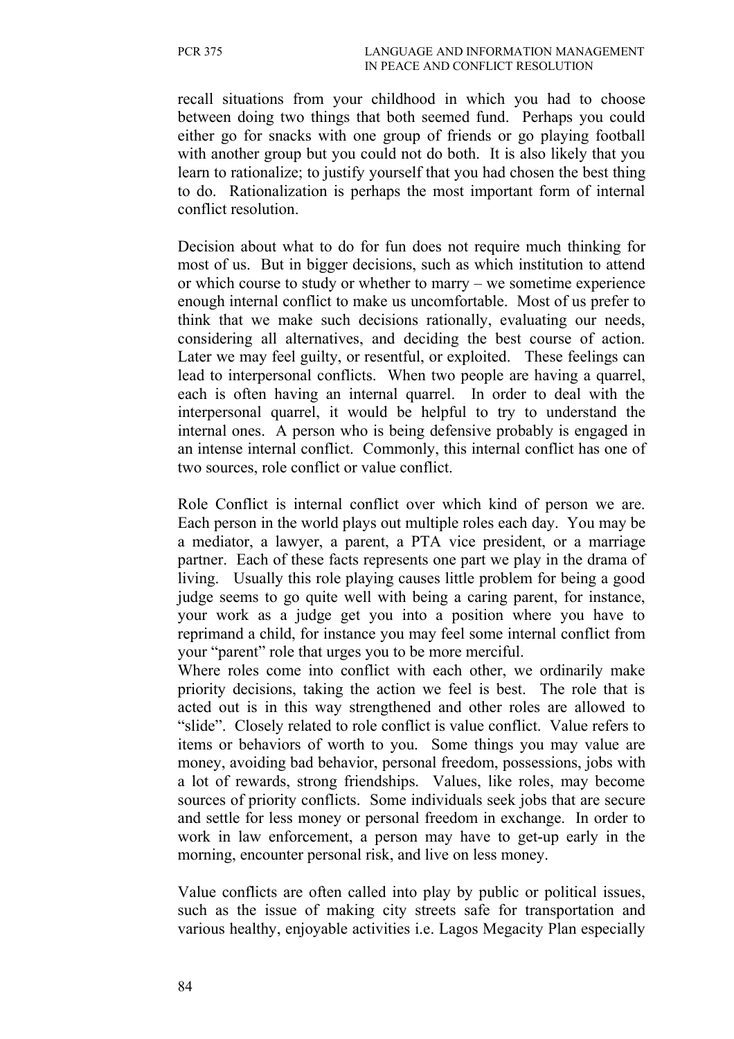recall situations from your childhood in which you had to choose between doing two things that both seemed fund. Perhaps you could either go for snacks with one group of friends or go playing football with another group but you could not do both. It is also likely that you learn to rationalize; to justify yourself that you had chosen the best thing to do. Rationalization is perhaps the most important form of internal conflict resolution.

Decision about what to do for fun does not require much thinking for most of us. But in bigger decisions, such as which institution to attend or which course to study or whether to marry – we sometime experience enough internal conflict to make us uncomfortable. Most of us prefer to think that we make such decisions rationally, evaluating our needs, considering all alternatives, and deciding the best course of action. Later we may feel guilty, or resentful, or exploited. These feelings can lead to interpersonal conflicts. When two people are having a quarrel, each is often having an internal quarrel. In order to deal with the interpersonal quarrel, it would be helpful to try to understand the internal ones. A person who is being defensive probably is engaged in an intense internal conflict. Commonly, this internal conflict has one of two sources, role conflict or value conflict.

Role Conflict is internal conflict over which kind of person we are. Each person in the world plays out multiple roles each day. You may be a mediator, a lawyer, a parent, a PTA vice president, or a marriage partner. Each of these facts represents one part we play in the drama of living. Usually this role playing causes little problem for being a good judge seems to go quite well with being a caring parent, for instance, your work as a judge get you into a position where you have to reprimand a child, for instance you may feel some internal conflict from your "parent" role that urges you to be more merciful.

Where roles come into conflict with each other, we ordinarily make priority decisions, taking the action we feel is best. The role that is acted out is in this way strengthened and other roles are allowed to "slide". Closely related to role conflict is value conflict. Value refers to items or behaviors of worth to you. Some things you may value are money, avoiding bad behavior, personal freedom, possessions, jobs with a lot of rewards, strong friendships. Values, like roles, may become sources of priority conflicts. Some individuals seek jobs that are secure and settle for less money or personal freedom in exchange. In order to work in law enforcement, a person may have to get-up early in the morning, encounter personal risk, and live on less money.

Value conflicts are often called into play by public or political issues, such as the issue of making city streets safe for transportation and various healthy, enjoyable activities i.e. Lagos Megacity Plan especially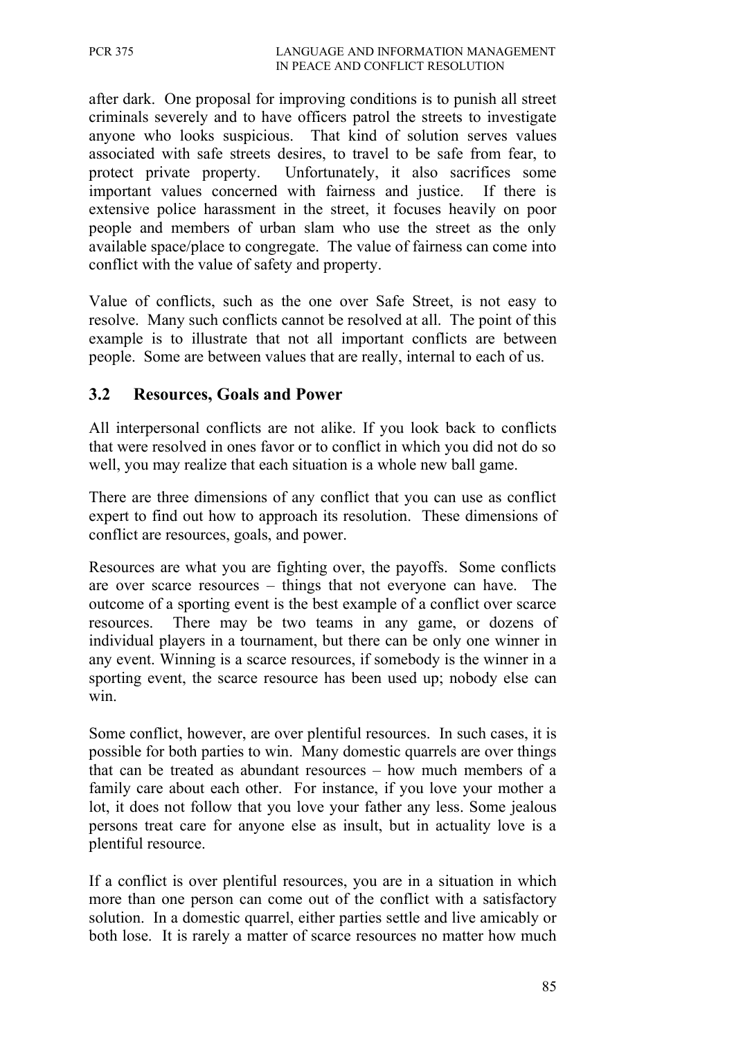after dark. One proposal for improving conditions is to punish all street criminals severely and to have officers patrol the streets to investigate anyone who looks suspicious. That kind of solution serves values associated with safe streets desires, to travel to be safe from fear, to protect private property. Unfortunately, it also sacrifices some important values concerned with fairness and justice. If there is extensive police harassment in the street, it focuses heavily on poor people and members of urban slam who use the street as the only available space/place to congregate. The value of fairness can come into conflict with the value of safety and property.

Value of conflicts, such as the one over Safe Street, is not easy to resolve. Many such conflicts cannot be resolved at all. The point of this example is to illustrate that not all important conflicts are between people. Some are between values that are really, internal to each of us.

### **3.2 Resources, Goals and Power**

All interpersonal conflicts are not alike. If you look back to conflicts that were resolved in ones favor or to conflict in which you did not do so well, you may realize that each situation is a whole new ball game.

There are three dimensions of any conflict that you can use as conflict expert to find out how to approach its resolution. These dimensions of conflict are resources, goals, and power.

Resources are what you are fighting over, the payoffs. Some conflicts are over scarce resources – things that not everyone can have. The outcome of a sporting event is the best example of a conflict over scarce resources. There may be two teams in any game, or dozens of individual players in a tournament, but there can be only one winner in any event. Winning is a scarce resources, if somebody is the winner in a sporting event, the scarce resource has been used up; nobody else can win.

Some conflict, however, are over plentiful resources. In such cases, it is possible for both parties to win. Many domestic quarrels are over things that can be treated as abundant resources – how much members of a family care about each other. For instance, if you love your mother a lot, it does not follow that you love your father any less. Some jealous persons treat care for anyone else as insult, but in actuality love is a plentiful resource.

If a conflict is over plentiful resources, you are in a situation in which more than one person can come out of the conflict with a satisfactory solution. In a domestic quarrel, either parties settle and live amicably or both lose. It is rarely a matter of scarce resources no matter how much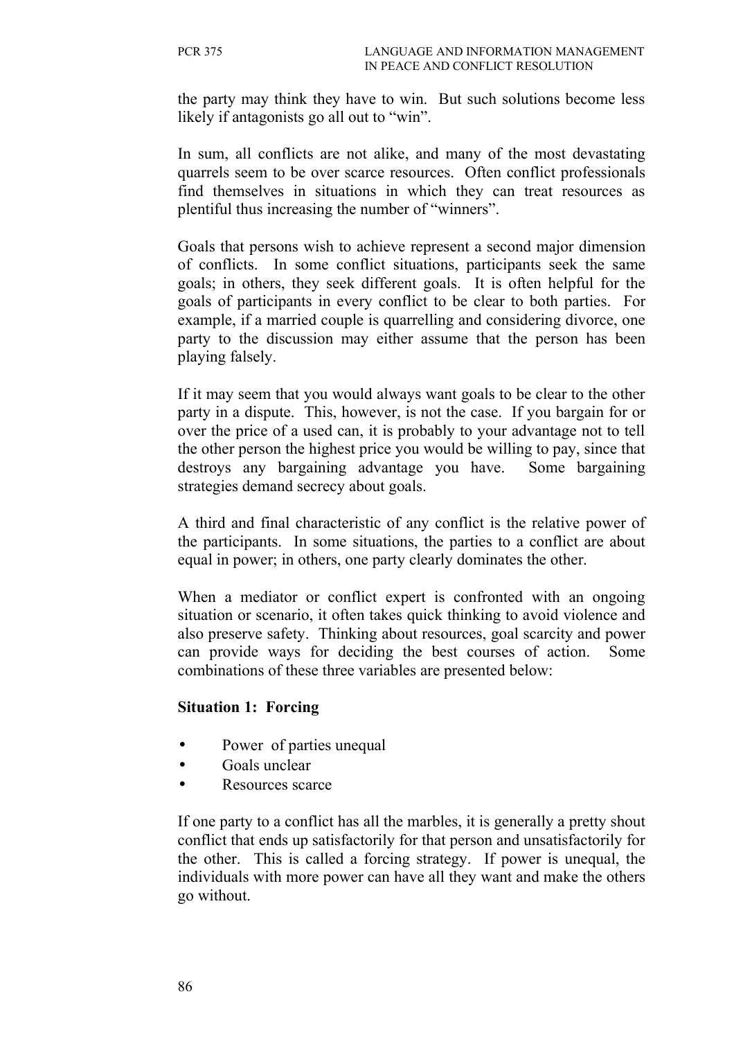the party may think they have to win. But such solutions become less likely if antagonists go all out to "win".

In sum, all conflicts are not alike, and many of the most devastating quarrels seem to be over scarce resources. Often conflict professionals find themselves in situations in which they can treat resources as plentiful thus increasing the number of "winners".

Goals that persons wish to achieve represent a second major dimension of conflicts. In some conflict situations, participants seek the same goals; in others, they seek different goals. It is often helpful for the goals of participants in every conflict to be clear to both parties. For example, if a married couple is quarrelling and considering divorce, one party to the discussion may either assume that the person has been playing falsely.

If it may seem that you would always want goals to be clear to the other party in a dispute. This, however, is not the case. If you bargain for or over the price of a used can, it is probably to your advantage not to tell the other person the highest price you would be willing to pay, since that destroys any bargaining advantage you have. Some bargaining strategies demand secrecy about goals.

A third and final characteristic of any conflict is the relative power of the participants. In some situations, the parties to a conflict are about equal in power; in others, one party clearly dominates the other.

When a mediator or conflict expert is confronted with an ongoing situation or scenario, it often takes quick thinking to avoid violence and also preserve safety. Thinking about resources, goal scarcity and power can provide ways for deciding the best courses of action. Some combinations of these three variables are presented below:

#### **Situation 1: Forcing**

- Power of parties unequal
- Goals unclear
- Resources scarce

If one party to a conflict has all the marbles, it is generally a pretty shout conflict that ends up satisfactorily for that person and unsatisfactorily for the other. This is called a forcing strategy. If power is unequal, the individuals with more power can have all they want and make the others go without.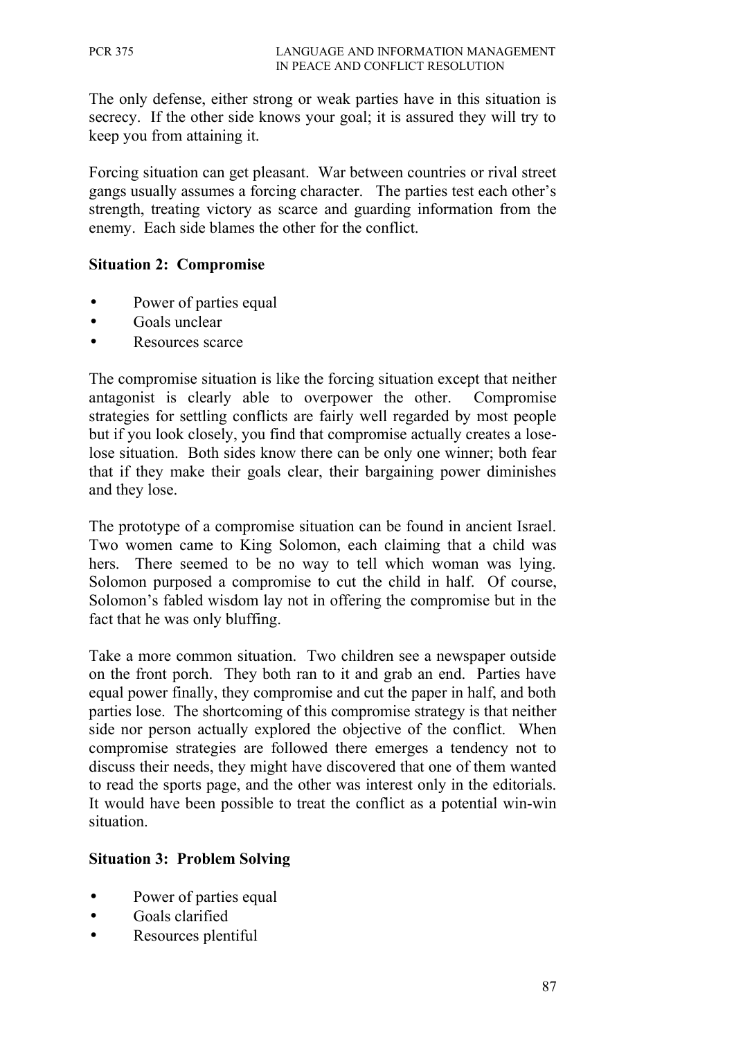The only defense, either strong or weak parties have in this situation is secrecy. If the other side knows your goal; it is assured they will try to keep you from attaining it.

Forcing situation can get pleasant. War between countries or rival street gangs usually assumes a forcing character. The parties test each other's strength, treating victory as scarce and guarding information from the enemy. Each side blames the other for the conflict.

#### **Situation 2: Compromise**

- Power of parties equal
- Goals unclear
- Resources scarce

The compromise situation is like the forcing situation except that neither antagonist is clearly able to overpower the other. Compromise strategies for settling conflicts are fairly well regarded by most people but if you look closely, you find that compromise actually creates a loselose situation. Both sides know there can be only one winner; both fear that if they make their goals clear, their bargaining power diminishes and they lose.

The prototype of a compromise situation can be found in ancient Israel. Two women came to King Solomon, each claiming that a child was hers. There seemed to be no way to tell which woman was lying. Solomon purposed a compromise to cut the child in half. Of course, Solomon's fabled wisdom lay not in offering the compromise but in the fact that he was only bluffing.

Take a more common situation. Two children see a newspaper outside on the front porch. They both ran to it and grab an end. Parties have equal power finally, they compromise and cut the paper in half, and both parties lose. The shortcoming of this compromise strategy is that neither side nor person actually explored the objective of the conflict. When compromise strategies are followed there emerges a tendency not to discuss their needs, they might have discovered that one of them wanted to read the sports page, and the other was interest only in the editorials. It would have been possible to treat the conflict as a potential win-win situation.

#### **Situation 3: Problem Solving**

- Power of parties equal
- Goals clarified
- Resources plentiful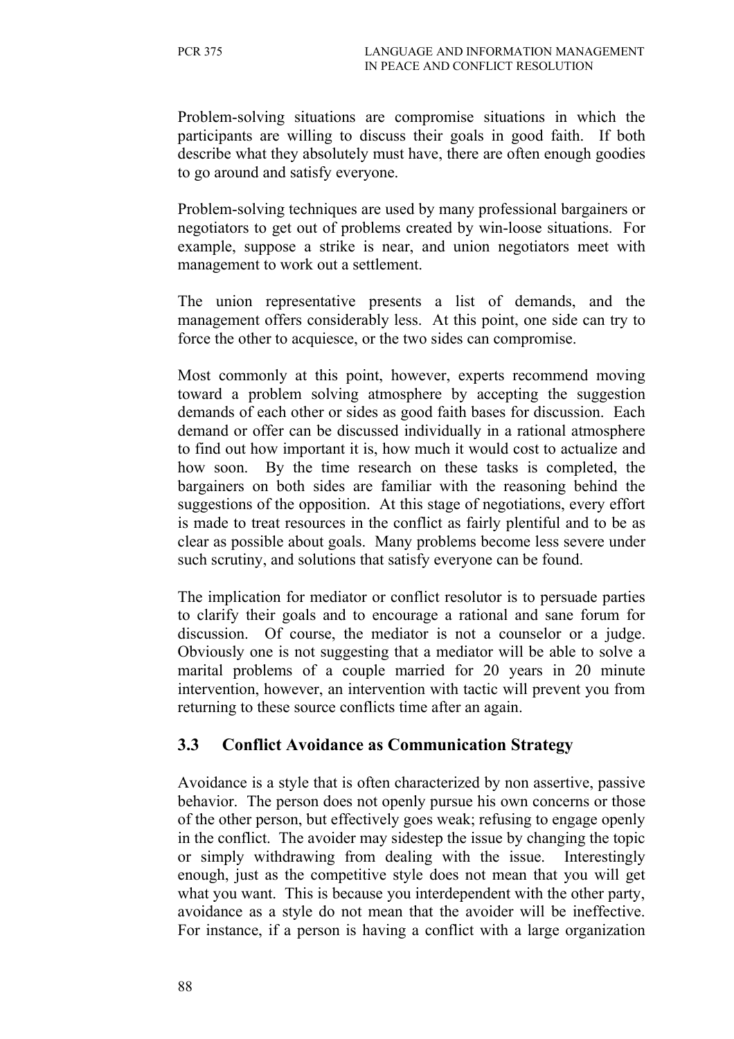Problem-solving situations are compromise situations in which the participants are willing to discuss their goals in good faith. If both describe what they absolutely must have, there are often enough goodies to go around and satisfy everyone.

Problem-solving techniques are used by many professional bargainers or negotiators to get out of problems created by win-loose situations. For example, suppose a strike is near, and union negotiators meet with management to work out a settlement.

The union representative presents a list of demands, and the management offers considerably less. At this point, one side can try to force the other to acquiesce, or the two sides can compromise.

Most commonly at this point, however, experts recommend moving toward a problem solving atmosphere by accepting the suggestion demands of each other or sides as good faith bases for discussion. Each demand or offer can be discussed individually in a rational atmosphere to find out how important it is, how much it would cost to actualize and how soon. By the time research on these tasks is completed, the bargainers on both sides are familiar with the reasoning behind the suggestions of the opposition. At this stage of negotiations, every effort is made to treat resources in the conflict as fairly plentiful and to be as clear as possible about goals. Many problems become less severe under such scrutiny, and solutions that satisfy everyone can be found.

The implication for mediator or conflict resolutor is to persuade parties to clarify their goals and to encourage a rational and sane forum for discussion. Of course, the mediator is not a counselor or a judge. Obviously one is not suggesting that a mediator will be able to solve a marital problems of a couple married for 20 years in 20 minute intervention, however, an intervention with tactic will prevent you from returning to these source conflicts time after an again.

### **3.3 Conflict Avoidance as Communication Strategy**

Avoidance is a style that is often characterized by non assertive, passive behavior. The person does not openly pursue his own concerns or those of the other person, but effectively goes weak; refusing to engage openly in the conflict. The avoider may sidestep the issue by changing the topic or simply withdrawing from dealing with the issue. Interestingly enough, just as the competitive style does not mean that you will get what you want. This is because you interdependent with the other party, avoidance as a style do not mean that the avoider will be ineffective. For instance, if a person is having a conflict with a large organization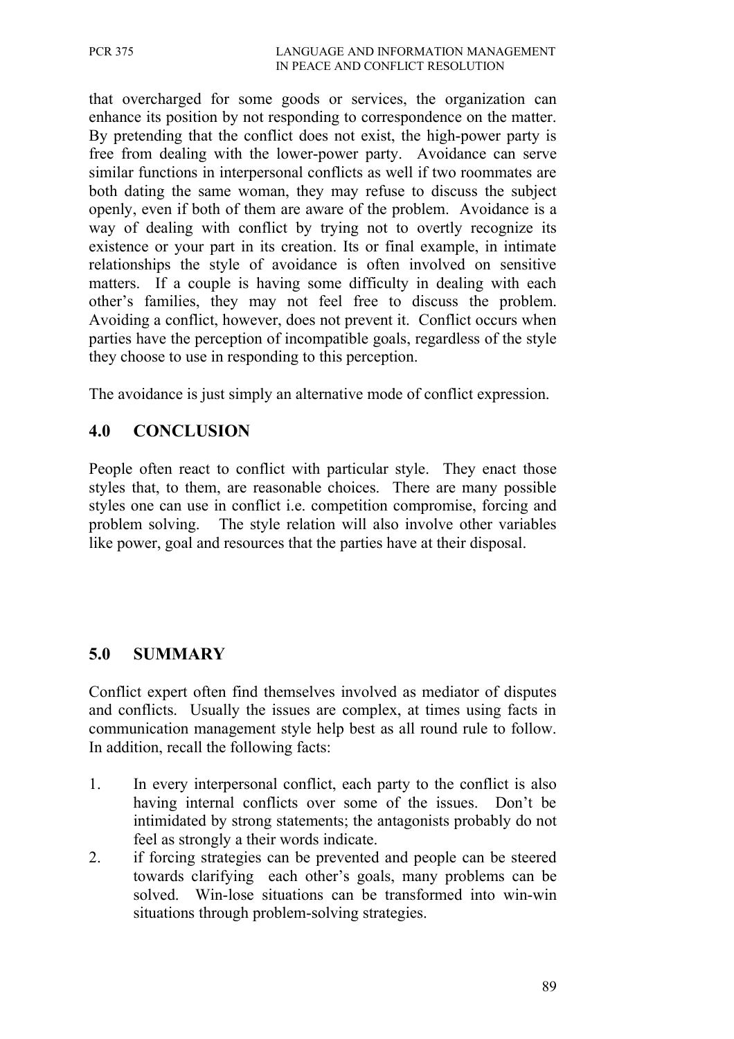that overcharged for some goods or services, the organization can enhance its position by not responding to correspondence on the matter. By pretending that the conflict does not exist, the high-power party is free from dealing with the lower-power party. Avoidance can serve similar functions in interpersonal conflicts as well if two roommates are both dating the same woman, they may refuse to discuss the subject openly, even if both of them are aware of the problem. Avoidance is a way of dealing with conflict by trying not to overtly recognize its existence or your part in its creation. Its or final example, in intimate relationships the style of avoidance is often involved on sensitive matters. If a couple is having some difficulty in dealing with each other's families, they may not feel free to discuss the problem. Avoiding a conflict, however, does not prevent it. Conflict occurs when parties have the perception of incompatible goals, regardless of the style they choose to use in responding to this perception.

The avoidance is just simply an alternative mode of conflict expression.

## **4.0 CONCLUSION**

People often react to conflict with particular style. They enact those styles that, to them, are reasonable choices. There are many possible styles one can use in conflict i.e. competition compromise, forcing and problem solving. The style relation will also involve other variables like power, goal and resources that the parties have at their disposal.

### **5.0 SUMMARY**

Conflict expert often find themselves involved as mediator of disputes and conflicts. Usually the issues are complex, at times using facts in communication management style help best as all round rule to follow. In addition, recall the following facts:

- 1. In every interpersonal conflict, each party to the conflict is also having internal conflicts over some of the issues. Don't be intimidated by strong statements; the antagonists probably do not feel as strongly a their words indicate.
- 2. if forcing strategies can be prevented and people can be steered towards clarifying each other's goals, many problems can be solved. Win-lose situations can be transformed into win-win situations through problem-solving strategies.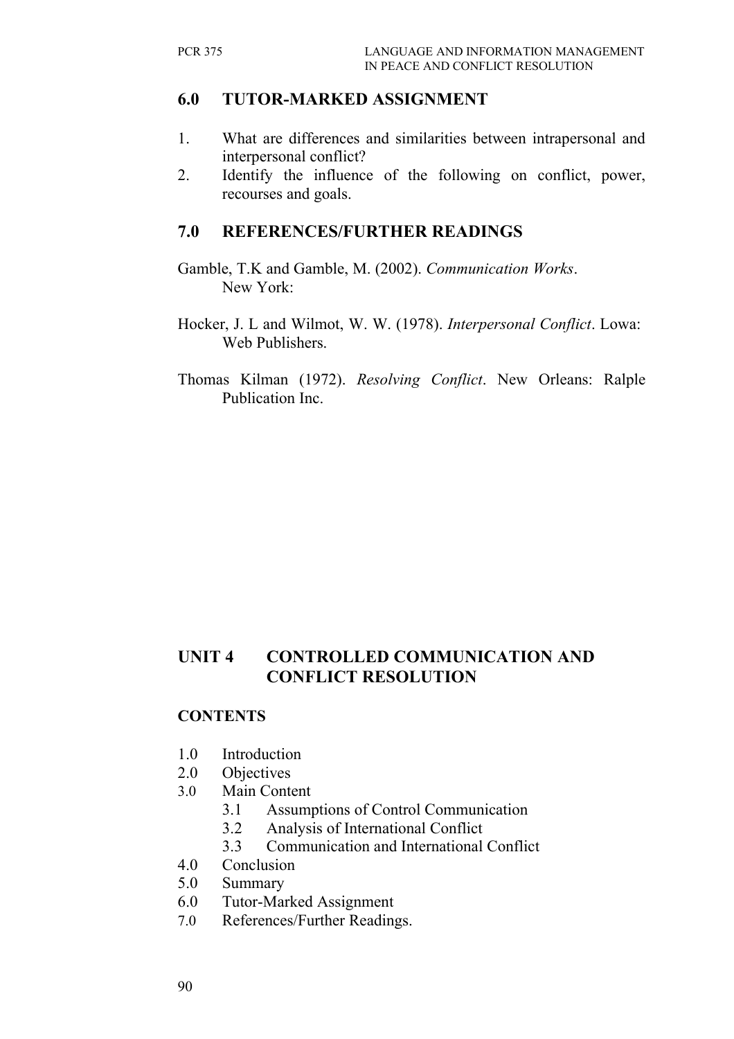### **6.0 TUTOR-MARKED ASSIGNMENT**

- 1. What are differences and similarities between intrapersonal and interpersonal conflict?
- 2. Identify the influence of the following on conflict, power, recourses and goals.

#### **7.0 REFERENCES/FURTHER READINGS**

- Gamble, T.K and Gamble, M. (2002). *Communication Works*. New York:
- Hocker, J. L and Wilmot, W. W. (1978). *Interpersonal Conflict*. Lowa: Web Publishers.
- Thomas Kilman (1972). *Resolving Conflict*. New Orleans: Ralple Publication Inc.

# **UNIT 4 CONTROLLED COMMUNICATION AND CONFLICT RESOLUTION**

#### **CONTENTS**

- 1.0 Introduction
- 2.0 Objectives
- 3.0 Main Content
	- 3.1 Assumptions of Control Communication
	- 3.2 Analysis of International Conflict
	- 3.3 Communication and International Conflict
- 4.0 Conclusion
- 5.0 Summary
- 6.0 Tutor-Marked Assignment
- 7.0 References/Further Readings.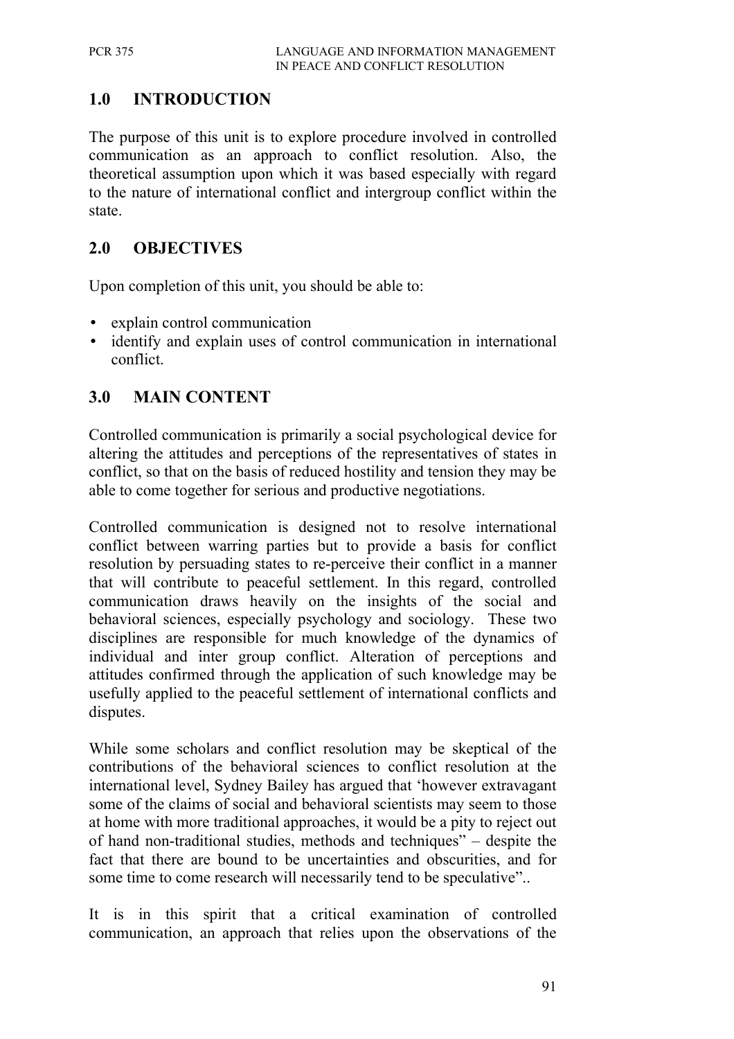# **1.0 INTRODUCTION**

The purpose of this unit is to explore procedure involved in controlled communication as an approach to conflict resolution. Also, the theoretical assumption upon which it was based especially with regard to the nature of international conflict and intergroup conflict within the state.

## **2.0 OBJECTIVES**

Upon completion of this unit, you should be able to:

- explain control communication
- identify and explain uses of control communication in international conflict.

# **3.0 MAIN CONTENT**

Controlled communication is primarily a social psychological device for altering the attitudes and perceptions of the representatives of states in conflict, so that on the basis of reduced hostility and tension they may be able to come together for serious and productive negotiations.

Controlled communication is designed not to resolve international conflict between warring parties but to provide a basis for conflict resolution by persuading states to re-perceive their conflict in a manner that will contribute to peaceful settlement. In this regard, controlled communication draws heavily on the insights of the social and behavioral sciences, especially psychology and sociology. These two disciplines are responsible for much knowledge of the dynamics of individual and inter group conflict. Alteration of perceptions and attitudes confirmed through the application of such knowledge may be usefully applied to the peaceful settlement of international conflicts and disputes.

While some scholars and conflict resolution may be skeptical of the contributions of the behavioral sciences to conflict resolution at the international level, Sydney Bailey has argued that 'however extravagant some of the claims of social and behavioral scientists may seem to those at home with more traditional approaches, it would be a pity to reject out of hand non-traditional studies, methods and techniques" – despite the fact that there are bound to be uncertainties and obscurities, and for some time to come research will necessarily tend to be speculative"..

It is in this spirit that a critical examination of controlled communication, an approach that relies upon the observations of the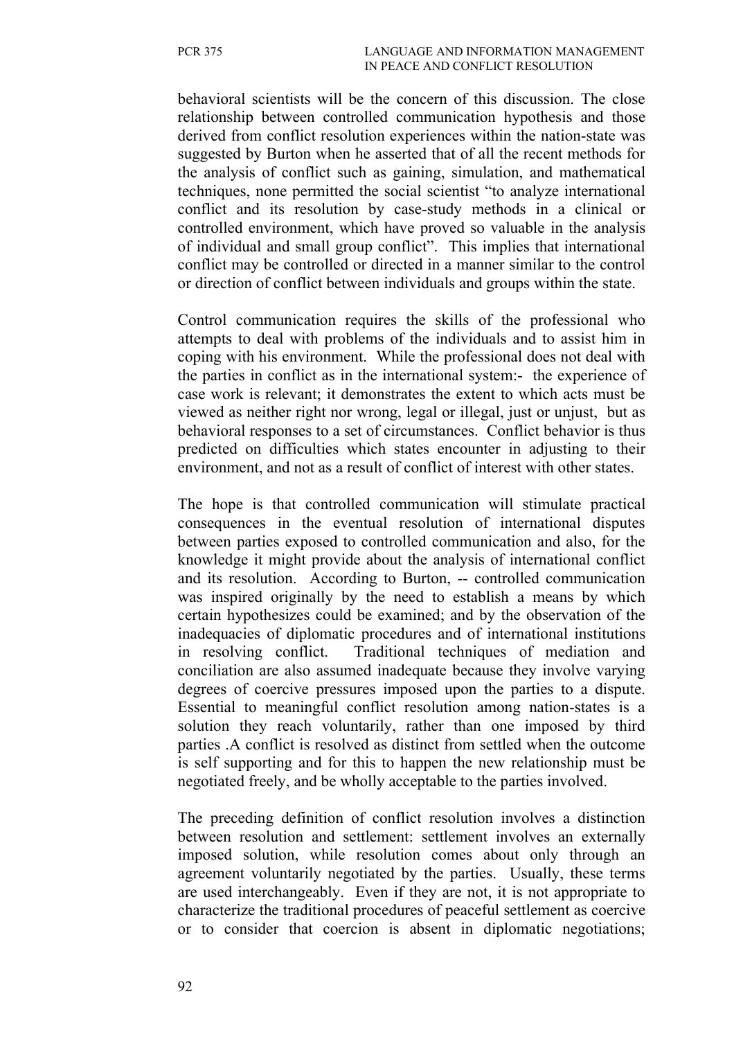behavioral scientists will be the concern of this discussion. The close relationship between controlled communication hypothesis and those derived from conflict resolution experiences within the nation-state was suggested by Burton when he asserted that of all the recent methods for the analysis of conflict such as gaining, simulation, and mathematical techniques, none permitted the social scientist "to analyze international conflict and its resolution by case-study methods in a clinical or controlled environment, which have proved so valuable in the analysis of individual and small group conflict". This implies that international conflict may be controlled or directed in a manner similar to the control or direction of conflict between individuals and groups within the state.

Control communication requires the skills of the professional who attempts to deal with problems of the individuals and to assist him in coping with his environment. While the professional does not deal with the parties in conflict as in the international system:- the experience of case work is relevant; it demonstrates the extent to which acts must be viewed as neither right nor wrong, legal or illegal, just or unjust, but as behavioral responses to a set of circumstances. Conflict behavior is thus predicted on difficulties which states encounter in adjusting to their environment, and not as a result of conflict of interest with other states.

The hope is that controlled communication will stimulate practical consequences in the eventual resolution of international disputes between parties exposed to controlled communication and also, for the knowledge it might provide about the analysis of international conflict and its resolution. According to Burton, -- controlled communication was inspired originally by the need to establish a means by which certain hypothesizes could be examined; and by the observation of the inadequacies of diplomatic procedures and of international institutions in resolving conflict. Traditional techniques of mediation and conciliation are also assumed inadequate because they involve varying degrees of coercive pressures imposed upon the parties to a dispute. Essential to meaningful conflict resolution among nation-states is a solution they reach voluntarily, rather than one imposed by third parties .A conflict is resolved as distinct from settled when the outcome is self supporting and for this to happen the new relationship must be negotiated freely, and be wholly acceptable to the parties involved.

The preceding definition of conflict resolution involves a distinction between resolution and settlement: settlement involves an externally imposed solution, while resolution comes about only through an agreement voluntarily negotiated by the parties. Usually, these terms are used interchangeably. Even if they are not, it is not appropriate to characterize the traditional procedures of peaceful settlement as coercive or to consider that coercion is absent in diplomatic negotiations;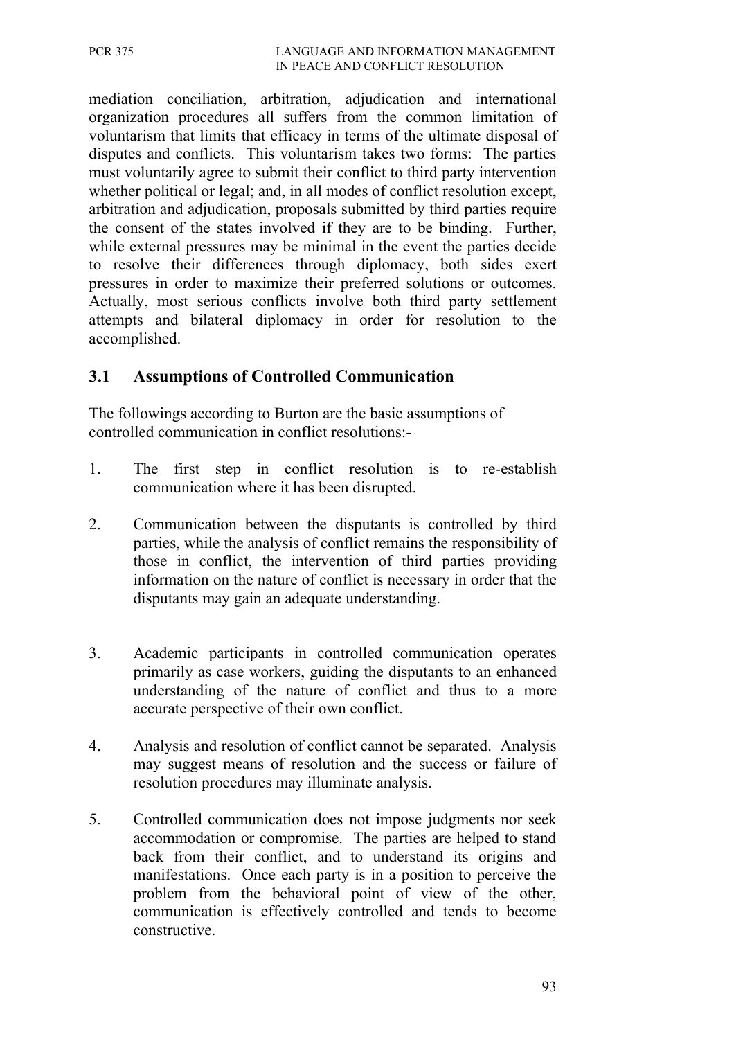mediation conciliation, arbitration, adjudication and international organization procedures all suffers from the common limitation of voluntarism that limits that efficacy in terms of the ultimate disposal of disputes and conflicts. This voluntarism takes two forms: The parties must voluntarily agree to submit their conflict to third party intervention whether political or legal; and, in all modes of conflict resolution except, arbitration and adjudication, proposals submitted by third parties require the consent of the states involved if they are to be binding. Further, while external pressures may be minimal in the event the parties decide to resolve their differences through diplomacy, both sides exert pressures in order to maximize their preferred solutions or outcomes. Actually, most serious conflicts involve both third party settlement attempts and bilateral diplomacy in order for resolution to the accomplished.

### **3.1 Assumptions of Controlled Communication**

The followings according to Burton are the basic assumptions of controlled communication in conflict resolutions:-

- 1. The first step in conflict resolution is to re-establish communication where it has been disrupted.
- 2. Communication between the disputants is controlled by third parties, while the analysis of conflict remains the responsibility of those in conflict, the intervention of third parties providing information on the nature of conflict is necessary in order that the disputants may gain an adequate understanding.
- 3. Academic participants in controlled communication operates primarily as case workers, guiding the disputants to an enhanced understanding of the nature of conflict and thus to a more accurate perspective of their own conflict.
- 4. Analysis and resolution of conflict cannot be separated. Analysis may suggest means of resolution and the success or failure of resolution procedures may illuminate analysis.
- 5. Controlled communication does not impose judgments nor seek accommodation or compromise. The parties are helped to stand back from their conflict, and to understand its origins and manifestations. Once each party is in a position to perceive the problem from the behavioral point of view of the other, communication is effectively controlled and tends to become constructive.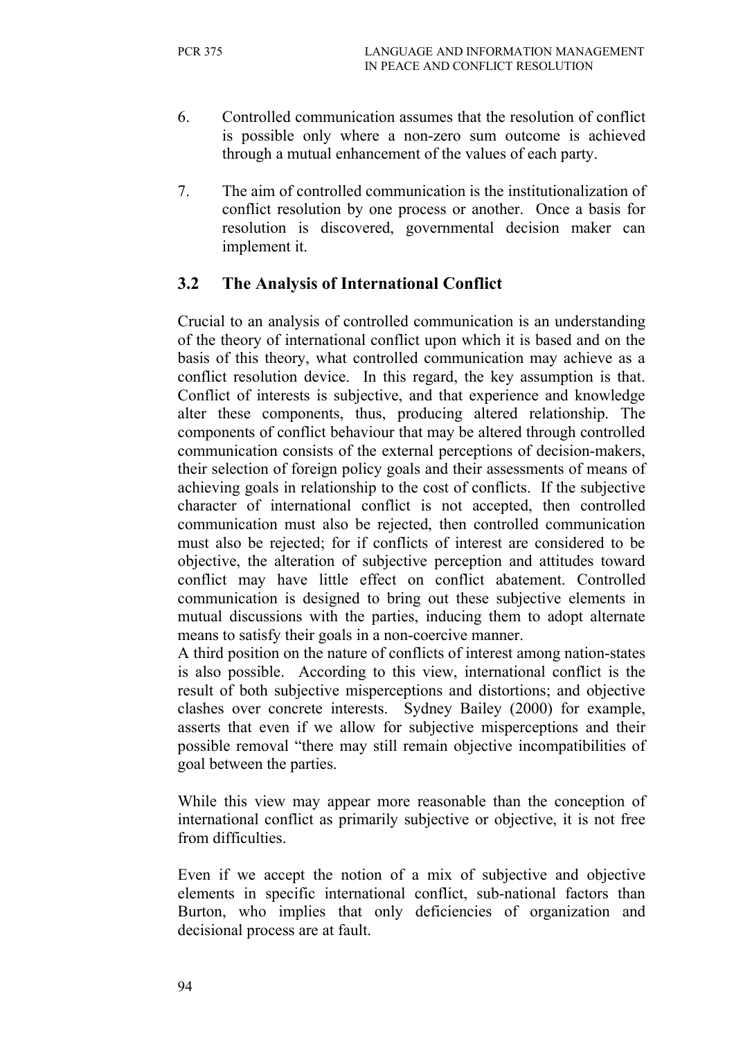- 6. Controlled communication assumes that the resolution of conflict is possible only where a non-zero sum outcome is achieved through a mutual enhancement of the values of each party.
- 7. The aim of controlled communication is the institutionalization of conflict resolution by one process or another. Once a basis for resolution is discovered, governmental decision maker can implement it.

#### **3.2 The Analysis of International Conflict**

Crucial to an analysis of controlled communication is an understanding of the theory of international conflict upon which it is based and on the basis of this theory, what controlled communication may achieve as a conflict resolution device. In this regard, the key assumption is that. Conflict of interests is subjective, and that experience and knowledge alter these components, thus, producing altered relationship. The components of conflict behaviour that may be altered through controlled communication consists of the external perceptions of decision-makers, their selection of foreign policy goals and their assessments of means of achieving goals in relationship to the cost of conflicts. If the subjective character of international conflict is not accepted, then controlled communication must also be rejected, then controlled communication must also be rejected; for if conflicts of interest are considered to be objective, the alteration of subjective perception and attitudes toward conflict may have little effect on conflict abatement. Controlled communication is designed to bring out these subjective elements in mutual discussions with the parties, inducing them to adopt alternate means to satisfy their goals in a non-coercive manner.

A third position on the nature of conflicts of interest among nation-states is also possible. According to this view, international conflict is the result of both subjective misperceptions and distortions; and objective clashes over concrete interests. Sydney Bailey (2000) for example, asserts that even if we allow for subjective misperceptions and their possible removal "there may still remain objective incompatibilities of goal between the parties.

While this view may appear more reasonable than the conception of international conflict as primarily subjective or objective, it is not free from difficulties.

Even if we accept the notion of a mix of subjective and objective elements in specific international conflict, sub-national factors than Burton, who implies that only deficiencies of organization and decisional process are at fault.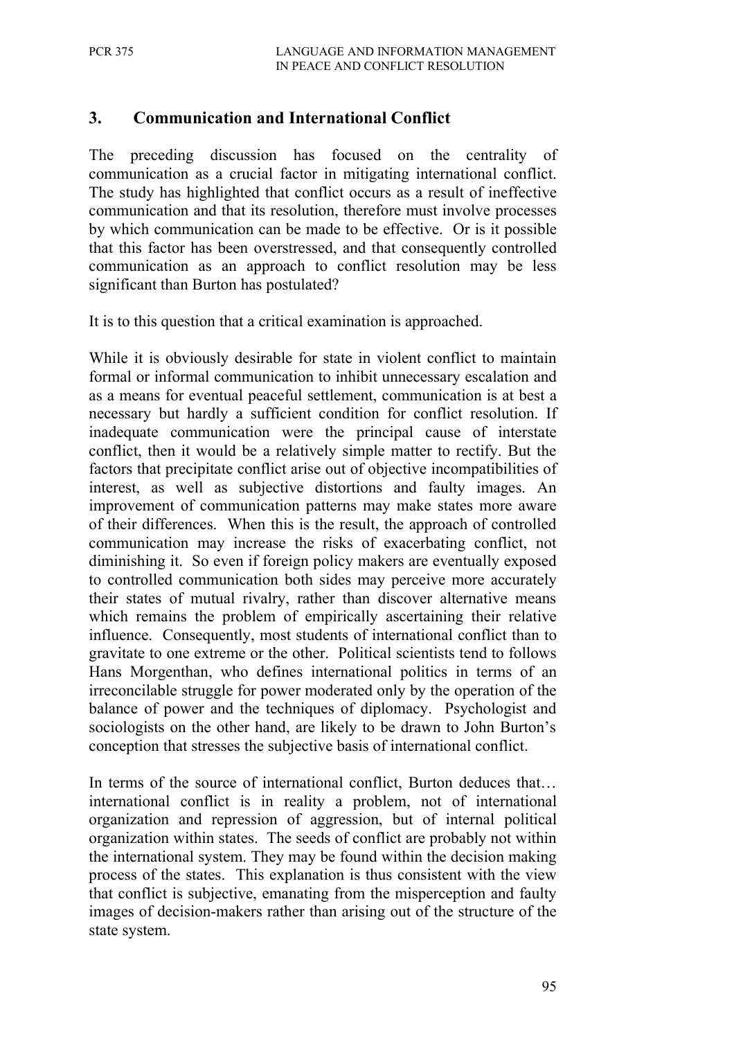### **3. Communication and International Conflict**

The preceding discussion has focused on the centrality of communication as a crucial factor in mitigating international conflict. The study has highlighted that conflict occurs as a result of ineffective communication and that its resolution, therefore must involve processes by which communication can be made to be effective. Or is it possible that this factor has been overstressed, and that consequently controlled communication as an approach to conflict resolution may be less significant than Burton has postulated?

It is to this question that a critical examination is approached.

While it is obviously desirable for state in violent conflict to maintain formal or informal communication to inhibit unnecessary escalation and as a means for eventual peaceful settlement, communication is at best a necessary but hardly a sufficient condition for conflict resolution. If inadequate communication were the principal cause of interstate conflict, then it would be a relatively simple matter to rectify. But the factors that precipitate conflict arise out of objective incompatibilities of interest, as well as subjective distortions and faulty images. An improvement of communication patterns may make states more aware of their differences. When this is the result, the approach of controlled communication may increase the risks of exacerbating conflict, not diminishing it. So even if foreign policy makers are eventually exposed to controlled communication both sides may perceive more accurately their states of mutual rivalry, rather than discover alternative means which remains the problem of empirically ascertaining their relative influence. Consequently, most students of international conflict than to gravitate to one extreme or the other. Political scientists tend to follows Hans Morgenthan, who defines international politics in terms of an irreconcilable struggle for power moderated only by the operation of the balance of power and the techniques of diplomacy. Psychologist and sociologists on the other hand, are likely to be drawn to John Burton's conception that stresses the subjective basis of international conflict.

In terms of the source of international conflict, Burton deduces that... international conflict is in reality a problem, not of international organization and repression of aggression, but of internal political organization within states. The seeds of conflict are probably not within the international system. They may be found within the decision making process of the states. This explanation is thus consistent with the view that conflict is subjective, emanating from the misperception and faulty images of decision-makers rather than arising out of the structure of the state system.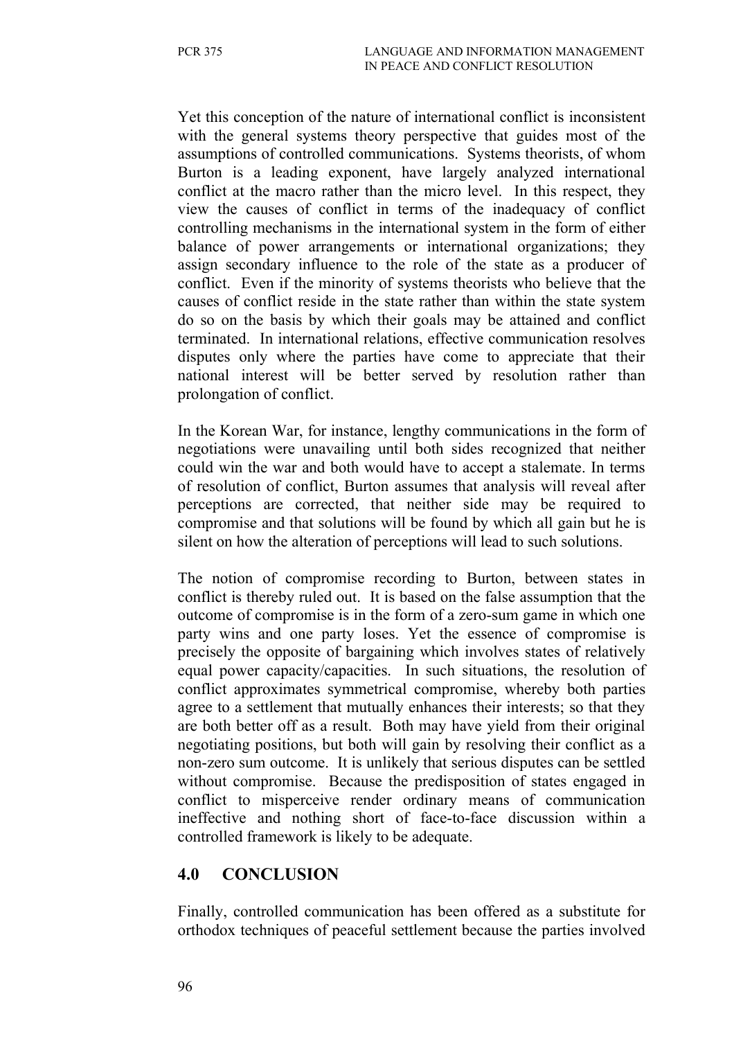Yet this conception of the nature of international conflict is inconsistent with the general systems theory perspective that guides most of the assumptions of controlled communications. Systems theorists, of whom Burton is a leading exponent, have largely analyzed international conflict at the macro rather than the micro level. In this respect, they view the causes of conflict in terms of the inadequacy of conflict controlling mechanisms in the international system in the form of either balance of power arrangements or international organizations; they assign secondary influence to the role of the state as a producer of conflict. Even if the minority of systems theorists who believe that the causes of conflict reside in the state rather than within the state system do so on the basis by which their goals may be attained and conflict terminated. In international relations, effective communication resolves disputes only where the parties have come to appreciate that their national interest will be better served by resolution rather than prolongation of conflict.

In the Korean War, for instance, lengthy communications in the form of negotiations were unavailing until both sides recognized that neither could win the war and both would have to accept a stalemate. In terms of resolution of conflict, Burton assumes that analysis will reveal after perceptions are corrected, that neither side may be required to compromise and that solutions will be found by which all gain but he is silent on how the alteration of perceptions will lead to such solutions.

The notion of compromise recording to Burton, between states in conflict is thereby ruled out. It is based on the false assumption that the outcome of compromise is in the form of a zero-sum game in which one party wins and one party loses. Yet the essence of compromise is precisely the opposite of bargaining which involves states of relatively equal power capacity/capacities. In such situations, the resolution of conflict approximates symmetrical compromise, whereby both parties agree to a settlement that mutually enhances their interests; so that they are both better off as a result. Both may have yield from their original negotiating positions, but both will gain by resolving their conflict as a non-zero sum outcome. It is unlikely that serious disputes can be settled without compromise. Because the predisposition of states engaged in conflict to misperceive render ordinary means of communication ineffective and nothing short of face-to-face discussion within a controlled framework is likely to be adequate.

#### **4.0 CONCLUSION**

Finally, controlled communication has been offered as a substitute for orthodox techniques of peaceful settlement because the parties involved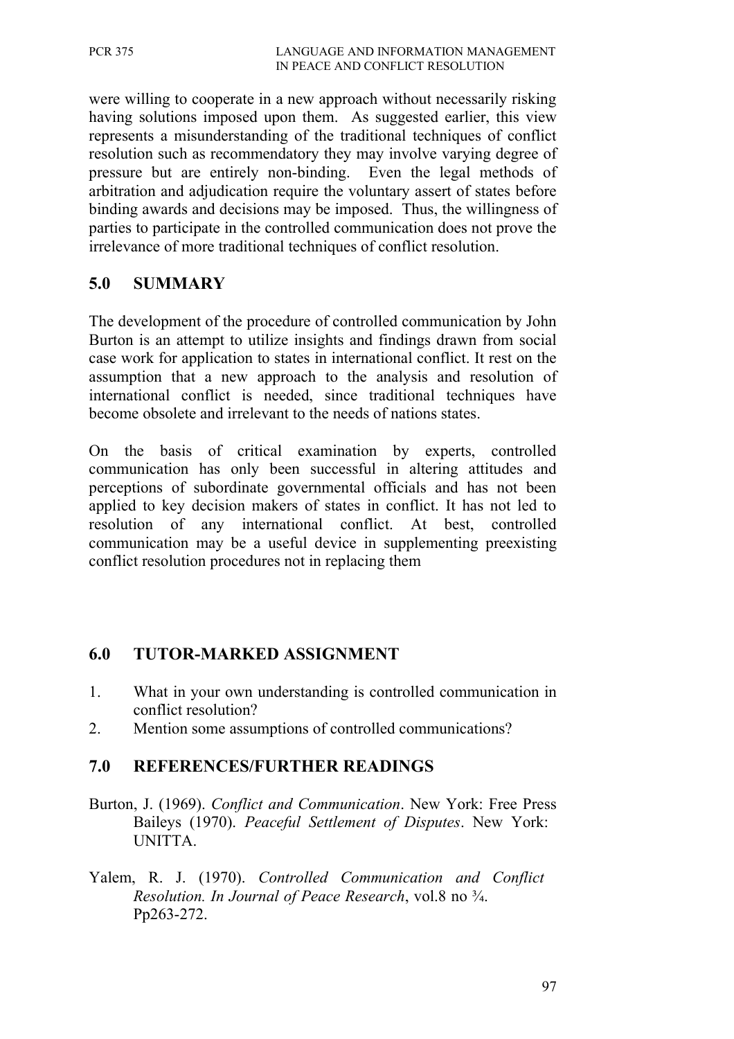were willing to cooperate in a new approach without necessarily risking having solutions imposed upon them. As suggested earlier, this view represents a misunderstanding of the traditional techniques of conflict resolution such as recommendatory they may involve varying degree of pressure but are entirely non-binding. Even the legal methods of arbitration and adjudication require the voluntary assert of states before binding awards and decisions may be imposed. Thus, the willingness of parties to participate in the controlled communication does not prove the irrelevance of more traditional techniques of conflict resolution.

#### **5.0 SUMMARY**

The development of the procedure of controlled communication by John Burton is an attempt to utilize insights and findings drawn from social case work for application to states in international conflict. It rest on the assumption that a new approach to the analysis and resolution of international conflict is needed, since traditional techniques have become obsolete and irrelevant to the needs of nations states.

On the basis of critical examination by experts, controlled communication has only been successful in altering attitudes and perceptions of subordinate governmental officials and has not been applied to key decision makers of states in conflict. It has not led to resolution of any international conflict. At best, controlled communication may be a useful device in supplementing preexisting conflict resolution procedures not in replacing them

#### **6.0 TUTOR-MARKED ASSIGNMENT**

- 1. What in your own understanding is controlled communication in conflict resolution?
- 2. Mention some assumptions of controlled communications?

#### **7.0 REFERENCES/FURTHER READINGS**

- Burton, J. (1969). *Conflict and Communication*. New York: Free Press Baileys (1970). *Peaceful Settlement of Disputes*. New York: UNITTA.
- Yalem, R. J. (1970). *Controlled Communication and Conflict Resolution. In Journal of Peace Research*, vol.8 no ¾. Pp263-272.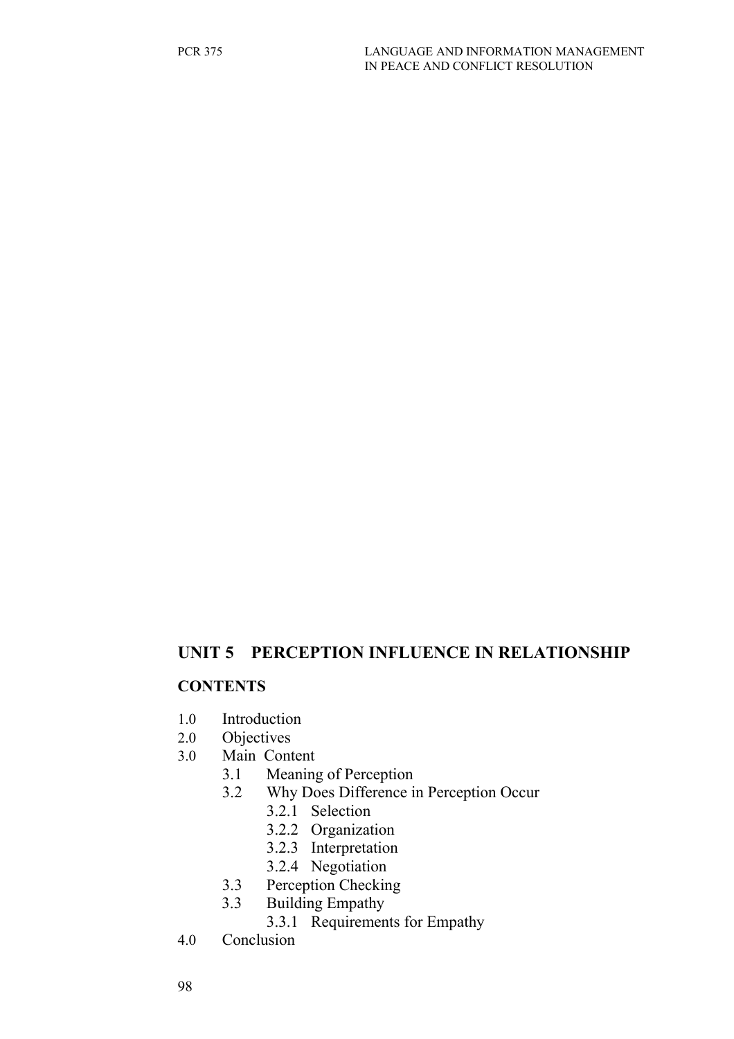#### **UNIT 5 PERCEPTION INFLUENCE IN RELATIONSHIP**

#### **CONTENTS**

- 1.0 Introduction
- 2.0 Objectives
- 3.0 Main Content
	- 3.1 Meaning of Perception
		- 3.2 Why Does Difference in Perception Occur
			- 3.2.1 Selection
			- 3.2.2 Organization
			- 3.2.3 Interpretation
			- 3.2.4 Negotiation
		- 3.3 Perception Checking
		- 3.3 Building Empathy
			- 3.3.1 Requirements for Empathy
- 4.0 Conclusion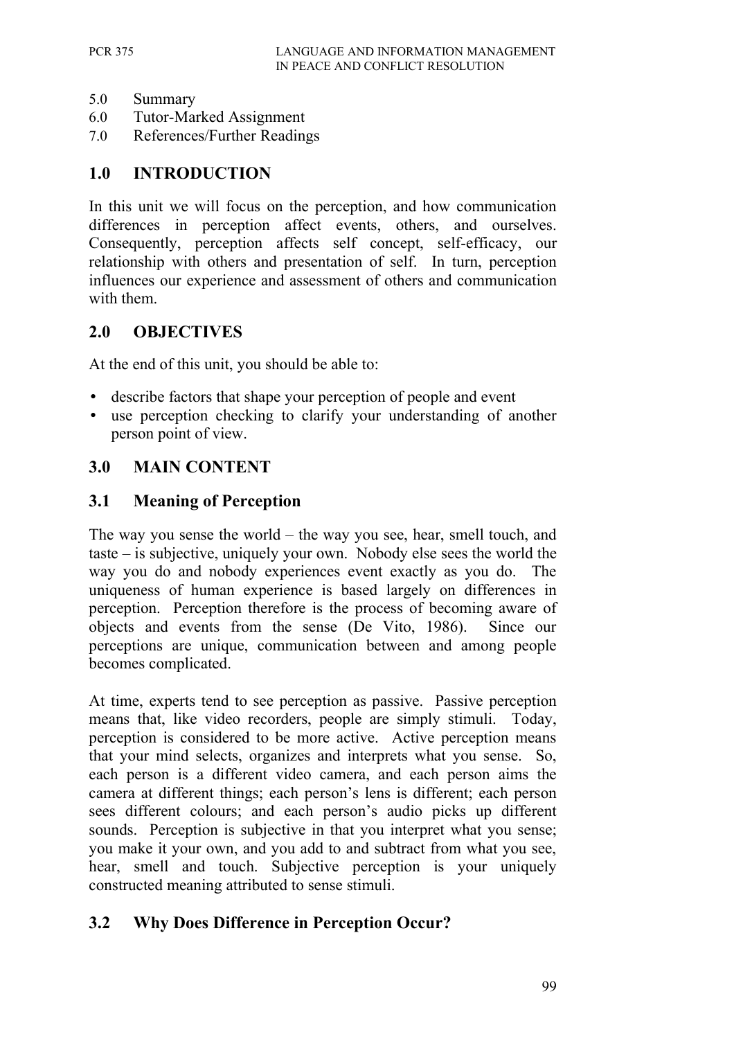- 5.0 Summary
- 6.0 Tutor-Marked Assignment
- 7.0 References/Further Readings

#### **1.0 INTRODUCTION**

In this unit we will focus on the perception, and how communication differences in perception affect events, others, and ourselves. Consequently, perception affects self concept, self-efficacy, our relationship with others and presentation of self. In turn, perception influences our experience and assessment of others and communication with them.

#### **2.0 OBJECTIVES**

At the end of this unit, you should be able to:

- describe factors that shape your perception of people and event
- use perception checking to clarify your understanding of another person point of view.

#### **3.0 MAIN CONTENT**

#### **3.1 Meaning of Perception**

The way you sense the world – the way you see, hear, smell touch, and taste – is subjective, uniquely your own. Nobody else sees the world the way you do and nobody experiences event exactly as you do. The uniqueness of human experience is based largely on differences in perception. Perception therefore is the process of becoming aware of objects and events from the sense (De Vito, 1986). Since our perceptions are unique, communication between and among people becomes complicated.

At time, experts tend to see perception as passive. Passive perception means that, like video recorders, people are simply stimuli. Today, perception is considered to be more active. Active perception means that your mind selects, organizes and interprets what you sense. So, each person is a different video camera, and each person aims the camera at different things; each person's lens is different; each person sees different colours; and each person's audio picks up different sounds. Perception is subjective in that you interpret what you sense; you make it your own, and you add to and subtract from what you see, hear, smell and touch. Subjective perception is your uniquely constructed meaning attributed to sense stimuli.

#### **3.2 Why Does Difference in Perception Occur?**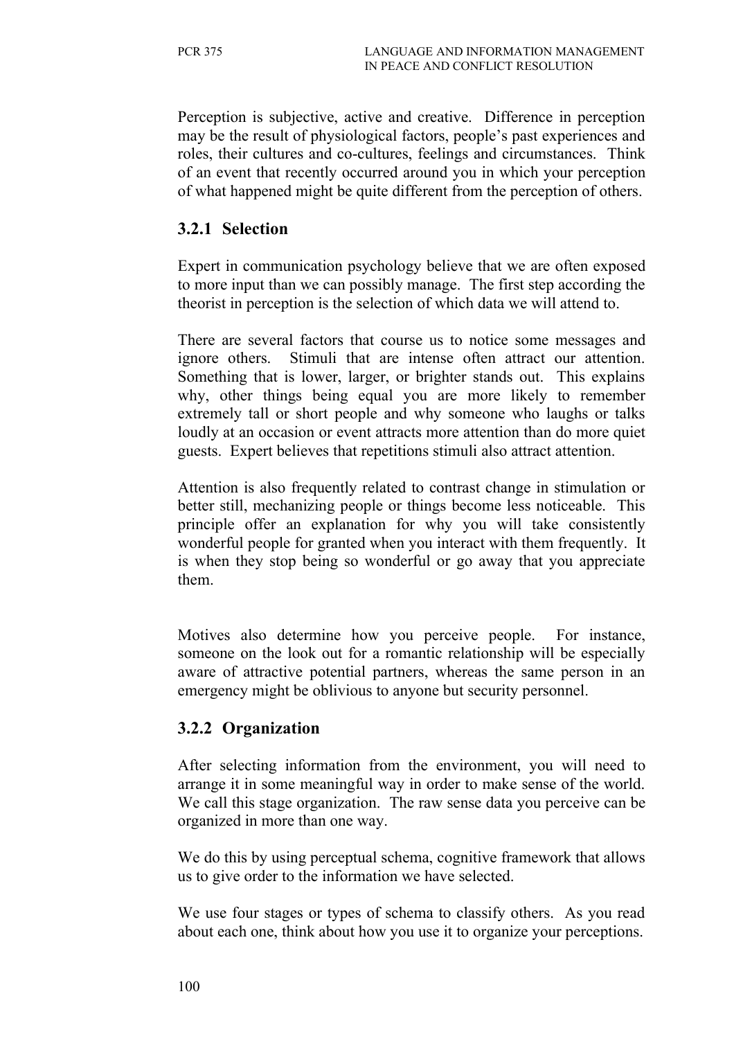Perception is subjective, active and creative. Difference in perception may be the result of physiological factors, people's past experiences and roles, their cultures and co-cultures, feelings and circumstances. Think of an event that recently occurred around you in which your perception of what happened might be quite different from the perception of others.

### **3.2.1 Selection**

Expert in communication psychology believe that we are often exposed to more input than we can possibly manage. The first step according the theorist in perception is the selection of which data we will attend to.

There are several factors that course us to notice some messages and ignore others. Stimuli that are intense often attract our attention. Something that is lower, larger, or brighter stands out. This explains why, other things being equal you are more likely to remember extremely tall or short people and why someone who laughs or talks loudly at an occasion or event attracts more attention than do more quiet guests. Expert believes that repetitions stimuli also attract attention.

Attention is also frequently related to contrast change in stimulation or better still, mechanizing people or things become less noticeable. This principle offer an explanation for why you will take consistently wonderful people for granted when you interact with them frequently. It is when they stop being so wonderful or go away that you appreciate them.

Motives also determine how you perceive people. For instance, someone on the look out for a romantic relationship will be especially aware of attractive potential partners, whereas the same person in an emergency might be oblivious to anyone but security personnel.

#### **3.2.2 Organization**

After selecting information from the environment, you will need to arrange it in some meaningful way in order to make sense of the world. We call this stage organization. The raw sense data you perceive can be organized in more than one way.

We do this by using perceptual schema, cognitive framework that allows us to give order to the information we have selected.

We use four stages or types of schema to classify others. As you read about each one, think about how you use it to organize your perceptions.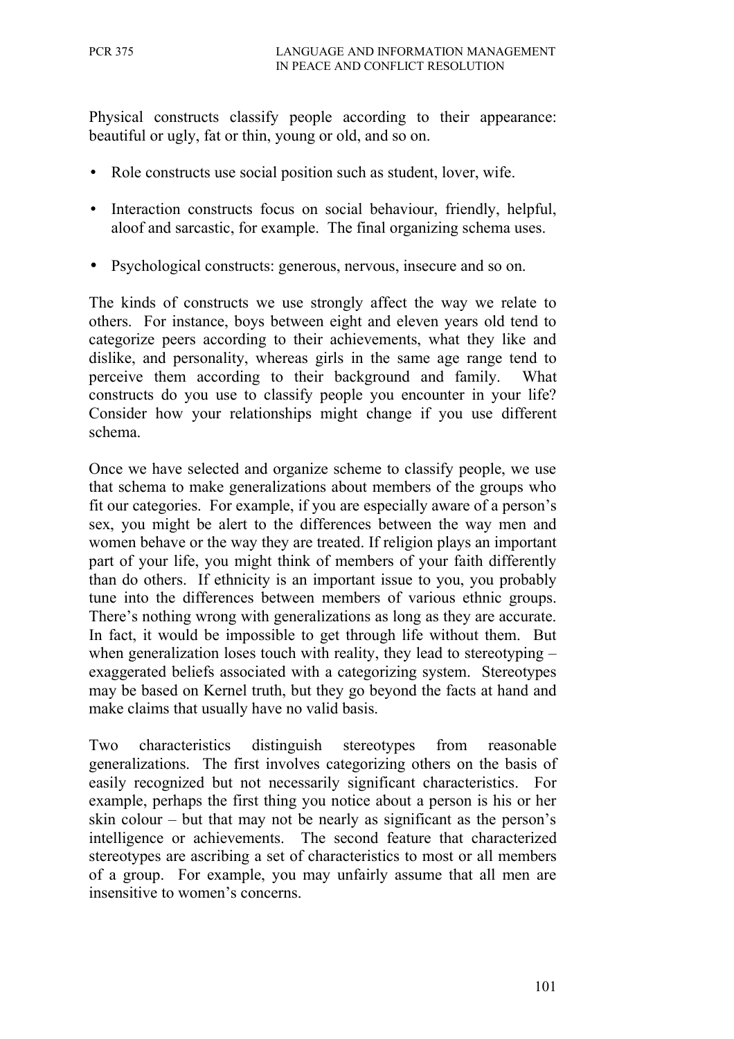Physical constructs classify people according to their appearance: beautiful or ugly, fat or thin, young or old, and so on.

- Role constructs use social position such as student, lover, wife.
- Interaction constructs focus on social behaviour, friendly, helpful, aloof and sarcastic, for example. The final organizing schema uses.
- Psychological constructs: generous, nervous, insecure and so on.

The kinds of constructs we use strongly affect the way we relate to others. For instance, boys between eight and eleven years old tend to categorize peers according to their achievements, what they like and dislike, and personality, whereas girls in the same age range tend to perceive them according to their background and family. What constructs do you use to classify people you encounter in your life? Consider how your relationships might change if you use different schema.

Once we have selected and organize scheme to classify people, we use that schema to make generalizations about members of the groups who fit our categories. For example, if you are especially aware of a person's sex, you might be alert to the differences between the way men and women behave or the way they are treated. If religion plays an important part of your life, you might think of members of your faith differently than do others. If ethnicity is an important issue to you, you probably tune into the differences between members of various ethnic groups. There's nothing wrong with generalizations as long as they are accurate. In fact, it would be impossible to get through life without them. But when generalization loses touch with reality, they lead to stereotyping – exaggerated beliefs associated with a categorizing system. Stereotypes may be based on Kernel truth, but they go beyond the facts at hand and make claims that usually have no valid basis.

Two characteristics distinguish stereotypes from reasonable generalizations. The first involves categorizing others on the basis of easily recognized but not necessarily significant characteristics. For example, perhaps the first thing you notice about a person is his or her skin colour – but that may not be nearly as significant as the person's intelligence or achievements. The second feature that characterized stereotypes are ascribing a set of characteristics to most or all members of a group. For example, you may unfairly assume that all men are insensitive to women's concerns.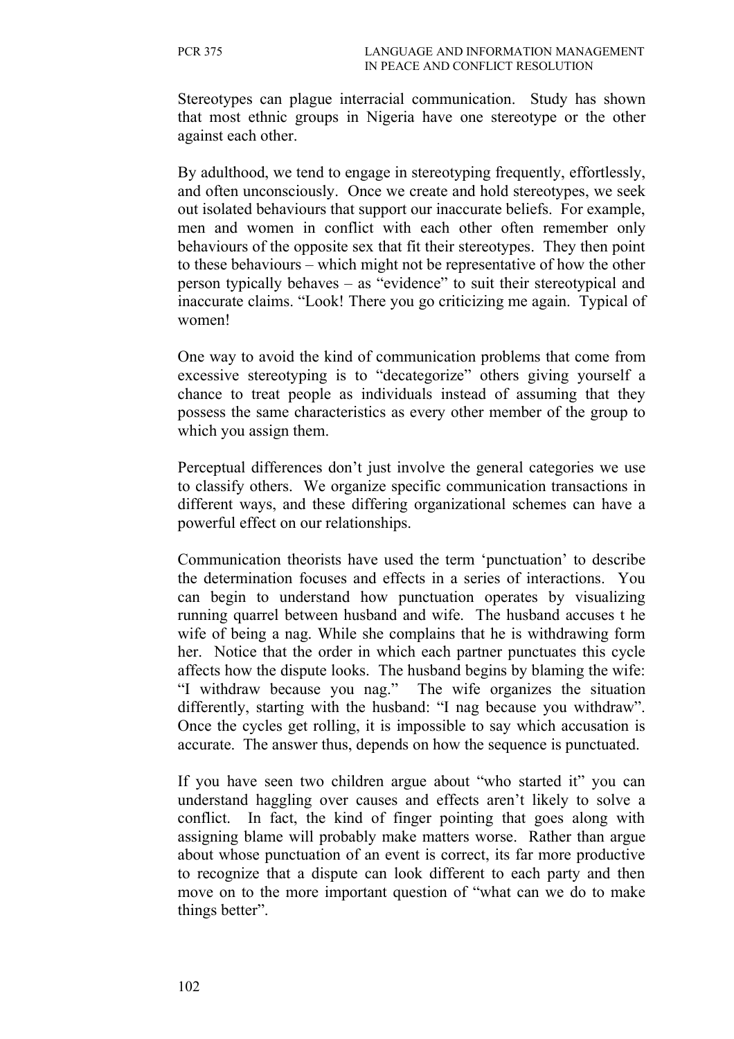Stereotypes can plague interracial communication. Study has shown that most ethnic groups in Nigeria have one stereotype or the other against each other.

By adulthood, we tend to engage in stereotyping frequently, effortlessly, and often unconsciously. Once we create and hold stereotypes, we seek out isolated behaviours that support our inaccurate beliefs. For example, men and women in conflict with each other often remember only behaviours of the opposite sex that fit their stereotypes. They then point to these behaviours – which might not be representative of how the other person typically behaves – as "evidence" to suit their stereotypical and inaccurate claims. "Look! There you go criticizing me again. Typical of women!

One way to avoid the kind of communication problems that come from excessive stereotyping is to "decategorize" others giving yourself a chance to treat people as individuals instead of assuming that they possess the same characteristics as every other member of the group to which you assign them.

Perceptual differences don't just involve the general categories we use to classify others. We organize specific communication transactions in different ways, and these differing organizational schemes can have a powerful effect on our relationships.

Communication theorists have used the term 'punctuation' to describe the determination focuses and effects in a series of interactions. You can begin to understand how punctuation operates by visualizing running quarrel between husband and wife. The husband accuses t he wife of being a nag. While she complains that he is withdrawing form her. Notice that the order in which each partner punctuates this cycle affects how the dispute looks. The husband begins by blaming the wife: "I withdraw because you nag." The wife organizes the situation differently, starting with the husband: "I nag because you withdraw". Once the cycles get rolling, it is impossible to say which accusation is accurate. The answer thus, depends on how the sequence is punctuated.

If you have seen two children argue about "who started it" you can understand haggling over causes and effects aren't likely to solve a conflict. In fact, the kind of finger pointing that goes along with assigning blame will probably make matters worse. Rather than argue about whose punctuation of an event is correct, its far more productive to recognize that a dispute can look different to each party and then move on to the more important question of "what can we do to make things better".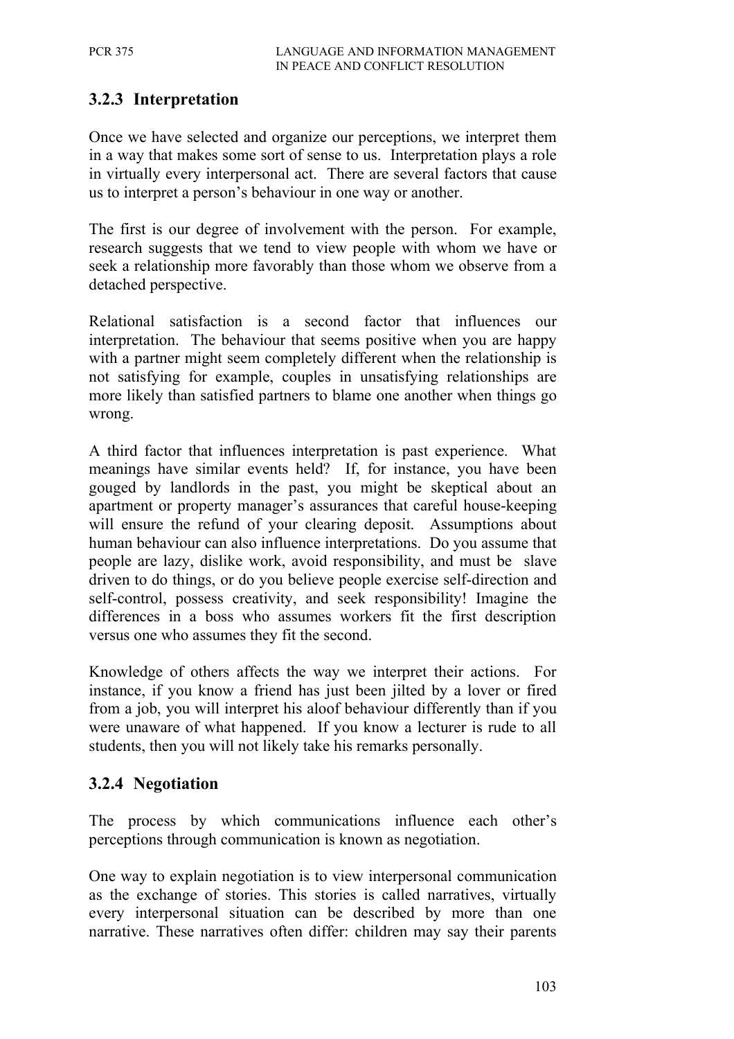# **3.2.3 Interpretation**

Once we have selected and organize our perceptions, we interpret them in a way that makes some sort of sense to us. Interpretation plays a role in virtually every interpersonal act. There are several factors that cause us to interpret a person's behaviour in one way or another.

The first is our degree of involvement with the person. For example, research suggests that we tend to view people with whom we have or seek a relationship more favorably than those whom we observe from a detached perspective.

Relational satisfaction is a second factor that influences our interpretation. The behaviour that seems positive when you are happy with a partner might seem completely different when the relationship is not satisfying for example, couples in unsatisfying relationships are more likely than satisfied partners to blame one another when things go wrong.

A third factor that influences interpretation is past experience. What meanings have similar events held? If, for instance, you have been gouged by landlords in the past, you might be skeptical about an apartment or property manager's assurances that careful house-keeping will ensure the refund of your clearing deposit. Assumptions about human behaviour can also influence interpretations. Do you assume that people are lazy, dislike work, avoid responsibility, and must be slave driven to do things, or do you believe people exercise self-direction and self-control, possess creativity, and seek responsibility! Imagine the differences in a boss who assumes workers fit the first description versus one who assumes they fit the second.

Knowledge of others affects the way we interpret their actions. For instance, if you know a friend has just been jilted by a lover or fired from a job, you will interpret his aloof behaviour differently than if you were unaware of what happened. If you know a lecturer is rude to all students, then you will not likely take his remarks personally.

#### **3.2.4 Negotiation**

The process by which communications influence each other's perceptions through communication is known as negotiation.

One way to explain negotiation is to view interpersonal communication as the exchange of stories. This stories is called narratives, virtually every interpersonal situation can be described by more than one narrative. These narratives often differ: children may say their parents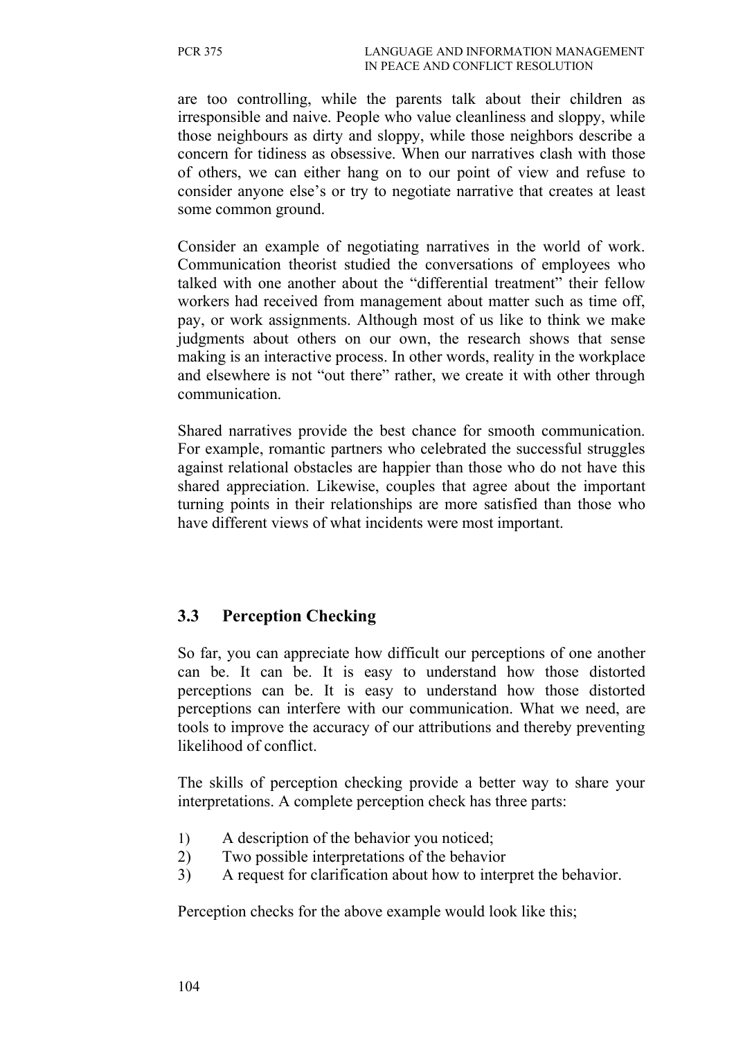are too controlling, while the parents talk about their children as irresponsible and naive. People who value cleanliness and sloppy, while those neighbours as dirty and sloppy, while those neighbors describe a concern for tidiness as obsessive. When our narratives clash with those of others, we can either hang on to our point of view and refuse to consider anyone else's or try to negotiate narrative that creates at least some common ground.

Consider an example of negotiating narratives in the world of work. Communication theorist studied the conversations of employees who talked with one another about the "differential treatment" their fellow workers had received from management about matter such as time off, pay, or work assignments. Although most of us like to think we make judgments about others on our own, the research shows that sense making is an interactive process. In other words, reality in the workplace and elsewhere is not "out there" rather, we create it with other through communication.

Shared narratives provide the best chance for smooth communication. For example, romantic partners who celebrated the successful struggles against relational obstacles are happier than those who do not have this shared appreciation. Likewise, couples that agree about the important turning points in their relationships are more satisfied than those who have different views of what incidents were most important.

# **3.3 Perception Checking**

So far, you can appreciate how difficult our perceptions of one another can be. It can be. It is easy to understand how those distorted perceptions can be. It is easy to understand how those distorted perceptions can interfere with our communication. What we need, are tools to improve the accuracy of our attributions and thereby preventing likelihood of conflict.

The skills of perception checking provide a better way to share your interpretations. A complete perception check has three parts:

- 1) A description of the behavior you noticed;
- 2) Two possible interpretations of the behavior
- 3) A request for clarification about how to interpret the behavior.

Perception checks for the above example would look like this;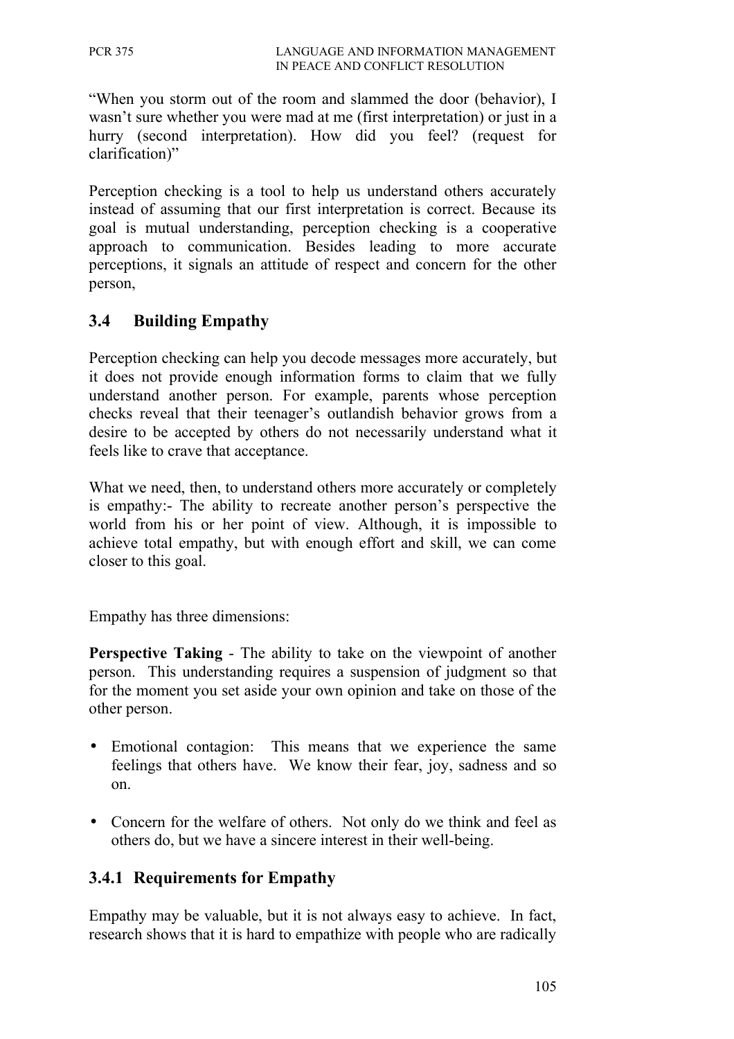"When you storm out of the room and slammed the door (behavior), I wasn't sure whether you were mad at me (first interpretation) or just in a hurry (second interpretation). How did you feel? (request for clarification)"

Perception checking is a tool to help us understand others accurately instead of assuming that our first interpretation is correct. Because its goal is mutual understanding, perception checking is a cooperative approach to communication. Besides leading to more accurate perceptions, it signals an attitude of respect and concern for the other person,

### **3.4 Building Empathy**

Perception checking can help you decode messages more accurately, but it does not provide enough information forms to claim that we fully understand another person. For example, parents whose perception checks reveal that their teenager's outlandish behavior grows from a desire to be accepted by others do not necessarily understand what it feels like to crave that acceptance.

What we need, then, to understand others more accurately or completely is empathy:- The ability to recreate another person's perspective the world from his or her point of view. Although, it is impossible to achieve total empathy, but with enough effort and skill, we can come closer to this goal.

Empathy has three dimensions:

**Perspective Taking** - The ability to take on the viewpoint of another person. This understanding requires a suspension of judgment so that for the moment you set aside your own opinion and take on those of the other person.

- Emotional contagion: This means that we experience the same feelings that others have. We know their fear, joy, sadness and so on.
- Concern for the welfare of others. Not only do we think and feel as others do, but we have a sincere interest in their well-being.

#### **3.4.1 Requirements for Empathy**

Empathy may be valuable, but it is not always easy to achieve. In fact, research shows that it is hard to empathize with people who are radically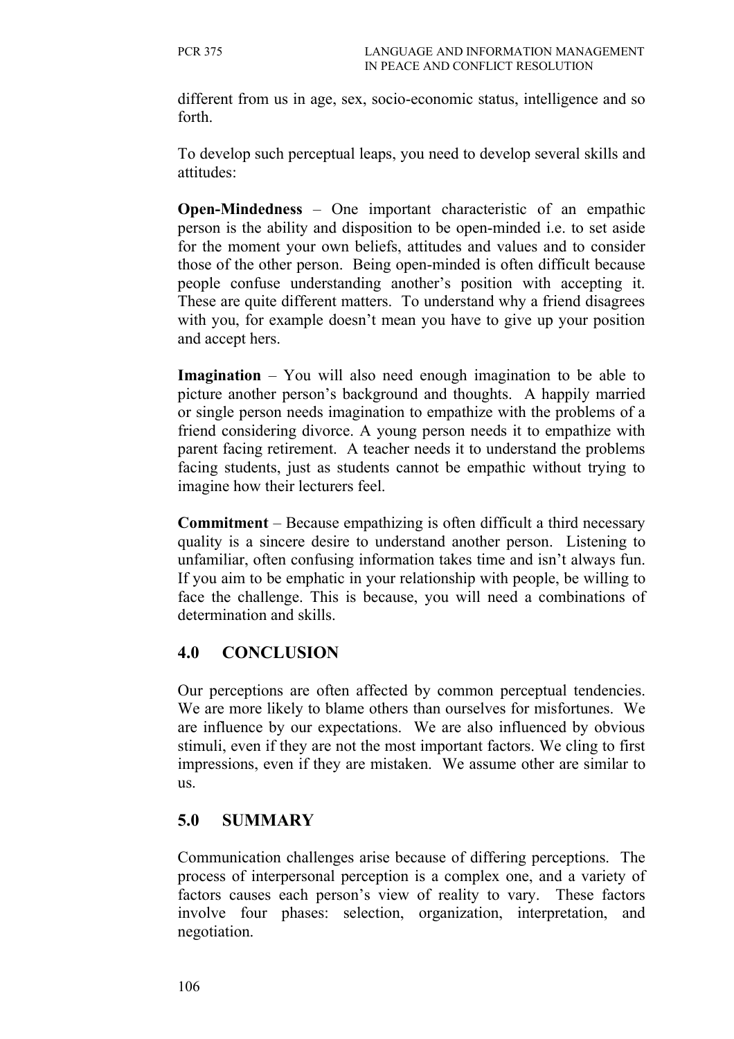different from us in age, sex, socio-economic status, intelligence and so forth.

To develop such perceptual leaps, you need to develop several skills and attitudes:

**Open-Mindedness** – One important characteristic of an empathic person is the ability and disposition to be open-minded i.e. to set aside for the moment your own beliefs, attitudes and values and to consider those of the other person. Being open-minded is often difficult because people confuse understanding another's position with accepting it. These are quite different matters. To understand why a friend disagrees with you, for example doesn't mean you have to give up your position and accept hers.

**Imagination** – You will also need enough imagination to be able to picture another person's background and thoughts. A happily married or single person needs imagination to empathize with the problems of a friend considering divorce. A young person needs it to empathize with parent facing retirement. A teacher needs it to understand the problems facing students, just as students cannot be empathic without trying to imagine how their lecturers feel.

**Commitment** – Because empathizing is often difficult a third necessary quality is a sincere desire to understand another person. Listening to unfamiliar, often confusing information takes time and isn't always fun. If you aim to be emphatic in your relationship with people, be willing to face the challenge. This is because, you will need a combinations of determination and skills.

#### **4.0 CONCLUSION**

Our perceptions are often affected by common perceptual tendencies. We are more likely to blame others than ourselves for misfortunes. We are influence by our expectations. We are also influenced by obvious stimuli, even if they are not the most important factors. We cling to first impressions, even if they are mistaken. We assume other are similar to us.

#### **5.0 SUMMARY**

Communication challenges arise because of differing perceptions. The process of interpersonal perception is a complex one, and a variety of factors causes each person's view of reality to vary. These factors involve four phases: selection, organization, interpretation, and negotiation.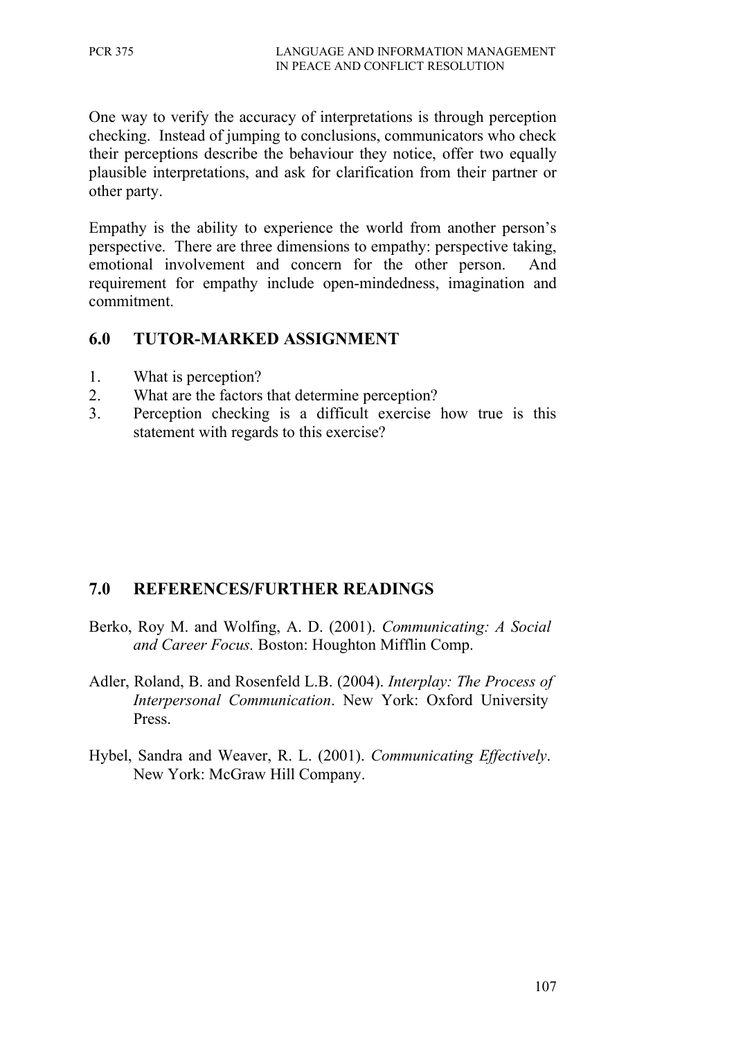One way to verify the accuracy of interpretations is through perception checking. Instead of jumping to conclusions, communicators who check their perceptions describe the behaviour they notice, offer two equally plausible interpretations, and ask for clarification from their partner or other party.

Empathy is the ability to experience the world from another person's perspective. There are three dimensions to empathy: perspective taking, emotional involvement and concern for the other person. And requirement for empathy include open-mindedness, imagination and commitment.

#### **6.0 TUTOR-MARKED ASSIGNMENT**

- 1. What is perception?
- 2. What are the factors that determine perception?
- 3. Perception checking is a difficult exercise how true is this statement with regards to this exercise?

# **7.0 REFERENCES/FURTHER READINGS**

- Berko, Roy M. and Wolfing, A. D. (2001). *Communicating: A Social and Career Focus.* Boston: Houghton Mifflin Comp.
- Adler, Roland, B. and Rosenfeld L.B. (2004). *Interplay: The Process of Interpersonal Communication*. New York: Oxford University Press.
- Hybel, Sandra and Weaver, R. L. (2001). *Communicating Effectively*. New York: McGraw Hill Company.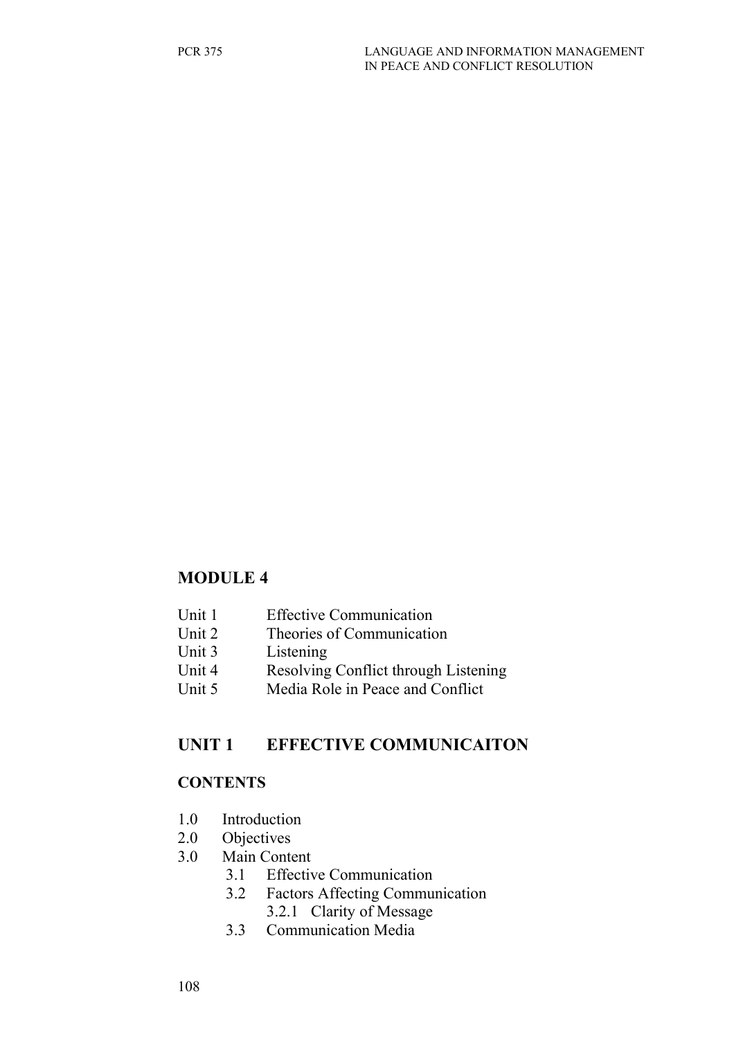#### **MODULE 4**

- Unit 1 Effective Communication
- Unit 2 Theories of Communication
- Unit 3 Listening
- Unit 4 Resolving Conflict through Listening
- Unit 5 Media Role in Peace and Conflict

#### **UNIT 1 EFFECTIVE COMMUNICAITON**

#### **CONTENTS**

- 1.0 Introduction
- 2.0 Objectives
- 3.0 Main Content
	- 3.1 Effective Communication
	- 3.2 Factors Affecting Communication 3.2.1 Clarity of Message
	- 3.3 Communication Media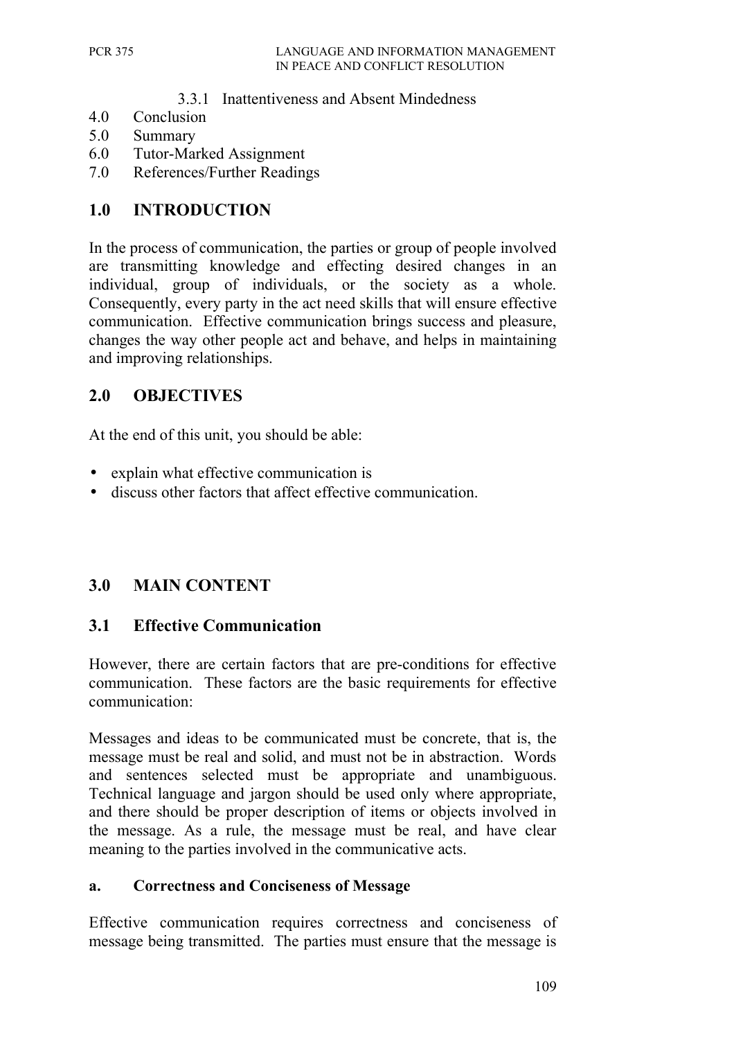#### 3.3.1 Inattentiveness and Absent Mindedness

- 4.0 Conclusion
- 5.0 Summary
- 6.0 Tutor-Marked Assignment
- 7.0 References/Further Readings

### **1.0 INTRODUCTION**

In the process of communication, the parties or group of people involved are transmitting knowledge and effecting desired changes in an individual, group of individuals, or the society as a whole. Consequently, every party in the act need skills that will ensure effective communication. Effective communication brings success and pleasure, changes the way other people act and behave, and helps in maintaining and improving relationships.

# **2.0 OBJECTIVES**

At the end of this unit, you should be able:

- explain what effective communication is
- discuss other factors that affect effective communication.

# **3.0 MAIN CONTENT**

#### **3.1 Effective Communication**

However, there are certain factors that are pre-conditions for effective communication. These factors are the basic requirements for effective communication:

Messages and ideas to be communicated must be concrete, that is, the message must be real and solid, and must not be in abstraction. Words and sentences selected must be appropriate and unambiguous. Technical language and jargon should be used only where appropriate, and there should be proper description of items or objects involved in the message. As a rule, the message must be real, and have clear meaning to the parties involved in the communicative acts.

#### **a. Correctness and Conciseness of Message**

Effective communication requires correctness and conciseness of message being transmitted. The parties must ensure that the message is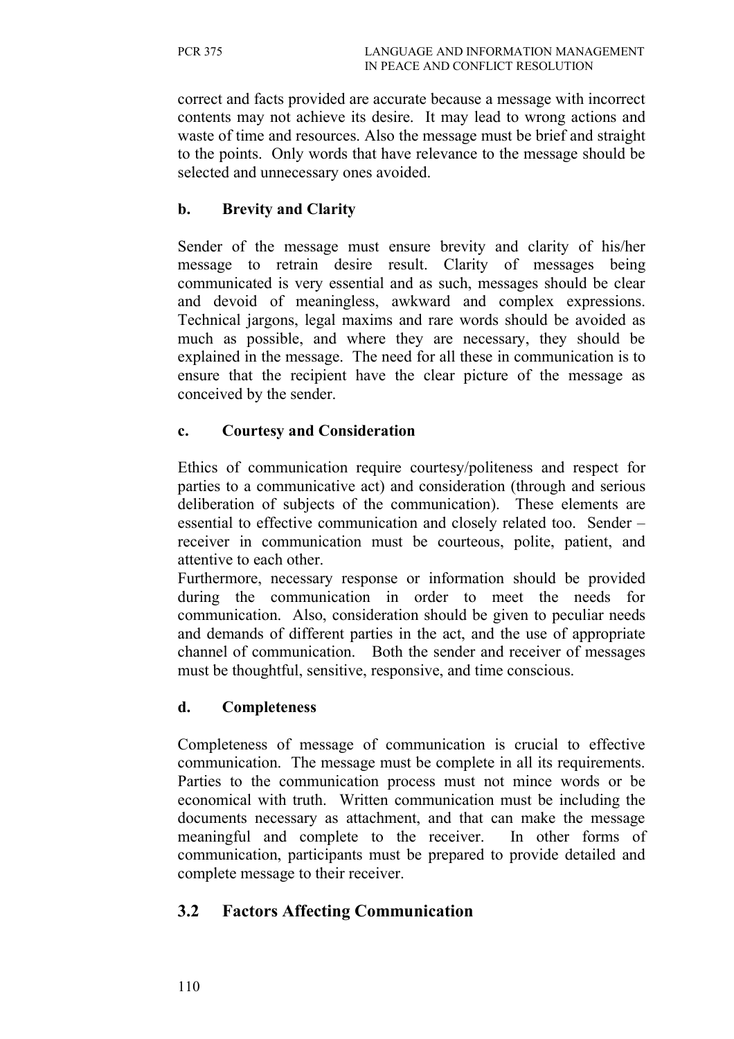correct and facts provided are accurate because a message with incorrect contents may not achieve its desire. It may lead to wrong actions and waste of time and resources. Also the message must be brief and straight to the points. Only words that have relevance to the message should be selected and unnecessary ones avoided.

#### **b. Brevity and Clarity**

Sender of the message must ensure brevity and clarity of his/her message to retrain desire result. Clarity of messages being communicated is very essential and as such, messages should be clear and devoid of meaningless, awkward and complex expressions. Technical jargons, legal maxims and rare words should be avoided as much as possible, and where they are necessary, they should be explained in the message. The need for all these in communication is to ensure that the recipient have the clear picture of the message as conceived by the sender.

#### **c. Courtesy and Consideration**

Ethics of communication require courtesy/politeness and respect for parties to a communicative act) and consideration (through and serious deliberation of subjects of the communication). These elements are essential to effective communication and closely related too. Sender – receiver in communication must be courteous, polite, patient, and attentive to each other.

Furthermore, necessary response or information should be provided during the communication in order to meet the needs for communication. Also, consideration should be given to peculiar needs and demands of different parties in the act, and the use of appropriate channel of communication. Both the sender and receiver of messages must be thoughtful, sensitive, responsive, and time conscious.

#### **d. Completeness**

Completeness of message of communication is crucial to effective communication. The message must be complete in all its requirements. Parties to the communication process must not mince words or be economical with truth. Written communication must be including the documents necessary as attachment, and that can make the message meaningful and complete to the receiver. In other forms of communication, participants must be prepared to provide detailed and complete message to their receiver.

#### **3.2 Factors Affecting Communication**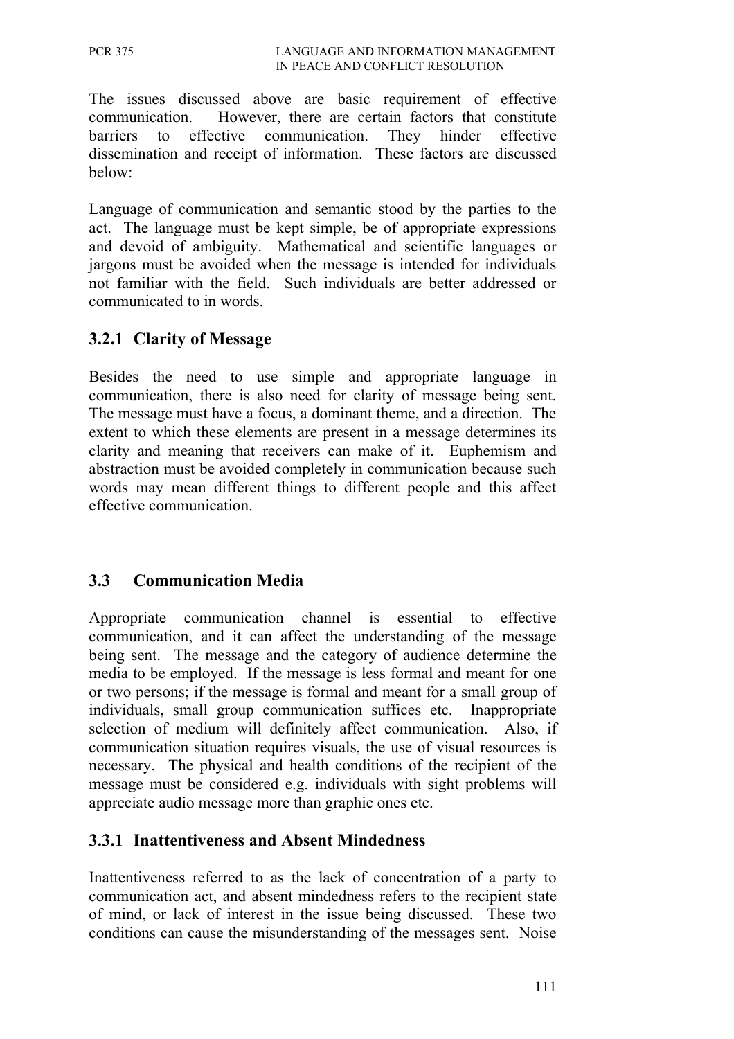The issues discussed above are basic requirement of effective communication. However, there are certain factors that constitute barriers to effective communication. They hinder effective dissemination and receipt of information. These factors are discussed below:

Language of communication and semantic stood by the parties to the act. The language must be kept simple, be of appropriate expressions and devoid of ambiguity. Mathematical and scientific languages or jargons must be avoided when the message is intended for individuals not familiar with the field. Such individuals are better addressed or communicated to in words.

#### **3.2.1 Clarity of Message**

Besides the need to use simple and appropriate language in communication, there is also need for clarity of message being sent. The message must have a focus, a dominant theme, and a direction. The extent to which these elements are present in a message determines its clarity and meaning that receivers can make of it. Euphemism and abstraction must be avoided completely in communication because such words may mean different things to different people and this affect effective communication.

# **3.3 Communication Media**

Appropriate communication channel is essential to effective communication, and it can affect the understanding of the message being sent. The message and the category of audience determine the media to be employed. If the message is less formal and meant for one or two persons; if the message is formal and meant for a small group of individuals, small group communication suffices etc. Inappropriate selection of medium will definitely affect communication. Also, if communication situation requires visuals, the use of visual resources is necessary. The physical and health conditions of the recipient of the message must be considered e.g. individuals with sight problems will appreciate audio message more than graphic ones etc.

#### **3.3.1 Inattentiveness and Absent Mindedness**

Inattentiveness referred to as the lack of concentration of a party to communication act, and absent mindedness refers to the recipient state of mind, or lack of interest in the issue being discussed. These two conditions can cause the misunderstanding of the messages sent. Noise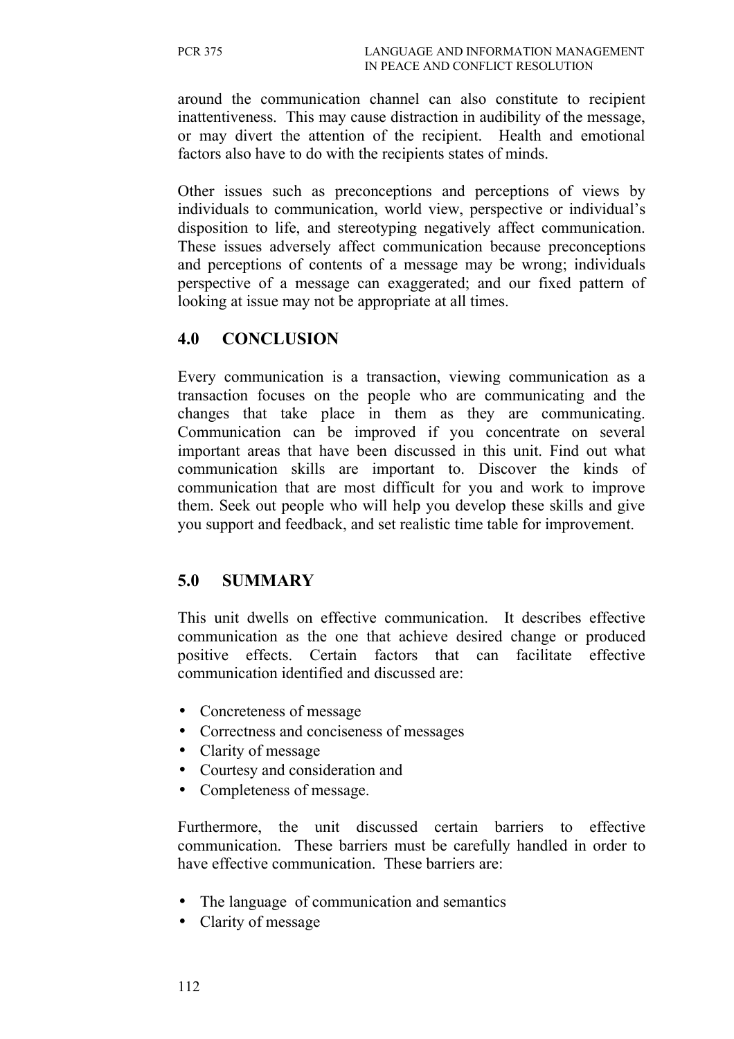around the communication channel can also constitute to recipient inattentiveness. This may cause distraction in audibility of the message, or may divert the attention of the recipient. Health and emotional factors also have to do with the recipients states of minds.

Other issues such as preconceptions and perceptions of views by individuals to communication, world view, perspective or individual's disposition to life, and stereotyping negatively affect communication. These issues adversely affect communication because preconceptions and perceptions of contents of a message may be wrong; individuals perspective of a message can exaggerated; and our fixed pattern of looking at issue may not be appropriate at all times.

### **4.0 CONCLUSION**

Every communication is a transaction, viewing communication as a transaction focuses on the people who are communicating and the changes that take place in them as they are communicating. Communication can be improved if you concentrate on several important areas that have been discussed in this unit. Find out what communication skills are important to. Discover the kinds of communication that are most difficult for you and work to improve them. Seek out people who will help you develop these skills and give you support and feedback, and set realistic time table for improvement.

#### **5.0 SUMMARY**

This unit dwells on effective communication. It describes effective communication as the one that achieve desired change or produced positive effects. Certain factors that can facilitate effective communication identified and discussed are:

- Concreteness of message
- Correctness and conciseness of messages
- Clarity of message
- Courtesy and consideration and
- Completeness of message.

Furthermore, the unit discussed certain barriers to effective communication. These barriers must be carefully handled in order to have effective communication. These barriers are:

- The language of communication and semantics
- Clarity of message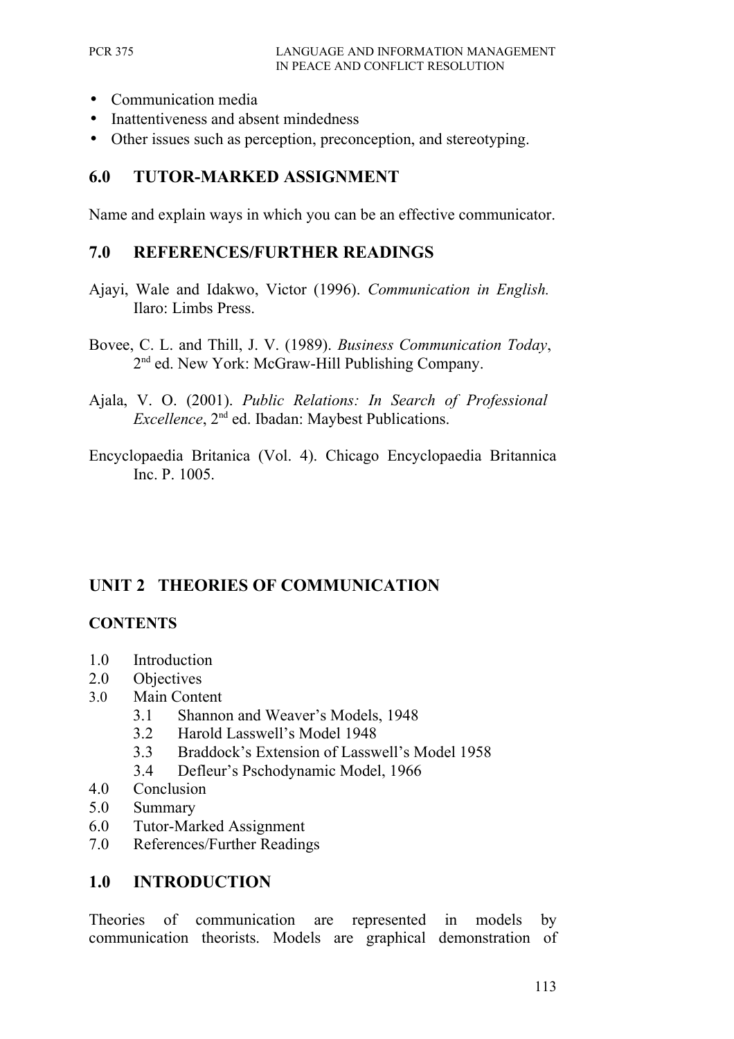- Communication media
- Inattentiveness and absent mindedness
- Other issues such as perception, preconception, and stereotyping.

#### **6.0 TUTOR-MARKED ASSIGNMENT**

Name and explain ways in which you can be an effective communicator.

#### **7.0 REFERENCES/FURTHER READINGS**

- Ajayi, Wale and Idakwo, Victor (1996). *Communication in English.* Ilaro: Limbs Press.
- Bovee, C. L. and Thill, J. V. (1989). *Business Communication Today*, 2<sup>nd</sup> ed. New York: McGraw-Hill Publishing Company.
- Ajala, V. O. (2001). *Public Relations: In Search of Professional Excellence*, 2<sup>nd</sup> ed. Ibadan: Maybest Publications.
- Encyclopaedia Britanica (Vol. 4). Chicago Encyclopaedia Britannica Inc. P. 1005.

#### **UNIT 2 THEORIES OF COMMUNICATION**

#### **CONTENTS**

- 1.0 Introduction
- 2.0 Objectives
- 3.0 Main Content
	- 3.1 Shannon and Weaver's Models, 1948
	- 3.2 Harold Lasswell's Model 1948
	- 3.3 Braddock's Extension of Lasswell's Model 1958
	- 3.4 Defleur's Pschodynamic Model, 1966
- 4.0 Conclusion
- 5.0 Summary
- 6.0 Tutor-Marked Assignment
- 7.0 References/Further Readings

#### **1.0 INTRODUCTION**

Theories of communication are represented in models by communication theorists. Models are graphical demonstration of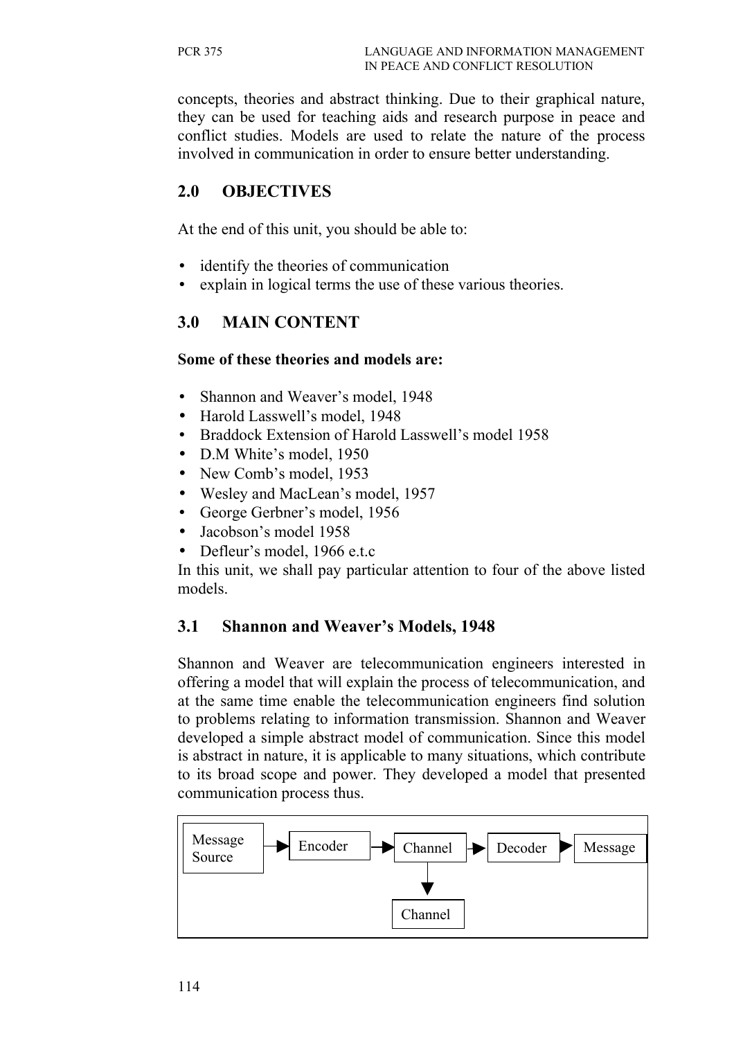concepts, theories and abstract thinking. Due to their graphical nature, they can be used for teaching aids and research purpose in peace and conflict studies. Models are used to relate the nature of the process involved in communication in order to ensure better understanding.

# **2.0 OBJECTIVES**

At the end of this unit, you should be able to:

- identify the theories of communication
- explain in logical terms the use of these various theories.

### **3.0 MAIN CONTENT**

#### **Some of these theories and models are:**

- Shannon and Weaver's model, 1948
- Harold Lasswell's model, 1948
- Braddock Extension of Harold Lasswell's model 1958
- D.M White's model, 1950
- New Comb's model, 1953
- Wesley and MacLean's model, 1957
- George Gerbner's model, 1956
- Jacobson's model 1958
- Defleur's model, 1966 e.t.c

In this unit, we shall pay particular attention to four of the above listed models.

#### **3.1 Shannon and Weaver's Models, 1948**

Shannon and Weaver are telecommunication engineers interested in offering a model that will explain the process of telecommunication, and at the same time enable the telecommunication engineers find solution to problems relating to information transmission. Shannon and Weaver developed a simple abstract model of communication. Since this model is abstract in nature, it is applicable to many situations, which contribute to its broad scope and power. They developed a model that presented communication process thus.

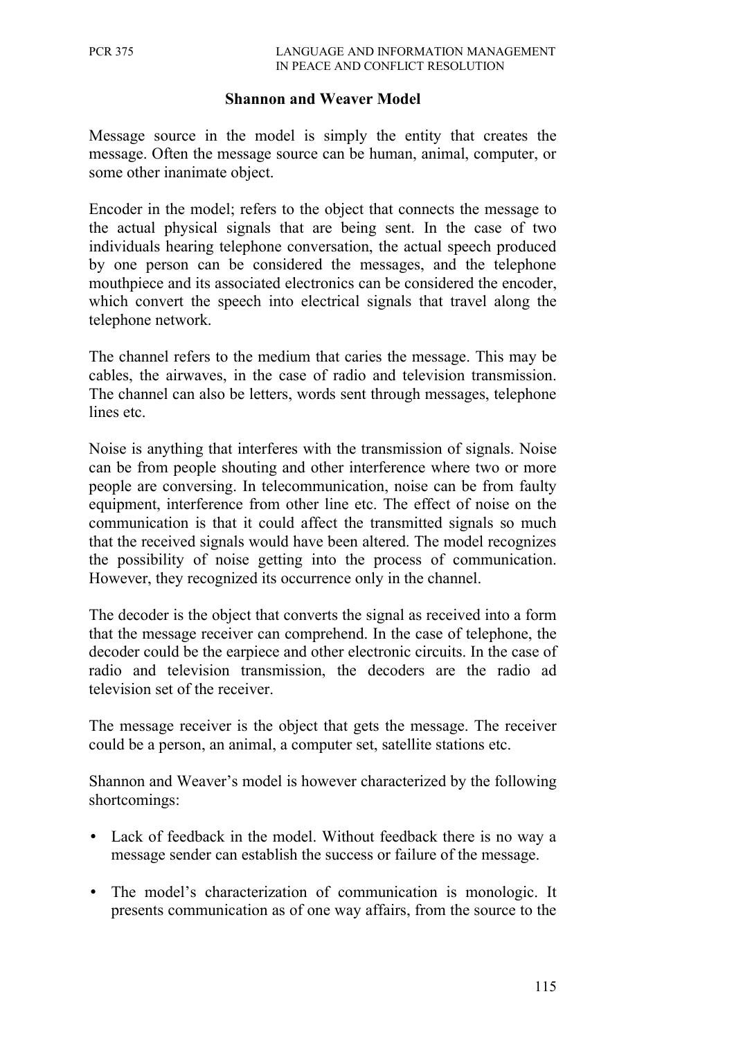#### **Shannon and Weaver Model**

Message source in the model is simply the entity that creates the message. Often the message source can be human, animal, computer, or some other inanimate object.

Encoder in the model; refers to the object that connects the message to the actual physical signals that are being sent. In the case of two individuals hearing telephone conversation, the actual speech produced by one person can be considered the messages, and the telephone mouthpiece and its associated electronics can be considered the encoder, which convert the speech into electrical signals that travel along the telephone network.

The channel refers to the medium that caries the message. This may be cables, the airwaves, in the case of radio and television transmission. The channel can also be letters, words sent through messages, telephone lines etc.

Noise is anything that interferes with the transmission of signals. Noise can be from people shouting and other interference where two or more people are conversing. In telecommunication, noise can be from faulty equipment, interference from other line etc. The effect of noise on the communication is that it could affect the transmitted signals so much that the received signals would have been altered. The model recognizes the possibility of noise getting into the process of communication. However, they recognized its occurrence only in the channel.

The decoder is the object that converts the signal as received into a form that the message receiver can comprehend. In the case of telephone, the decoder could be the earpiece and other electronic circuits. In the case of radio and television transmission, the decoders are the radio ad television set of the receiver.

The message receiver is the object that gets the message. The receiver could be a person, an animal, a computer set, satellite stations etc.

Shannon and Weaver's model is however characterized by the following shortcomings:

- Lack of feedback in the model. Without feedback there is no way a message sender can establish the success or failure of the message.
- The model's characterization of communication is monologic. It presents communication as of one way affairs, from the source to the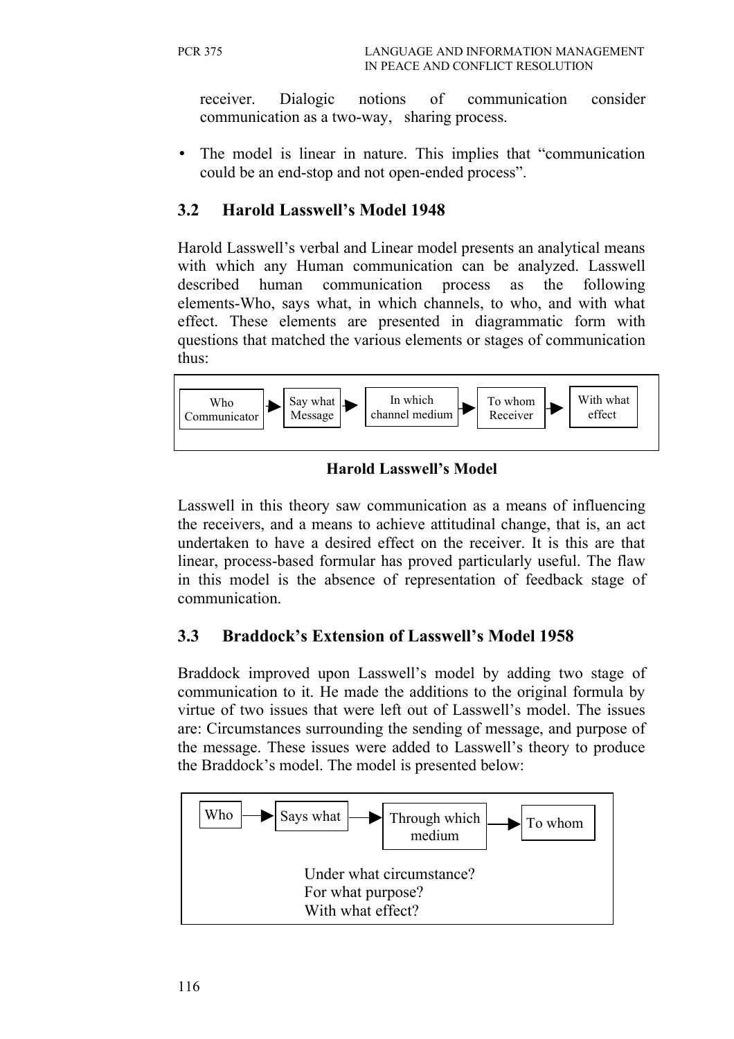receiver. Dialogic notions of communication consider communication as a two-way, sharing process.

• The model is linear in nature. This implies that "communication could be an end-stop and not open-ended process".

# **3.2 Harold Lasswell's Model 1948**

Harold Lasswell's verbal and Linear model presents an analytical means with which any Human communication can be analyzed. Lasswell described human communication process as the following elements-Who, says what, in which channels, to who, and with what effect. These elements are presented in diagrammatic form with questions that matched the various elements or stages of communication thus:



### **Harold Lasswell's Model**

Lasswell in this theory saw communication as a means of influencing the receivers, and a means to achieve attitudinal change, that is, an act undertaken to have a desired effect on the receiver. It is this are that linear, process-based formular has proved particularly useful. The flaw in this model is the absence of representation of feedback stage of communication.

# **3.3 Braddock's Extension of Lasswell's Model 1958**

Braddock improved upon Lasswell's model by adding two stage of communication to it. He made the additions to the original formula by virtue of two issues that were left out of Lasswell's model. The issues are: Circumstances surrounding the sending of message, and purpose of the message. These issues were added to Lasswell's theory to produce the Braddock's model. The model is presented below:

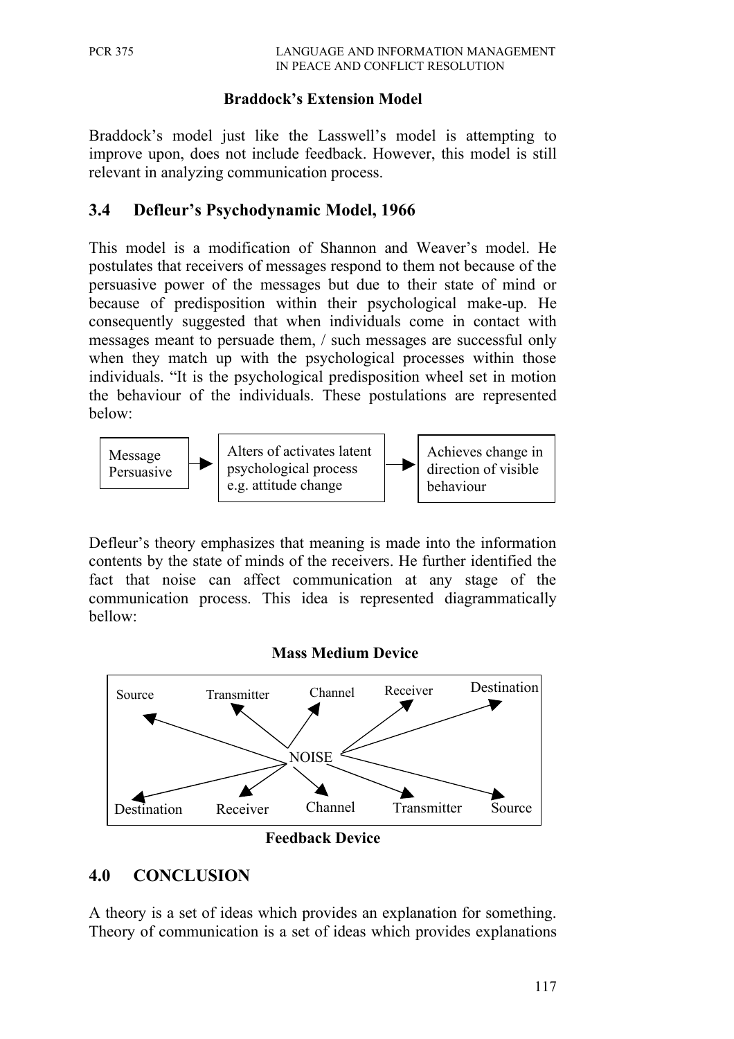#### **Braddock's Extension Model**

Braddock's model just like the Lasswell's model is attempting to improve upon, does not include feedback. However, this model is still relevant in analyzing communication process.

#### **3.4 Defleur's Psychodynamic Model, 1966**

This model is a modification of Shannon and Weaver's model. He postulates that receivers of messages respond to them not because of the persuasive power of the messages but due to their state of mind or because of predisposition within their psychological make-up. He consequently suggested that when individuals come in contact with messages meant to persuade them, / such messages are successful only when they match up with the psychological processes within those individuals. "It is the psychological predisposition wheel set in motion the behaviour of the individuals. These postulations are represented below:



Defleur's theory emphasizes that meaning is made into the information contents by the state of minds of the receivers. He further identified the fact that noise can affect communication at any stage of the communication process. This idea is represented diagrammatically bellow:

#### **Mass Medium Device**



#### **4.0 CONCLUSION**

A theory is a set of ideas which provides an explanation for something. Theory of communication is a set of ideas which provides explanations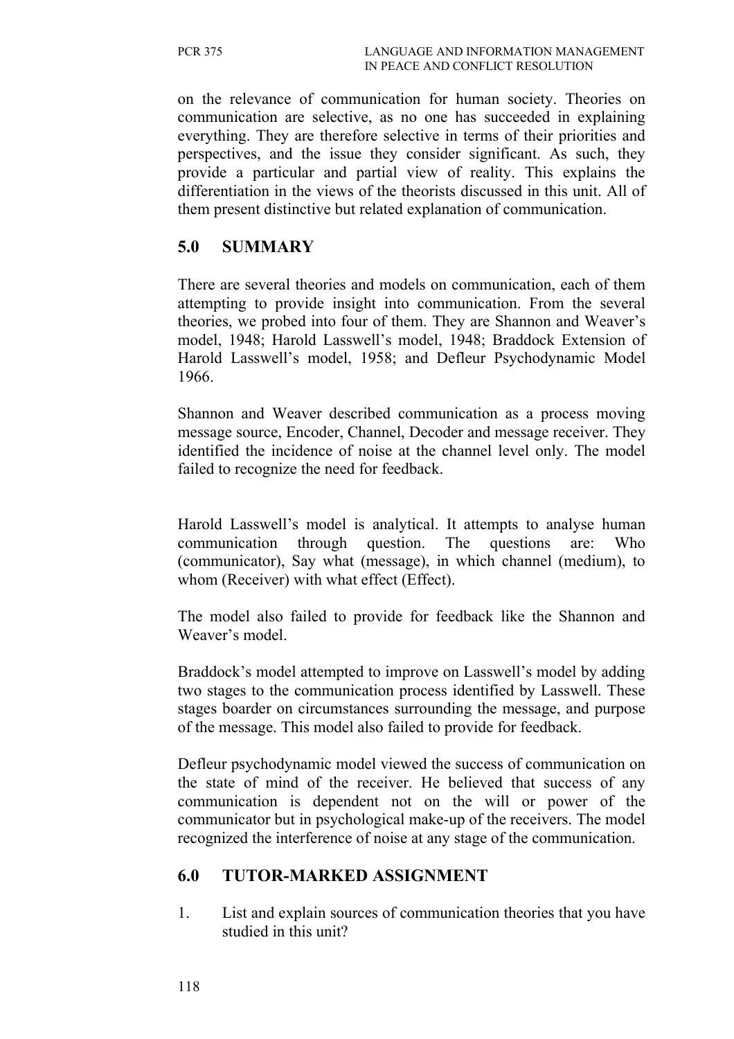on the relevance of communication for human society. Theories on communication are selective, as no one has succeeded in explaining everything. They are therefore selective in terms of their priorities and perspectives, and the issue they consider significant. As such, they provide a particular and partial view of reality. This explains the differentiation in the views of the theorists discussed in this unit. All of them present distinctive but related explanation of communication.

### **5.0 SUMMARY**

There are several theories and models on communication, each of them attempting to provide insight into communication. From the several theories, we probed into four of them. They are Shannon and Weaver's model, 1948; Harold Lasswell's model, 1948; Braddock Extension of Harold Lasswell's model, 1958; and Defleur Psychodynamic Model 1966.

Shannon and Weaver described communication as a process moving message source, Encoder, Channel, Decoder and message receiver. They identified the incidence of noise at the channel level only. The model failed to recognize the need for feedback.

Harold Lasswell's model is analytical. It attempts to analyse human communication through question. The questions are: Who (communicator), Say what (message), in which channel (medium), to whom (Receiver) with what effect (Effect).

The model also failed to provide for feedback like the Shannon and Weaver's model.

Braddock's model attempted to improve on Lasswell's model by adding two stages to the communication process identified by Lasswell. These stages boarder on circumstances surrounding the message, and purpose of the message. This model also failed to provide for feedback.

Defleur psychodynamic model viewed the success of communication on the state of mind of the receiver. He believed that success of any communication is dependent not on the will or power of the communicator but in psychological make-up of the receivers. The model recognized the interference of noise at any stage of the communication.

#### **6.0 TUTOR-MARKED ASSIGNMENT**

1. List and explain sources of communication theories that you have studied in this unit?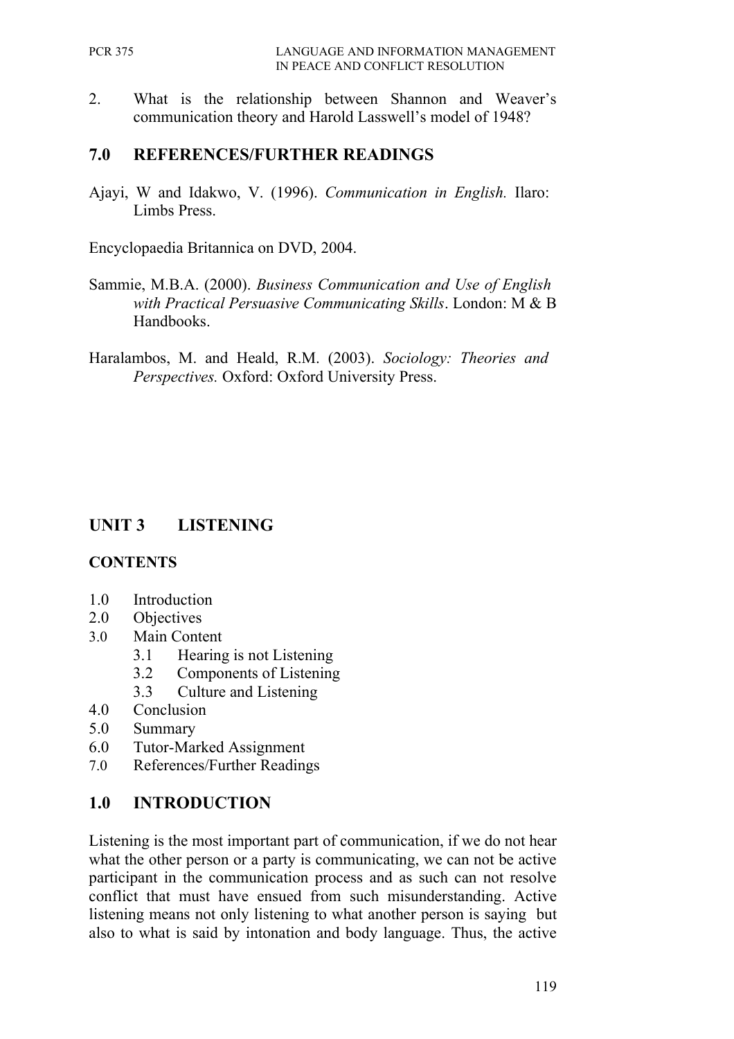2. What is the relationship between Shannon and Weaver's communication theory and Harold Lasswell's model of 1948?

### **7.0 REFERENCES/FURTHER READINGS**

Ajayi, W and Idakwo, V. (1996). *Communication in English.* Ilaro: Limbs Press.

Encyclopaedia Britannica on DVD, 2004.

- Sammie, M.B.A. (2000). *Business Communication and Use of English with Practical Persuasive Communicating Skills*. London: M & B Handbooks.
- Haralambos, M. and Heald, R.M. (2003). *Sociology: Theories and Perspectives.* Oxford: Oxford University Press.

# **UNIT 3 LISTENING**

#### **CONTENTS**

- 1.0 Introduction
- 2.0 Objectives
- 3.0 Main Content
	- 3.1 Hearing is not Listening
	- 3.2 Components of Listening
	- 3.3 Culture and Listening
- 4.0 Conclusion
- 5.0 Summary
- 6.0 Tutor-Marked Assignment
- 7.0 References/Further Readings

#### **1.0 INTRODUCTION**

Listening is the most important part of communication, if we do not hear what the other person or a party is communicating, we can not be active participant in the communication process and as such can not resolve conflict that must have ensued from such misunderstanding. Active listening means not only listening to what another person is saying but also to what is said by intonation and body language. Thus, the active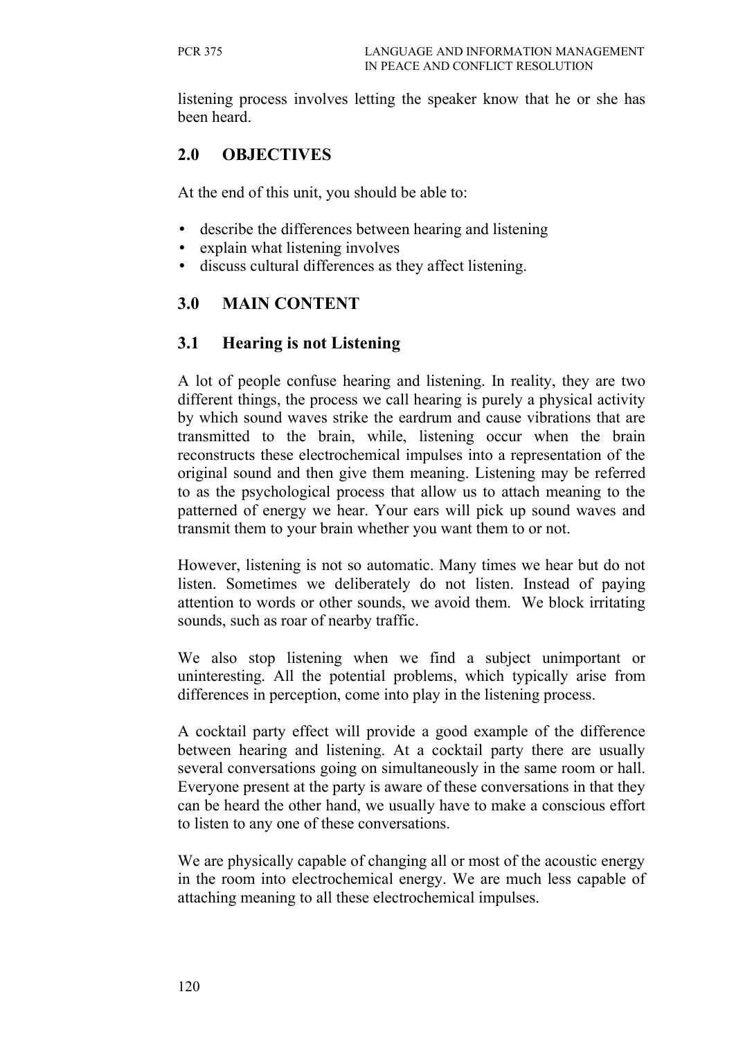listening process involves letting the speaker know that he or she has been heard.

# **2.0 OBJECTIVES**

At the end of this unit, you should be able to:

- describe the differences between hearing and listening
- explain what listening involves
- discuss cultural differences as they affect listening.

# **3.0 MAIN CONTENT**

### **3.1 Hearing is not Listening**

A lot of people confuse hearing and listening. In reality, they are two different things, the process we call hearing is purely a physical activity by which sound waves strike the eardrum and cause vibrations that are transmitted to the brain, while, listening occur when the brain reconstructs these electrochemical impulses into a representation of the original sound and then give them meaning. Listening may be referred to as the psychological process that allow us to attach meaning to the patterned of energy we hear. Your ears will pick up sound waves and transmit them to your brain whether you want them to or not.

However, listening is not so automatic. Many times we hear but do not listen. Sometimes we deliberately do not listen. Instead of paying attention to words or other sounds, we avoid them. We block irritating sounds, such as roar of nearby traffic.

We also stop listening when we find a subject unimportant or uninteresting. All the potential problems, which typically arise from differences in perception, come into play in the listening process.

A cocktail party effect will provide a good example of the difference between hearing and listening. At a cocktail party there are usually several conversations going on simultaneously in the same room or hall. Everyone present at the party is aware of these conversations in that they can be heard the other hand, we usually have to make a conscious effort to listen to any one of these conversations.

We are physically capable of changing all or most of the acoustic energy in the room into electrochemical energy. We are much less capable of attaching meaning to all these electrochemical impulses.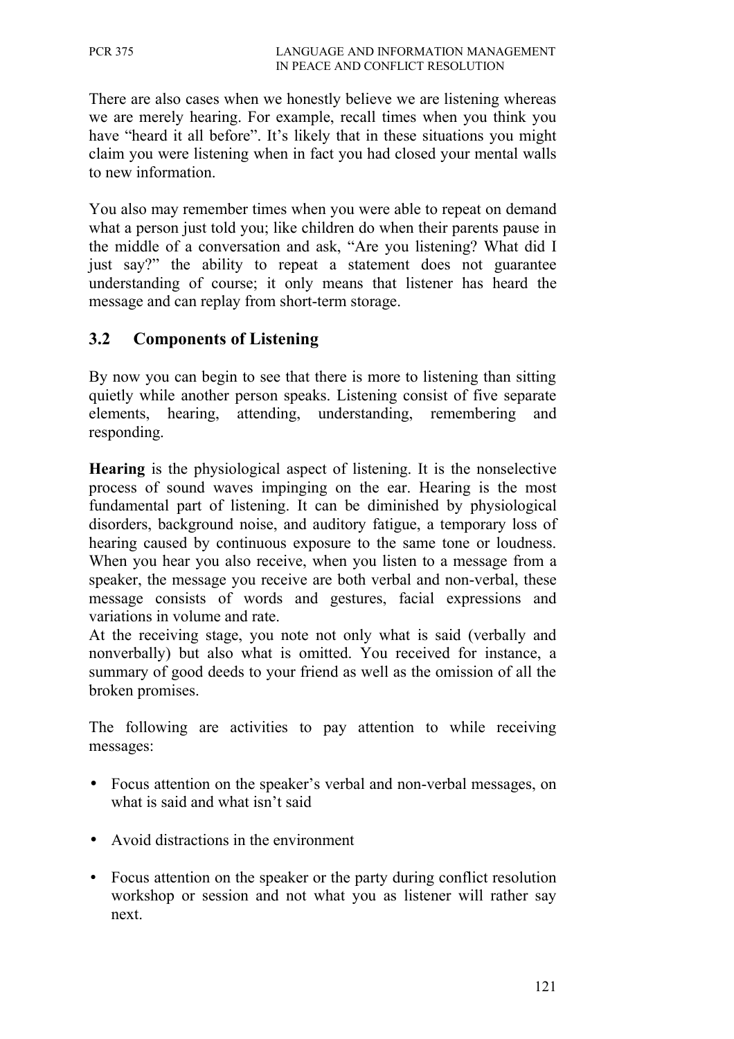There are also cases when we honestly believe we are listening whereas we are merely hearing. For example, recall times when you think you have "heard it all before". It's likely that in these situations you might claim you were listening when in fact you had closed your mental walls to new information.

You also may remember times when you were able to repeat on demand what a person just told you; like children do when their parents pause in the middle of a conversation and ask, "Are you listening? What did I just say?" the ability to repeat a statement does not guarantee understanding of course; it only means that listener has heard the message and can replay from short-term storage.

#### **3.2 Components of Listening**

By now you can begin to see that there is more to listening than sitting quietly while another person speaks. Listening consist of five separate elements, hearing, attending, understanding, remembering and responding.

**Hearing** is the physiological aspect of listening. It is the nonselective process of sound waves impinging on the ear. Hearing is the most fundamental part of listening. It can be diminished by physiological disorders, background noise, and auditory fatigue, a temporary loss of hearing caused by continuous exposure to the same tone or loudness. When you hear you also receive, when you listen to a message from a speaker, the message you receive are both verbal and non-verbal, these message consists of words and gestures, facial expressions and variations in volume and rate.

At the receiving stage, you note not only what is said (verbally and nonverbally) but also what is omitted. You received for instance, a summary of good deeds to your friend as well as the omission of all the broken promises.

The following are activities to pay attention to while receiving messages:

- Focus attention on the speaker's verbal and non-verbal messages, on what is said and what isn't said
- Avoid distractions in the environment
- Focus attention on the speaker or the party during conflict resolution workshop or session and not what you as listener will rather say next.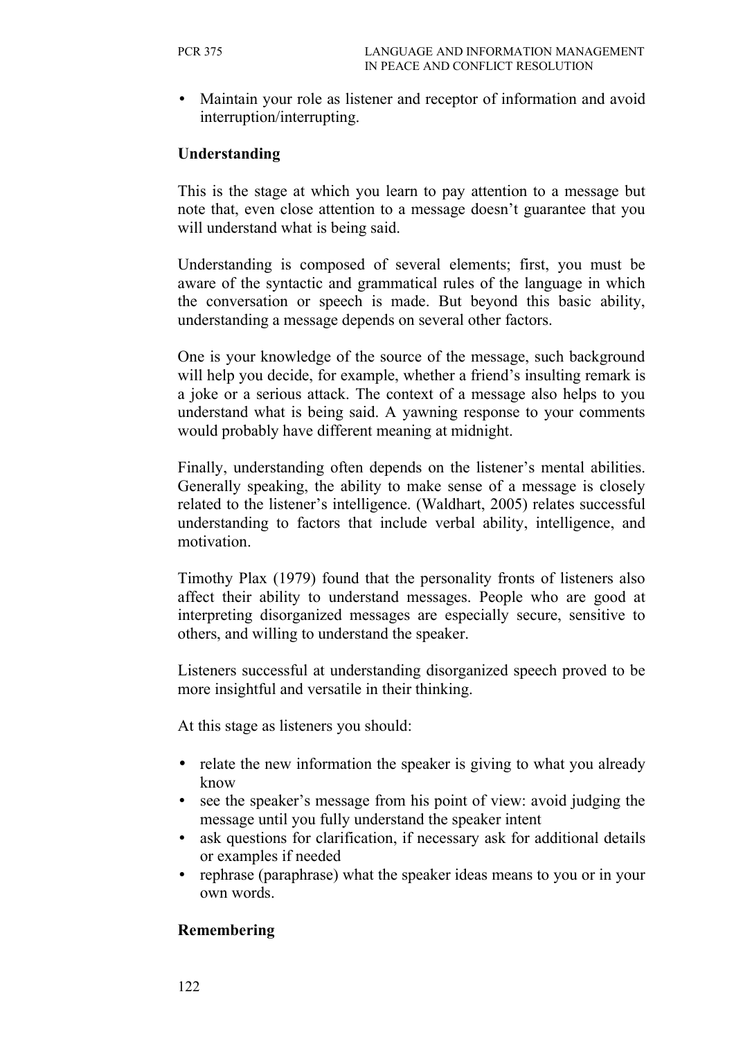• Maintain your role as listener and receptor of information and avoid interruption/interrupting.

#### **Understanding**

This is the stage at which you learn to pay attention to a message but note that, even close attention to a message doesn't guarantee that you will understand what is being said.

Understanding is composed of several elements; first, you must be aware of the syntactic and grammatical rules of the language in which the conversation or speech is made. But beyond this basic ability, understanding a message depends on several other factors.

One is your knowledge of the source of the message, such background will help you decide, for example, whether a friend's insulting remark is a joke or a serious attack. The context of a message also helps to you understand what is being said. A yawning response to your comments would probably have different meaning at midnight.

Finally, understanding often depends on the listener's mental abilities. Generally speaking, the ability to make sense of a message is closely related to the listener's intelligence. (Waldhart, 2005) relates successful understanding to factors that include verbal ability, intelligence, and motivation.

Timothy Plax (1979) found that the personality fronts of listeners also affect their ability to understand messages. People who are good at interpreting disorganized messages are especially secure, sensitive to others, and willing to understand the speaker.

Listeners successful at understanding disorganized speech proved to be more insightful and versatile in their thinking.

At this stage as listeners you should:

- relate the new information the speaker is giving to what you already know
- see the speaker's message from his point of view: avoid judging the message until you fully understand the speaker intent
- ask questions for clarification, if necessary ask for additional details or examples if needed
- rephrase (paraphrase) what the speaker ideas means to you or in your own words.

#### **Remembering**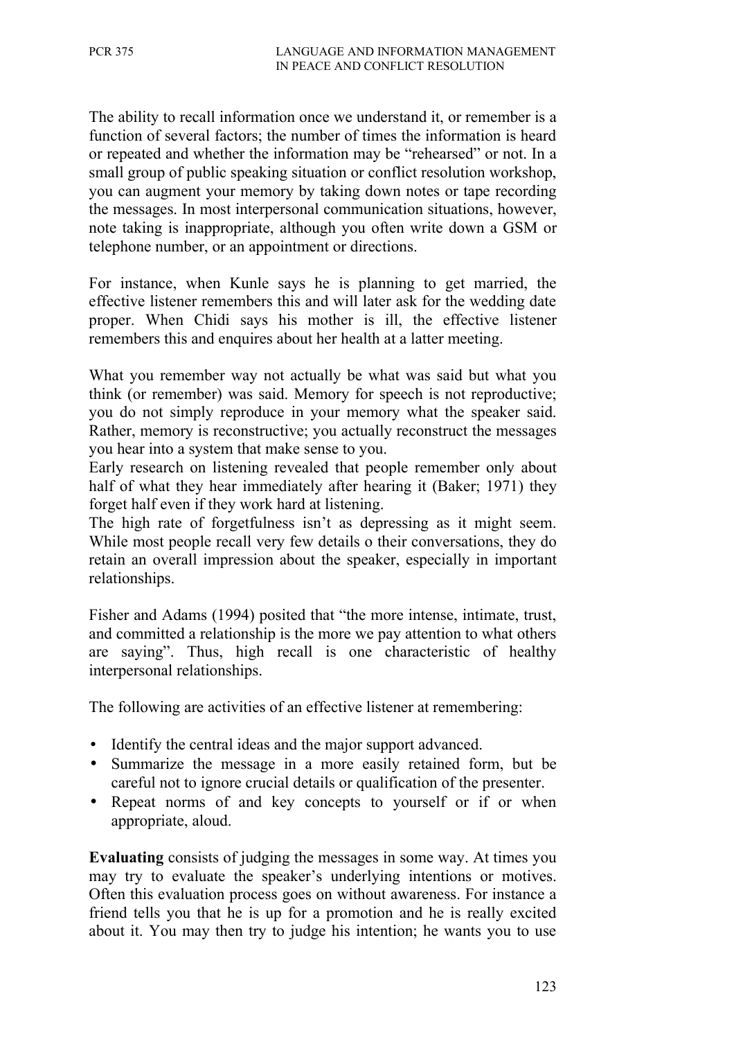The ability to recall information once we understand it, or remember is a function of several factors; the number of times the information is heard or repeated and whether the information may be "rehearsed" or not. In a small group of public speaking situation or conflict resolution workshop, you can augment your memory by taking down notes or tape recording the messages. In most interpersonal communication situations, however, note taking is inappropriate, although you often write down a GSM or telephone number, or an appointment or directions.

For instance, when Kunle says he is planning to get married, the effective listener remembers this and will later ask for the wedding date proper. When Chidi says his mother is ill, the effective listener remembers this and enquires about her health at a latter meeting.

What you remember way not actually be what was said but what you think (or remember) was said. Memory for speech is not reproductive; you do not simply reproduce in your memory what the speaker said. Rather, memory is reconstructive; you actually reconstruct the messages you hear into a system that make sense to you.

Early research on listening revealed that people remember only about half of what they hear immediately after hearing it (Baker; 1971) they forget half even if they work hard at listening.

The high rate of forgetfulness isn't as depressing as it might seem. While most people recall very few details o their conversations, they do retain an overall impression about the speaker, especially in important relationships.

Fisher and Adams (1994) posited that "the more intense, intimate, trust, and committed a relationship is the more we pay attention to what others are saying". Thus, high recall is one characteristic of healthy interpersonal relationships.

The following are activities of an effective listener at remembering:

- Identify the central ideas and the major support advanced.
- Summarize the message in a more easily retained form, but be careful not to ignore crucial details or qualification of the presenter.
- Repeat norms of and key concepts to yourself or if or when appropriate, aloud.

**Evaluating** consists of judging the messages in some way. At times you may try to evaluate the speaker's underlying intentions or motives. Often this evaluation process goes on without awareness. For instance a friend tells you that he is up for a promotion and he is really excited about it. You may then try to judge his intention; he wants you to use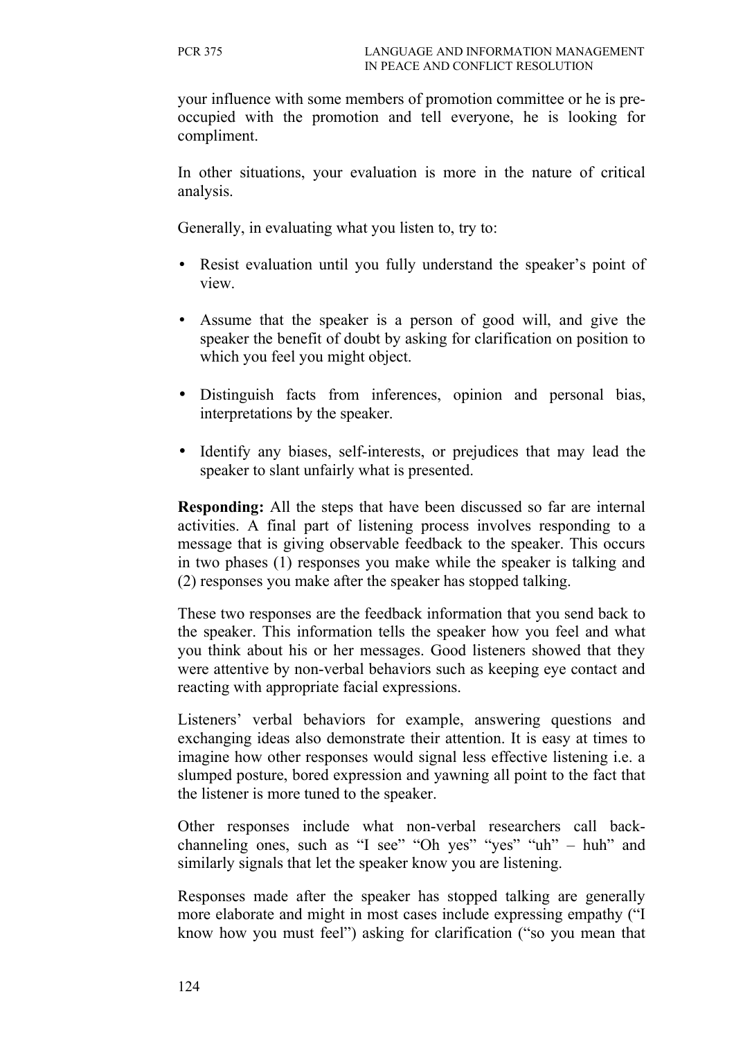your influence with some members of promotion committee or he is preoccupied with the promotion and tell everyone, he is looking for compliment.

In other situations, your evaluation is more in the nature of critical analysis.

Generally, in evaluating what you listen to, try to:

- Resist evaluation until you fully understand the speaker's point of view.
- Assume that the speaker is a person of good will, and give the speaker the benefit of doubt by asking for clarification on position to which you feel you might object.
- Distinguish facts from inferences, opinion and personal bias, interpretations by the speaker.
- Identify any biases, self-interests, or prejudices that may lead the speaker to slant unfairly what is presented.

**Responding:** All the steps that have been discussed so far are internal activities. A final part of listening process involves responding to a message that is giving observable feedback to the speaker. This occurs in two phases (1) responses you make while the speaker is talking and (2) responses you make after the speaker has stopped talking.

These two responses are the feedback information that you send back to the speaker. This information tells the speaker how you feel and what you think about his or her messages. Good listeners showed that they were attentive by non-verbal behaviors such as keeping eye contact and reacting with appropriate facial expressions.

Listeners' verbal behaviors for example, answering questions and exchanging ideas also demonstrate their attention. It is easy at times to imagine how other responses would signal less effective listening i.e. a slumped posture, bored expression and yawning all point to the fact that the listener is more tuned to the speaker.

Other responses include what non-verbal researchers call backchanneling ones, such as "I see" "Oh yes" "yes" "uh" – huh" and similarly signals that let the speaker know you are listening.

Responses made after the speaker has stopped talking are generally more elaborate and might in most cases include expressing empathy ("I know how you must feel") asking for clarification ("so you mean that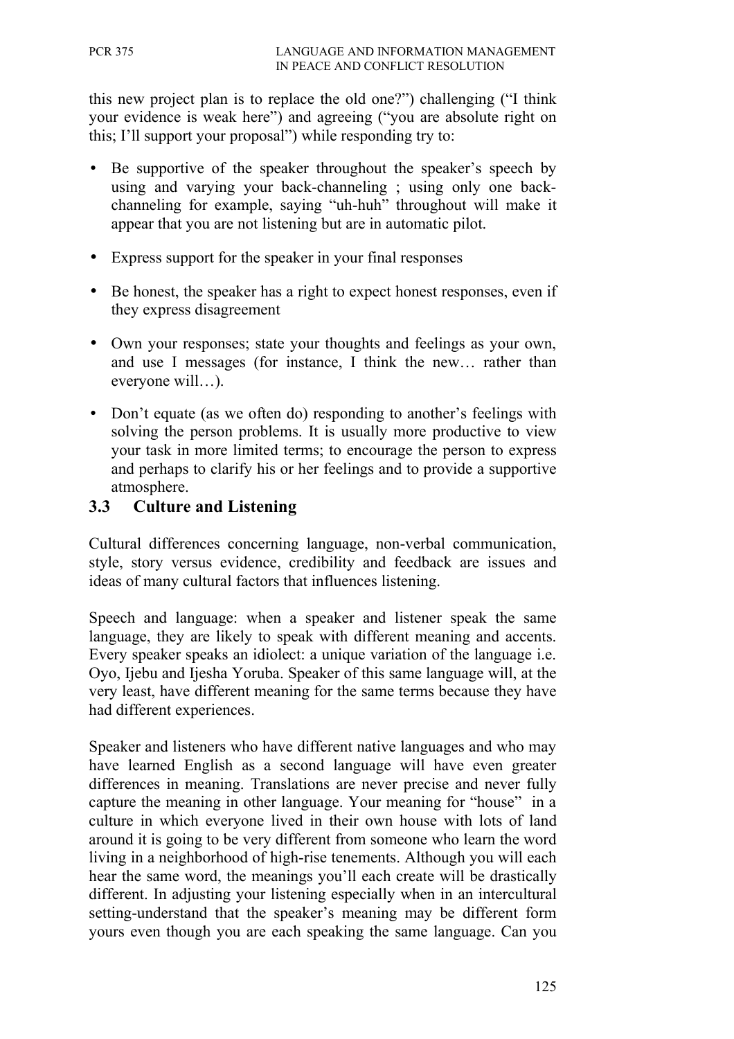this new project plan is to replace the old one?") challenging ("I think your evidence is weak here") and agreeing ("you are absolute right on this; I'll support your proposal") while responding try to:

- Be supportive of the speaker throughout the speaker's speech by using and varying your back-channeling ; using only one backchanneling for example, saying "uh-huh" throughout will make it appear that you are not listening but are in automatic pilot.
- Express support for the speaker in your final responses
- Be honest, the speaker has a right to expect honest responses, even if they express disagreement
- Own your responses; state your thoughts and feelings as your own, and use I messages (for instance, I think the new… rather than everyone will…).
- Don't equate (as we often do) responding to another's feelings with solving the person problems. It is usually more productive to view your task in more limited terms; to encourage the person to express and perhaps to clarify his or her feelings and to provide a supportive atmosphere.

### **3.3 Culture and Listening**

Cultural differences concerning language, non-verbal communication, style, story versus evidence, credibility and feedback are issues and ideas of many cultural factors that influences listening.

Speech and language: when a speaker and listener speak the same language, they are likely to speak with different meaning and accents. Every speaker speaks an idiolect: a unique variation of the language i.e. Oyo, Ijebu and Ijesha Yoruba. Speaker of this same language will, at the very least, have different meaning for the same terms because they have had different experiences.

Speaker and listeners who have different native languages and who may have learned English as a second language will have even greater differences in meaning. Translations are never precise and never fully capture the meaning in other language. Your meaning for "house" in a culture in which everyone lived in their own house with lots of land around it is going to be very different from someone who learn the word living in a neighborhood of high-rise tenements. Although you will each hear the same word, the meanings you'll each create will be drastically different. In adjusting your listening especially when in an intercultural setting-understand that the speaker's meaning may be different form yours even though you are each speaking the same language. Can you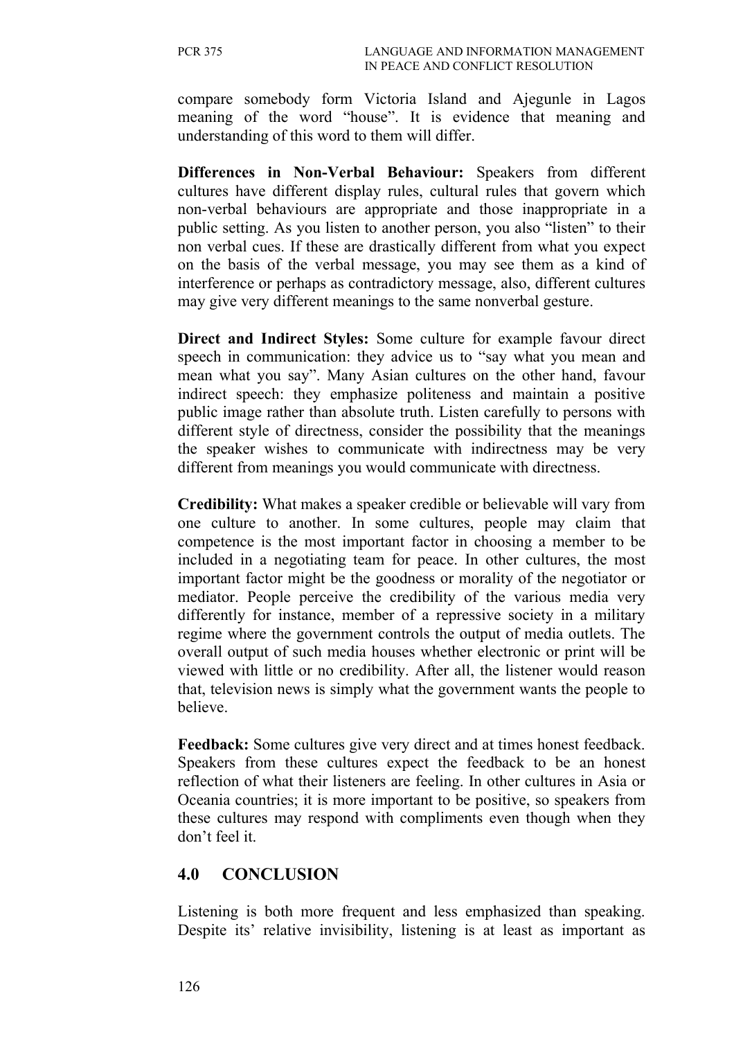compare somebody form Victoria Island and Ajegunle in Lagos meaning of the word "house". It is evidence that meaning and understanding of this word to them will differ.

**Differences in Non-Verbal Behaviour:** Speakers from different cultures have different display rules, cultural rules that govern which non-verbal behaviours are appropriate and those inappropriate in a public setting. As you listen to another person, you also "listen" to their non verbal cues. If these are drastically different from what you expect on the basis of the verbal message, you may see them as a kind of interference or perhaps as contradictory message, also, different cultures may give very different meanings to the same nonverbal gesture.

**Direct and Indirect Styles:** Some culture for example favour direct speech in communication: they advice us to "say what you mean and mean what you say". Many Asian cultures on the other hand, favour indirect speech: they emphasize politeness and maintain a positive public image rather than absolute truth. Listen carefully to persons with different style of directness, consider the possibility that the meanings the speaker wishes to communicate with indirectness may be very different from meanings you would communicate with directness.

**Credibility:** What makes a speaker credible or believable will vary from one culture to another. In some cultures, people may claim that competence is the most important factor in choosing a member to be included in a negotiating team for peace. In other cultures, the most important factor might be the goodness or morality of the negotiator or mediator. People perceive the credibility of the various media very differently for instance, member of a repressive society in a military regime where the government controls the output of media outlets. The overall output of such media houses whether electronic or print will be viewed with little or no credibility. After all, the listener would reason that, television news is simply what the government wants the people to believe.

**Feedback:** Some cultures give very direct and at times honest feedback. Speakers from these cultures expect the feedback to be an honest reflection of what their listeners are feeling. In other cultures in Asia or Oceania countries; it is more important to be positive, so speakers from these cultures may respond with compliments even though when they don't feel it.

#### **4.0 CONCLUSION**

Listening is both more frequent and less emphasized than speaking. Despite its' relative invisibility, listening is at least as important as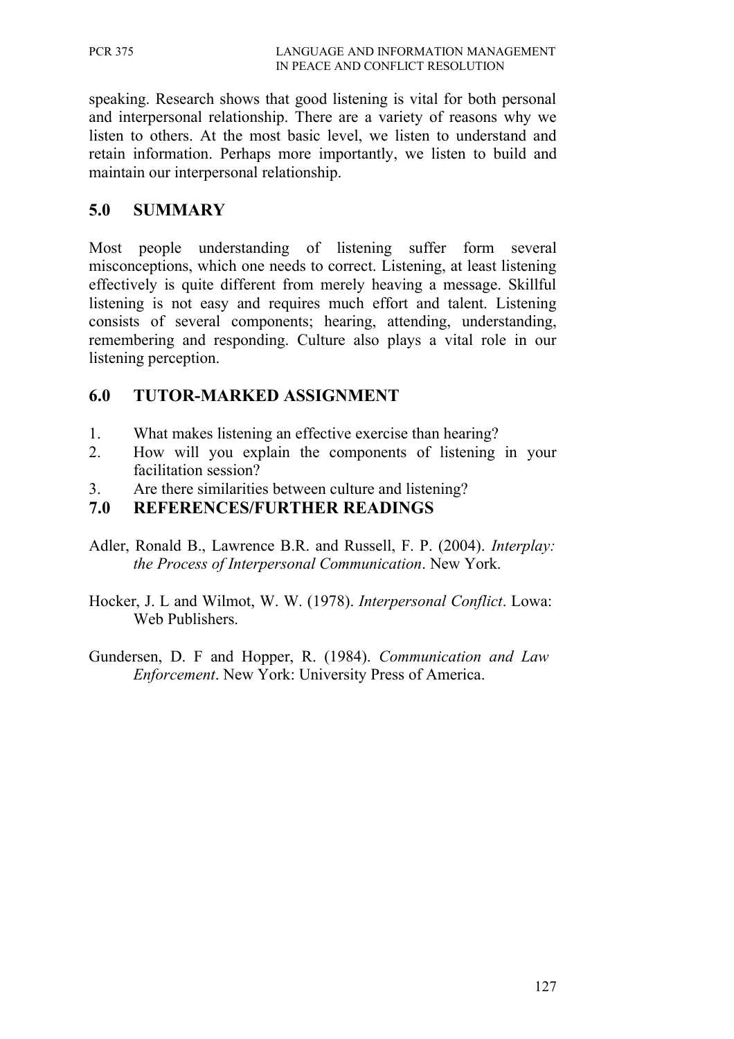speaking. Research shows that good listening is vital for both personal and interpersonal relationship. There are a variety of reasons why we listen to others. At the most basic level, we listen to understand and retain information. Perhaps more importantly, we listen to build and maintain our interpersonal relationship.

### **5.0 SUMMARY**

Most people understanding of listening suffer form several misconceptions, which one needs to correct. Listening, at least listening effectively is quite different from merely heaving a message. Skillful listening is not easy and requires much effort and talent. Listening consists of several components; hearing, attending, understanding, remembering and responding. Culture also plays a vital role in our listening perception.

### **6.0 TUTOR-MARKED ASSIGNMENT**

- 1. What makes listening an effective exercise than hearing?
- 2. How will you explain the components of listening in your facilitation session?
- 3. Are there similarities between culture and listening?

### **7.0 REFERENCES/FURTHER READINGS**

- Adler, Ronald B., Lawrence B.R. and Russell, F. P. (2004). *Interplay: the Process of Interpersonal Communication*. New York.
- Hocker, J. L and Wilmot, W. W. (1978). *Interpersonal Conflict*. Lowa: Web Publishers.
- Gundersen, D. F and Hopper, R. (1984). *Communication and Law Enforcement*. New York: University Press of America.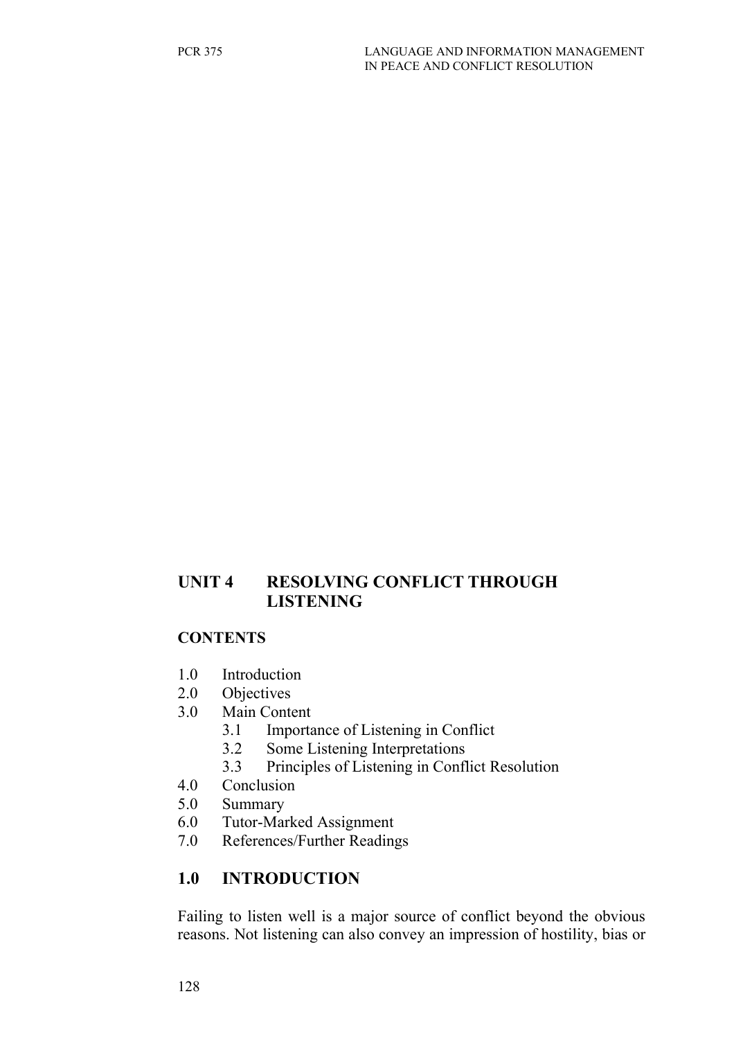### **UNIT 4 RESOLVING CONFLICT THROUGH LISTENING**

#### **CONTENTS**

- 1.0 Introduction
- 2.0 Objectives
- 3.0 Main Content
	- 3.1 Importance of Listening in Conflict
	- 3.2 Some Listening Interpretations
	- 3.3 Principles of Listening in Conflict Resolution
- 4.0 Conclusion
- 5.0 Summary
- 6.0 Tutor-Marked Assignment
- 7.0 References/Further Readings

# **1.0 INTRODUCTION**

Failing to listen well is a major source of conflict beyond the obvious reasons. Not listening can also convey an impression of hostility, bias or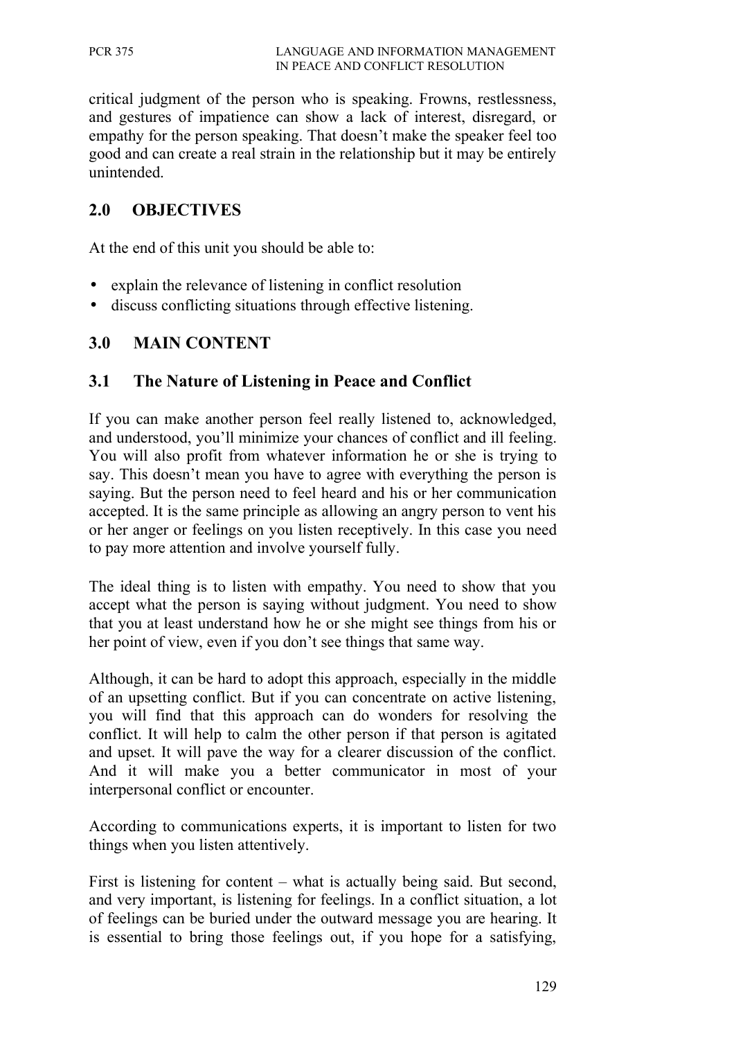critical judgment of the person who is speaking. Frowns, restlessness, and gestures of impatience can show a lack of interest, disregard, or empathy for the person speaking. That doesn't make the speaker feel too good and can create a real strain in the relationship but it may be entirely unintended.

## **2.0 OBJECTIVES**

At the end of this unit you should be able to:

- explain the relevance of listening in conflict resolution
- discuss conflicting situations through effective listening.

## **3.0 MAIN CONTENT**

#### **3.1 The Nature of Listening in Peace and Conflict**

If you can make another person feel really listened to, acknowledged, and understood, you'll minimize your chances of conflict and ill feeling. You will also profit from whatever information he or she is trying to say. This doesn't mean you have to agree with everything the person is saying. But the person need to feel heard and his or her communication accepted. It is the same principle as allowing an angry person to vent his or her anger or feelings on you listen receptively. In this case you need to pay more attention and involve yourself fully.

The ideal thing is to listen with empathy. You need to show that you accept what the person is saying without judgment. You need to show that you at least understand how he or she might see things from his or her point of view, even if you don't see things that same way.

Although, it can be hard to adopt this approach, especially in the middle of an upsetting conflict. But if you can concentrate on active listening, you will find that this approach can do wonders for resolving the conflict. It will help to calm the other person if that person is agitated and upset. It will pave the way for a clearer discussion of the conflict. And it will make you a better communicator in most of your interpersonal conflict or encounter.

According to communications experts, it is important to listen for two things when you listen attentively.

First is listening for content – what is actually being said. But second, and very important, is listening for feelings. In a conflict situation, a lot of feelings can be buried under the outward message you are hearing. It is essential to bring those feelings out, if you hope for a satisfying,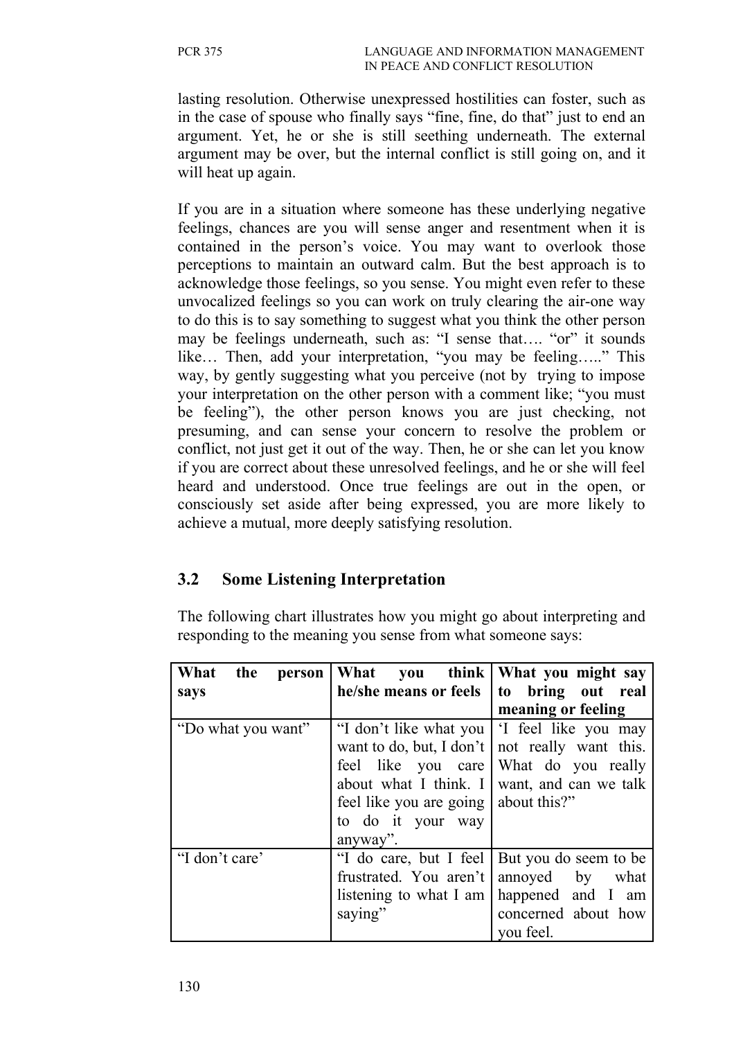lasting resolution. Otherwise unexpressed hostilities can foster, such as in the case of spouse who finally says "fine, fine, do that" just to end an argument. Yet, he or she is still seething underneath. The external argument may be over, but the internal conflict is still going on, and it will heat up again.

If you are in a situation where someone has these underlying negative feelings, chances are you will sense anger and resentment when it is contained in the person's voice. You may want to overlook those perceptions to maintain an outward calm. But the best approach is to acknowledge those feelings, so you sense. You might even refer to these unvocalized feelings so you can work on truly clearing the air-one way to do this is to say something to suggest what you think the other person may be feelings underneath, such as: "I sense that.... "or" it sounds like… Then, add your interpretation, "you may be feeling….." This way, by gently suggesting what you perceive (not by trying to impose your interpretation on the other person with a comment like; "you must be feeling"), the other person knows you are just checking, not presuming, and can sense your concern to resolve the problem or conflict, not just get it out of the way. Then, he or she can let you know if you are correct about these unresolved feelings, and he or she will feel heard and understood. Once true feelings are out in the open, or consciously set aside after being expressed, you are more likely to achieve a mutual, more deeply satisfying resolution.

## **3.2 Some Listening Interpretation**

The following chart illustrates how you might go about interpreting and responding to the meaning you sense from what someone says:

| What<br>the<br>person | What                                                                                                                                             | you think   What you might say                                                                                                                    |
|-----------------------|--------------------------------------------------------------------------------------------------------------------------------------------------|---------------------------------------------------------------------------------------------------------------------------------------------------|
| says                  | he/she means or feels                                                                                                                            | to bring out real                                                                                                                                 |
|                       |                                                                                                                                                  | meaning or feeling                                                                                                                                |
| "Do what you want"    | want to do, but, I don't<br>feel like you care<br>about what I think. I<br>feel like you are going about this?"<br>to do it your way<br>anyway". | "I don't like what you   'I feel like you may<br>not really want this.<br>What do you really<br>want, and can we talk                             |
| "I don't care'        | frustrated. You aren't annoyed<br>saying"                                                                                                        | "I do care, but I feel   But you do seem to be<br>by what<br>listening to what I am $\vert$ happened and I am<br>concerned about how<br>you feel. |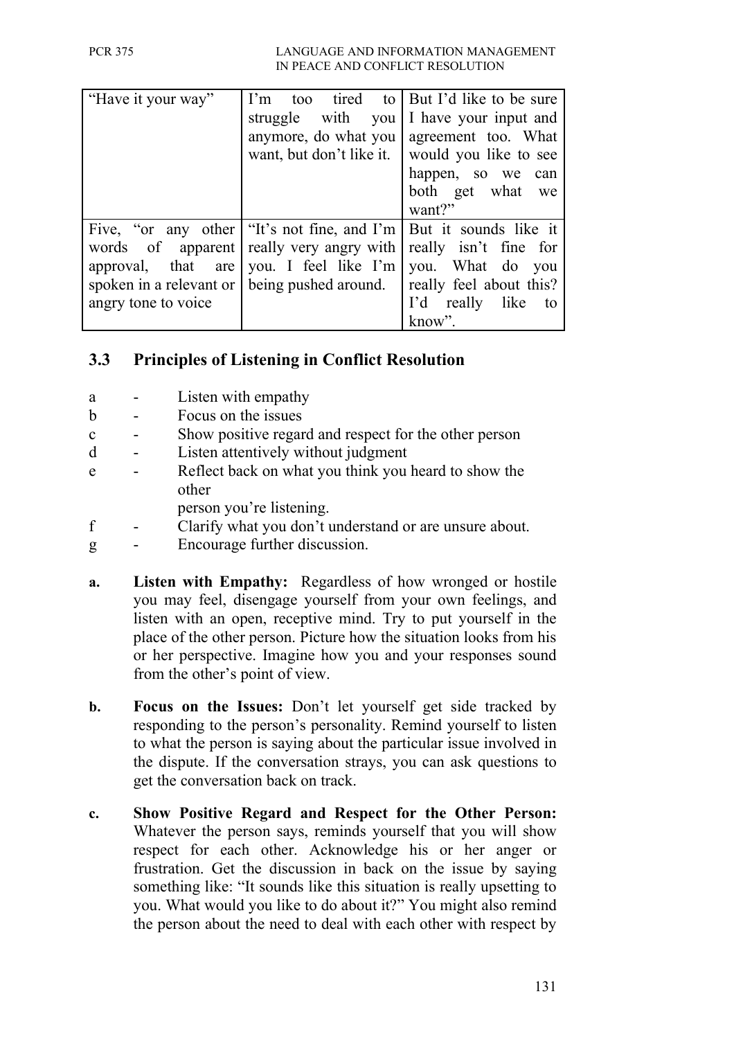| "Have it your way"  | $\Gamma$ m<br>struggle with you                                                                                                                                                                                                        | to tired to   But I'd like to be sure<br>I have your input and<br>anymore, do what you   agreement too. What<br>want, but don't like it.   would you like to see<br>happen, so we can<br>both get what we<br>want?" |
|---------------------|----------------------------------------------------------------------------------------------------------------------------------------------------------------------------------------------------------------------------------------|---------------------------------------------------------------------------------------------------------------------------------------------------------------------------------------------------------------------|
| angry tone to voice | Five, "or any other "It's not fine, and I'm   But it sounds like it<br>words of apparent really very angry with<br>approval, that are vou. I feel like I'm<br>spoken in a relevant or   being pushed around.   really feel about this? | really isn't fine for<br>you. What do you<br>I'd really like to<br>know".                                                                                                                                           |

# **3.3 Principles of Listening in Conflict Resolution**

- a Listen with empathy
- b Focus on the issues
- c Show positive regard and respect for the other person
- d Listen attentively without judgment
- e Reflect back on what you think you heard to show the other
	- person you're listening.
- f Clarify what you don't understand or are unsure about.
- g Encourage further discussion.
- **a. Listen with Empathy:** Regardless of how wronged or hostile you may feel, disengage yourself from your own feelings, and listen with an open, receptive mind. Try to put yourself in the place of the other person. Picture how the situation looks from his or her perspective. Imagine how you and your responses sound from the other's point of view.
- **b. Focus on the Issues:** Don't let yourself get side tracked by responding to the person's personality. Remind yourself to listen to what the person is saying about the particular issue involved in the dispute. If the conversation strays, you can ask questions to get the conversation back on track.
- **c. Show Positive Regard and Respect for the Other Person:** Whatever the person says, reminds yourself that you will show respect for each other. Acknowledge his or her anger or frustration. Get the discussion in back on the issue by saying something like: "It sounds like this situation is really upsetting to you. What would you like to do about it?" You might also remind the person about the need to deal with each other with respect by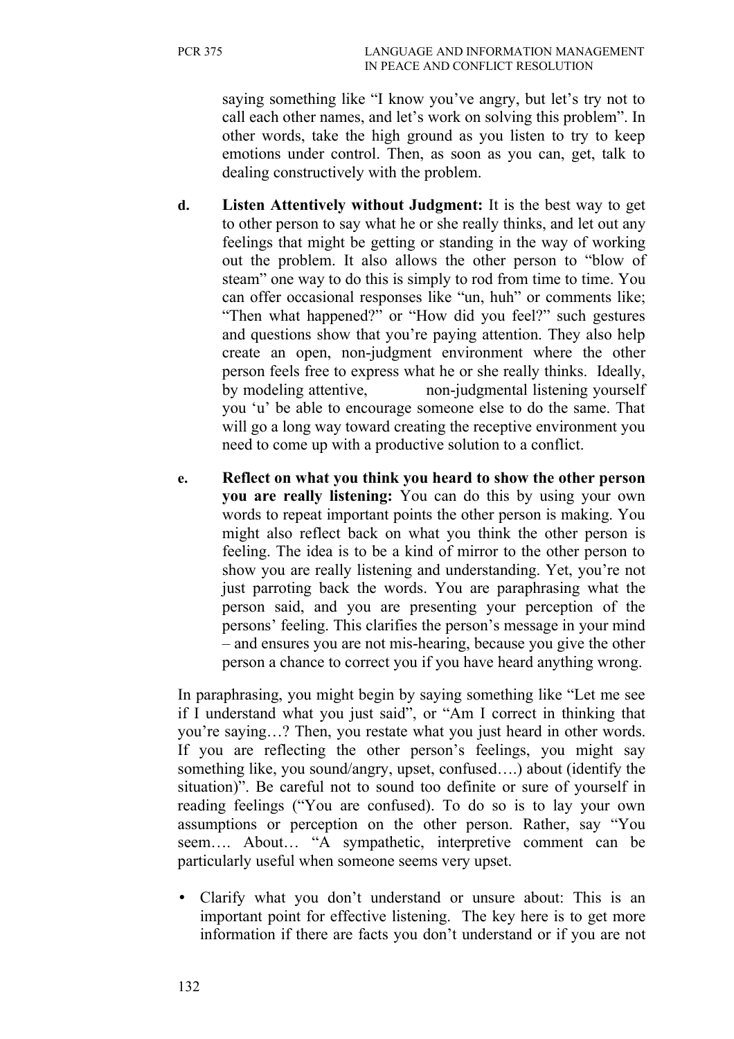saying something like "I know you've angry, but let's try not to call each other names, and let's work on solving this problem". In other words, take the high ground as you listen to try to keep emotions under control. Then, as soon as you can, get, talk to dealing constructively with the problem.

- **d. Listen Attentively without Judgment:** It is the best way to get to other person to say what he or she really thinks, and let out any feelings that might be getting or standing in the way of working out the problem. It also allows the other person to "blow of steam" one way to do this is simply to rod from time to time. You can offer occasional responses like "un, huh" or comments like; "Then what happened?" or "How did you feel?" such gestures and questions show that you're paying attention. They also help create an open, non-judgment environment where the other person feels free to express what he or she really thinks. Ideally, by modeling attentive, non-judgmental listening yourself you 'u' be able to encourage someone else to do the same. That will go a long way toward creating the receptive environment you need to come up with a productive solution to a conflict.
- **e. Reflect on what you think you heard to show the other person you are really listening:** You can do this by using your own words to repeat important points the other person is making. You might also reflect back on what you think the other person is feeling. The idea is to be a kind of mirror to the other person to show you are really listening and understanding. Yet, you're not just parroting back the words. You are paraphrasing what the person said, and you are presenting your perception of the persons' feeling. This clarifies the person's message in your mind – and ensures you are not mis-hearing, because you give the other person a chance to correct you if you have heard anything wrong.

In paraphrasing, you might begin by saying something like "Let me see if I understand what you just said", or "Am I correct in thinking that you're saying…? Then, you restate what you just heard in other words. If you are reflecting the other person's feelings, you might say something like, you sound/angry, upset, confused….) about (identify the situation)". Be careful not to sound too definite or sure of yourself in reading feelings ("You are confused). To do so is to lay your own assumptions or perception on the other person. Rather, say "You seem…. About… "A sympathetic, interpretive comment can be particularly useful when someone seems very upset.

• Clarify what you don't understand or unsure about: This is an important point for effective listening. The key here is to get more information if there are facts you don't understand or if you are not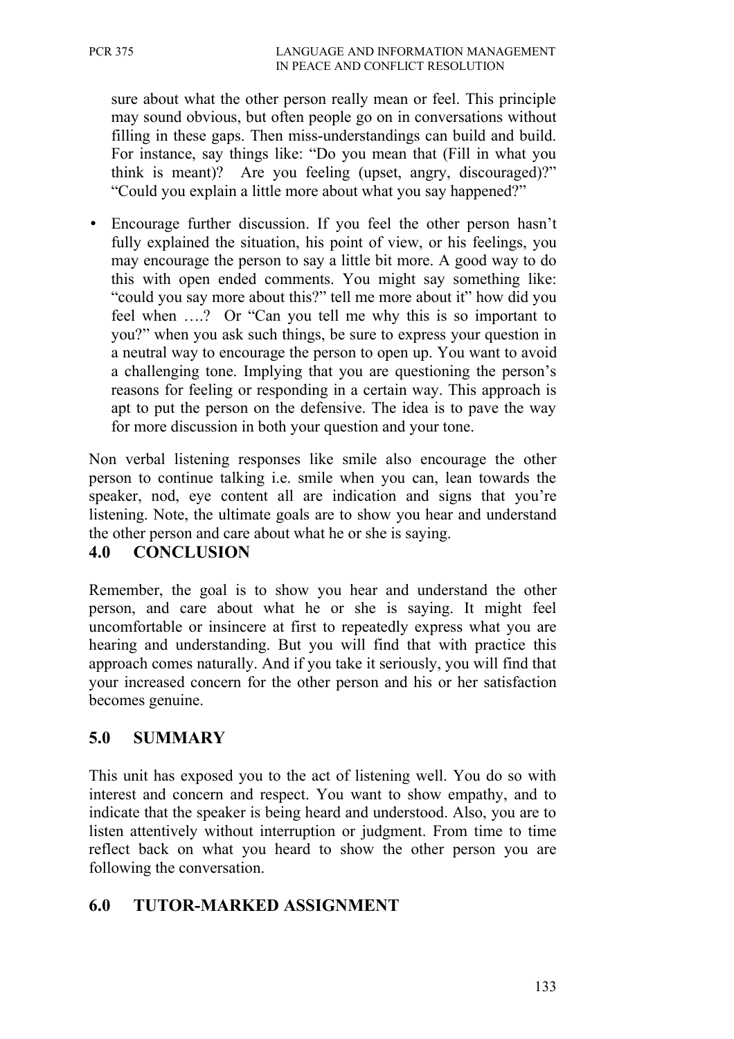sure about what the other person really mean or feel. This principle may sound obvious, but often people go on in conversations without filling in these gaps. Then miss-understandings can build and build. For instance, say things like: "Do you mean that (Fill in what you think is meant)? Are you feeling (upset, angry, discouraged)?" "Could you explain a little more about what you say happened?"

• Encourage further discussion. If you feel the other person hasn't fully explained the situation, his point of view, or his feelings, you may encourage the person to say a little bit more. A good way to do this with open ended comments. You might say something like: "could you say more about this?" tell me more about it" how did you feel when ….? Or "Can you tell me why this is so important to you?" when you ask such things, be sure to express your question in a neutral way to encourage the person to open up. You want to avoid a challenging tone. Implying that you are questioning the person's reasons for feeling or responding in a certain way. This approach is apt to put the person on the defensive. The idea is to pave the way for more discussion in both your question and your tone.

Non verbal listening responses like smile also encourage the other person to continue talking i.e. smile when you can, lean towards the speaker, nod, eye content all are indication and signs that you're listening. Note, the ultimate goals are to show you hear and understand the other person and care about what he or she is saying.

## **4.0 CONCLUSION**

Remember, the goal is to show you hear and understand the other person, and care about what he or she is saying. It might feel uncomfortable or insincere at first to repeatedly express what you are hearing and understanding. But you will find that with practice this approach comes naturally. And if you take it seriously, you will find that your increased concern for the other person and his or her satisfaction becomes genuine.

## **5.0 SUMMARY**

This unit has exposed you to the act of listening well. You do so with interest and concern and respect. You want to show empathy, and to indicate that the speaker is being heard and understood. Also, you are to listen attentively without interruption or judgment. From time to time reflect back on what you heard to show the other person you are following the conversation.

## **6.0 TUTOR-MARKED ASSIGNMENT**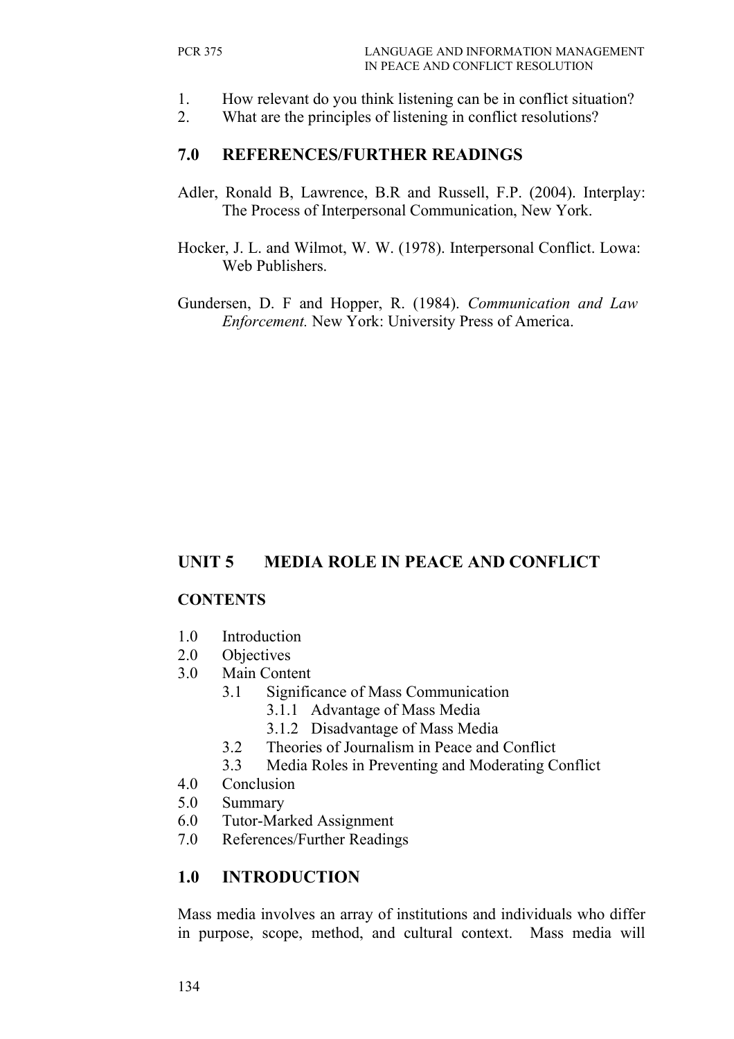- 1. How relevant do you think listening can be in conflict situation?
- 2. What are the principles of listening in conflict resolutions?

#### **7.0 REFERENCES/FURTHER READINGS**

- Adler, Ronald B, Lawrence, B.R and Russell, F.P. (2004). Interplay: The Process of Interpersonal Communication, New York.
- Hocker, J. L. and Wilmot, W. W. (1978). Interpersonal Conflict. Lowa: Web Publishers.
- Gundersen, D. F and Hopper, R. (1984). *Communication and Law Enforcement.* New York: University Press of America.

# **UNIT 5 MEDIA ROLE IN PEACE AND CONFLICT**

#### **CONTENTS**

- 1.0 Introduction
- 2.0 Objectives
- 3.0 Main Content
	- 3.1 Significance of Mass Communication
		- 3.1.1 Advantage of Mass Media
		- 3.1.2 Disadvantage of Mass Media
	- 3.2 Theories of Journalism in Peace and Conflict
	- 3.3 Media Roles in Preventing and Moderating Conflict
- 4.0 Conclusion
- 5.0 Summary
- 6.0 Tutor-Marked Assignment
- 7.0 References/Further Readings

## **1.0 INTRODUCTION**

Mass media involves an array of institutions and individuals who differ in purpose, scope, method, and cultural context. Mass media will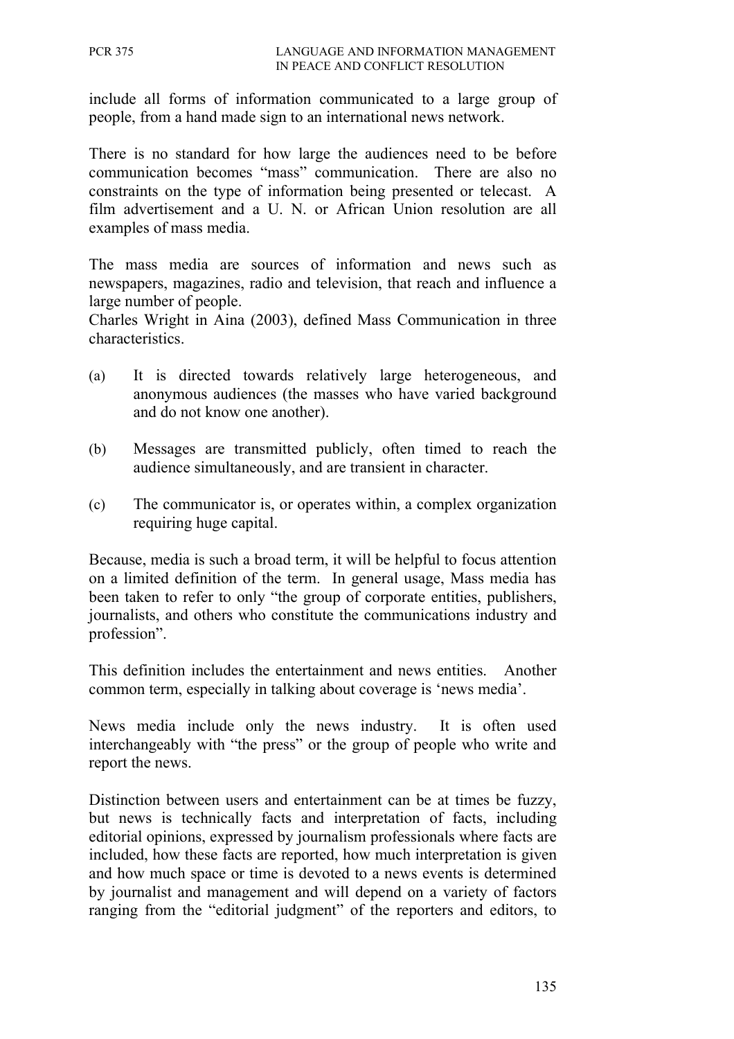include all forms of information communicated to a large group of people, from a hand made sign to an international news network.

There is no standard for how large the audiences need to be before communication becomes "mass" communication. There are also no constraints on the type of information being presented or telecast. A film advertisement and a U. N. or African Union resolution are all examples of mass media.

The mass media are sources of information and news such as newspapers, magazines, radio and television, that reach and influence a large number of people.

Charles Wright in Aina (2003), defined Mass Communication in three characteristics.

- (a) It is directed towards relatively large heterogeneous, and anonymous audiences (the masses who have varied background and do not know one another).
- (b) Messages are transmitted publicly, often timed to reach the audience simultaneously, and are transient in character.
- (c) The communicator is, or operates within, a complex organization requiring huge capital.

Because, media is such a broad term, it will be helpful to focus attention on a limited definition of the term. In general usage, Mass media has been taken to refer to only "the group of corporate entities, publishers, journalists, and others who constitute the communications industry and profession".

This definition includes the entertainment and news entities. Another common term, especially in talking about coverage is 'news media'.

News media include only the news industry. It is often used interchangeably with "the press" or the group of people who write and report the news.

Distinction between users and entertainment can be at times be fuzzy, but news is technically facts and interpretation of facts, including editorial opinions, expressed by journalism professionals where facts are included, how these facts are reported, how much interpretation is given and how much space or time is devoted to a news events is determined by journalist and management and will depend on a variety of factors ranging from the "editorial judgment" of the reporters and editors, to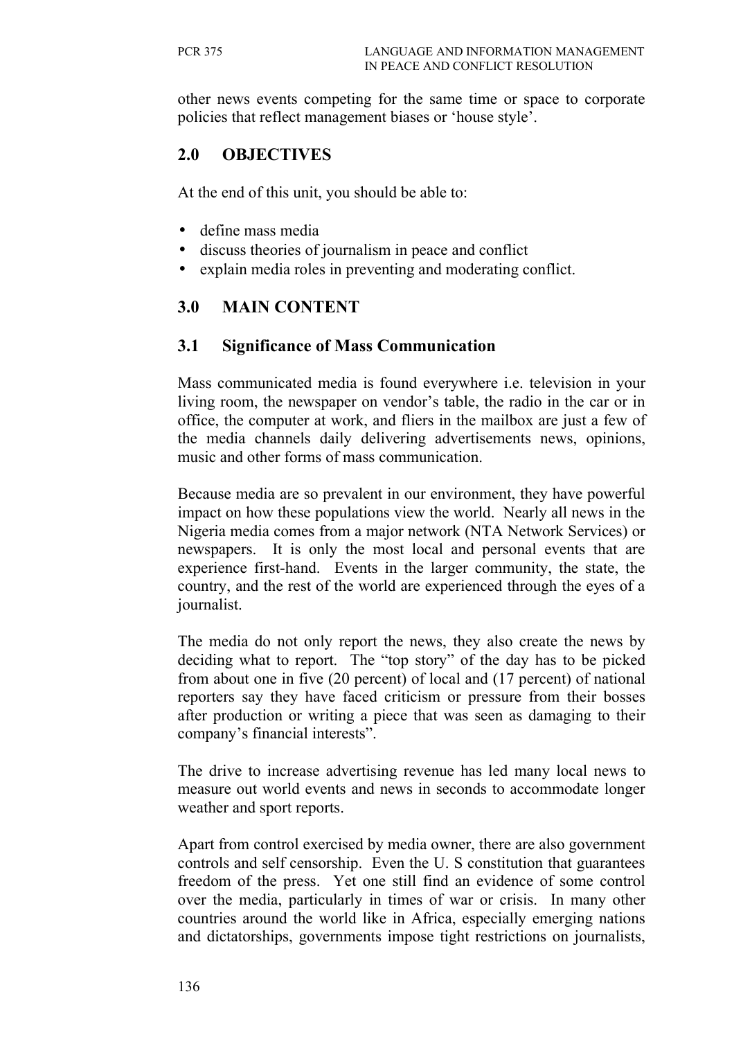other news events competing for the same time or space to corporate policies that reflect management biases or 'house style'.

## **2.0 OBJECTIVES**

At the end of this unit, you should be able to:

- define mass media
- discuss theories of journalism in peace and conflict
- explain media roles in preventing and moderating conflict.

## **3.0 MAIN CONTENT**

#### **3.1 Significance of Mass Communication**

Mass communicated media is found everywhere i.e. television in your living room, the newspaper on vendor's table, the radio in the car or in office, the computer at work, and fliers in the mailbox are just a few of the media channels daily delivering advertisements news, opinions, music and other forms of mass communication.

Because media are so prevalent in our environment, they have powerful impact on how these populations view the world. Nearly all news in the Nigeria media comes from a major network (NTA Network Services) or newspapers. It is only the most local and personal events that are experience first-hand. Events in the larger community, the state, the country, and the rest of the world are experienced through the eyes of a journalist.

The media do not only report the news, they also create the news by deciding what to report. The "top story" of the day has to be picked from about one in five (20 percent) of local and (17 percent) of national reporters say they have faced criticism or pressure from their bosses after production or writing a piece that was seen as damaging to their company's financial interests".

The drive to increase advertising revenue has led many local news to measure out world events and news in seconds to accommodate longer weather and sport reports.

Apart from control exercised by media owner, there are also government controls and self censorship. Even the U. S constitution that guarantees freedom of the press. Yet one still find an evidence of some control over the media, particularly in times of war or crisis. In many other countries around the world like in Africa, especially emerging nations and dictatorships, governments impose tight restrictions on journalists,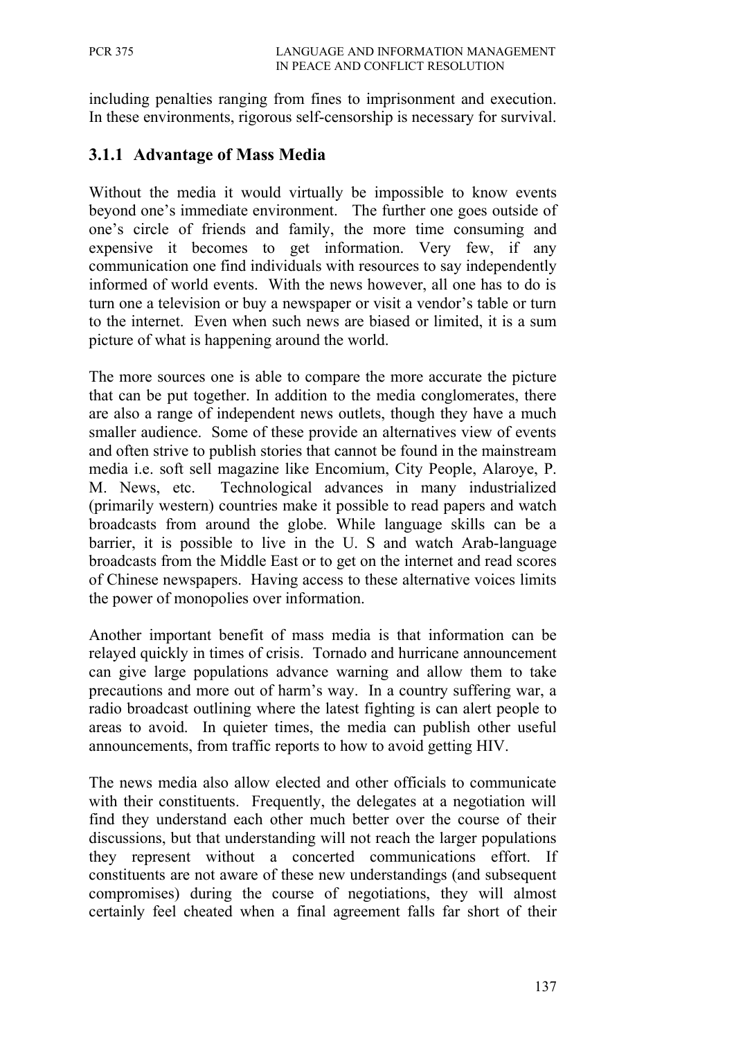including penalties ranging from fines to imprisonment and execution. In these environments, rigorous self-censorship is necessary for survival.

## **3.1.1 Advantage of Mass Media**

Without the media it would virtually be impossible to know events beyond one's immediate environment. The further one goes outside of one's circle of friends and family, the more time consuming and expensive it becomes to get information. Very few, if any communication one find individuals with resources to say independently informed of world events. With the news however, all one has to do is turn one a television or buy a newspaper or visit a vendor's table or turn to the internet. Even when such news are biased or limited, it is a sum picture of what is happening around the world.

The more sources one is able to compare the more accurate the picture that can be put together. In addition to the media conglomerates, there are also a range of independent news outlets, though they have a much smaller audience. Some of these provide an alternatives view of events and often strive to publish stories that cannot be found in the mainstream media i.e. soft sell magazine like Encomium, City People, Alaroye, P. M. News, etc. Technological advances in many industrialized (primarily western) countries make it possible to read papers and watch broadcasts from around the globe. While language skills can be a barrier, it is possible to live in the U. S and watch Arab-language broadcasts from the Middle East or to get on the internet and read scores of Chinese newspapers. Having access to these alternative voices limits the power of monopolies over information.

Another important benefit of mass media is that information can be relayed quickly in times of crisis. Tornado and hurricane announcement can give large populations advance warning and allow them to take precautions and more out of harm's way. In a country suffering war, a radio broadcast outlining where the latest fighting is can alert people to areas to avoid. In quieter times, the media can publish other useful announcements, from traffic reports to how to avoid getting HIV.

The news media also allow elected and other officials to communicate with their constituents. Frequently, the delegates at a negotiation will find they understand each other much better over the course of their discussions, but that understanding will not reach the larger populations they represent without a concerted communications effort. If constituents are not aware of these new understandings (and subsequent compromises) during the course of negotiations, they will almost certainly feel cheated when a final agreement falls far short of their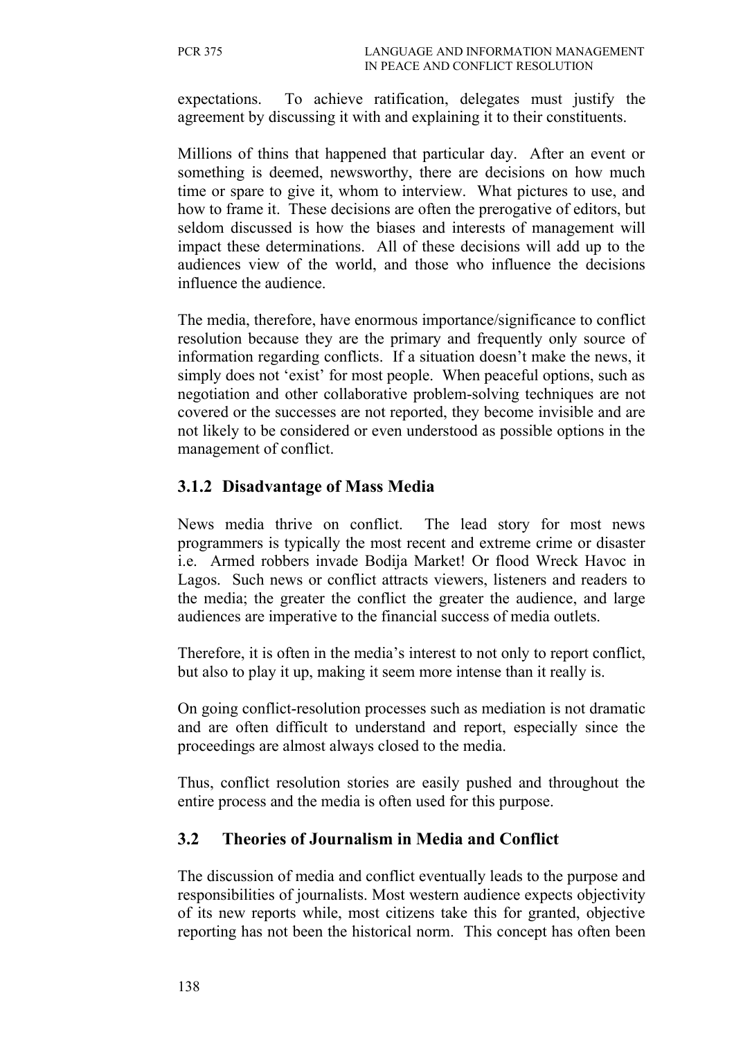expectations. To achieve ratification, delegates must justify the agreement by discussing it with and explaining it to their constituents.

Millions of thins that happened that particular day. After an event or something is deemed, newsworthy, there are decisions on how much time or spare to give it, whom to interview. What pictures to use, and how to frame it. These decisions are often the prerogative of editors, but seldom discussed is how the biases and interests of management will impact these determinations. All of these decisions will add up to the audiences view of the world, and those who influence the decisions influence the audience.

The media, therefore, have enormous importance/significance to conflict resolution because they are the primary and frequently only source of information regarding conflicts. If a situation doesn't make the news, it simply does not 'exist' for most people. When peaceful options, such as negotiation and other collaborative problem-solving techniques are not covered or the successes are not reported, they become invisible and are not likely to be considered or even understood as possible options in the management of conflict.

## **3.1.2 Disadvantage of Mass Media**

News media thrive on conflict. The lead story for most news programmers is typically the most recent and extreme crime or disaster i.e. Armed robbers invade Bodija Market! Or flood Wreck Havoc in Lagos. Such news or conflict attracts viewers, listeners and readers to the media; the greater the conflict the greater the audience, and large audiences are imperative to the financial success of media outlets.

Therefore, it is often in the media's interest to not only to report conflict, but also to play it up, making it seem more intense than it really is.

On going conflict-resolution processes such as mediation is not dramatic and are often difficult to understand and report, especially since the proceedings are almost always closed to the media.

Thus, conflict resolution stories are easily pushed and throughout the entire process and the media is often used for this purpose.

## **3.2 Theories of Journalism in Media and Conflict**

The discussion of media and conflict eventually leads to the purpose and responsibilities of journalists. Most western audience expects objectivity of its new reports while, most citizens take this for granted, objective reporting has not been the historical norm. This concept has often been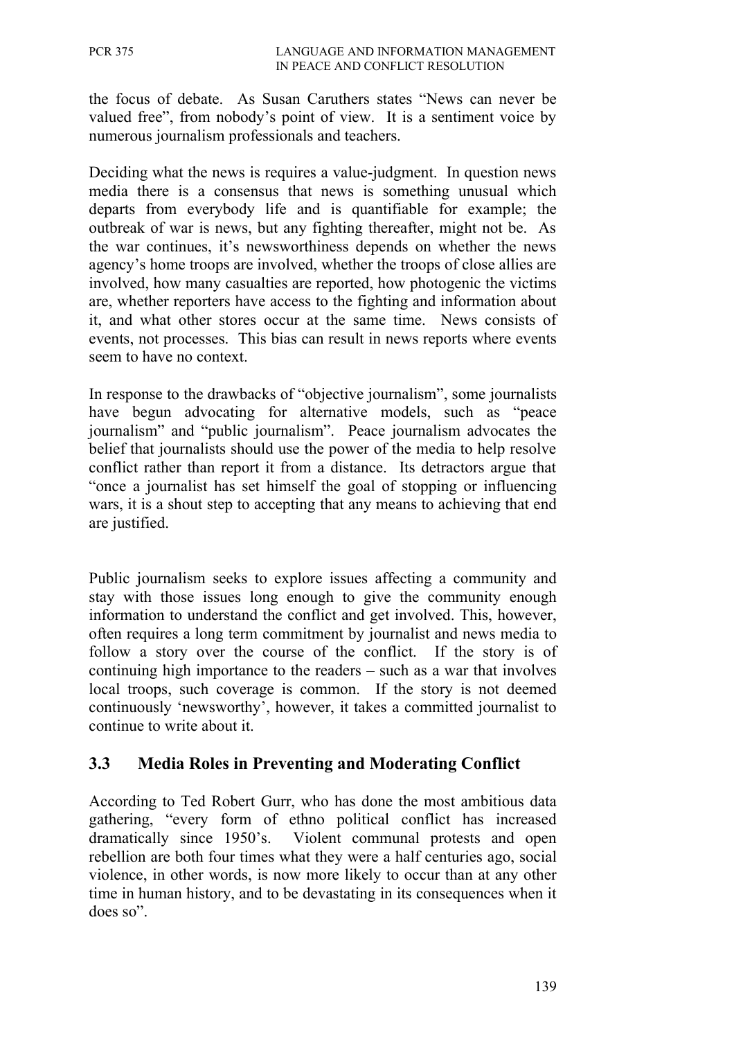the focus of debate. As Susan Caruthers states "News can never be valued free", from nobody's point of view. It is a sentiment voice by numerous journalism professionals and teachers.

Deciding what the news is requires a value-judgment. In question news media there is a consensus that news is something unusual which departs from everybody life and is quantifiable for example; the outbreak of war is news, but any fighting thereafter, might not be. As the war continues, it's newsworthiness depends on whether the news agency's home troops are involved, whether the troops of close allies are involved, how many casualties are reported, how photogenic the victims are, whether reporters have access to the fighting and information about it, and what other stores occur at the same time. News consists of events, not processes. This bias can result in news reports where events seem to have no context.

In response to the drawbacks of "objective journalism", some journalists have begun advocating for alternative models, such as "peace" journalism" and "public journalism". Peace journalism advocates the belief that journalists should use the power of the media to help resolve conflict rather than report it from a distance. Its detractors argue that "once a journalist has set himself the goal of stopping or influencing wars, it is a shout step to accepting that any means to achieving that end are justified.

Public journalism seeks to explore issues affecting a community and stay with those issues long enough to give the community enough information to understand the conflict and get involved. This, however, often requires a long term commitment by journalist and news media to follow a story over the course of the conflict. If the story is of continuing high importance to the readers – such as a war that involves local troops, such coverage is common. If the story is not deemed continuously 'newsworthy', however, it takes a committed journalist to continue to write about it.

## **3.3 Media Roles in Preventing and Moderating Conflict**

According to Ted Robert Gurr, who has done the most ambitious data gathering, "every form of ethno political conflict has increased dramatically since 1950's. Violent communal protests and open rebellion are both four times what they were a half centuries ago, social violence, in other words, is now more likely to occur than at any other time in human history, and to be devastating in its consequences when it does so".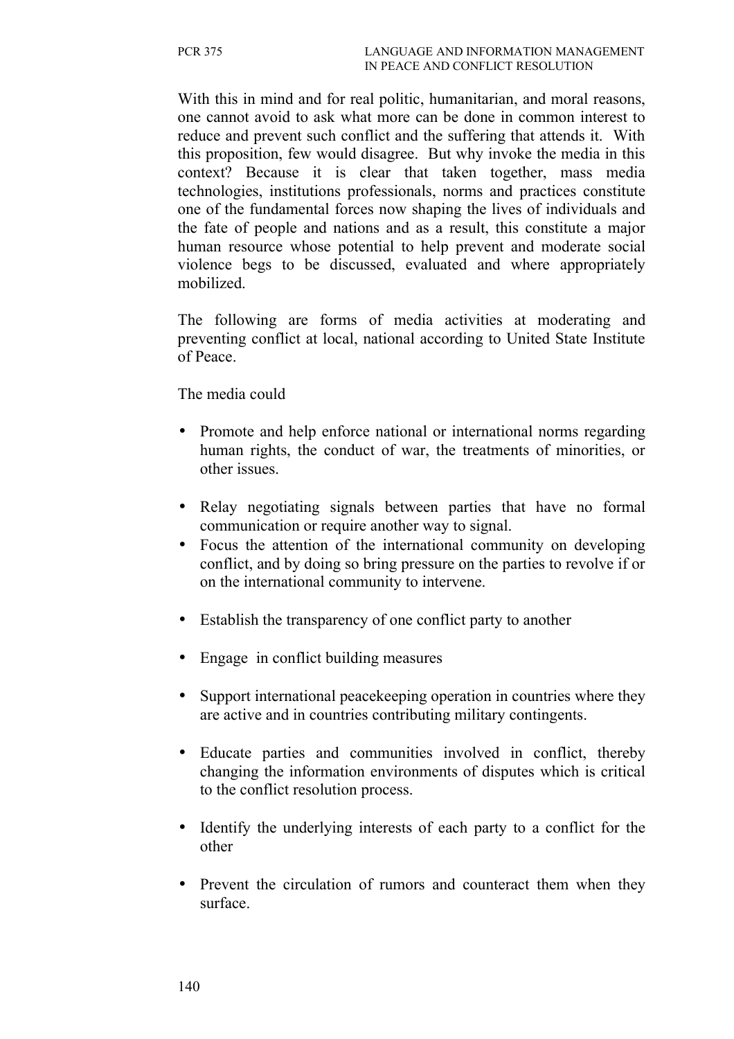With this in mind and for real politic, humanitarian, and moral reasons, one cannot avoid to ask what more can be done in common interest to reduce and prevent such conflict and the suffering that attends it. With this proposition, few would disagree. But why invoke the media in this context? Because it is clear that taken together, mass media technologies, institutions professionals, norms and practices constitute one of the fundamental forces now shaping the lives of individuals and the fate of people and nations and as a result, this constitute a major human resource whose potential to help prevent and moderate social violence begs to be discussed, evaluated and where appropriately mobilized.

The following are forms of media activities at moderating and preventing conflict at local, national according to United State Institute of Peace.

The media could

- Promote and help enforce national or international norms regarding human rights, the conduct of war, the treatments of minorities, or other issues.
- Relay negotiating signals between parties that have no formal communication or require another way to signal.
- Focus the attention of the international community on developing conflict, and by doing so bring pressure on the parties to revolve if or on the international community to intervene.
- Establish the transparency of one conflict party to another
- Engage in conflict building measures
- Support international peacekeeping operation in countries where they are active and in countries contributing military contingents.
- Educate parties and communities involved in conflict, thereby changing the information environments of disputes which is critical to the conflict resolution process.
- Identify the underlying interests of each party to a conflict for the other
- Prevent the circulation of rumors and counteract them when they surface.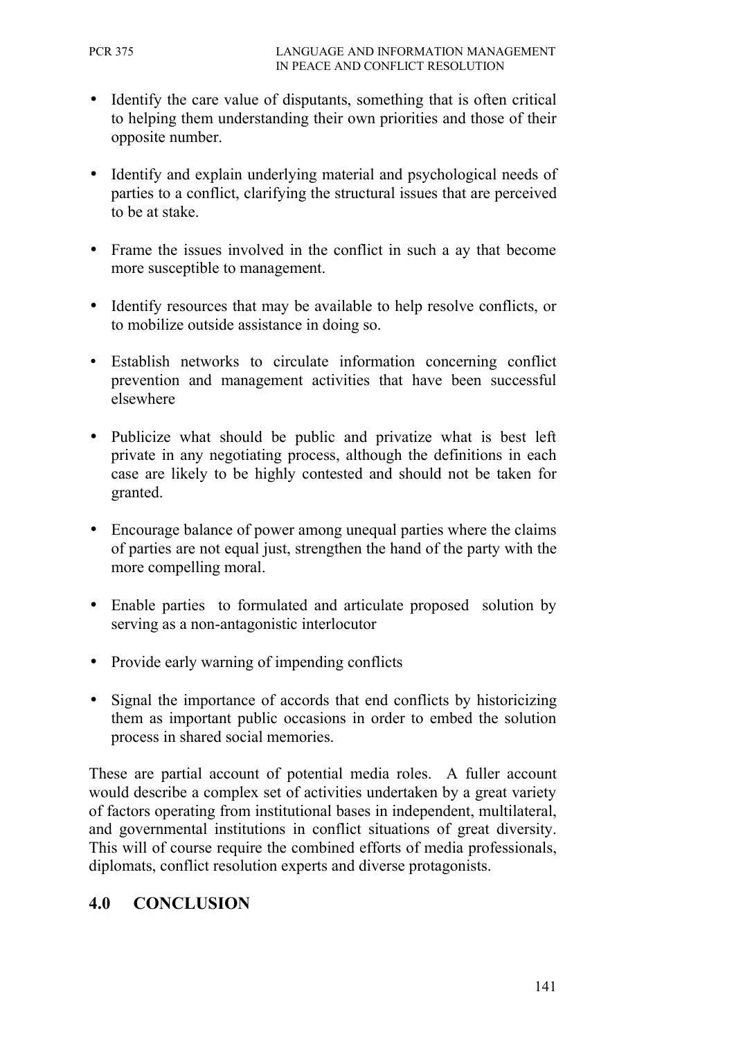- Identify the care value of disputants, something that is often critical to helping them understanding their own priorities and those of their opposite number.
- Identify and explain underlying material and psychological needs of parties to a conflict, clarifying the structural issues that are perceived to be at stake.
- Frame the issues involved in the conflict in such a ay that become more susceptible to management.
- Identify resources that may be available to help resolve conflicts, or to mobilize outside assistance in doing so.
- Establish networks to circulate information concerning conflict prevention and management activities that have been successful elsewhere
- Publicize what should be public and privatize what is best left private in any negotiating process, although the definitions in each case are likely to be highly contested and should not be taken for granted.
- Encourage balance of power among unequal parties where the claims of parties are not equal just, strengthen the hand of the party with the more compelling moral.
- Enable parties to formulated and articulate proposed solution by serving as a non-antagonistic interlocutor
- Provide early warning of impending conflicts
- Signal the importance of accords that end conflicts by historicizing them as important public occasions in order to embed the solution process in shared social memories.

These are partial account of potential media roles. A fuller account would describe a complex set of activities undertaken by a great variety of factors operating from institutional bases in independent, multilateral, and governmental institutions in conflict situations of great diversity. This will of course require the combined efforts of media professionals, diplomats, conflict resolution experts and diverse protagonists.

# **4.0 CONCLUSION**